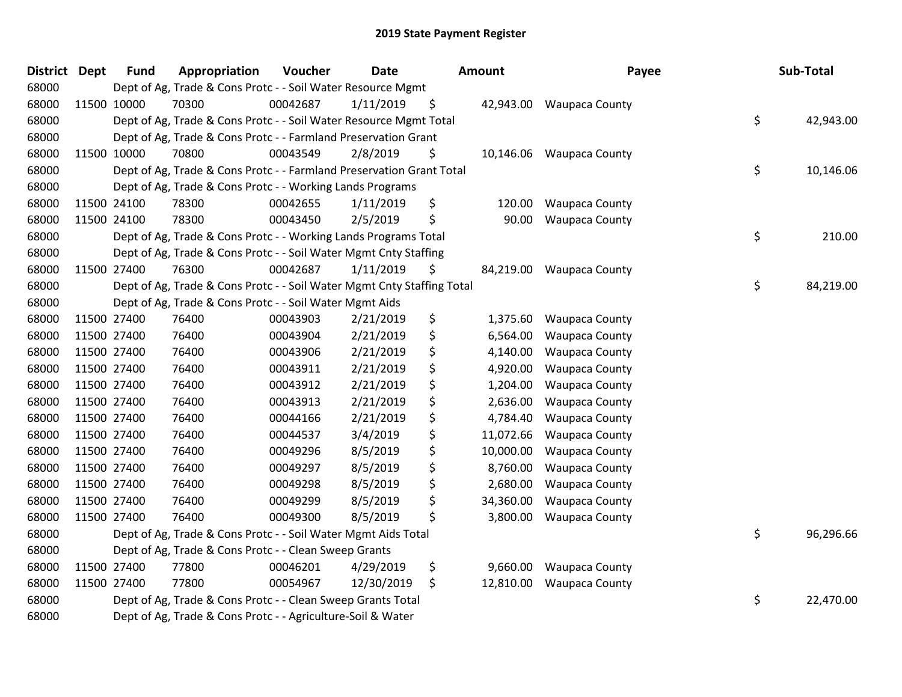| <b>District Dept</b> | <b>Fund</b> | Appropriation                                                          | Voucher  | <b>Date</b> | Amount          | Payee                 | Sub-Total       |
|----------------------|-------------|------------------------------------------------------------------------|----------|-------------|-----------------|-----------------------|-----------------|
| 68000                |             | Dept of Ag, Trade & Cons Protc - - Soil Water Resource Mgmt            |          |             |                 |                       |                 |
| 68000                | 11500 10000 | 70300                                                                  | 00042687 | 1/11/2019   | \$<br>42,943.00 | <b>Waupaca County</b> |                 |
| 68000                |             | Dept of Ag, Trade & Cons Protc - - Soil Water Resource Mgmt Total      |          |             |                 |                       | \$<br>42,943.00 |
| 68000                |             | Dept of Ag, Trade & Cons Protc - - Farmland Preservation Grant         |          |             |                 |                       |                 |
| 68000                | 11500 10000 | 70800                                                                  | 00043549 | 2/8/2019    | \$<br>10,146.06 | <b>Waupaca County</b> |                 |
| 68000                |             | Dept of Ag, Trade & Cons Protc - - Farmland Preservation Grant Total   |          |             |                 |                       | \$<br>10,146.06 |
| 68000                |             | Dept of Ag, Trade & Cons Protc - - Working Lands Programs              |          |             |                 |                       |                 |
| 68000                | 11500 24100 | 78300                                                                  | 00042655 | 1/11/2019   | \$<br>120.00    | <b>Waupaca County</b> |                 |
| 68000                | 11500 24100 | 78300                                                                  | 00043450 | 2/5/2019    | \$<br>90.00     | <b>Waupaca County</b> |                 |
| 68000                |             | Dept of Ag, Trade & Cons Protc - - Working Lands Programs Total        |          |             |                 |                       | \$<br>210.00    |
| 68000                |             | Dept of Ag, Trade & Cons Protc - - Soil Water Mgmt Cnty Staffing       |          |             |                 |                       |                 |
| 68000                | 11500 27400 | 76300                                                                  | 00042687 | 1/11/2019   | \$<br>84,219.00 | <b>Waupaca County</b> |                 |
| 68000                |             | Dept of Ag, Trade & Cons Protc - - Soil Water Mgmt Cnty Staffing Total |          |             |                 |                       | \$<br>84,219.00 |
| 68000                |             | Dept of Ag, Trade & Cons Protc - - Soil Water Mgmt Aids                |          |             |                 |                       |                 |
| 68000                | 11500 27400 | 76400                                                                  | 00043903 | 2/21/2019   | \$<br>1,375.60  | <b>Waupaca County</b> |                 |
| 68000                | 11500 27400 | 76400                                                                  | 00043904 | 2/21/2019   | \$<br>6,564.00  | <b>Waupaca County</b> |                 |
| 68000                | 11500 27400 | 76400                                                                  | 00043906 | 2/21/2019   | \$<br>4,140.00  | <b>Waupaca County</b> |                 |
| 68000                | 11500 27400 | 76400                                                                  | 00043911 | 2/21/2019   | \$<br>4,920.00  | <b>Waupaca County</b> |                 |
| 68000                | 11500 27400 | 76400                                                                  | 00043912 | 2/21/2019   | \$<br>1,204.00  | <b>Waupaca County</b> |                 |
| 68000                | 11500 27400 | 76400                                                                  | 00043913 | 2/21/2019   | \$<br>2,636.00  | <b>Waupaca County</b> |                 |
| 68000                | 11500 27400 | 76400                                                                  | 00044166 | 2/21/2019   | \$<br>4,784.40  | Waupaca County        |                 |
| 68000                | 11500 27400 | 76400                                                                  | 00044537 | 3/4/2019    | \$<br>11,072.66 | <b>Waupaca County</b> |                 |
| 68000                | 11500 27400 | 76400                                                                  | 00049296 | 8/5/2019    | \$<br>10,000.00 | <b>Waupaca County</b> |                 |
| 68000                | 11500 27400 | 76400                                                                  | 00049297 | 8/5/2019    | \$<br>8,760.00  | <b>Waupaca County</b> |                 |
| 68000                | 11500 27400 | 76400                                                                  | 00049298 | 8/5/2019    | \$<br>2,680.00  | <b>Waupaca County</b> |                 |
| 68000                | 11500 27400 | 76400                                                                  | 00049299 | 8/5/2019    | \$<br>34,360.00 | <b>Waupaca County</b> |                 |
| 68000                | 11500 27400 | 76400                                                                  | 00049300 | 8/5/2019    | \$<br>3,800.00  | <b>Waupaca County</b> |                 |
| 68000                |             | Dept of Ag, Trade & Cons Protc - - Soil Water Mgmt Aids Total          |          |             |                 |                       | \$<br>96,296.66 |
| 68000                |             | Dept of Ag, Trade & Cons Protc - - Clean Sweep Grants                  |          |             |                 |                       |                 |
| 68000                | 11500 27400 | 77800                                                                  | 00046201 | 4/29/2019   | \$<br>9,660.00  | <b>Waupaca County</b> |                 |
| 68000                | 11500 27400 | 77800                                                                  | 00054967 | 12/30/2019  | \$<br>12,810.00 | Waupaca County        |                 |
| 68000                |             | Dept of Ag, Trade & Cons Protc - - Clean Sweep Grants Total            |          |             |                 |                       | \$<br>22,470.00 |
| 68000                |             | Dept of Ag, Trade & Cons Protc - - Agriculture-Soil & Water            |          |             |                 |                       |                 |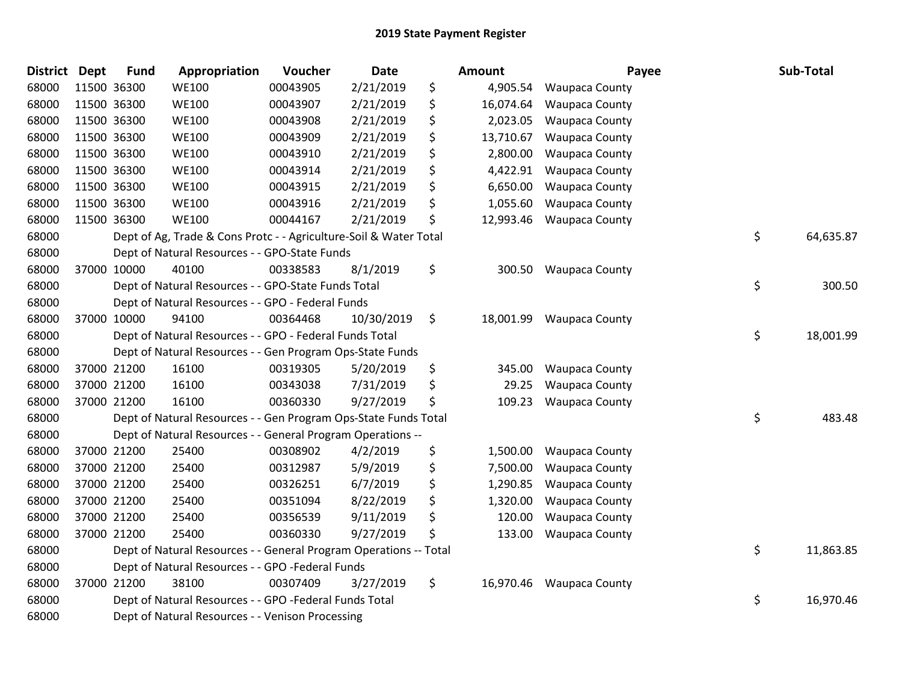| <b>District</b> | <b>Dept</b> | <b>Fund</b> | Appropriation                                                     | Voucher  | <b>Date</b> | <b>Amount</b>   | Payee                    | Sub-Total       |
|-----------------|-------------|-------------|-------------------------------------------------------------------|----------|-------------|-----------------|--------------------------|-----------------|
| 68000           |             | 11500 36300 | <b>WE100</b>                                                      | 00043905 | 2/21/2019   | \$<br>4,905.54  | <b>Waupaca County</b>    |                 |
| 68000           |             | 11500 36300 | <b>WE100</b>                                                      | 00043907 | 2/21/2019   | \$<br>16,074.64 | <b>Waupaca County</b>    |                 |
| 68000           |             | 11500 36300 | <b>WE100</b>                                                      | 00043908 | 2/21/2019   | \$<br>2,023.05  | <b>Waupaca County</b>    |                 |
| 68000           | 11500 36300 |             | <b>WE100</b>                                                      | 00043909 | 2/21/2019   | \$<br>13,710.67 | <b>Waupaca County</b>    |                 |
| 68000           | 11500 36300 |             | <b>WE100</b>                                                      | 00043910 | 2/21/2019   | \$<br>2,800.00  | <b>Waupaca County</b>    |                 |
| 68000           |             | 11500 36300 | <b>WE100</b>                                                      | 00043914 | 2/21/2019   | \$<br>4,422.91  | <b>Waupaca County</b>    |                 |
| 68000           |             | 11500 36300 | <b>WE100</b>                                                      | 00043915 | 2/21/2019   | \$<br>6,650.00  | <b>Waupaca County</b>    |                 |
| 68000           |             | 11500 36300 | <b>WE100</b>                                                      | 00043916 | 2/21/2019   | \$<br>1,055.60  | <b>Waupaca County</b>    |                 |
| 68000           | 11500 36300 |             | <b>WE100</b>                                                      | 00044167 | 2/21/2019   | \$<br>12,993.46 | <b>Waupaca County</b>    |                 |
| 68000           |             |             | Dept of Ag, Trade & Cons Protc - - Agriculture-Soil & Water Total |          |             |                 |                          | \$<br>64,635.87 |
| 68000           |             |             | Dept of Natural Resources - - GPO-State Funds                     |          |             |                 |                          |                 |
| 68000           |             | 37000 10000 | 40100                                                             | 00338583 | 8/1/2019    | \$<br>300.50    | <b>Waupaca County</b>    |                 |
| 68000           |             |             | Dept of Natural Resources - - GPO-State Funds Total               |          |             |                 |                          | \$<br>300.50    |
| 68000           |             |             | Dept of Natural Resources - - GPO - Federal Funds                 |          |             |                 |                          |                 |
| 68000           |             | 37000 10000 | 94100                                                             | 00364468 | 10/30/2019  | \$              | 18,001.99 Waupaca County |                 |
| 68000           |             |             | Dept of Natural Resources - - GPO - Federal Funds Total           |          |             |                 |                          | \$<br>18,001.99 |
| 68000           |             |             | Dept of Natural Resources - - Gen Program Ops-State Funds         |          |             |                 |                          |                 |
| 68000           |             | 37000 21200 | 16100                                                             | 00319305 | 5/20/2019   | \$<br>345.00    | <b>Waupaca County</b>    |                 |
| 68000           |             | 37000 21200 | 16100                                                             | 00343038 | 7/31/2019   | \$<br>29.25     | <b>Waupaca County</b>    |                 |
| 68000           |             | 37000 21200 | 16100                                                             | 00360330 | 9/27/2019   | \$<br>109.23    | <b>Waupaca County</b>    |                 |
| 68000           |             |             | Dept of Natural Resources - - Gen Program Ops-State Funds Total   |          |             |                 |                          | \$<br>483.48    |
| 68000           |             |             | Dept of Natural Resources - - General Program Operations --       |          |             |                 |                          |                 |
| 68000           |             | 37000 21200 | 25400                                                             | 00308902 | 4/2/2019    | \$<br>1,500.00  | <b>Waupaca County</b>    |                 |
| 68000           |             | 37000 21200 | 25400                                                             | 00312987 | 5/9/2019    | \$<br>7,500.00  | <b>Waupaca County</b>    |                 |
| 68000           |             | 37000 21200 | 25400                                                             | 00326251 | 6/7/2019    | \$<br>1,290.85  | <b>Waupaca County</b>    |                 |
| 68000           |             | 37000 21200 | 25400                                                             | 00351094 | 8/22/2019   | \$<br>1,320.00  | <b>Waupaca County</b>    |                 |
| 68000           |             | 37000 21200 | 25400                                                             | 00356539 | 9/11/2019   | \$<br>120.00    | <b>Waupaca County</b>    |                 |
| 68000           |             | 37000 21200 | 25400                                                             | 00360330 | 9/27/2019   | \$<br>133.00    | <b>Waupaca County</b>    |                 |
| 68000           |             |             | Dept of Natural Resources - - General Program Operations -- Total |          |             |                 |                          | \$<br>11,863.85 |
| 68000           |             |             | Dept of Natural Resources - - GPO -Federal Funds                  |          |             |                 |                          |                 |
| 68000           |             | 37000 21200 | 38100                                                             | 00307409 | 3/27/2019   | \$<br>16,970.46 | <b>Waupaca County</b>    |                 |
| 68000           |             |             | Dept of Natural Resources - - GPO -Federal Funds Total            |          |             |                 |                          | \$<br>16,970.46 |
| 68000           |             |             | Dept of Natural Resources - - Venison Processing                  |          |             |                 |                          |                 |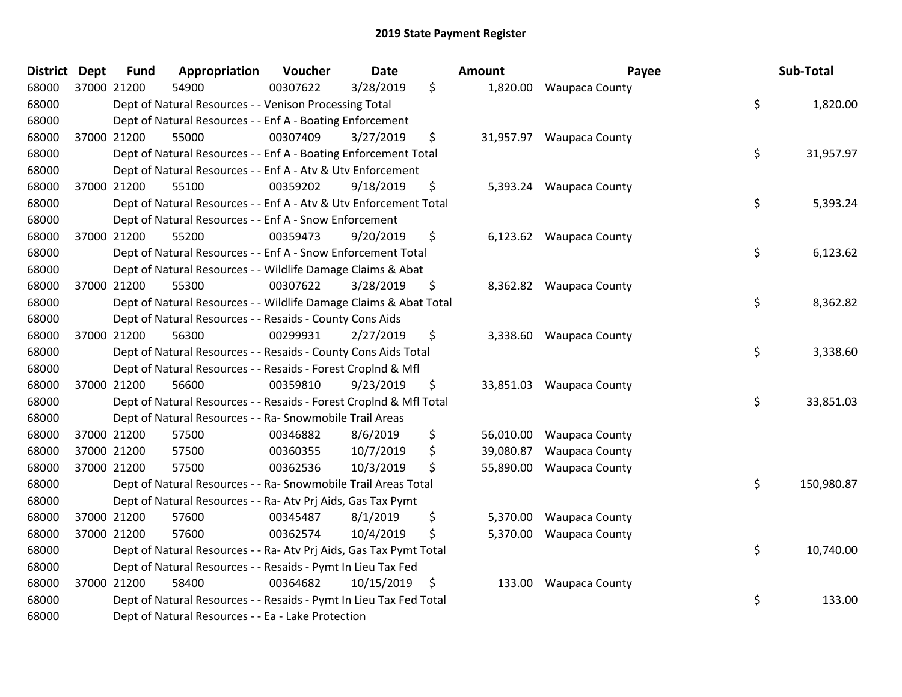| <b>District</b> | <b>Dept</b> | <b>Fund</b> | Appropriation                                                      | Voucher  | <b>Date</b> | Amount          | Payee                    | Sub-Total        |
|-----------------|-------------|-------------|--------------------------------------------------------------------|----------|-------------|-----------------|--------------------------|------------------|
| 68000           |             | 37000 21200 | 54900                                                              | 00307622 | 3/28/2019   | \$              | 1,820.00 Waupaca County  |                  |
| 68000           |             |             | Dept of Natural Resources - - Venison Processing Total             |          |             |                 |                          | \$<br>1,820.00   |
| 68000           |             |             | Dept of Natural Resources - - Enf A - Boating Enforcement          |          |             |                 |                          |                  |
| 68000           |             | 37000 21200 | 55000                                                              | 00307409 | 3/27/2019   | \$              | 31,957.97 Waupaca County |                  |
| 68000           |             |             | Dept of Natural Resources - - Enf A - Boating Enforcement Total    |          |             |                 |                          | \$<br>31,957.97  |
| 68000           |             |             | Dept of Natural Resources - - Enf A - Atv & Utv Enforcement        |          |             |                 |                          |                  |
| 68000           |             | 37000 21200 | 55100                                                              | 00359202 | 9/18/2019   | \$<br>5,393.24  | Waupaca County           |                  |
| 68000           |             |             | Dept of Natural Resources - - Enf A - Atv & Utv Enforcement Total  |          |             |                 |                          | \$<br>5,393.24   |
| 68000           |             |             | Dept of Natural Resources - - Enf A - Snow Enforcement             |          |             |                 |                          |                  |
| 68000           |             | 37000 21200 | 55200                                                              | 00359473 | 9/20/2019   | \$              | 6,123.62 Waupaca County  |                  |
| 68000           |             |             | Dept of Natural Resources - - Enf A - Snow Enforcement Total       |          |             |                 |                          | \$<br>6,123.62   |
| 68000           |             |             | Dept of Natural Resources - - Wildlife Damage Claims & Abat        |          |             |                 |                          |                  |
| 68000           |             | 37000 21200 | 55300                                                              | 00307622 | 3/28/2019   | \$              | 8,362.82 Waupaca County  |                  |
| 68000           |             |             | Dept of Natural Resources - - Wildlife Damage Claims & Abat Total  |          |             |                 |                          | \$<br>8,362.82   |
| 68000           |             |             | Dept of Natural Resources - - Resaids - County Cons Aids           |          |             |                 |                          |                  |
| 68000           |             | 37000 21200 | 56300                                                              | 00299931 | 2/27/2019   | \$              | 3,338.60 Waupaca County  |                  |
| 68000           |             |             | Dept of Natural Resources - - Resaids - County Cons Aids Total     |          |             |                 |                          | \$<br>3,338.60   |
| 68000           |             |             | Dept of Natural Resources - - Resaids - Forest Croplnd & Mfl       |          |             |                 |                          |                  |
| 68000           |             | 37000 21200 | 56600                                                              | 00359810 | 9/23/2019   | \$              | 33,851.03 Waupaca County |                  |
| 68000           |             |             | Dept of Natural Resources - - Resaids - Forest Croplnd & Mfl Total |          |             |                 |                          | \$<br>33,851.03  |
| 68000           |             |             | Dept of Natural Resources - - Ra- Snowmobile Trail Areas           |          |             |                 |                          |                  |
| 68000           |             | 37000 21200 | 57500                                                              | 00346882 | 8/6/2019    | \$<br>56,010.00 | <b>Waupaca County</b>    |                  |
| 68000           |             | 37000 21200 | 57500                                                              | 00360355 | 10/7/2019   | \$<br>39,080.87 | <b>Waupaca County</b>    |                  |
| 68000           |             | 37000 21200 | 57500                                                              | 00362536 | 10/3/2019   | \$<br>55,890.00 | <b>Waupaca County</b>    |                  |
| 68000           |             |             | Dept of Natural Resources - - Ra- Snowmobile Trail Areas Total     |          |             |                 |                          | \$<br>150,980.87 |
| 68000           |             |             | Dept of Natural Resources - - Ra- Atv Prj Aids, Gas Tax Pymt       |          |             |                 |                          |                  |
| 68000           |             | 37000 21200 | 57600                                                              | 00345487 | 8/1/2019    | \$<br>5,370.00  | <b>Waupaca County</b>    |                  |
| 68000           |             | 37000 21200 | 57600                                                              | 00362574 | 10/4/2019   | \$<br>5,370.00  | <b>Waupaca County</b>    |                  |
| 68000           |             |             | Dept of Natural Resources - - Ra- Atv Prj Aids, Gas Tax Pymt Total |          |             |                 |                          | \$<br>10,740.00  |
| 68000           |             |             | Dept of Natural Resources - - Resaids - Pymt In Lieu Tax Fed       |          |             |                 |                          |                  |
| 68000           |             | 37000 21200 | 58400                                                              | 00364682 | 10/15/2019  | \$              | 133.00 Waupaca County    |                  |
| 68000           |             |             | Dept of Natural Resources - - Resaids - Pymt In Lieu Tax Fed Total |          |             |                 |                          | \$<br>133.00     |
| 68000           |             |             | Dept of Natural Resources - - Ea - Lake Protection                 |          |             |                 |                          |                  |

| unt                  | Payee                                                       | Sub-Total        |
|----------------------|-------------------------------------------------------------|------------------|
|                      | 1,820.00 Waupaca County                                     | \$<br>1,820.00   |
|                      | 1,957.97 Waupaca County                                     | \$<br>31,957.97  |
|                      | 5,393.24 Waupaca County                                     | \$<br>5,393.24   |
| 6,123.62             | Waupaca County                                              | \$<br>6,123.62   |
|                      | 8,362.82 Waupaca County                                     | \$<br>8,362.82   |
|                      | 3,338.60 Waupaca County                                     | \$<br>3,338.60   |
| 3,851.03             | Waupaca County                                              | \$<br>33,851.03  |
| 9,080.87<br>5,890.00 | 6,010.00 Waupaca County<br>Waupaca County<br>Waupaca County | \$<br>150,980.87 |
| 5,370.00<br>5,370.00 | Waupaca County<br><b>Waupaca County</b>                     | \$<br>10,740.00  |
| 133.00               | <b>Waupaca County</b>                                       | \$<br>133.00     |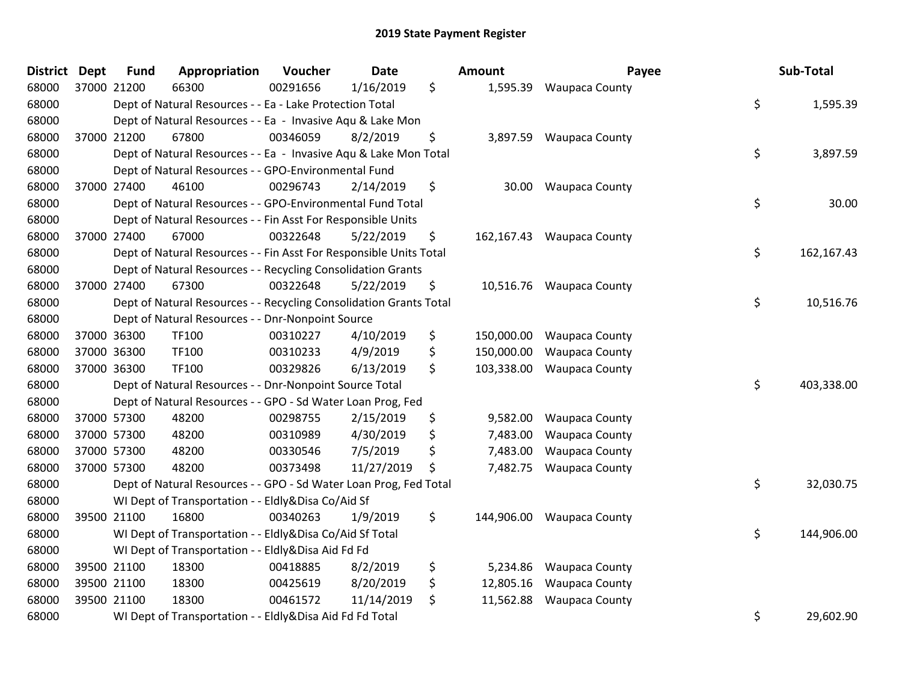| <b>District</b> | <b>Dept</b> | <b>Fund</b> | Appropriation                                                      | Voucher  | <b>Date</b> | Amount           | Payee                     | Sub-Total        |
|-----------------|-------------|-------------|--------------------------------------------------------------------|----------|-------------|------------------|---------------------------|------------------|
| 68000           | 37000 21200 |             | 66300                                                              | 00291656 | 1/16/2019   | \$<br>1,595.39   | <b>Waupaca County</b>     |                  |
| 68000           |             |             | Dept of Natural Resources - - Ea - Lake Protection Total           |          |             |                  |                           | \$<br>1,595.39   |
| 68000           |             |             | Dept of Natural Resources - - Ea - Invasive Aqu & Lake Mon         |          |             |                  |                           |                  |
| 68000           | 37000 21200 |             | 67800                                                              | 00346059 | 8/2/2019    | \$<br>3,897.59   | <b>Waupaca County</b>     |                  |
| 68000           |             |             | Dept of Natural Resources - - Ea - Invasive Aqu & Lake Mon Total   |          |             |                  |                           | \$<br>3,897.59   |
| 68000           |             |             | Dept of Natural Resources - - GPO-Environmental Fund               |          |             |                  |                           |                  |
| 68000           | 37000 27400 |             | 46100                                                              | 00296743 | 2/14/2019   | \$<br>30.00      | <b>Waupaca County</b>     |                  |
| 68000           |             |             | Dept of Natural Resources - - GPO-Environmental Fund Total         |          |             |                  |                           | \$<br>30.00      |
| 68000           |             |             | Dept of Natural Resources - - Fin Asst For Responsible Units       |          |             |                  |                           |                  |
| 68000           | 37000 27400 |             | 67000                                                              | 00322648 | 5/22/2019   | \$               | 162,167.43 Waupaca County |                  |
| 68000           |             |             | Dept of Natural Resources - - Fin Asst For Responsible Units Total |          |             |                  |                           | \$<br>162,167.43 |
| 68000           |             |             | Dept of Natural Resources - - Recycling Consolidation Grants       |          |             |                  |                           |                  |
| 68000           |             | 37000 27400 | 67300                                                              | 00322648 | 5/22/2019   | \$               | 10,516.76 Waupaca County  |                  |
| 68000           |             |             | Dept of Natural Resources - - Recycling Consolidation Grants Total |          |             |                  |                           | \$<br>10,516.76  |
| 68000           |             |             | Dept of Natural Resources - - Dnr-Nonpoint Source                  |          |             |                  |                           |                  |
| 68000           | 37000 36300 |             | TF100                                                              | 00310227 | 4/10/2019   | \$<br>150,000.00 | <b>Waupaca County</b>     |                  |
| 68000           | 37000 36300 |             | TF100                                                              | 00310233 | 4/9/2019    | \$<br>150,000.00 | <b>Waupaca County</b>     |                  |
| 68000           | 37000 36300 |             | TF100                                                              | 00329826 | 6/13/2019   | \$<br>103,338.00 | <b>Waupaca County</b>     |                  |
| 68000           |             |             | Dept of Natural Resources - - Dnr-Nonpoint Source Total            |          |             |                  |                           | \$<br>403,338.00 |
| 68000           |             |             | Dept of Natural Resources - - GPO - Sd Water Loan Prog, Fed        |          |             |                  |                           |                  |
| 68000           | 37000 57300 |             | 48200                                                              | 00298755 | 2/15/2019   | \$<br>9,582.00   | <b>Waupaca County</b>     |                  |
| 68000           | 37000 57300 |             | 48200                                                              | 00310989 | 4/30/2019   | \$<br>7,483.00   | <b>Waupaca County</b>     |                  |
| 68000           | 37000 57300 |             | 48200                                                              | 00330546 | 7/5/2019    | \$<br>7,483.00   | <b>Waupaca County</b>     |                  |
| 68000           | 37000 57300 |             | 48200                                                              | 00373498 | 11/27/2019  | \$<br>7,482.75   | <b>Waupaca County</b>     |                  |
| 68000           |             |             | Dept of Natural Resources - - GPO - Sd Water Loan Prog, Fed Total  |          |             |                  |                           | \$<br>32,030.75  |
| 68000           |             |             | WI Dept of Transportation - - Eldly&Disa Co/Aid Sf                 |          |             |                  |                           |                  |
| 68000           | 39500 21100 |             | 16800                                                              | 00340263 | 1/9/2019    | \$<br>144,906.00 | <b>Waupaca County</b>     |                  |
| 68000           |             |             | WI Dept of Transportation - - Eldly&Disa Co/Aid Sf Total           |          |             |                  |                           | \$<br>144,906.00 |
| 68000           |             |             | WI Dept of Transportation - - Eldly&Disa Aid Fd Fd                 |          |             |                  |                           |                  |
| 68000           | 39500 21100 |             | 18300                                                              | 00418885 | 8/2/2019    | \$<br>5,234.86   | <b>Waupaca County</b>     |                  |
| 68000           | 39500 21100 |             | 18300                                                              | 00425619 | 8/20/2019   | \$<br>12,805.16  | <b>Waupaca County</b>     |                  |
| 68000           | 39500 21100 |             | 18300                                                              | 00461572 | 11/14/2019  | \$<br>11,562.88  | <b>Waupaca County</b>     |                  |
| 68000           |             |             | WI Dept of Transportation - - Eldly&Disa Aid Fd Fd Total           |          |             |                  |                           | \$<br>29,602.90  |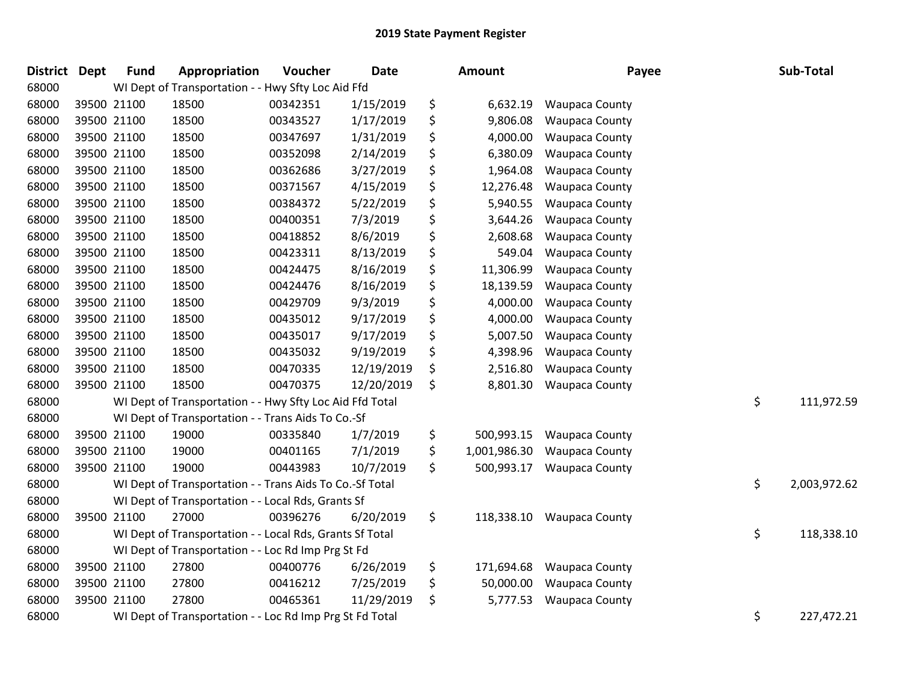| <b>District</b> | <b>Dept</b> | <b>Fund</b> | Appropriation                                            | Voucher  | <b>Date</b> | <b>Amount</b>      | Payee                 | Sub-Total          |
|-----------------|-------------|-------------|----------------------------------------------------------|----------|-------------|--------------------|-----------------------|--------------------|
| 68000           |             |             | WI Dept of Transportation - - Hwy Sfty Loc Aid Ffd       |          |             |                    |                       |                    |
| 68000           | 39500 21100 |             | 18500                                                    | 00342351 | 1/15/2019   | \$<br>6,632.19     | <b>Waupaca County</b> |                    |
| 68000           | 39500 21100 |             | 18500                                                    | 00343527 | 1/17/2019   | \$<br>9,806.08     | <b>Waupaca County</b> |                    |
| 68000           | 39500 21100 |             | 18500                                                    | 00347697 | 1/31/2019   | \$<br>4,000.00     | <b>Waupaca County</b> |                    |
| 68000           | 39500 21100 |             | 18500                                                    | 00352098 | 2/14/2019   | \$<br>6,380.09     | <b>Waupaca County</b> |                    |
| 68000           | 39500 21100 |             | 18500                                                    | 00362686 | 3/27/2019   | \$<br>1,964.08     | <b>Waupaca County</b> |                    |
| 68000           | 39500 21100 |             | 18500                                                    | 00371567 | 4/15/2019   | \$<br>12,276.48    | Waupaca County        |                    |
| 68000           | 39500 21100 |             | 18500                                                    | 00384372 | 5/22/2019   | \$<br>5,940.55     | <b>Waupaca County</b> |                    |
| 68000           | 39500 21100 |             | 18500                                                    | 00400351 | 7/3/2019    | \$<br>3,644.26     | <b>Waupaca County</b> |                    |
| 68000           | 39500 21100 |             | 18500                                                    | 00418852 | 8/6/2019    | \$<br>2,608.68     | <b>Waupaca County</b> |                    |
| 68000           | 39500 21100 |             | 18500                                                    | 00423311 | 8/13/2019   | \$<br>549.04       | <b>Waupaca County</b> |                    |
| 68000           | 39500 21100 |             | 18500                                                    | 00424475 | 8/16/2019   | \$<br>11,306.99    | <b>Waupaca County</b> |                    |
| 68000           | 39500 21100 |             | 18500                                                    | 00424476 | 8/16/2019   | \$<br>18,139.59    | <b>Waupaca County</b> |                    |
| 68000           | 39500 21100 |             | 18500                                                    | 00429709 | 9/3/2019    | \$<br>4,000.00     | <b>Waupaca County</b> |                    |
| 68000           | 39500 21100 |             | 18500                                                    | 00435012 | 9/17/2019   | \$<br>4,000.00     | Waupaca County        |                    |
| 68000           | 39500 21100 |             | 18500                                                    | 00435017 | 9/17/2019   | \$<br>5,007.50     | <b>Waupaca County</b> |                    |
| 68000           | 39500 21100 |             | 18500                                                    | 00435032 | 9/19/2019   | \$<br>4,398.96     | <b>Waupaca County</b> |                    |
| 68000           | 39500 21100 |             | 18500                                                    | 00470335 | 12/19/2019  | \$<br>2,516.80     | <b>Waupaca County</b> |                    |
| 68000           | 39500 21100 |             | 18500                                                    | 00470375 | 12/20/2019  | \$<br>8,801.30     | <b>Waupaca County</b> |                    |
| 68000           |             |             | WI Dept of Transportation - - Hwy Sfty Loc Aid Ffd Total |          |             |                    |                       | \$<br>111,972.59   |
| 68000           |             |             | WI Dept of Transportation - - Trans Aids To Co.-Sf       |          |             |                    |                       |                    |
| 68000           |             | 39500 21100 | 19000                                                    | 00335840 | 1/7/2019    | \$<br>500,993.15   | <b>Waupaca County</b> |                    |
| 68000           | 39500 21100 |             | 19000                                                    | 00401165 | 7/1/2019    | \$<br>1,001,986.30 | <b>Waupaca County</b> |                    |
| 68000           | 39500 21100 |             | 19000                                                    | 00443983 | 10/7/2019   | \$<br>500,993.17   | <b>Waupaca County</b> |                    |
| 68000           |             |             | WI Dept of Transportation - - Trans Aids To Co.-Sf Total |          |             |                    |                       | \$<br>2,003,972.62 |
| 68000           |             |             | WI Dept of Transportation - - Local Rds, Grants Sf       |          |             |                    |                       |                    |
| 68000           | 39500 21100 |             | 27000                                                    | 00396276 | 6/20/2019   | \$<br>118,338.10   | <b>Waupaca County</b> |                    |
| 68000           |             |             | WI Dept of Transportation - - Local Rds, Grants Sf Total |          |             |                    |                       | \$<br>118,338.10   |
| 68000           |             |             | WI Dept of Transportation - - Loc Rd Imp Prg St Fd       |          |             |                    |                       |                    |
| 68000           |             | 39500 21100 | 27800                                                    | 00400776 | 6/26/2019   | \$<br>171,694.68   | Waupaca County        |                    |
| 68000           | 39500 21100 |             | 27800                                                    | 00416212 | 7/25/2019   | \$<br>50,000.00    | <b>Waupaca County</b> |                    |
| 68000           | 39500 21100 |             | 27800                                                    | 00465361 | 11/29/2019  | \$<br>5,777.53     | <b>Waupaca County</b> |                    |
| 68000           |             |             | WI Dept of Transportation - - Loc Rd Imp Prg St Fd Total |          |             |                    |                       | \$<br>227,472.21   |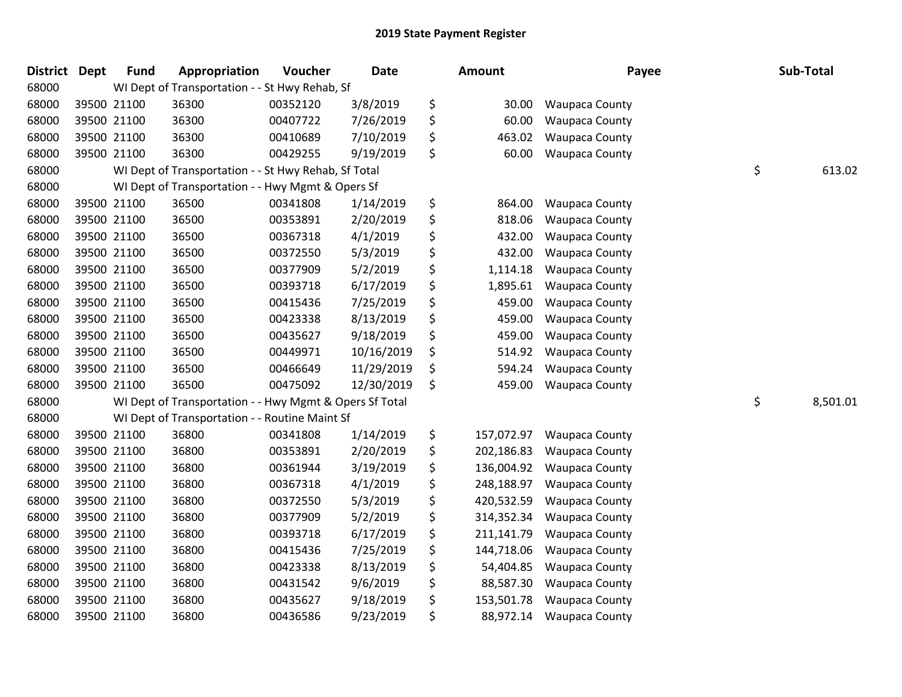| <b>District</b> | <b>Dept</b> | <b>Fund</b> | Appropriation                                           | Voucher  | Date       | <b>Amount</b>    | Payee                 | Sub-Total      |
|-----------------|-------------|-------------|---------------------------------------------------------|----------|------------|------------------|-----------------------|----------------|
| 68000           |             |             | WI Dept of Transportation - - St Hwy Rehab, Sf          |          |            |                  |                       |                |
| 68000           | 39500 21100 |             | 36300                                                   | 00352120 | 3/8/2019   | \$<br>30.00      | Waupaca County        |                |
| 68000           | 39500 21100 |             | 36300                                                   | 00407722 | 7/26/2019  | \$<br>60.00      | Waupaca County        |                |
| 68000           | 39500 21100 |             | 36300                                                   | 00410689 | 7/10/2019  | \$<br>463.02     | <b>Waupaca County</b> |                |
| 68000           | 39500 21100 |             | 36300                                                   | 00429255 | 9/19/2019  | \$<br>60.00      | Waupaca County        |                |
| 68000           |             |             | WI Dept of Transportation - - St Hwy Rehab, Sf Total    |          |            |                  |                       | \$<br>613.02   |
| 68000           |             |             | WI Dept of Transportation - - Hwy Mgmt & Opers Sf       |          |            |                  |                       |                |
| 68000           | 39500 21100 |             | 36500                                                   | 00341808 | 1/14/2019  | \$<br>864.00     | <b>Waupaca County</b> |                |
| 68000           | 39500 21100 |             | 36500                                                   | 00353891 | 2/20/2019  | \$<br>818.06     | Waupaca County        |                |
| 68000           | 39500 21100 |             | 36500                                                   | 00367318 | 4/1/2019   | \$<br>432.00     | Waupaca County        |                |
| 68000           | 39500 21100 |             | 36500                                                   | 00372550 | 5/3/2019   | \$<br>432.00     | Waupaca County        |                |
| 68000           | 39500 21100 |             | 36500                                                   | 00377909 | 5/2/2019   | \$<br>1,114.18   | <b>Waupaca County</b> |                |
| 68000           | 39500 21100 |             | 36500                                                   | 00393718 | 6/17/2019  | \$<br>1,895.61   | Waupaca County        |                |
| 68000           | 39500 21100 |             | 36500                                                   | 00415436 | 7/25/2019  | \$<br>459.00     | <b>Waupaca County</b> |                |
| 68000           | 39500 21100 |             | 36500                                                   | 00423338 | 8/13/2019  | \$<br>459.00     | Waupaca County        |                |
| 68000           | 39500 21100 |             | 36500                                                   | 00435627 | 9/18/2019  | \$<br>459.00     | Waupaca County        |                |
| 68000           | 39500 21100 |             | 36500                                                   | 00449971 | 10/16/2019 | \$<br>514.92     | <b>Waupaca County</b> |                |
| 68000           | 39500 21100 |             | 36500                                                   | 00466649 | 11/29/2019 | \$<br>594.24     | <b>Waupaca County</b> |                |
| 68000           | 39500 21100 |             | 36500                                                   | 00475092 | 12/30/2019 | \$<br>459.00     | <b>Waupaca County</b> |                |
| 68000           |             |             | WI Dept of Transportation - - Hwy Mgmt & Opers Sf Total |          |            |                  |                       | \$<br>8,501.01 |
| 68000           |             |             | WI Dept of Transportation - - Routine Maint Sf          |          |            |                  |                       |                |
| 68000           | 39500 21100 |             | 36800                                                   | 00341808 | 1/14/2019  | \$<br>157,072.97 | <b>Waupaca County</b> |                |
| 68000           | 39500 21100 |             | 36800                                                   | 00353891 | 2/20/2019  | \$<br>202,186.83 | <b>Waupaca County</b> |                |
| 68000           | 39500 21100 |             | 36800                                                   | 00361944 | 3/19/2019  | \$<br>136,004.92 | Waupaca County        |                |
| 68000           | 39500 21100 |             | 36800                                                   | 00367318 | 4/1/2019   | \$<br>248,188.97 | <b>Waupaca County</b> |                |
| 68000           | 39500 21100 |             | 36800                                                   | 00372550 | 5/3/2019   | \$<br>420,532.59 | Waupaca County        |                |
| 68000           | 39500 21100 |             | 36800                                                   | 00377909 | 5/2/2019   | \$<br>314,352.34 | <b>Waupaca County</b> |                |
| 68000           | 39500 21100 |             | 36800                                                   | 00393718 | 6/17/2019  | \$<br>211,141.79 | Waupaca County        |                |
| 68000           | 39500 21100 |             | 36800                                                   | 00415436 | 7/25/2019  | \$<br>144,718.06 | Waupaca County        |                |
| 68000           | 39500 21100 |             | 36800                                                   | 00423338 | 8/13/2019  | \$<br>54,404.85  | <b>Waupaca County</b> |                |
| 68000           | 39500 21100 |             | 36800                                                   | 00431542 | 9/6/2019   | \$<br>88,587.30  | Waupaca County        |                |
| 68000           | 39500 21100 |             | 36800                                                   | 00435627 | 9/18/2019  | \$<br>153,501.78 | Waupaca County        |                |
| 68000           | 39500 21100 |             | 36800                                                   | 00436586 | 9/23/2019  | \$<br>88,972.14  | <b>Waupaca County</b> |                |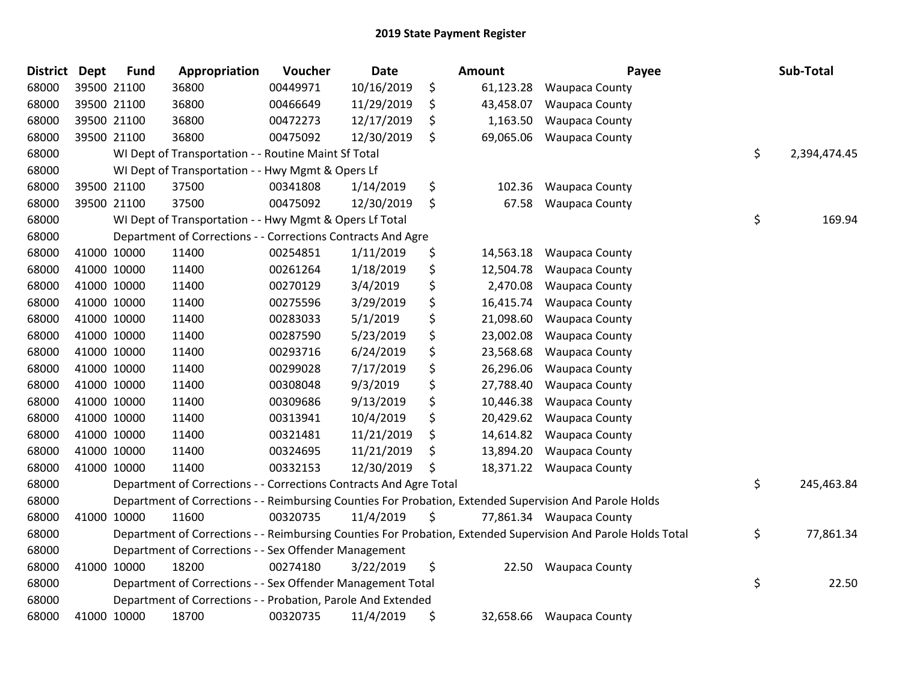| <b>District</b> | <b>Dept</b> | <b>Fund</b> | Appropriation                                                      | Voucher  | Date       |    | Amount    | Payee                                                                                                         | Sub-Total          |
|-----------------|-------------|-------------|--------------------------------------------------------------------|----------|------------|----|-----------|---------------------------------------------------------------------------------------------------------------|--------------------|
| 68000           |             | 39500 21100 | 36800                                                              | 00449971 | 10/16/2019 | \$ | 61,123.28 | Waupaca County                                                                                                |                    |
| 68000           |             | 39500 21100 | 36800                                                              | 00466649 | 11/29/2019 | \$ | 43,458.07 | <b>Waupaca County</b>                                                                                         |                    |
| 68000           |             | 39500 21100 | 36800                                                              | 00472273 | 12/17/2019 | \$ | 1,163.50  | <b>Waupaca County</b>                                                                                         |                    |
| 68000           |             | 39500 21100 | 36800                                                              | 00475092 | 12/30/2019 | \$ | 69,065.06 | <b>Waupaca County</b>                                                                                         |                    |
| 68000           |             |             | WI Dept of Transportation - - Routine Maint Sf Total               |          |            |    |           |                                                                                                               | \$<br>2,394,474.45 |
| 68000           |             |             | WI Dept of Transportation - - Hwy Mgmt & Opers Lf                  |          |            |    |           |                                                                                                               |                    |
| 68000           |             | 39500 21100 | 37500                                                              | 00341808 | 1/14/2019  | \$ | 102.36    | <b>Waupaca County</b>                                                                                         |                    |
| 68000           |             | 39500 21100 | 37500                                                              | 00475092 | 12/30/2019 | \$ | 67.58     | Waupaca County                                                                                                |                    |
| 68000           |             |             | WI Dept of Transportation - - Hwy Mgmt & Opers Lf Total            |          |            |    |           |                                                                                                               | \$<br>169.94       |
| 68000           |             |             | Department of Corrections - - Corrections Contracts And Agre       |          |            |    |           |                                                                                                               |                    |
| 68000           |             | 41000 10000 | 11400                                                              | 00254851 | 1/11/2019  | \$ | 14,563.18 | <b>Waupaca County</b>                                                                                         |                    |
| 68000           |             | 41000 10000 | 11400                                                              | 00261264 | 1/18/2019  | \$ | 12,504.78 | <b>Waupaca County</b>                                                                                         |                    |
| 68000           |             | 41000 10000 | 11400                                                              | 00270129 | 3/4/2019   | \$ | 2,470.08  | <b>Waupaca County</b>                                                                                         |                    |
| 68000           | 41000 10000 |             | 11400                                                              | 00275596 | 3/29/2019  | \$ | 16,415.74 | <b>Waupaca County</b>                                                                                         |                    |
| 68000           | 41000 10000 |             | 11400                                                              | 00283033 | 5/1/2019   | \$ | 21,098.60 | <b>Waupaca County</b>                                                                                         |                    |
| 68000           |             | 41000 10000 | 11400                                                              | 00287590 | 5/23/2019  | \$ | 23,002.08 | <b>Waupaca County</b>                                                                                         |                    |
| 68000           |             | 41000 10000 | 11400                                                              | 00293716 | 6/24/2019  | \$ | 23,568.68 | <b>Waupaca County</b>                                                                                         |                    |
| 68000           |             | 41000 10000 | 11400                                                              | 00299028 | 7/17/2019  | \$ | 26,296.06 | Waupaca County                                                                                                |                    |
| 68000           | 41000 10000 |             | 11400                                                              | 00308048 | 9/3/2019   | \$ | 27,788.40 | <b>Waupaca County</b>                                                                                         |                    |
| 68000           |             | 41000 10000 | 11400                                                              | 00309686 | 9/13/2019  | \$ | 10,446.38 | <b>Waupaca County</b>                                                                                         |                    |
| 68000           |             | 41000 10000 | 11400                                                              | 00313941 | 10/4/2019  | \$ | 20,429.62 | <b>Waupaca County</b>                                                                                         |                    |
| 68000           | 41000 10000 |             | 11400                                                              | 00321481 | 11/21/2019 | \$ | 14,614.82 | <b>Waupaca County</b>                                                                                         |                    |
| 68000           | 41000 10000 |             | 11400                                                              | 00324695 | 11/21/2019 | \$ | 13,894.20 | <b>Waupaca County</b>                                                                                         |                    |
| 68000           |             | 41000 10000 | 11400                                                              | 00332153 | 12/30/2019 | Ś  | 18,371.22 | Waupaca County                                                                                                |                    |
| 68000           |             |             | Department of Corrections - - Corrections Contracts And Agre Total |          |            |    |           |                                                                                                               | \$<br>245,463.84   |
| 68000           |             |             |                                                                    |          |            |    |           | Department of Corrections - - Reimbursing Counties For Probation, Extended Supervision And Parole Holds       |                    |
| 68000           |             | 41000 10000 | 11600                                                              | 00320735 | 11/4/2019  | \$ |           | 77,861.34 Waupaca County                                                                                      |                    |
| 68000           |             |             |                                                                    |          |            |    |           | Department of Corrections - - Reimbursing Counties For Probation, Extended Supervision And Parole Holds Total | \$<br>77,861.34    |
| 68000           |             |             | Department of Corrections - - Sex Offender Management              |          |            |    |           |                                                                                                               |                    |
| 68000           |             | 41000 10000 | 18200                                                              | 00274180 | 3/22/2019  | \$ | 22.50     | <b>Waupaca County</b>                                                                                         |                    |
| 68000           |             |             | Department of Corrections - - Sex Offender Management Total        |          |            |    |           |                                                                                                               | \$<br>22.50        |
| 68000           |             |             | Department of Corrections - - Probation, Parole And Extended       |          |            |    |           |                                                                                                               |                    |
| 68000           |             | 41000 10000 | 18700                                                              | 00320735 | 11/4/2019  | \$ | 32,658.66 | <b>Waupaca County</b>                                                                                         |                    |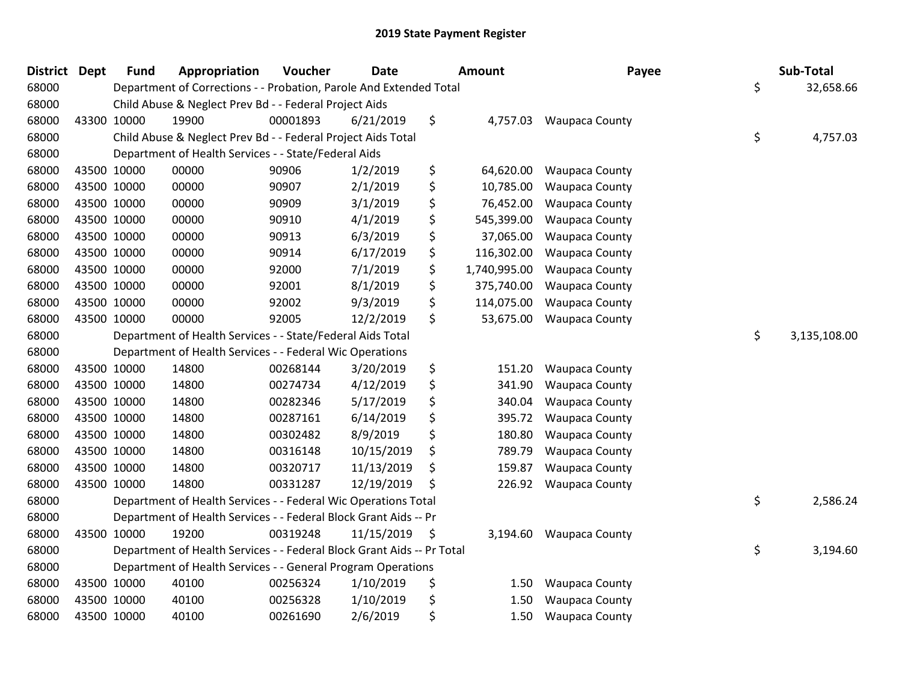| <b>District</b> | <b>Dept</b> | <b>Fund</b> | Appropriation                                                          | Voucher  | <b>Date</b> | Amount             | Payee                   | Sub-Total          |
|-----------------|-------------|-------------|------------------------------------------------------------------------|----------|-------------|--------------------|-------------------------|--------------------|
| 68000           |             |             | Department of Corrections - - Probation, Parole And Extended Total     |          |             |                    |                         | \$<br>32,658.66    |
| 68000           |             |             | Child Abuse & Neglect Prev Bd - - Federal Project Aids                 |          |             |                    |                         |                    |
| 68000           | 43300 10000 |             | 19900                                                                  | 00001893 | 6/21/2019   | \$                 | 4,757.03 Waupaca County |                    |
| 68000           |             |             | Child Abuse & Neglect Prev Bd - - Federal Project Aids Total           |          |             |                    |                         | \$<br>4,757.03     |
| 68000           |             |             | Department of Health Services - - State/Federal Aids                   |          |             |                    |                         |                    |
| 68000           | 43500 10000 |             | 00000                                                                  | 90906    | 1/2/2019    | \$<br>64,620.00    | <b>Waupaca County</b>   |                    |
| 68000           | 43500 10000 |             | 00000                                                                  | 90907    | 2/1/2019    | \$<br>10,785.00    | <b>Waupaca County</b>   |                    |
| 68000           | 43500 10000 |             | 00000                                                                  | 90909    | 3/1/2019    | \$<br>76,452.00    | <b>Waupaca County</b>   |                    |
| 68000           | 43500 10000 |             | 00000                                                                  | 90910    | 4/1/2019    | \$<br>545,399.00   | <b>Waupaca County</b>   |                    |
| 68000           | 43500 10000 |             | 00000                                                                  | 90913    | 6/3/2019    | \$<br>37,065.00    | <b>Waupaca County</b>   |                    |
| 68000           | 43500 10000 |             | 00000                                                                  | 90914    | 6/17/2019   | \$<br>116,302.00   | <b>Waupaca County</b>   |                    |
| 68000           | 43500 10000 |             | 00000                                                                  | 92000    | 7/1/2019    | \$<br>1,740,995.00 | <b>Waupaca County</b>   |                    |
| 68000           | 43500 10000 |             | 00000                                                                  | 92001    | 8/1/2019    | \$<br>375,740.00   | <b>Waupaca County</b>   |                    |
| 68000           | 43500 10000 |             | 00000                                                                  | 92002    | 9/3/2019    | \$<br>114,075.00   | <b>Waupaca County</b>   |                    |
| 68000           | 43500 10000 |             | 00000                                                                  | 92005    | 12/2/2019   | \$<br>53,675.00    | <b>Waupaca County</b>   |                    |
| 68000           |             |             | Department of Health Services - - State/Federal Aids Total             |          |             |                    |                         | \$<br>3,135,108.00 |
| 68000           |             |             | Department of Health Services - - Federal Wic Operations               |          |             |                    |                         |                    |
| 68000           | 43500 10000 |             | 14800                                                                  | 00268144 | 3/20/2019   | \$<br>151.20       | <b>Waupaca County</b>   |                    |
| 68000           | 43500 10000 |             | 14800                                                                  | 00274734 | 4/12/2019   | \$<br>341.90       | <b>Waupaca County</b>   |                    |
| 68000           | 43500 10000 |             | 14800                                                                  | 00282346 | 5/17/2019   | \$<br>340.04       | Waupaca County          |                    |
| 68000           | 43500 10000 |             | 14800                                                                  | 00287161 | 6/14/2019   | \$<br>395.72       | <b>Waupaca County</b>   |                    |
| 68000           | 43500 10000 |             | 14800                                                                  | 00302482 | 8/9/2019    | \$<br>180.80       | <b>Waupaca County</b>   |                    |
| 68000           | 43500 10000 |             | 14800                                                                  | 00316148 | 10/15/2019  | \$<br>789.79       | <b>Waupaca County</b>   |                    |
| 68000           | 43500 10000 |             | 14800                                                                  | 00320717 | 11/13/2019  | \$<br>159.87       | <b>Waupaca County</b>   |                    |
| 68000           | 43500 10000 |             | 14800                                                                  | 00331287 | 12/19/2019  | \$<br>226.92       | <b>Waupaca County</b>   |                    |
| 68000           |             |             | Department of Health Services - - Federal Wic Operations Total         |          |             |                    |                         | \$<br>2,586.24     |
| 68000           |             |             | Department of Health Services - - Federal Block Grant Aids -- Pr       |          |             |                    |                         |                    |
| 68000           | 43500 10000 |             | 19200                                                                  | 00319248 | 11/15/2019  | \$<br>3,194.60     | <b>Waupaca County</b>   |                    |
| 68000           |             |             | Department of Health Services - - Federal Block Grant Aids -- Pr Total |          |             |                    |                         | \$<br>3,194.60     |
| 68000           |             |             | Department of Health Services - - General Program Operations           |          |             |                    |                         |                    |
| 68000           | 43500 10000 |             | 40100                                                                  | 00256324 | 1/10/2019   | \$<br>1.50         | <b>Waupaca County</b>   |                    |
| 68000           | 43500 10000 |             | 40100                                                                  | 00256328 | 1/10/2019   | \$<br>1.50         | <b>Waupaca County</b>   |                    |
| 68000           | 43500 10000 |             | 40100                                                                  | 00261690 | 2/6/2019    | \$<br>1.50         | <b>Waupaca County</b>   |                    |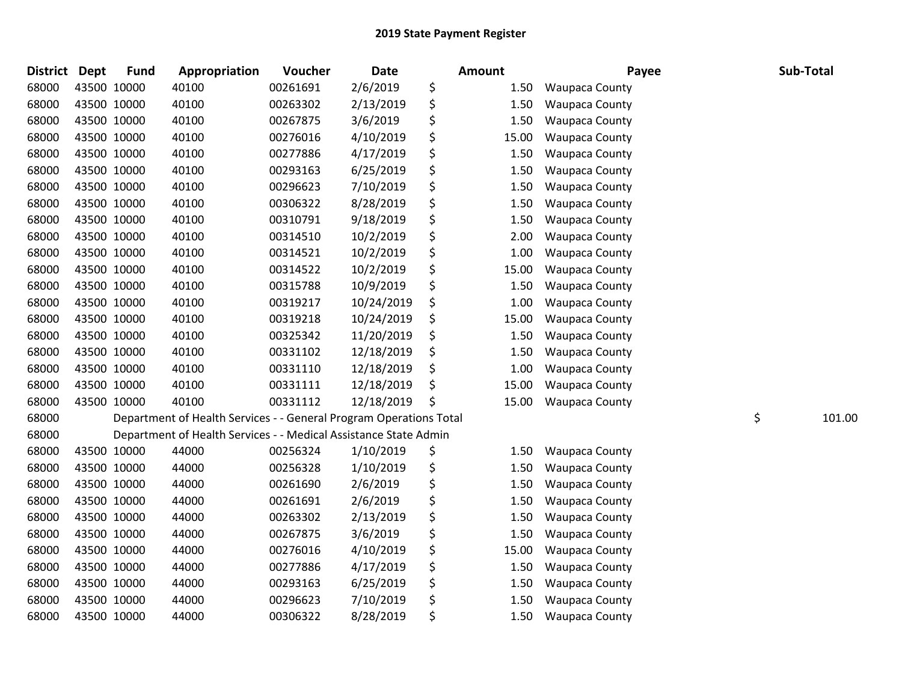| <b>District</b> | <b>Dept</b> | <b>Fund</b> | Appropriation                                                      | Voucher  | <b>Date</b> | Amount      | Payee                 | Sub-Total    |
|-----------------|-------------|-------------|--------------------------------------------------------------------|----------|-------------|-------------|-----------------------|--------------|
| 68000           |             | 43500 10000 | 40100                                                              | 00261691 | 2/6/2019    | \$<br>1.50  | <b>Waupaca County</b> |              |
| 68000           |             | 43500 10000 | 40100                                                              | 00263302 | 2/13/2019   | \$<br>1.50  | <b>Waupaca County</b> |              |
| 68000           |             | 43500 10000 | 40100                                                              | 00267875 | 3/6/2019    | \$<br>1.50  | <b>Waupaca County</b> |              |
| 68000           |             | 43500 10000 | 40100                                                              | 00276016 | 4/10/2019   | \$<br>15.00 | <b>Waupaca County</b> |              |
| 68000           |             | 43500 10000 | 40100                                                              | 00277886 | 4/17/2019   | \$<br>1.50  | <b>Waupaca County</b> |              |
| 68000           |             | 43500 10000 | 40100                                                              | 00293163 | 6/25/2019   | \$<br>1.50  | Waupaca County        |              |
| 68000           |             | 43500 10000 | 40100                                                              | 00296623 | 7/10/2019   | \$<br>1.50  | Waupaca County        |              |
| 68000           |             | 43500 10000 | 40100                                                              | 00306322 | 8/28/2019   | \$<br>1.50  | <b>Waupaca County</b> |              |
| 68000           |             | 43500 10000 | 40100                                                              | 00310791 | 9/18/2019   | \$<br>1.50  | <b>Waupaca County</b> |              |
| 68000           |             | 43500 10000 | 40100                                                              | 00314510 | 10/2/2019   | \$<br>2.00  | <b>Waupaca County</b> |              |
| 68000           |             | 43500 10000 | 40100                                                              | 00314521 | 10/2/2019   | \$<br>1.00  | Waupaca County        |              |
| 68000           |             | 43500 10000 | 40100                                                              | 00314522 | 10/2/2019   | \$<br>15.00 | <b>Waupaca County</b> |              |
| 68000           |             | 43500 10000 | 40100                                                              | 00315788 | 10/9/2019   | \$<br>1.50  | <b>Waupaca County</b> |              |
| 68000           |             | 43500 10000 | 40100                                                              | 00319217 | 10/24/2019  | \$<br>1.00  | Waupaca County        |              |
| 68000           |             | 43500 10000 | 40100                                                              | 00319218 | 10/24/2019  | \$<br>15.00 | <b>Waupaca County</b> |              |
| 68000           |             | 43500 10000 | 40100                                                              | 00325342 | 11/20/2019  | \$<br>1.50  | <b>Waupaca County</b> |              |
| 68000           |             | 43500 10000 | 40100                                                              | 00331102 | 12/18/2019  | \$<br>1.50  | <b>Waupaca County</b> |              |
| 68000           |             | 43500 10000 | 40100                                                              | 00331110 | 12/18/2019  | \$<br>1.00  | <b>Waupaca County</b> |              |
| 68000           |             | 43500 10000 | 40100                                                              | 00331111 | 12/18/2019  | \$<br>15.00 | <b>Waupaca County</b> |              |
| 68000           |             | 43500 10000 | 40100                                                              | 00331112 | 12/18/2019  | \$<br>15.00 | <b>Waupaca County</b> |              |
| 68000           |             |             | Department of Health Services - - General Program Operations Total |          |             |             |                       | \$<br>101.00 |
| 68000           |             |             | Department of Health Services - - Medical Assistance State Admin   |          |             |             |                       |              |
| 68000           |             | 43500 10000 | 44000                                                              | 00256324 | 1/10/2019   | \$<br>1.50  | <b>Waupaca County</b> |              |
| 68000           |             | 43500 10000 | 44000                                                              | 00256328 | 1/10/2019   | \$<br>1.50  | Waupaca County        |              |
| 68000           |             | 43500 10000 | 44000                                                              | 00261690 | 2/6/2019    | \$<br>1.50  | Waupaca County        |              |
| 68000           |             | 43500 10000 | 44000                                                              | 00261691 | 2/6/2019    | \$<br>1.50  | <b>Waupaca County</b> |              |
| 68000           |             | 43500 10000 | 44000                                                              | 00263302 | 2/13/2019   | \$<br>1.50  | <b>Waupaca County</b> |              |
| 68000           |             | 43500 10000 | 44000                                                              | 00267875 | 3/6/2019    | \$<br>1.50  | <b>Waupaca County</b> |              |
| 68000           |             | 43500 10000 | 44000                                                              | 00276016 | 4/10/2019   | \$<br>15.00 | <b>Waupaca County</b> |              |
| 68000           |             | 43500 10000 | 44000                                                              | 00277886 | 4/17/2019   | \$<br>1.50  | <b>Waupaca County</b> |              |
| 68000           |             | 43500 10000 | 44000                                                              | 00293163 | 6/25/2019   | \$<br>1.50  | Waupaca County        |              |
| 68000           |             | 43500 10000 | 44000                                                              | 00296623 | 7/10/2019   | \$<br>1.50  | Waupaca County        |              |
| 68000           |             | 43500 10000 | 44000                                                              | 00306322 | 8/28/2019   | \$<br>1.50  | <b>Waupaca County</b> |              |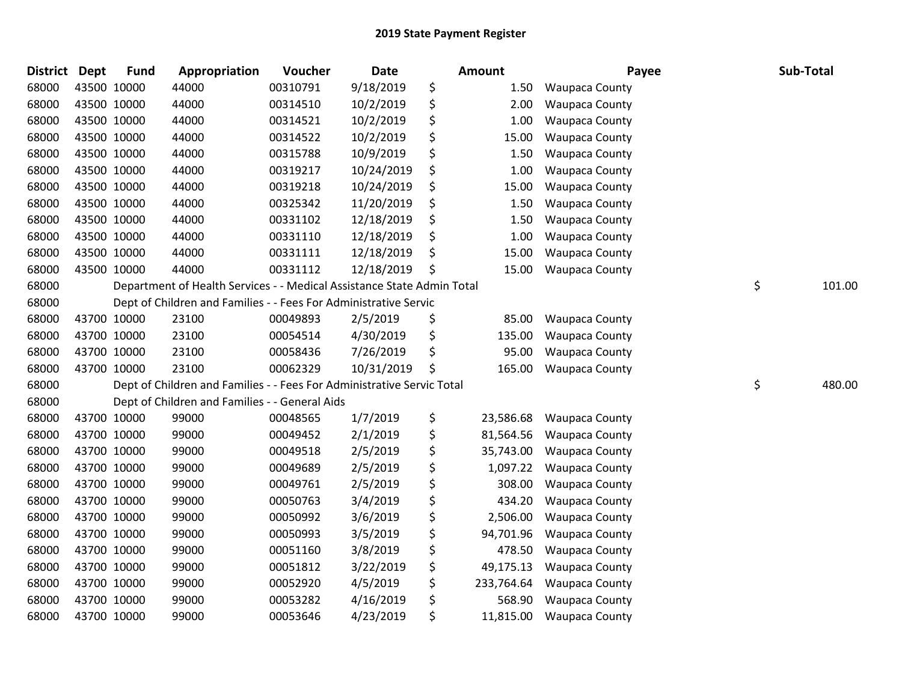| <b>District</b> | Dept | <b>Fund</b> | Appropriation                                                          | Voucher  | <b>Date</b> | Amount           | Payee                 | Sub-Total    |
|-----------------|------|-------------|------------------------------------------------------------------------|----------|-------------|------------------|-----------------------|--------------|
| 68000           |      | 43500 10000 | 44000                                                                  | 00310791 | 9/18/2019   | \$<br>1.50       | <b>Waupaca County</b> |              |
| 68000           |      | 43500 10000 | 44000                                                                  | 00314510 | 10/2/2019   | \$<br>2.00       | <b>Waupaca County</b> |              |
| 68000           |      | 43500 10000 | 44000                                                                  | 00314521 | 10/2/2019   | \$<br>1.00       | <b>Waupaca County</b> |              |
| 68000           |      | 43500 10000 | 44000                                                                  | 00314522 | 10/2/2019   | \$<br>15.00      | <b>Waupaca County</b> |              |
| 68000           |      | 43500 10000 | 44000                                                                  | 00315788 | 10/9/2019   | \$<br>1.50       | <b>Waupaca County</b> |              |
| 68000           |      | 43500 10000 | 44000                                                                  | 00319217 | 10/24/2019  | \$<br>1.00       | Waupaca County        |              |
| 68000           |      | 43500 10000 | 44000                                                                  | 00319218 | 10/24/2019  | \$<br>15.00      | <b>Waupaca County</b> |              |
| 68000           |      | 43500 10000 | 44000                                                                  | 00325342 | 11/20/2019  | \$<br>1.50       | <b>Waupaca County</b> |              |
| 68000           |      | 43500 10000 | 44000                                                                  | 00331102 | 12/18/2019  | \$<br>1.50       | <b>Waupaca County</b> |              |
| 68000           |      | 43500 10000 | 44000                                                                  | 00331110 | 12/18/2019  | \$<br>1.00       | Waupaca County        |              |
| 68000           |      | 43500 10000 | 44000                                                                  | 00331111 | 12/18/2019  | \$<br>15.00      | <b>Waupaca County</b> |              |
| 68000           |      | 43500 10000 | 44000                                                                  | 00331112 | 12/18/2019  | \$<br>15.00      | <b>Waupaca County</b> |              |
| 68000           |      |             | Department of Health Services - - Medical Assistance State Admin Total |          |             |                  |                       | \$<br>101.00 |
| 68000           |      |             | Dept of Children and Families - - Fees For Administrative Servic       |          |             |                  |                       |              |
| 68000           |      | 43700 10000 | 23100                                                                  | 00049893 | 2/5/2019    | \$<br>85.00      | <b>Waupaca County</b> |              |
| 68000           |      | 43700 10000 | 23100                                                                  | 00054514 | 4/30/2019   | \$<br>135.00     | <b>Waupaca County</b> |              |
| 68000           |      | 43700 10000 | 23100                                                                  | 00058436 | 7/26/2019   | \$<br>95.00      | Waupaca County        |              |
| 68000           |      | 43700 10000 | 23100                                                                  | 00062329 | 10/31/2019  | \$<br>165.00     | <b>Waupaca County</b> |              |
| 68000           |      |             | Dept of Children and Families - - Fees For Administrative Servic Total |          |             |                  |                       | \$<br>480.00 |
| 68000           |      |             | Dept of Children and Families - - General Aids                         |          |             |                  |                       |              |
| 68000           |      | 43700 10000 | 99000                                                                  | 00048565 | 1/7/2019    | \$<br>23,586.68  | <b>Waupaca County</b> |              |
| 68000           |      | 43700 10000 | 99000                                                                  | 00049452 | 2/1/2019    | \$<br>81,564.56  | <b>Waupaca County</b> |              |
| 68000           |      | 43700 10000 | 99000                                                                  | 00049518 | 2/5/2019    | \$<br>35,743.00  | <b>Waupaca County</b> |              |
| 68000           |      | 43700 10000 | 99000                                                                  | 00049689 | 2/5/2019    | \$<br>1,097.22   | <b>Waupaca County</b> |              |
| 68000           |      | 43700 10000 | 99000                                                                  | 00049761 | 2/5/2019    | \$<br>308.00     | <b>Waupaca County</b> |              |
| 68000           |      | 43700 10000 | 99000                                                                  | 00050763 | 3/4/2019    | \$<br>434.20     | <b>Waupaca County</b> |              |
| 68000           |      | 43700 10000 | 99000                                                                  | 00050992 | 3/6/2019    | \$<br>2,506.00   | <b>Waupaca County</b> |              |
| 68000           |      | 43700 10000 | 99000                                                                  | 00050993 | 3/5/2019    | \$<br>94,701.96  | <b>Waupaca County</b> |              |
| 68000           |      | 43700 10000 | 99000                                                                  | 00051160 | 3/8/2019    | \$<br>478.50     | <b>Waupaca County</b> |              |
| 68000           |      | 43700 10000 | 99000                                                                  | 00051812 | 3/22/2019   | \$<br>49,175.13  | Waupaca County        |              |
| 68000           |      | 43700 10000 | 99000                                                                  | 00052920 | 4/5/2019    | \$<br>233,764.64 | <b>Waupaca County</b> |              |
| 68000           |      | 43700 10000 | 99000                                                                  | 00053282 | 4/16/2019   | \$<br>568.90     | <b>Waupaca County</b> |              |
| 68000           |      | 43700 10000 | 99000                                                                  | 00053646 | 4/23/2019   | \$<br>11,815.00  | <b>Waupaca County</b> |              |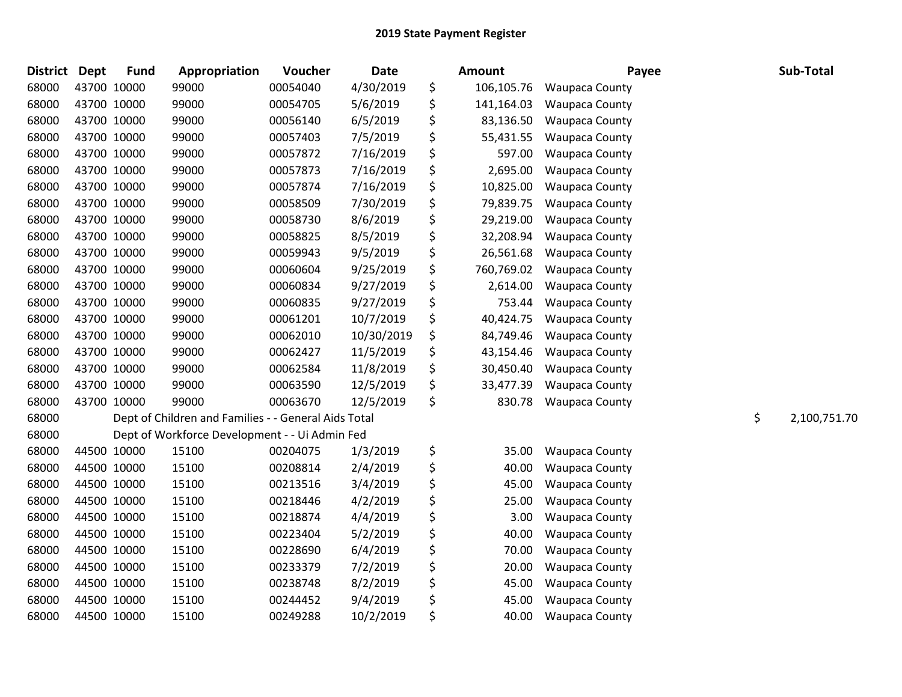| <b>District</b> | Dept | <b>Fund</b> | Appropriation                                        | Voucher  | <b>Date</b> | Amount           | Payee                 | Sub-Total          |
|-----------------|------|-------------|------------------------------------------------------|----------|-------------|------------------|-----------------------|--------------------|
| 68000           |      | 43700 10000 | 99000                                                | 00054040 | 4/30/2019   | \$<br>106,105.76 | <b>Waupaca County</b> |                    |
| 68000           |      | 43700 10000 | 99000                                                | 00054705 | 5/6/2019    | \$<br>141,164.03 | <b>Waupaca County</b> |                    |
| 68000           |      | 43700 10000 | 99000                                                | 00056140 | 6/5/2019    | \$<br>83,136.50  | <b>Waupaca County</b> |                    |
| 68000           |      | 43700 10000 | 99000                                                | 00057403 | 7/5/2019    | \$<br>55,431.55  | <b>Waupaca County</b> |                    |
| 68000           |      | 43700 10000 | 99000                                                | 00057872 | 7/16/2019   | \$<br>597.00     | <b>Waupaca County</b> |                    |
| 68000           |      | 43700 10000 | 99000                                                | 00057873 | 7/16/2019   | \$<br>2,695.00   | Waupaca County        |                    |
| 68000           |      | 43700 10000 | 99000                                                | 00057874 | 7/16/2019   | \$<br>10,825.00  | <b>Waupaca County</b> |                    |
| 68000           |      | 43700 10000 | 99000                                                | 00058509 | 7/30/2019   | \$<br>79,839.75  | <b>Waupaca County</b> |                    |
| 68000           |      | 43700 10000 | 99000                                                | 00058730 | 8/6/2019    | \$<br>29,219.00  | <b>Waupaca County</b> |                    |
| 68000           |      | 43700 10000 | 99000                                                | 00058825 | 8/5/2019    | \$<br>32,208.94  | Waupaca County        |                    |
| 68000           |      | 43700 10000 | 99000                                                | 00059943 | 9/5/2019    | \$<br>26,561.68  | Waupaca County        |                    |
| 68000           |      | 43700 10000 | 99000                                                | 00060604 | 9/25/2019   | \$<br>760,769.02 | <b>Waupaca County</b> |                    |
| 68000           |      | 43700 10000 | 99000                                                | 00060834 | 9/27/2019   | \$<br>2,614.00   | <b>Waupaca County</b> |                    |
| 68000           |      | 43700 10000 | 99000                                                | 00060835 | 9/27/2019   | \$<br>753.44     | <b>Waupaca County</b> |                    |
| 68000           |      | 43700 10000 | 99000                                                | 00061201 | 10/7/2019   | \$<br>40,424.75  | <b>Waupaca County</b> |                    |
| 68000           |      | 43700 10000 | 99000                                                | 00062010 | 10/30/2019  | \$<br>84,749.46  | <b>Waupaca County</b> |                    |
| 68000           |      | 43700 10000 | 99000                                                | 00062427 | 11/5/2019   | \$<br>43,154.46  | <b>Waupaca County</b> |                    |
| 68000           |      | 43700 10000 | 99000                                                | 00062584 | 11/8/2019   | \$<br>30,450.40  | Waupaca County        |                    |
| 68000           |      | 43700 10000 | 99000                                                | 00063590 | 12/5/2019   | \$<br>33,477.39  | <b>Waupaca County</b> |                    |
| 68000           |      | 43700 10000 | 99000                                                | 00063670 | 12/5/2019   | \$<br>830.78     | <b>Waupaca County</b> |                    |
| 68000           |      |             | Dept of Children and Families - - General Aids Total |          |             |                  |                       | \$<br>2,100,751.70 |
| 68000           |      |             | Dept of Workforce Development - - Ui Admin Fed       |          |             |                  |                       |                    |
| 68000           |      | 44500 10000 | 15100                                                | 00204075 | 1/3/2019    | \$<br>35.00      | <b>Waupaca County</b> |                    |
| 68000           |      | 44500 10000 | 15100                                                | 00208814 | 2/4/2019    | \$<br>40.00      | <b>Waupaca County</b> |                    |
| 68000           |      | 44500 10000 | 15100                                                | 00213516 | 3/4/2019    | \$<br>45.00      | Waupaca County        |                    |
| 68000           |      | 44500 10000 | 15100                                                | 00218446 | 4/2/2019    | \$<br>25.00      | <b>Waupaca County</b> |                    |
| 68000           |      | 44500 10000 | 15100                                                | 00218874 | 4/4/2019    | \$<br>3.00       | <b>Waupaca County</b> |                    |
| 68000           |      | 44500 10000 | 15100                                                | 00223404 | 5/2/2019    | \$<br>40.00      | <b>Waupaca County</b> |                    |
| 68000           |      | 44500 10000 | 15100                                                | 00228690 | 6/4/2019    | \$<br>70.00      | <b>Waupaca County</b> |                    |
| 68000           |      | 44500 10000 | 15100                                                | 00233379 | 7/2/2019    | \$<br>20.00      | Waupaca County        |                    |
| 68000           |      | 44500 10000 | 15100                                                | 00238748 | 8/2/2019    | \$<br>45.00      | Waupaca County        |                    |
| 68000           |      | 44500 10000 | 15100                                                | 00244452 | 9/4/2019    | \$<br>45.00      | <b>Waupaca County</b> |                    |
| 68000           |      | 44500 10000 | 15100                                                | 00249288 | 10/2/2019   | \$<br>40.00      | <b>Waupaca County</b> |                    |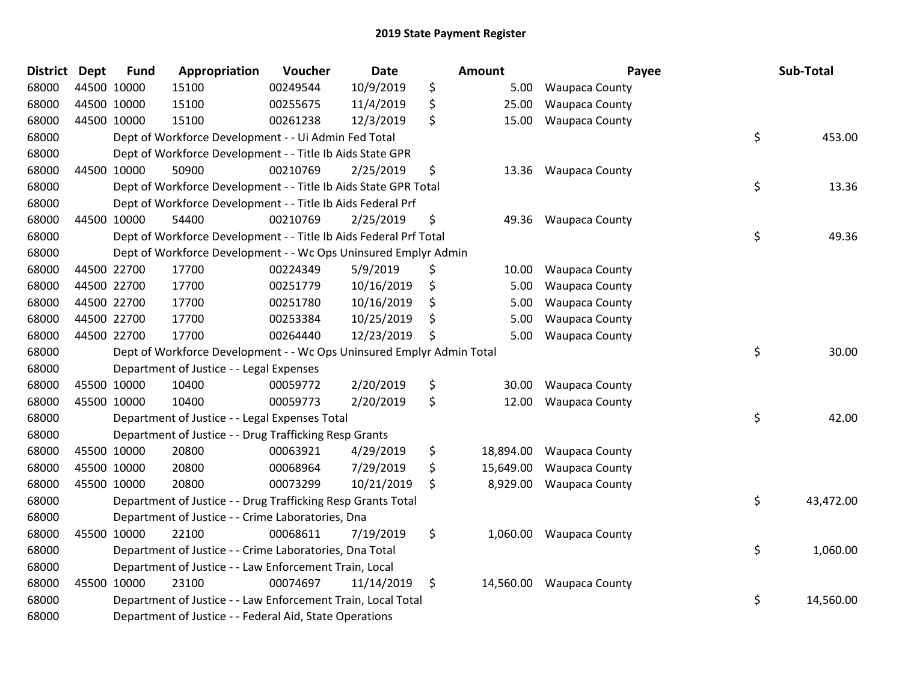| <b>District</b> | <b>Dept</b> | <b>Fund</b> | Appropriation                                                         | Voucher  | <b>Date</b> | Amount          | Payee                    | Sub-Total       |
|-----------------|-------------|-------------|-----------------------------------------------------------------------|----------|-------------|-----------------|--------------------------|-----------------|
| 68000           | 44500 10000 |             | 15100                                                                 | 00249544 | 10/9/2019   | \$<br>5.00      | Waupaca County           |                 |
| 68000           | 44500 10000 |             | 15100                                                                 | 00255675 | 11/4/2019   | \$<br>25.00     | <b>Waupaca County</b>    |                 |
| 68000           | 44500 10000 |             | 15100                                                                 | 00261238 | 12/3/2019   | \$<br>15.00     | <b>Waupaca County</b>    |                 |
| 68000           |             |             | Dept of Workforce Development - - Ui Admin Fed Total                  |          |             |                 |                          | \$<br>453.00    |
| 68000           |             |             | Dept of Workforce Development - - Title Ib Aids State GPR             |          |             |                 |                          |                 |
| 68000           |             | 44500 10000 | 50900                                                                 | 00210769 | 2/25/2019   | \$<br>13.36     | <b>Waupaca County</b>    |                 |
| 68000           |             |             | Dept of Workforce Development - - Title Ib Aids State GPR Total       |          |             |                 |                          | \$<br>13.36     |
| 68000           |             |             | Dept of Workforce Development - - Title Ib Aids Federal Prf           |          |             |                 |                          |                 |
| 68000           | 44500 10000 |             | 54400                                                                 | 00210769 | 2/25/2019   | \$<br>49.36     | <b>Waupaca County</b>    |                 |
| 68000           |             |             | Dept of Workforce Development - - Title Ib Aids Federal Prf Total     |          |             |                 |                          | \$<br>49.36     |
| 68000           |             |             | Dept of Workforce Development - - Wc Ops Uninsured Emplyr Admin       |          |             |                 |                          |                 |
| 68000           | 44500 22700 |             | 17700                                                                 | 00224349 | 5/9/2019    | \$<br>10.00     | <b>Waupaca County</b>    |                 |
| 68000           | 44500 22700 |             | 17700                                                                 | 00251779 | 10/16/2019  | \$<br>5.00      | <b>Waupaca County</b>    |                 |
| 68000           | 44500 22700 |             | 17700                                                                 | 00251780 | 10/16/2019  | \$<br>5.00      | <b>Waupaca County</b>    |                 |
| 68000           | 44500 22700 |             | 17700                                                                 | 00253384 | 10/25/2019  | \$<br>5.00      | Waupaca County           |                 |
| 68000           | 44500 22700 |             | 17700                                                                 | 00264440 | 12/23/2019  | \$<br>5.00      | <b>Waupaca County</b>    |                 |
| 68000           |             |             | Dept of Workforce Development - - Wc Ops Uninsured Emplyr Admin Total |          |             |                 |                          | \$<br>30.00     |
| 68000           |             |             | Department of Justice - - Legal Expenses                              |          |             |                 |                          |                 |
| 68000           | 45500 10000 |             | 10400                                                                 | 00059772 | 2/20/2019   | \$<br>30.00     | <b>Waupaca County</b>    |                 |
| 68000           |             | 45500 10000 | 10400                                                                 | 00059773 | 2/20/2019   | \$<br>12.00     | <b>Waupaca County</b>    |                 |
| 68000           |             |             | Department of Justice - - Legal Expenses Total                        |          |             |                 |                          | \$<br>42.00     |
| 68000           |             |             | Department of Justice - - Drug Trafficking Resp Grants                |          |             |                 |                          |                 |
| 68000           | 45500 10000 |             | 20800                                                                 | 00063921 | 4/29/2019   | \$<br>18,894.00 | <b>Waupaca County</b>    |                 |
| 68000           | 45500 10000 |             | 20800                                                                 | 00068964 | 7/29/2019   | \$<br>15,649.00 | <b>Waupaca County</b>    |                 |
| 68000           | 45500 10000 |             | 20800                                                                 | 00073299 | 10/21/2019  | \$<br>8,929.00  | <b>Waupaca County</b>    |                 |
| 68000           |             |             | Department of Justice - - Drug Trafficking Resp Grants Total          |          |             |                 |                          | \$<br>43,472.00 |
| 68000           |             |             | Department of Justice - - Crime Laboratories, Dna                     |          |             |                 |                          |                 |
| 68000           | 45500 10000 |             | 22100                                                                 | 00068611 | 7/19/2019   | \$<br>1,060.00  | <b>Waupaca County</b>    |                 |
| 68000           |             |             | Department of Justice - - Crime Laboratories, Dna Total               |          |             |                 |                          | \$<br>1,060.00  |
| 68000           |             |             | Department of Justice - - Law Enforcement Train, Local                |          |             |                 |                          |                 |
| 68000           |             | 45500 10000 | 23100                                                                 | 00074697 | 11/14/2019  | \$              | 14,560.00 Waupaca County |                 |
| 68000           |             |             | Department of Justice - - Law Enforcement Train, Local Total          |          |             |                 |                          | \$<br>14,560.00 |
| 68000           |             |             | Department of Justice - - Federal Aid, State Operations               |          |             |                 |                          |                 |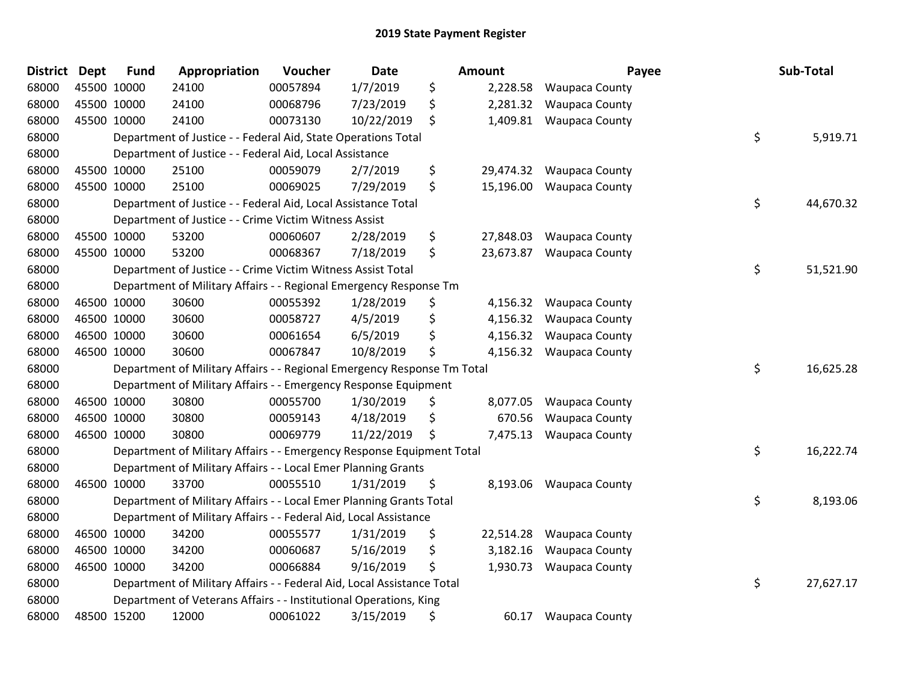| District | <b>Dept</b> | <b>Fund</b> | Appropriation                                                           | Voucher  | <b>Date</b> | Amount          | Payee                 | Sub-Total       |
|----------|-------------|-------------|-------------------------------------------------------------------------|----------|-------------|-----------------|-----------------------|-----------------|
| 68000    | 45500 10000 |             | 24100                                                                   | 00057894 | 1/7/2019    | \$<br>2,228.58  | <b>Waupaca County</b> |                 |
| 68000    | 45500 10000 |             | 24100                                                                   | 00068796 | 7/23/2019   | \$<br>2,281.32  | <b>Waupaca County</b> |                 |
| 68000    | 45500 10000 |             | 24100                                                                   | 00073130 | 10/22/2019  | \$<br>1,409.81  | <b>Waupaca County</b> |                 |
| 68000    |             |             | Department of Justice - - Federal Aid, State Operations Total           |          |             |                 |                       | \$<br>5,919.71  |
| 68000    |             |             | Department of Justice - - Federal Aid, Local Assistance                 |          |             |                 |                       |                 |
| 68000    | 45500 10000 |             | 25100                                                                   | 00059079 | 2/7/2019    | \$<br>29,474.32 | <b>Waupaca County</b> |                 |
| 68000    | 45500 10000 |             | 25100                                                                   | 00069025 | 7/29/2019   | \$<br>15,196.00 | <b>Waupaca County</b> |                 |
| 68000    |             |             | Department of Justice - - Federal Aid, Local Assistance Total           |          |             |                 |                       | \$<br>44,670.32 |
| 68000    |             |             | Department of Justice - - Crime Victim Witness Assist                   |          |             |                 |                       |                 |
| 68000    | 45500 10000 |             | 53200                                                                   | 00060607 | 2/28/2019   | \$<br>27,848.03 | <b>Waupaca County</b> |                 |
| 68000    | 45500 10000 |             | 53200                                                                   | 00068367 | 7/18/2019   | \$<br>23,673.87 | <b>Waupaca County</b> |                 |
| 68000    |             |             | Department of Justice - - Crime Victim Witness Assist Total             |          |             |                 |                       | \$<br>51,521.90 |
| 68000    |             |             | Department of Military Affairs - - Regional Emergency Response Tm       |          |             |                 |                       |                 |
| 68000    | 46500 10000 |             | 30600                                                                   | 00055392 | 1/28/2019   | \$<br>4,156.32  | <b>Waupaca County</b> |                 |
| 68000    | 46500 10000 |             | 30600                                                                   | 00058727 | 4/5/2019    | \$<br>4,156.32  | <b>Waupaca County</b> |                 |
| 68000    | 46500 10000 |             | 30600                                                                   | 00061654 | 6/5/2019    | \$<br>4,156.32  | <b>Waupaca County</b> |                 |
| 68000    | 46500 10000 |             | 30600                                                                   | 00067847 | 10/8/2019   | \$<br>4,156.32  | <b>Waupaca County</b> |                 |
| 68000    |             |             | Department of Military Affairs - - Regional Emergency Response Tm Total |          |             |                 |                       | \$<br>16,625.28 |
| 68000    |             |             | Department of Military Affairs - - Emergency Response Equipment         |          |             |                 |                       |                 |
| 68000    | 46500 10000 |             | 30800                                                                   | 00055700 | 1/30/2019   | \$<br>8,077.05  | <b>Waupaca County</b> |                 |
| 68000    | 46500 10000 |             | 30800                                                                   | 00059143 | 4/18/2019   | \$<br>670.56    | <b>Waupaca County</b> |                 |
| 68000    | 46500 10000 |             | 30800                                                                   | 00069779 | 11/22/2019  | \$<br>7,475.13  | <b>Waupaca County</b> |                 |
| 68000    |             |             | Department of Military Affairs - - Emergency Response Equipment Total   |          |             |                 |                       | \$<br>16,222.74 |
| 68000    |             |             | Department of Military Affairs - - Local Emer Planning Grants           |          |             |                 |                       |                 |
| 68000    | 46500 10000 |             | 33700                                                                   | 00055510 | 1/31/2019   | \$<br>8,193.06  | <b>Waupaca County</b> |                 |
| 68000    |             |             | Department of Military Affairs - - Local Emer Planning Grants Total     |          |             |                 |                       | \$<br>8,193.06  |
| 68000    |             |             | Department of Military Affairs - - Federal Aid, Local Assistance        |          |             |                 |                       |                 |
| 68000    | 46500 10000 |             | 34200                                                                   | 00055577 | 1/31/2019   | \$<br>22,514.28 | <b>Waupaca County</b> |                 |
| 68000    | 46500 10000 |             | 34200                                                                   | 00060687 | 5/16/2019   | \$<br>3,182.16  | <b>Waupaca County</b> |                 |
| 68000    | 46500 10000 |             | 34200                                                                   | 00066884 | 9/16/2019   | \$<br>1,930.73  | <b>Waupaca County</b> |                 |
| 68000    |             |             | Department of Military Affairs - - Federal Aid, Local Assistance Total  |          |             |                 |                       | \$<br>27,627.17 |
| 68000    |             |             | Department of Veterans Affairs - - Institutional Operations, King       |          |             |                 |                       |                 |
| 68000    | 48500 15200 |             | 12000                                                                   | 00061022 | 3/15/2019   | \$<br>60.17     | <b>Waupaca County</b> |                 |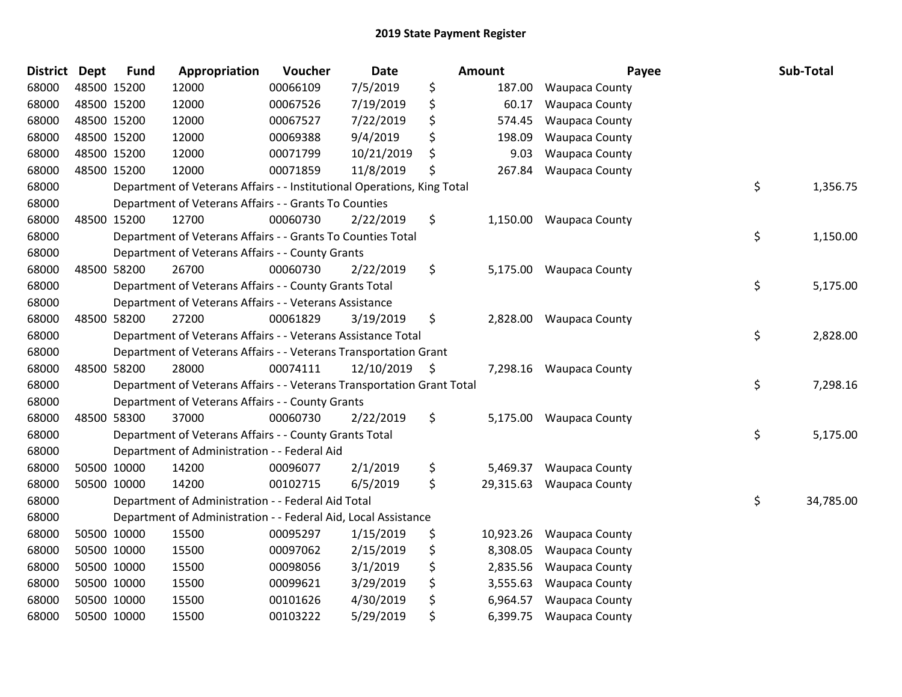| <b>District</b> | <b>Dept</b> | <b>Fund</b> | Appropriation                                                           | Voucher  | Date            | <b>Amount</b>   | Payee                 | Sub-Total       |
|-----------------|-------------|-------------|-------------------------------------------------------------------------|----------|-----------------|-----------------|-----------------------|-----------------|
| 68000           | 48500 15200 |             | 12000                                                                   | 00066109 | 7/5/2019        | \$<br>187.00    | <b>Waupaca County</b> |                 |
| 68000           | 48500 15200 |             | 12000                                                                   | 00067526 | 7/19/2019       | \$<br>60.17     | <b>Waupaca County</b> |                 |
| 68000           | 48500 15200 |             | 12000                                                                   | 00067527 | 7/22/2019       | \$<br>574.45    | <b>Waupaca County</b> |                 |
| 68000           | 48500 15200 |             | 12000                                                                   | 00069388 | 9/4/2019        | \$<br>198.09    | <b>Waupaca County</b> |                 |
| 68000           | 48500 15200 |             | 12000                                                                   | 00071799 | 10/21/2019      | \$<br>9.03      | Waupaca County        |                 |
| 68000           | 48500 15200 |             | 12000                                                                   | 00071859 | 11/8/2019       | \$<br>267.84    | Waupaca County        |                 |
| 68000           |             |             | Department of Veterans Affairs - - Institutional Operations, King Total |          |                 |                 |                       | \$<br>1,356.75  |
| 68000           |             |             | Department of Veterans Affairs - - Grants To Counties                   |          |                 |                 |                       |                 |
| 68000           | 48500 15200 |             | 12700                                                                   | 00060730 | 2/22/2019       | \$<br>1,150.00  | <b>Waupaca County</b> |                 |
| 68000           |             |             | Department of Veterans Affairs - - Grants To Counties Total             |          |                 |                 |                       | \$<br>1,150.00  |
| 68000           |             |             | Department of Veterans Affairs - - County Grants                        |          |                 |                 |                       |                 |
| 68000           | 48500 58200 |             | 26700                                                                   | 00060730 | 2/22/2019       | \$<br>5,175.00  | <b>Waupaca County</b> |                 |
| 68000           |             |             | Department of Veterans Affairs - - County Grants Total                  |          |                 |                 |                       | \$<br>5,175.00  |
| 68000           |             |             | Department of Veterans Affairs - - Veterans Assistance                  |          |                 |                 |                       |                 |
| 68000           | 48500 58200 |             | 27200                                                                   | 00061829 | 3/19/2019       | \$<br>2,828.00  | <b>Waupaca County</b> |                 |
| 68000           |             |             | Department of Veterans Affairs - - Veterans Assistance Total            |          |                 |                 |                       | \$<br>2,828.00  |
| 68000           |             |             | Department of Veterans Affairs - - Veterans Transportation Grant        |          |                 |                 |                       |                 |
| 68000           | 48500 58200 |             | 28000                                                                   | 00074111 | $12/10/2019$ \$ | 7,298.16        | <b>Waupaca County</b> |                 |
| 68000           |             |             | Department of Veterans Affairs - - Veterans Transportation Grant Total  |          |                 |                 |                       | \$<br>7,298.16  |
| 68000           |             |             | Department of Veterans Affairs - - County Grants                        |          |                 |                 |                       |                 |
| 68000           | 48500 58300 |             | 37000                                                                   | 00060730 | 2/22/2019       | \$<br>5,175.00  | <b>Waupaca County</b> |                 |
| 68000           |             |             | Department of Veterans Affairs - - County Grants Total                  |          |                 |                 |                       | \$<br>5,175.00  |
| 68000           |             |             | Department of Administration - - Federal Aid                            |          |                 |                 |                       |                 |
| 68000           | 50500 10000 |             | 14200                                                                   | 00096077 | 2/1/2019        | \$<br>5,469.37  | <b>Waupaca County</b> |                 |
| 68000           |             | 50500 10000 | 14200                                                                   | 00102715 | 6/5/2019        | \$<br>29,315.63 | <b>Waupaca County</b> |                 |
| 68000           |             |             | Department of Administration - - Federal Aid Total                      |          |                 |                 |                       | \$<br>34,785.00 |
| 68000           |             |             | Department of Administration - - Federal Aid, Local Assistance          |          |                 |                 |                       |                 |
| 68000           | 50500 10000 |             | 15500                                                                   | 00095297 | 1/15/2019       | \$<br>10,923.26 | <b>Waupaca County</b> |                 |
| 68000           | 50500 10000 |             | 15500                                                                   | 00097062 | 2/15/2019       | \$<br>8,308.05  | <b>Waupaca County</b> |                 |
| 68000           | 50500 10000 |             | 15500                                                                   | 00098056 | 3/1/2019        | \$<br>2,835.56  | Waupaca County        |                 |
| 68000           | 50500 10000 |             | 15500                                                                   | 00099621 | 3/29/2019       | \$<br>3,555.63  | <b>Waupaca County</b> |                 |
| 68000           |             | 50500 10000 | 15500                                                                   | 00101626 | 4/30/2019       | \$<br>6,964.57  | <b>Waupaca County</b> |                 |
| 68000           | 50500 10000 |             | 15500                                                                   | 00103222 | 5/29/2019       | \$<br>6,399.75  | <b>Waupaca County</b> |                 |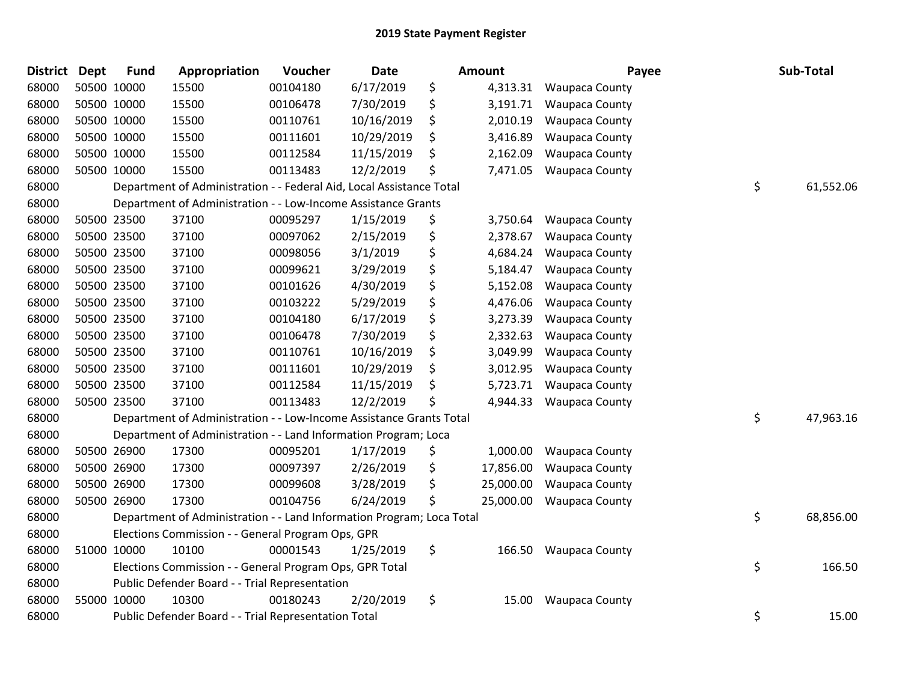| <b>District</b> | Dept | <b>Fund</b> | Appropriation                                                         | Voucher  | Date       | <b>Amount</b>   | Payee                 | Sub-Total       |
|-----------------|------|-------------|-----------------------------------------------------------------------|----------|------------|-----------------|-----------------------|-----------------|
| 68000           |      | 50500 10000 | 15500                                                                 | 00104180 | 6/17/2019  | \$<br>4,313.31  | Waupaca County        |                 |
| 68000           |      | 50500 10000 | 15500                                                                 | 00106478 | 7/30/2019  | \$<br>3,191.71  | <b>Waupaca County</b> |                 |
| 68000           |      | 50500 10000 | 15500                                                                 | 00110761 | 10/16/2019 | \$<br>2,010.19  | Waupaca County        |                 |
| 68000           |      | 50500 10000 | 15500                                                                 | 00111601 | 10/29/2019 | \$<br>3,416.89  | <b>Waupaca County</b> |                 |
| 68000           |      | 50500 10000 | 15500                                                                 | 00112584 | 11/15/2019 | \$<br>2,162.09  | <b>Waupaca County</b> |                 |
| 68000           |      | 50500 10000 | 15500                                                                 | 00113483 | 12/2/2019  | \$<br>7,471.05  | <b>Waupaca County</b> |                 |
| 68000           |      |             | Department of Administration - - Federal Aid, Local Assistance Total  |          |            |                 |                       | \$<br>61,552.06 |
| 68000           |      |             | Department of Administration - - Low-Income Assistance Grants         |          |            |                 |                       |                 |
| 68000           |      | 50500 23500 | 37100                                                                 | 00095297 | 1/15/2019  | \$<br>3,750.64  | <b>Waupaca County</b> |                 |
| 68000           |      | 50500 23500 | 37100                                                                 | 00097062 | 2/15/2019  | \$<br>2,378.67  | <b>Waupaca County</b> |                 |
| 68000           |      | 50500 23500 | 37100                                                                 | 00098056 | 3/1/2019   | \$<br>4,684.24  | <b>Waupaca County</b> |                 |
| 68000           |      | 50500 23500 | 37100                                                                 | 00099621 | 3/29/2019  | \$<br>5,184.47  | <b>Waupaca County</b> |                 |
| 68000           |      | 50500 23500 | 37100                                                                 | 00101626 | 4/30/2019  | \$<br>5,152.08  | <b>Waupaca County</b> |                 |
| 68000           |      | 50500 23500 | 37100                                                                 | 00103222 | 5/29/2019  | \$<br>4,476.06  | <b>Waupaca County</b> |                 |
| 68000           |      | 50500 23500 | 37100                                                                 | 00104180 | 6/17/2019  | \$<br>3,273.39  | <b>Waupaca County</b> |                 |
| 68000           |      | 50500 23500 | 37100                                                                 | 00106478 | 7/30/2019  | \$<br>2,332.63  | <b>Waupaca County</b> |                 |
| 68000           |      | 50500 23500 | 37100                                                                 | 00110761 | 10/16/2019 | \$<br>3,049.99  | <b>Waupaca County</b> |                 |
| 68000           |      | 50500 23500 | 37100                                                                 | 00111601 | 10/29/2019 | \$<br>3,012.95  | Waupaca County        |                 |
| 68000           |      | 50500 23500 | 37100                                                                 | 00112584 | 11/15/2019 | \$<br>5,723.71  | <b>Waupaca County</b> |                 |
| 68000           |      | 50500 23500 | 37100                                                                 | 00113483 | 12/2/2019  | \$<br>4,944.33  | <b>Waupaca County</b> |                 |
| 68000           |      |             | Department of Administration - - Low-Income Assistance Grants Total   |          |            |                 |                       | \$<br>47,963.16 |
| 68000           |      |             | Department of Administration - - Land Information Program; Loca       |          |            |                 |                       |                 |
| 68000           |      | 50500 26900 | 17300                                                                 | 00095201 | 1/17/2019  | \$<br>1,000.00  | <b>Waupaca County</b> |                 |
| 68000           |      | 50500 26900 | 17300                                                                 | 00097397 | 2/26/2019  | \$<br>17,856.00 | <b>Waupaca County</b> |                 |
| 68000           |      | 50500 26900 | 17300                                                                 | 00099608 | 3/28/2019  | \$<br>25,000.00 | <b>Waupaca County</b> |                 |
| 68000           |      | 50500 26900 | 17300                                                                 | 00104756 | 6/24/2019  | \$<br>25,000.00 | <b>Waupaca County</b> |                 |
| 68000           |      |             | Department of Administration - - Land Information Program; Loca Total |          |            |                 |                       | \$<br>68,856.00 |
| 68000           |      |             | Elections Commission - - General Program Ops, GPR                     |          |            |                 |                       |                 |
| 68000           |      | 51000 10000 | 10100                                                                 | 00001543 | 1/25/2019  | \$<br>166.50    | <b>Waupaca County</b> |                 |
| 68000           |      |             | Elections Commission - - General Program Ops, GPR Total               |          |            |                 |                       | \$<br>166.50    |
| 68000           |      |             | Public Defender Board - - Trial Representation                        |          |            |                 |                       |                 |
| 68000           |      | 55000 10000 | 10300                                                                 | 00180243 | 2/20/2019  | \$<br>15.00     | <b>Waupaca County</b> |                 |
| 68000           |      |             | Public Defender Board - - Trial Representation Total                  |          |            |                 |                       | \$<br>15.00     |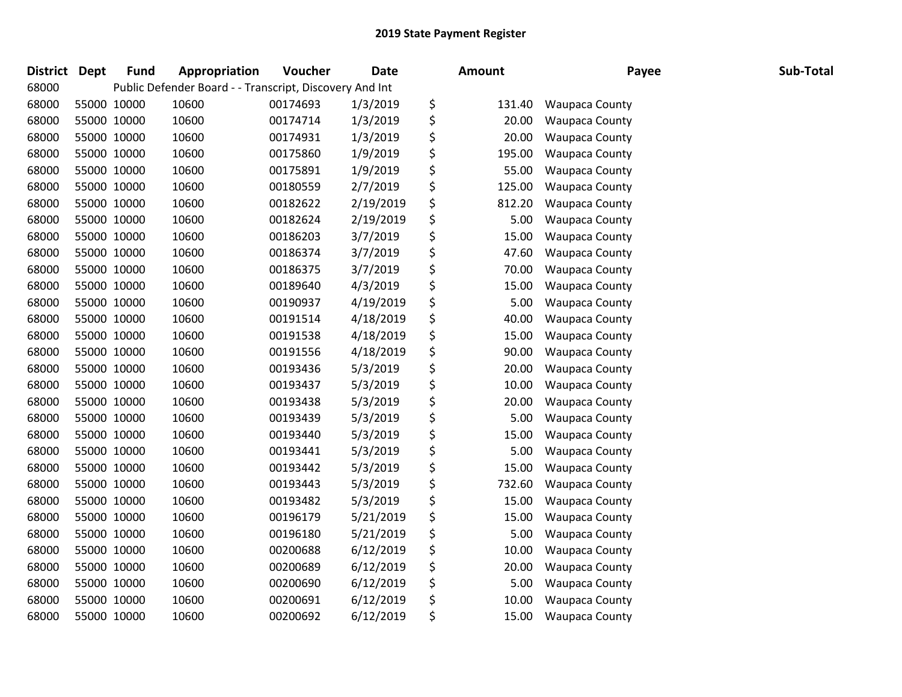| <b>District</b> | <b>Dept</b> | <b>Fund</b> | Appropriation                                           | Voucher  | Date      | <b>Amount</b> | Payee                 | Sub-Total |
|-----------------|-------------|-------------|---------------------------------------------------------|----------|-----------|---------------|-----------------------|-----------|
| 68000           |             |             | Public Defender Board - - Transcript, Discovery And Int |          |           |               |                       |           |
| 68000           |             | 55000 10000 | 10600                                                   | 00174693 | 1/3/2019  | \$<br>131.40  | <b>Waupaca County</b> |           |
| 68000           |             | 55000 10000 | 10600                                                   | 00174714 | 1/3/2019  | \$<br>20.00   | Waupaca County        |           |
| 68000           | 55000 10000 |             | 10600                                                   | 00174931 | 1/3/2019  | \$<br>20.00   | <b>Waupaca County</b> |           |
| 68000           |             | 55000 10000 | 10600                                                   | 00175860 | 1/9/2019  | \$<br>195.00  | Waupaca County        |           |
| 68000           |             | 55000 10000 | 10600                                                   | 00175891 | 1/9/2019  | \$<br>55.00   | <b>Waupaca County</b> |           |
| 68000           |             | 55000 10000 | 10600                                                   | 00180559 | 2/7/2019  | \$<br>125.00  | Waupaca County        |           |
| 68000           |             | 55000 10000 | 10600                                                   | 00182622 | 2/19/2019 | \$<br>812.20  | <b>Waupaca County</b> |           |
| 68000           |             | 55000 10000 | 10600                                                   | 00182624 | 2/19/2019 | \$<br>5.00    | <b>Waupaca County</b> |           |
| 68000           |             | 55000 10000 | 10600                                                   | 00186203 | 3/7/2019  | \$<br>15.00   | <b>Waupaca County</b> |           |
| 68000           |             | 55000 10000 | 10600                                                   | 00186374 | 3/7/2019  | \$<br>47.60   | <b>Waupaca County</b> |           |
| 68000           |             | 55000 10000 | 10600                                                   | 00186375 | 3/7/2019  | \$<br>70.00   | <b>Waupaca County</b> |           |
| 68000           |             | 55000 10000 | 10600                                                   | 00189640 | 4/3/2019  | \$<br>15.00   | Waupaca County        |           |
| 68000           | 55000 10000 |             | 10600                                                   | 00190937 | 4/19/2019 | \$<br>5.00    | <b>Waupaca County</b> |           |
| 68000           | 55000 10000 |             | 10600                                                   | 00191514 | 4/18/2019 | \$<br>40.00   | Waupaca County        |           |
| 68000           |             | 55000 10000 | 10600                                                   | 00191538 | 4/18/2019 | \$<br>15.00   | <b>Waupaca County</b> |           |
| 68000           |             | 55000 10000 | 10600                                                   | 00191556 | 4/18/2019 | \$<br>90.00   | <b>Waupaca County</b> |           |
| 68000           |             | 55000 10000 | 10600                                                   | 00193436 | 5/3/2019  | \$<br>20.00   | <b>Waupaca County</b> |           |
| 68000           |             | 55000 10000 | 10600                                                   | 00193437 | 5/3/2019  | \$<br>10.00   | <b>Waupaca County</b> |           |
| 68000           |             | 55000 10000 | 10600                                                   | 00193438 | 5/3/2019  | \$<br>20.00   | <b>Waupaca County</b> |           |
| 68000           |             | 55000 10000 | 10600                                                   | 00193439 | 5/3/2019  | \$<br>5.00    | <b>Waupaca County</b> |           |
| 68000           |             | 55000 10000 | 10600                                                   | 00193440 | 5/3/2019  | \$<br>15.00   | <b>Waupaca County</b> |           |
| 68000           |             | 55000 10000 | 10600                                                   | 00193441 | 5/3/2019  | \$<br>5.00    | Waupaca County        |           |
| 68000           | 55000 10000 |             | 10600                                                   | 00193442 | 5/3/2019  | \$<br>15.00   | <b>Waupaca County</b> |           |
| 68000           |             | 55000 10000 | 10600                                                   | 00193443 | 5/3/2019  | \$<br>732.60  | <b>Waupaca County</b> |           |
| 68000           |             | 55000 10000 | 10600                                                   | 00193482 | 5/3/2019  | \$<br>15.00   | <b>Waupaca County</b> |           |
| 68000           |             | 55000 10000 | 10600                                                   | 00196179 | 5/21/2019 | \$<br>15.00   | <b>Waupaca County</b> |           |
| 68000           |             | 55000 10000 | 10600                                                   | 00196180 | 5/21/2019 | \$<br>5.00    | <b>Waupaca County</b> |           |
| 68000           | 55000 10000 |             | 10600                                                   | 00200688 | 6/12/2019 | \$<br>10.00   | Waupaca County        |           |
| 68000           |             | 55000 10000 | 10600                                                   | 00200689 | 6/12/2019 | \$<br>20.00   | Waupaca County        |           |
| 68000           |             | 55000 10000 | 10600                                                   | 00200690 | 6/12/2019 | \$<br>5.00    | Waupaca County        |           |
| 68000           |             | 55000 10000 | 10600                                                   | 00200691 | 6/12/2019 | \$<br>10.00   | <b>Waupaca County</b> |           |
| 68000           | 55000 10000 |             | 10600                                                   | 00200692 | 6/12/2019 | \$<br>15.00   | <b>Waupaca County</b> |           |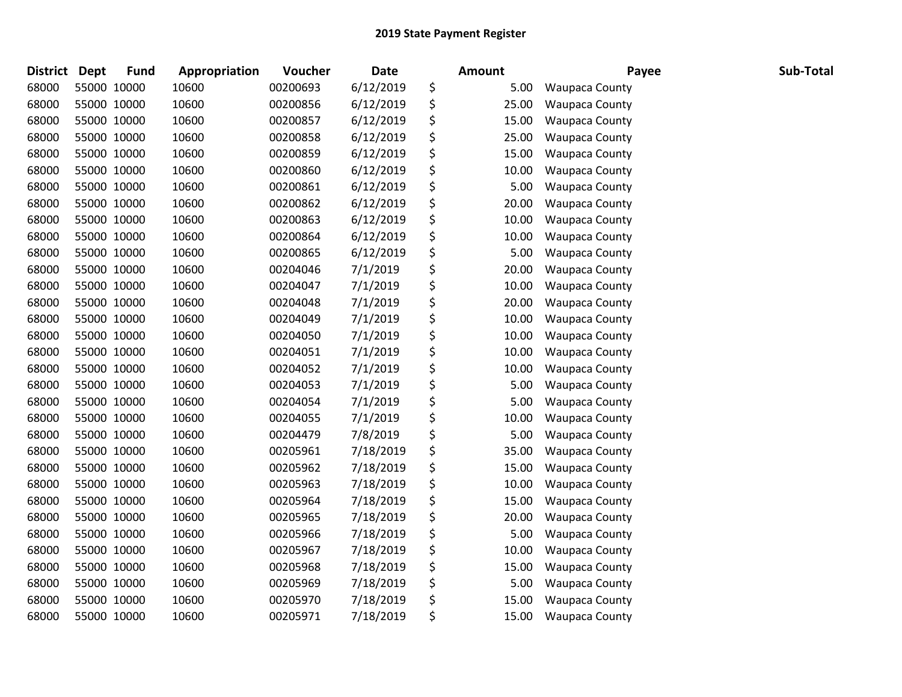| <b>District</b> | <b>Dept</b> | <b>Fund</b> | Appropriation | Voucher  | Date      | <b>Amount</b> | Payee                 | Sub-Total |
|-----------------|-------------|-------------|---------------|----------|-----------|---------------|-----------------------|-----------|
| 68000           | 55000 10000 |             | 10600         | 00200693 | 6/12/2019 | \$<br>5.00    | <b>Waupaca County</b> |           |
| 68000           | 55000 10000 |             | 10600         | 00200856 | 6/12/2019 | \$<br>25.00   | <b>Waupaca County</b> |           |
| 68000           | 55000 10000 |             | 10600         | 00200857 | 6/12/2019 | \$<br>15.00   | <b>Waupaca County</b> |           |
| 68000           | 55000 10000 |             | 10600         | 00200858 | 6/12/2019 | \$<br>25.00   | <b>Waupaca County</b> |           |
| 68000           | 55000 10000 |             | 10600         | 00200859 | 6/12/2019 | \$<br>15.00   | <b>Waupaca County</b> |           |
| 68000           | 55000 10000 |             | 10600         | 00200860 | 6/12/2019 | \$<br>10.00   | <b>Waupaca County</b> |           |
| 68000           | 55000 10000 |             | 10600         | 00200861 | 6/12/2019 | \$<br>5.00    | <b>Waupaca County</b> |           |
| 68000           | 55000 10000 |             | 10600         | 00200862 | 6/12/2019 | \$<br>20.00   | Waupaca County        |           |
| 68000           | 55000 10000 |             | 10600         | 00200863 | 6/12/2019 | \$<br>10.00   | Waupaca County        |           |
| 68000           | 55000 10000 |             | 10600         | 00200864 | 6/12/2019 | \$<br>10.00   | <b>Waupaca County</b> |           |
| 68000           | 55000 10000 |             | 10600         | 00200865 | 6/12/2019 | \$<br>5.00    | <b>Waupaca County</b> |           |
| 68000           | 55000 10000 |             | 10600         | 00204046 | 7/1/2019  | \$<br>20.00   | <b>Waupaca County</b> |           |
| 68000           | 55000 10000 |             | 10600         | 00204047 | 7/1/2019  | \$<br>10.00   | Waupaca County        |           |
| 68000           | 55000 10000 |             | 10600         | 00204048 | 7/1/2019  | \$<br>20.00   | Waupaca County        |           |
| 68000           | 55000 10000 |             | 10600         | 00204049 | 7/1/2019  | \$<br>10.00   | Waupaca County        |           |
| 68000           | 55000 10000 |             | 10600         | 00204050 | 7/1/2019  | \$<br>10.00   | <b>Waupaca County</b> |           |
| 68000           | 55000 10000 |             | 10600         | 00204051 | 7/1/2019  | \$<br>10.00   | <b>Waupaca County</b> |           |
| 68000           | 55000 10000 |             | 10600         | 00204052 | 7/1/2019  | \$<br>10.00   | Waupaca County        |           |
| 68000           | 55000 10000 |             | 10600         | 00204053 | 7/1/2019  | \$<br>5.00    | Waupaca County        |           |
| 68000           | 55000 10000 |             | 10600         | 00204054 | 7/1/2019  | \$<br>5.00    | Waupaca County        |           |
| 68000           | 55000 10000 |             | 10600         | 00204055 | 7/1/2019  | \$<br>10.00   | Waupaca County        |           |
| 68000           | 55000 10000 |             | 10600         | 00204479 | 7/8/2019  | \$<br>5.00    | Waupaca County        |           |
| 68000           | 55000 10000 |             | 10600         | 00205961 | 7/18/2019 | \$<br>35.00   | <b>Waupaca County</b> |           |
| 68000           | 55000 10000 |             | 10600         | 00205962 | 7/18/2019 | \$<br>15.00   | Waupaca County        |           |
| 68000           | 55000 10000 |             | 10600         | 00205963 | 7/18/2019 | \$<br>10.00   | <b>Waupaca County</b> |           |
| 68000           | 55000 10000 |             | 10600         | 00205964 | 7/18/2019 | \$<br>15.00   | Waupaca County        |           |
| 68000           | 55000 10000 |             | 10600         | 00205965 | 7/18/2019 | \$<br>20.00   | Waupaca County        |           |
| 68000           | 55000 10000 |             | 10600         | 00205966 | 7/18/2019 | \$<br>5.00    | <b>Waupaca County</b> |           |
| 68000           | 55000 10000 |             | 10600         | 00205967 | 7/18/2019 | \$<br>10.00   | Waupaca County        |           |
| 68000           | 55000 10000 |             | 10600         | 00205968 | 7/18/2019 | \$<br>15.00   | Waupaca County        |           |
| 68000           | 55000 10000 |             | 10600         | 00205969 | 7/18/2019 | \$<br>5.00    | Waupaca County        |           |
| 68000           | 55000 10000 |             | 10600         | 00205970 | 7/18/2019 | \$<br>15.00   | <b>Waupaca County</b> |           |
| 68000           | 55000 10000 |             | 10600         | 00205971 | 7/18/2019 | \$<br>15.00   | <b>Waupaca County</b> |           |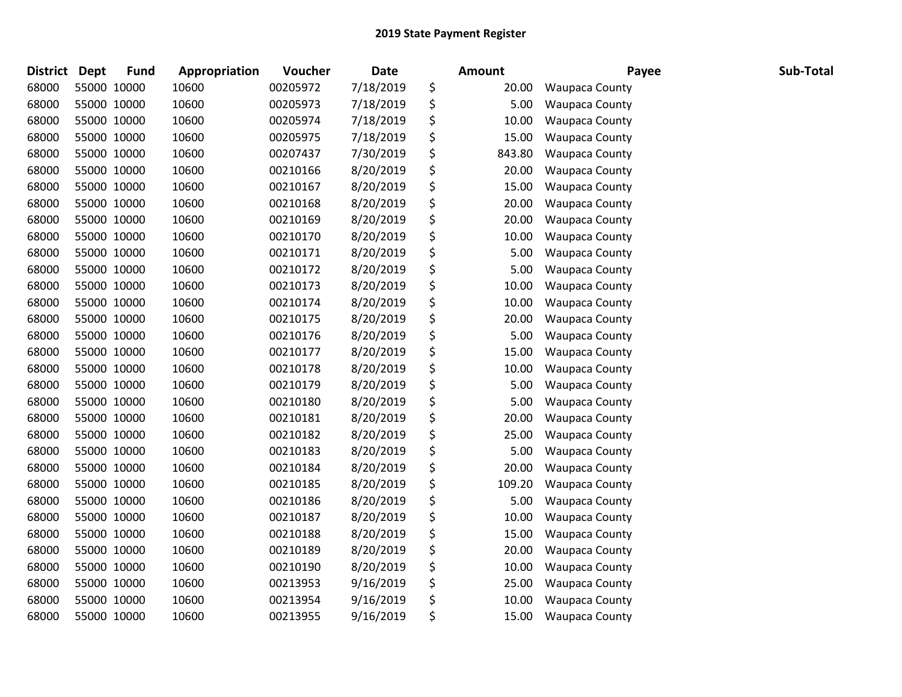| <b>District</b> | <b>Dept</b> | <b>Fund</b> | Appropriation | Voucher  | Date      | <b>Amount</b> | Payee                 | Sub-Total |
|-----------------|-------------|-------------|---------------|----------|-----------|---------------|-----------------------|-----------|
| 68000           | 55000 10000 |             | 10600         | 00205972 | 7/18/2019 | \$<br>20.00   | <b>Waupaca County</b> |           |
| 68000           | 55000 10000 |             | 10600         | 00205973 | 7/18/2019 | \$<br>5.00    | <b>Waupaca County</b> |           |
| 68000           | 55000 10000 |             | 10600         | 00205974 | 7/18/2019 | \$<br>10.00   | <b>Waupaca County</b> |           |
| 68000           | 55000 10000 |             | 10600         | 00205975 | 7/18/2019 | \$<br>15.00   | <b>Waupaca County</b> |           |
| 68000           | 55000 10000 |             | 10600         | 00207437 | 7/30/2019 | \$<br>843.80  | Waupaca County        |           |
| 68000           | 55000 10000 |             | 10600         | 00210166 | 8/20/2019 | \$<br>20.00   | <b>Waupaca County</b> |           |
| 68000           | 55000 10000 |             | 10600         | 00210167 | 8/20/2019 | \$<br>15.00   | <b>Waupaca County</b> |           |
| 68000           | 55000 10000 |             | 10600         | 00210168 | 8/20/2019 | \$<br>20.00   | Waupaca County        |           |
| 68000           | 55000 10000 |             | 10600         | 00210169 | 8/20/2019 | \$<br>20.00   | Waupaca County        |           |
| 68000           | 55000 10000 |             | 10600         | 00210170 | 8/20/2019 | \$<br>10.00   | <b>Waupaca County</b> |           |
| 68000           | 55000 10000 |             | 10600         | 00210171 | 8/20/2019 | \$<br>5.00    | <b>Waupaca County</b> |           |
| 68000           | 55000 10000 |             | 10600         | 00210172 | 8/20/2019 | \$<br>5.00    | <b>Waupaca County</b> |           |
| 68000           | 55000 10000 |             | 10600         | 00210173 | 8/20/2019 | \$<br>10.00   | Waupaca County        |           |
| 68000           | 55000 10000 |             | 10600         | 00210174 | 8/20/2019 | \$<br>10.00   | Waupaca County        |           |
| 68000           | 55000 10000 |             | 10600         | 00210175 | 8/20/2019 | \$<br>20.00   | Waupaca County        |           |
| 68000           | 55000 10000 |             | 10600         | 00210176 | 8/20/2019 | \$<br>5.00    | <b>Waupaca County</b> |           |
| 68000           | 55000 10000 |             | 10600         | 00210177 | 8/20/2019 | \$<br>15.00   | <b>Waupaca County</b> |           |
| 68000           | 55000 10000 |             | 10600         | 00210178 | 8/20/2019 | \$<br>10.00   | Waupaca County        |           |
| 68000           | 55000 10000 |             | 10600         | 00210179 | 8/20/2019 | \$<br>5.00    | Waupaca County        |           |
| 68000           | 55000 10000 |             | 10600         | 00210180 | 8/20/2019 | \$<br>5.00    | Waupaca County        |           |
| 68000           | 55000 10000 |             | 10600         | 00210181 | 8/20/2019 | \$<br>20.00   | Waupaca County        |           |
| 68000           | 55000 10000 |             | 10600         | 00210182 | 8/20/2019 | \$<br>25.00   | <b>Waupaca County</b> |           |
| 68000           | 55000 10000 |             | 10600         | 00210183 | 8/20/2019 | \$<br>5.00    | <b>Waupaca County</b> |           |
| 68000           | 55000 10000 |             | 10600         | 00210184 | 8/20/2019 | \$<br>20.00   | Waupaca County        |           |
| 68000           | 55000 10000 |             | 10600         | 00210185 | 8/20/2019 | \$<br>109.20  | <b>Waupaca County</b> |           |
| 68000           | 55000 10000 |             | 10600         | 00210186 | 8/20/2019 | \$<br>5.00    | Waupaca County        |           |
| 68000           | 55000 10000 |             | 10600         | 00210187 | 8/20/2019 | \$<br>10.00   | Waupaca County        |           |
| 68000           | 55000 10000 |             | 10600         | 00210188 | 8/20/2019 | \$<br>15.00   | <b>Waupaca County</b> |           |
| 68000           | 55000 10000 |             | 10600         | 00210189 | 8/20/2019 | \$<br>20.00   | Waupaca County        |           |
| 68000           | 55000 10000 |             | 10600         | 00210190 | 8/20/2019 | \$<br>10.00   | Waupaca County        |           |
| 68000           | 55000 10000 |             | 10600         | 00213953 | 9/16/2019 | \$<br>25.00   | Waupaca County        |           |
| 68000           | 55000 10000 |             | 10600         | 00213954 | 9/16/2019 | \$<br>10.00   | <b>Waupaca County</b> |           |
| 68000           | 55000 10000 |             | 10600         | 00213955 | 9/16/2019 | \$<br>15.00   | <b>Waupaca County</b> |           |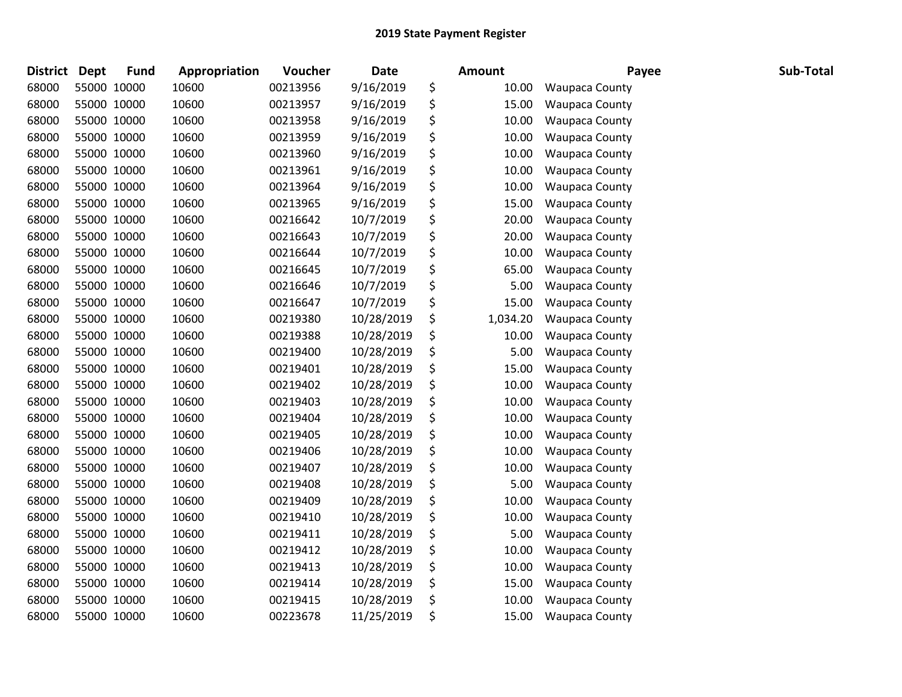| <b>District</b> | <b>Dept</b> | <b>Fund</b> | Appropriation | Voucher  | Date       | Amount         | Payee                 | Sub-Total |
|-----------------|-------------|-------------|---------------|----------|------------|----------------|-----------------------|-----------|
| 68000           | 55000 10000 |             | 10600         | 00213956 | 9/16/2019  | \$<br>10.00    | <b>Waupaca County</b> |           |
| 68000           |             | 55000 10000 | 10600         | 00213957 | 9/16/2019  | \$<br>15.00    | <b>Waupaca County</b> |           |
| 68000           | 55000 10000 |             | 10600         | 00213958 | 9/16/2019  | \$<br>10.00    | <b>Waupaca County</b> |           |
| 68000           | 55000 10000 |             | 10600         | 00213959 | 9/16/2019  | \$<br>10.00    | <b>Waupaca County</b> |           |
| 68000           | 55000 10000 |             | 10600         | 00213960 | 9/16/2019  | \$<br>10.00    | <b>Waupaca County</b> |           |
| 68000           | 55000 10000 |             | 10600         | 00213961 | 9/16/2019  | \$<br>10.00    | <b>Waupaca County</b> |           |
| 68000           |             | 55000 10000 | 10600         | 00213964 | 9/16/2019  | \$<br>10.00    | <b>Waupaca County</b> |           |
| 68000           | 55000 10000 |             | 10600         | 00213965 | 9/16/2019  | \$<br>15.00    | Waupaca County        |           |
| 68000           | 55000 10000 |             | 10600         | 00216642 | 10/7/2019  | \$<br>20.00    | Waupaca County        |           |
| 68000           |             | 55000 10000 | 10600         | 00216643 | 10/7/2019  | \$<br>20.00    | <b>Waupaca County</b> |           |
| 68000           | 55000 10000 |             | 10600         | 00216644 | 10/7/2019  | \$<br>10.00    | <b>Waupaca County</b> |           |
| 68000           |             | 55000 10000 | 10600         | 00216645 | 10/7/2019  | \$<br>65.00    | <b>Waupaca County</b> |           |
| 68000           | 55000 10000 |             | 10600         | 00216646 | 10/7/2019  | \$<br>5.00     | <b>Waupaca County</b> |           |
| 68000           | 55000 10000 |             | 10600         | 00216647 | 10/7/2019  | \$<br>15.00    | Waupaca County        |           |
| 68000           | 55000 10000 |             | 10600         | 00219380 | 10/28/2019 | \$<br>1,034.20 | Waupaca County        |           |
| 68000           | 55000 10000 |             | 10600         | 00219388 | 10/28/2019 | \$<br>10.00    | Waupaca County        |           |
| 68000           |             | 55000 10000 | 10600         | 00219400 | 10/28/2019 | \$<br>5.00     | <b>Waupaca County</b> |           |
| 68000           |             | 55000 10000 | 10600         | 00219401 | 10/28/2019 | \$<br>15.00    | Waupaca County        |           |
| 68000           | 55000 10000 |             | 10600         | 00219402 | 10/28/2019 | \$<br>10.00    | Waupaca County        |           |
| 68000           | 55000 10000 |             | 10600         | 00219403 | 10/28/2019 | \$<br>10.00    | Waupaca County        |           |
| 68000           | 55000 10000 |             | 10600         | 00219404 | 10/28/2019 | \$<br>10.00    | Waupaca County        |           |
| 68000           | 55000 10000 |             | 10600         | 00219405 | 10/28/2019 | \$<br>10.00    | Waupaca County        |           |
| 68000           | 55000 10000 |             | 10600         | 00219406 | 10/28/2019 | \$<br>10.00    | <b>Waupaca County</b> |           |
| 68000           | 55000 10000 |             | 10600         | 00219407 | 10/28/2019 | \$<br>10.00    | Waupaca County        |           |
| 68000           |             | 55000 10000 | 10600         | 00219408 | 10/28/2019 | \$<br>5.00     | Waupaca County        |           |
| 68000           |             | 55000 10000 | 10600         | 00219409 | 10/28/2019 | \$<br>10.00    | Waupaca County        |           |
| 68000           | 55000 10000 |             | 10600         | 00219410 | 10/28/2019 | \$<br>10.00    | Waupaca County        |           |
| 68000           | 55000 10000 |             | 10600         | 00219411 | 10/28/2019 | \$<br>5.00     | <b>Waupaca County</b> |           |
| 68000           | 55000 10000 |             | 10600         | 00219412 | 10/28/2019 | \$<br>10.00    | Waupaca County        |           |
| 68000           | 55000 10000 |             | 10600         | 00219413 | 10/28/2019 | \$<br>10.00    | Waupaca County        |           |
| 68000           |             | 55000 10000 | 10600         | 00219414 | 10/28/2019 | \$<br>15.00    | Waupaca County        |           |
| 68000           |             | 55000 10000 | 10600         | 00219415 | 10/28/2019 | \$<br>10.00    | <b>Waupaca County</b> |           |
| 68000           |             | 55000 10000 | 10600         | 00223678 | 11/25/2019 | \$<br>15.00    | <b>Waupaca County</b> |           |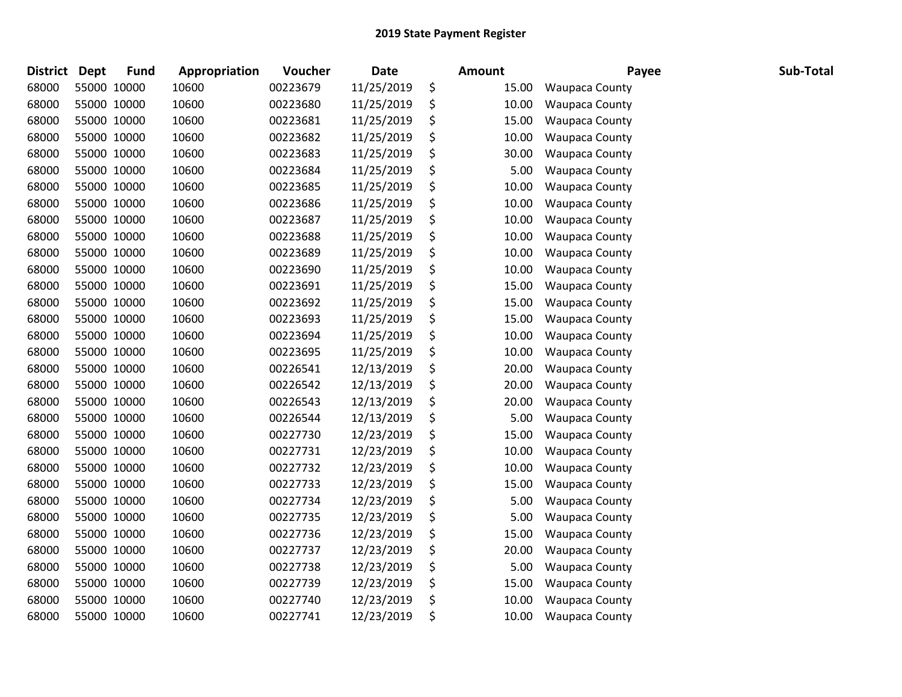| <b>District</b> | <b>Dept</b> | <b>Fund</b> | Appropriation | <b>Voucher</b> | <b>Date</b> | <b>Amount</b> | Payee                 | Sub-Total |
|-----------------|-------------|-------------|---------------|----------------|-------------|---------------|-----------------------|-----------|
| 68000           |             | 55000 10000 | 10600         | 00223679       | 11/25/2019  | \$<br>15.00   | <b>Waupaca County</b> |           |
| 68000           |             | 55000 10000 | 10600         | 00223680       | 11/25/2019  | \$<br>10.00   | <b>Waupaca County</b> |           |
| 68000           |             | 55000 10000 | 10600         | 00223681       | 11/25/2019  | \$<br>15.00   | <b>Waupaca County</b> |           |
| 68000           | 55000 10000 |             | 10600         | 00223682       | 11/25/2019  | \$<br>10.00   | Waupaca County        |           |
| 68000           |             | 55000 10000 | 10600         | 00223683       | 11/25/2019  | \$<br>30.00   | <b>Waupaca County</b> |           |
| 68000           | 55000 10000 |             | 10600         | 00223684       | 11/25/2019  | \$<br>5.00    | <b>Waupaca County</b> |           |
| 68000           |             | 55000 10000 | 10600         | 00223685       | 11/25/2019  | \$<br>10.00   | <b>Waupaca County</b> |           |
| 68000           |             | 55000 10000 | 10600         | 00223686       | 11/25/2019  | \$<br>10.00   | Waupaca County        |           |
| 68000           |             | 55000 10000 | 10600         | 00223687       | 11/25/2019  | \$<br>10.00   | <b>Waupaca County</b> |           |
| 68000           |             | 55000 10000 | 10600         | 00223688       | 11/25/2019  | \$<br>10.00   | Waupaca County        |           |
| 68000           |             | 55000 10000 | 10600         | 00223689       | 11/25/2019  | \$<br>10.00   | <b>Waupaca County</b> |           |
| 68000           |             | 55000 10000 | 10600         | 00223690       | 11/25/2019  | \$<br>10.00   | <b>Waupaca County</b> |           |
| 68000           |             | 55000 10000 | 10600         | 00223691       | 11/25/2019  | \$<br>15.00   | <b>Waupaca County</b> |           |
| 68000           | 55000 10000 |             | 10600         | 00223692       | 11/25/2019  | \$<br>15.00   | <b>Waupaca County</b> |           |
| 68000           |             | 55000 10000 | 10600         | 00223693       | 11/25/2019  | \$<br>15.00   | Waupaca County        |           |
| 68000           |             | 55000 10000 | 10600         | 00223694       | 11/25/2019  | \$<br>10.00   | <b>Waupaca County</b> |           |
| 68000           |             | 55000 10000 | 10600         | 00223695       | 11/25/2019  | \$<br>10.00   | <b>Waupaca County</b> |           |
| 68000           |             | 55000 10000 | 10600         | 00226541       | 12/13/2019  | \$<br>20.00   | <b>Waupaca County</b> |           |
| 68000           |             | 55000 10000 | 10600         | 00226542       | 12/13/2019  | \$<br>20.00   | <b>Waupaca County</b> |           |
| 68000           |             | 55000 10000 | 10600         | 00226543       | 12/13/2019  | \$<br>20.00   | <b>Waupaca County</b> |           |
| 68000           | 55000 10000 |             | 10600         | 00226544       | 12/13/2019  | \$<br>5.00    | <b>Waupaca County</b> |           |
| 68000           |             | 55000 10000 | 10600         | 00227730       | 12/23/2019  | \$<br>15.00   | <b>Waupaca County</b> |           |
| 68000           |             | 55000 10000 | 10600         | 00227731       | 12/23/2019  | \$<br>10.00   | Waupaca County        |           |
| 68000           |             | 55000 10000 | 10600         | 00227732       | 12/23/2019  | \$<br>10.00   | <b>Waupaca County</b> |           |
| 68000           |             | 55000 10000 | 10600         | 00227733       | 12/23/2019  | \$<br>15.00   | Waupaca County        |           |
| 68000           | 55000 10000 |             | 10600         | 00227734       | 12/23/2019  | \$<br>5.00    | <b>Waupaca County</b> |           |
| 68000           |             | 55000 10000 | 10600         | 00227735       | 12/23/2019  | \$<br>5.00    | <b>Waupaca County</b> |           |
| 68000           |             | 55000 10000 | 10600         | 00227736       | 12/23/2019  | \$<br>15.00   | <b>Waupaca County</b> |           |
| 68000           |             | 55000 10000 | 10600         | 00227737       | 12/23/2019  | \$<br>20.00   | Waupaca County        |           |
| 68000           |             | 55000 10000 | 10600         | 00227738       | 12/23/2019  | \$<br>5.00    | <b>Waupaca County</b> |           |
| 68000           |             | 55000 10000 | 10600         | 00227739       | 12/23/2019  | \$<br>15.00   | <b>Waupaca County</b> |           |
| 68000           |             | 55000 10000 | 10600         | 00227740       | 12/23/2019  | \$<br>10.00   | <b>Waupaca County</b> |           |
| 68000           |             | 55000 10000 | 10600         | 00227741       | 12/23/2019  | \$<br>10.00   | <b>Waupaca County</b> |           |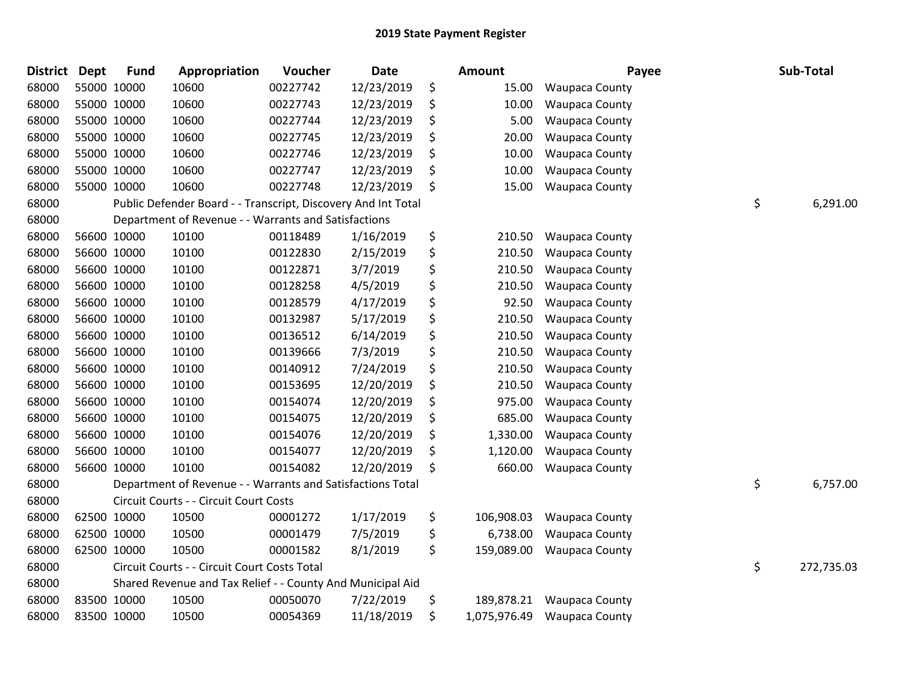| <b>District</b> | <b>Dept</b> | <b>Fund</b> | Appropriation                                                 | Voucher  | <b>Date</b> | Amount             | Payee                 | Sub-Total        |
|-----------------|-------------|-------------|---------------------------------------------------------------|----------|-------------|--------------------|-----------------------|------------------|
| 68000           |             | 55000 10000 | 10600                                                         | 00227742 | 12/23/2019  | \$<br>15.00        | Waupaca County        |                  |
| 68000           |             | 55000 10000 | 10600                                                         | 00227743 | 12/23/2019  | \$<br>10.00        | <b>Waupaca County</b> |                  |
| 68000           |             | 55000 10000 | 10600                                                         | 00227744 | 12/23/2019  | \$<br>5.00         | <b>Waupaca County</b> |                  |
| 68000           |             | 55000 10000 | 10600                                                         | 00227745 | 12/23/2019  | \$<br>20.00        | <b>Waupaca County</b> |                  |
| 68000           |             | 55000 10000 | 10600                                                         | 00227746 | 12/23/2019  | \$<br>10.00        | Waupaca County        |                  |
| 68000           |             | 55000 10000 | 10600                                                         | 00227747 | 12/23/2019  | \$<br>10.00        | <b>Waupaca County</b> |                  |
| 68000           |             | 55000 10000 | 10600                                                         | 00227748 | 12/23/2019  | \$<br>15.00        | <b>Waupaca County</b> |                  |
| 68000           |             |             | Public Defender Board - - Transcript, Discovery And Int Total |          |             |                    |                       | \$<br>6,291.00   |
| 68000           |             |             | Department of Revenue - - Warrants and Satisfactions          |          |             |                    |                       |                  |
| 68000           |             | 56600 10000 | 10100                                                         | 00118489 | 1/16/2019   | \$<br>210.50       | <b>Waupaca County</b> |                  |
| 68000           |             | 56600 10000 | 10100                                                         | 00122830 | 2/15/2019   | \$<br>210.50       | <b>Waupaca County</b> |                  |
| 68000           |             | 56600 10000 | 10100                                                         | 00122871 | 3/7/2019    | \$<br>210.50       | Waupaca County        |                  |
| 68000           |             | 56600 10000 | 10100                                                         | 00128258 | 4/5/2019    | \$<br>210.50       | <b>Waupaca County</b> |                  |
| 68000           |             | 56600 10000 | 10100                                                         | 00128579 | 4/17/2019   | \$<br>92.50        | Waupaca County        |                  |
| 68000           |             | 56600 10000 | 10100                                                         | 00132987 | 5/17/2019   | \$<br>210.50       | Waupaca County        |                  |
| 68000           |             | 56600 10000 | 10100                                                         | 00136512 | 6/14/2019   | \$<br>210.50       | Waupaca County        |                  |
| 68000           |             | 56600 10000 | 10100                                                         | 00139666 | 7/3/2019    | \$<br>210.50       | <b>Waupaca County</b> |                  |
| 68000           |             | 56600 10000 | 10100                                                         | 00140912 | 7/24/2019   | \$<br>210.50       | <b>Waupaca County</b> |                  |
| 68000           |             | 56600 10000 | 10100                                                         | 00153695 | 12/20/2019  | \$<br>210.50       | <b>Waupaca County</b> |                  |
| 68000           |             | 56600 10000 | 10100                                                         | 00154074 | 12/20/2019  | \$<br>975.00       | Waupaca County        |                  |
| 68000           |             | 56600 10000 | 10100                                                         | 00154075 | 12/20/2019  | \$<br>685.00       | <b>Waupaca County</b> |                  |
| 68000           |             | 56600 10000 | 10100                                                         | 00154076 | 12/20/2019  | \$<br>1,330.00     | <b>Waupaca County</b> |                  |
| 68000           |             | 56600 10000 | 10100                                                         | 00154077 | 12/20/2019  | \$<br>1,120.00     | Waupaca County        |                  |
| 68000           |             | 56600 10000 | 10100                                                         | 00154082 | 12/20/2019  | \$<br>660.00       | <b>Waupaca County</b> |                  |
| 68000           |             |             | Department of Revenue - - Warrants and Satisfactions Total    |          |             |                    |                       | \$<br>6,757.00   |
| 68000           |             |             | Circuit Courts - - Circuit Court Costs                        |          |             |                    |                       |                  |
| 68000           |             | 62500 10000 | 10500                                                         | 00001272 | 1/17/2019   | \$<br>106,908.03   | Waupaca County        |                  |
| 68000           |             | 62500 10000 | 10500                                                         | 00001479 | 7/5/2019    | \$<br>6,738.00     | Waupaca County        |                  |
| 68000           |             | 62500 10000 | 10500                                                         | 00001582 | 8/1/2019    | \$<br>159,089.00   | <b>Waupaca County</b> |                  |
| 68000           |             |             | Circuit Courts - - Circuit Court Costs Total                  |          |             |                    |                       | \$<br>272,735.03 |
| 68000           |             |             | Shared Revenue and Tax Relief - - County And Municipal Aid    |          |             |                    |                       |                  |
| 68000           |             | 83500 10000 | 10500                                                         | 00050070 | 7/22/2019   | \$<br>189,878.21   | <b>Waupaca County</b> |                  |
| 68000           |             | 83500 10000 | 10500                                                         | 00054369 | 11/18/2019  | \$<br>1,075,976.49 | <b>Waupaca County</b> |                  |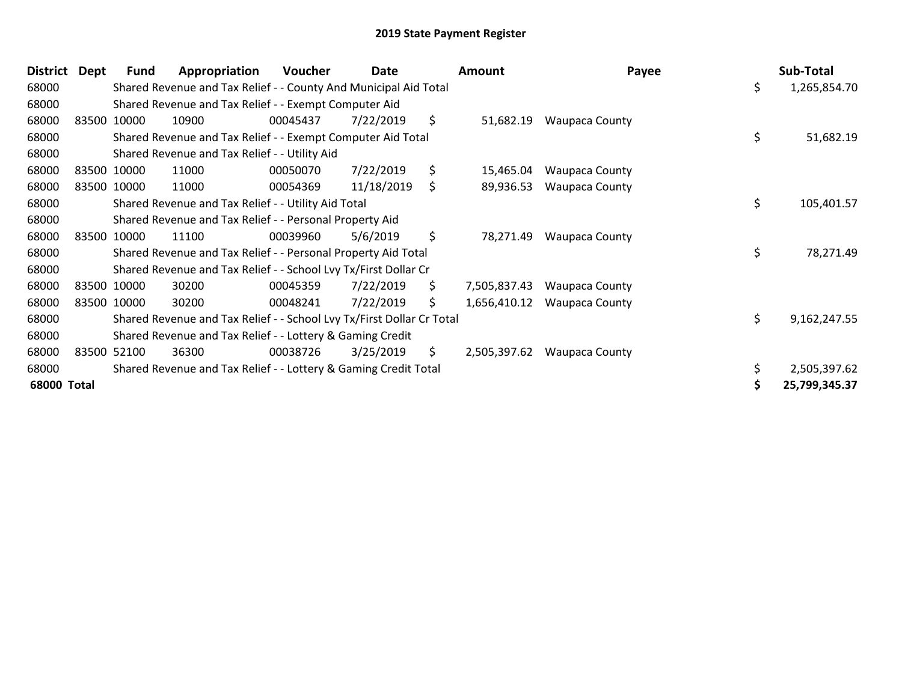| <b>District</b> | Dept | <b>Fund</b> | Appropriation                                                         | Voucher  | Date       |     | <b>Amount</b> | Payee                 |    | Sub-Total     |
|-----------------|------|-------------|-----------------------------------------------------------------------|----------|------------|-----|---------------|-----------------------|----|---------------|
| 68000           |      |             | Shared Revenue and Tax Relief - - County And Municipal Aid Total      |          |            |     |               |                       | \$ | 1,265,854.70  |
| 68000           |      |             | Shared Revenue and Tax Relief - - Exempt Computer Aid                 |          |            |     |               |                       |    |               |
| 68000           |      | 83500 10000 | 10900                                                                 | 00045437 | 7/22/2019  | \$  | 51,682.19     | <b>Waupaca County</b> |    |               |
| 68000           |      |             | Shared Revenue and Tax Relief - - Exempt Computer Aid Total           |          |            |     |               |                       | \$ | 51,682.19     |
| 68000           |      |             | Shared Revenue and Tax Relief - - Utility Aid                         |          |            |     |               |                       |    |               |
| 68000           |      | 83500 10000 | 11000                                                                 | 00050070 | 7/22/2019  | \$  | 15,465.04     | <b>Waupaca County</b> |    |               |
| 68000           |      | 83500 10000 | 11000                                                                 | 00054369 | 11/18/2019 | \$  | 89,936.53     | <b>Waupaca County</b> |    |               |
| 68000           |      |             | Shared Revenue and Tax Relief - - Utility Aid Total                   |          |            |     |               |                       | \$ | 105,401.57    |
| 68000           |      |             | Shared Revenue and Tax Relief - - Personal Property Aid               |          |            |     |               |                       |    |               |
| 68000           |      | 83500 10000 | 11100                                                                 | 00039960 | 5/6/2019   | \$  | 78,271.49     | <b>Waupaca County</b> |    |               |
| 68000           |      |             | Shared Revenue and Tax Relief - - Personal Property Aid Total         |          |            |     |               |                       | \$ | 78,271.49     |
| 68000           |      |             | Shared Revenue and Tax Relief - - School Lvy Tx/First Dollar Cr       |          |            |     |               |                       |    |               |
| 68000           |      | 83500 10000 | 30200                                                                 | 00045359 | 7/22/2019  | \$  | 7,505,837.43  | <b>Waupaca County</b> |    |               |
| 68000           |      | 83500 10000 | 30200                                                                 | 00048241 | 7/22/2019  | \$  | 1,656,410.12  | <b>Waupaca County</b> |    |               |
| 68000           |      |             | Shared Revenue and Tax Relief - - School Lvy Tx/First Dollar Cr Total |          |            |     |               |                       | \$ | 9,162,247.55  |
| 68000           |      |             | Shared Revenue and Tax Relief - - Lottery & Gaming Credit             |          |            |     |               |                       |    |               |
| 68000           |      | 83500 52100 | 36300                                                                 | 00038726 | 3/25/2019  | \$. | 2,505,397.62  | <b>Waupaca County</b> |    |               |
| 68000           |      |             | Shared Revenue and Tax Relief - - Lottery & Gaming Credit Total       |          |            |     |               |                       |    | 2,505,397.62  |
| 68000 Total     |      |             |                                                                       |          |            |     |               |                       | S  | 25,799,345.37 |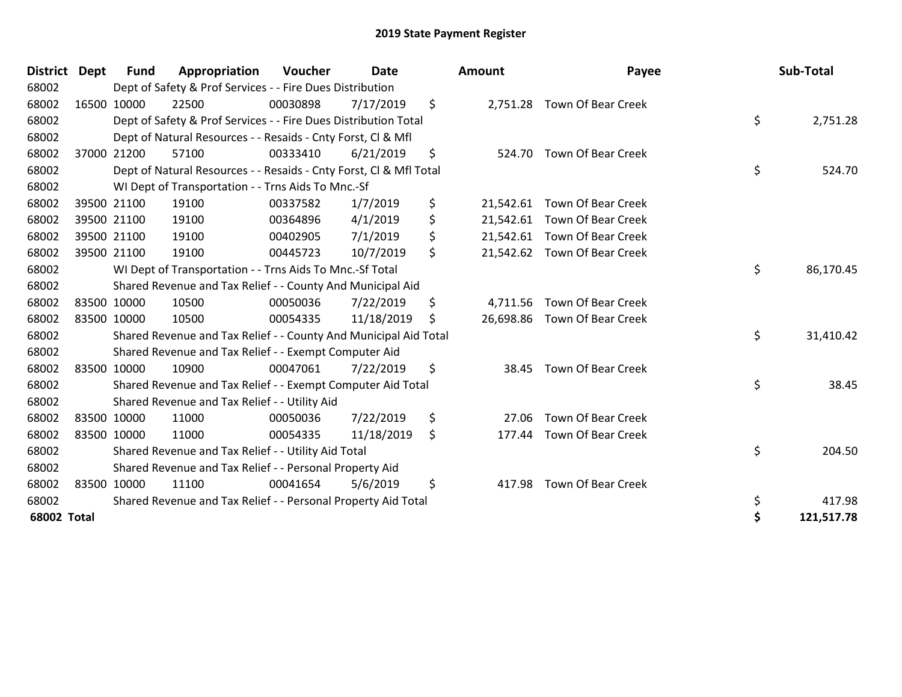| <b>District</b> | <b>Dept</b> | <b>Fund</b> | Appropriation                                                      | Voucher  | Date       | <b>Amount</b>  | Payee                        | Sub-Total        |
|-----------------|-------------|-------------|--------------------------------------------------------------------|----------|------------|----------------|------------------------------|------------------|
| 68002           |             |             | Dept of Safety & Prof Services - - Fire Dues Distribution          |          |            |                |                              |                  |
| 68002           |             | 16500 10000 | 22500                                                              | 00030898 | 7/17/2019  | \$             | 2,751.28 Town Of Bear Creek  |                  |
| 68002           |             |             | Dept of Safety & Prof Services - - Fire Dues Distribution Total    |          |            |                |                              | \$<br>2,751.28   |
| 68002           |             |             | Dept of Natural Resources - - Resaids - Cnty Forst, CI & Mfl       |          |            |                |                              |                  |
| 68002           |             | 37000 21200 | 57100                                                              | 00333410 | 6/21/2019  | \$<br>524.70   | <b>Town Of Bear Creek</b>    |                  |
| 68002           |             |             | Dept of Natural Resources - - Resaids - Cnty Forst, CI & Mfl Total |          |            |                |                              | \$<br>524.70     |
| 68002           |             |             | WI Dept of Transportation - - Trns Aids To Mnc.-Sf                 |          |            |                |                              |                  |
| 68002           |             | 39500 21100 | 19100                                                              | 00337582 | 1/7/2019   | \$             | 21,542.61 Town Of Bear Creek |                  |
| 68002           |             | 39500 21100 | 19100                                                              | 00364896 | 4/1/2019   | \$             | 21,542.61 Town Of Bear Creek |                  |
| 68002           |             | 39500 21100 | 19100                                                              | 00402905 | 7/1/2019   | \$             | 21,542.61 Town Of Bear Creek |                  |
| 68002           |             | 39500 21100 | 19100                                                              | 00445723 | 10/7/2019  | \$             | 21,542.62 Town Of Bear Creek |                  |
| 68002           |             |             | WI Dept of Transportation - - Trns Aids To Mnc.-Sf Total           |          |            |                |                              | \$<br>86,170.45  |
| 68002           |             |             | Shared Revenue and Tax Relief - - County And Municipal Aid         |          |            |                |                              |                  |
| 68002           |             | 83500 10000 | 10500                                                              | 00050036 | 7/22/2019  | \$<br>4,711.56 | <b>Town Of Bear Creek</b>    |                  |
| 68002           |             | 83500 10000 | 10500                                                              | 00054335 | 11/18/2019 | \$             | 26,698.86 Town Of Bear Creek |                  |
| 68002           |             |             | Shared Revenue and Tax Relief - - County And Municipal Aid Total   |          |            |                |                              | \$<br>31,410.42  |
| 68002           |             |             | Shared Revenue and Tax Relief - - Exempt Computer Aid              |          |            |                |                              |                  |
| 68002           |             | 83500 10000 | 10900                                                              | 00047061 | 7/22/2019  | \$<br>38.45    | <b>Town Of Bear Creek</b>    |                  |
| 68002           |             |             | Shared Revenue and Tax Relief - - Exempt Computer Aid Total        |          |            |                |                              | \$<br>38.45      |
| 68002           |             |             | Shared Revenue and Tax Relief - - Utility Aid                      |          |            |                |                              |                  |
| 68002           |             | 83500 10000 | 11000                                                              | 00050036 | 7/22/2019  | \$<br>27.06    | <b>Town Of Bear Creek</b>    |                  |
| 68002           |             | 83500 10000 | 11000                                                              | 00054335 | 11/18/2019 | \$<br>177.44   | <b>Town Of Bear Creek</b>    |                  |
| 68002           |             |             | Shared Revenue and Tax Relief - - Utility Aid Total                |          |            |                |                              | \$<br>204.50     |
| 68002           |             |             | Shared Revenue and Tax Relief - - Personal Property Aid            |          |            |                |                              |                  |
| 68002           |             | 83500 10000 | 11100                                                              | 00041654 | 5/6/2019   | \$<br>417.98   | <b>Town Of Bear Creek</b>    |                  |
| 68002           |             |             | Shared Revenue and Tax Relief - - Personal Property Aid Total      |          |            |                |                              | \$<br>417.98     |
| 68002 Total     |             |             |                                                                    |          |            |                |                              | \$<br>121,517.78 |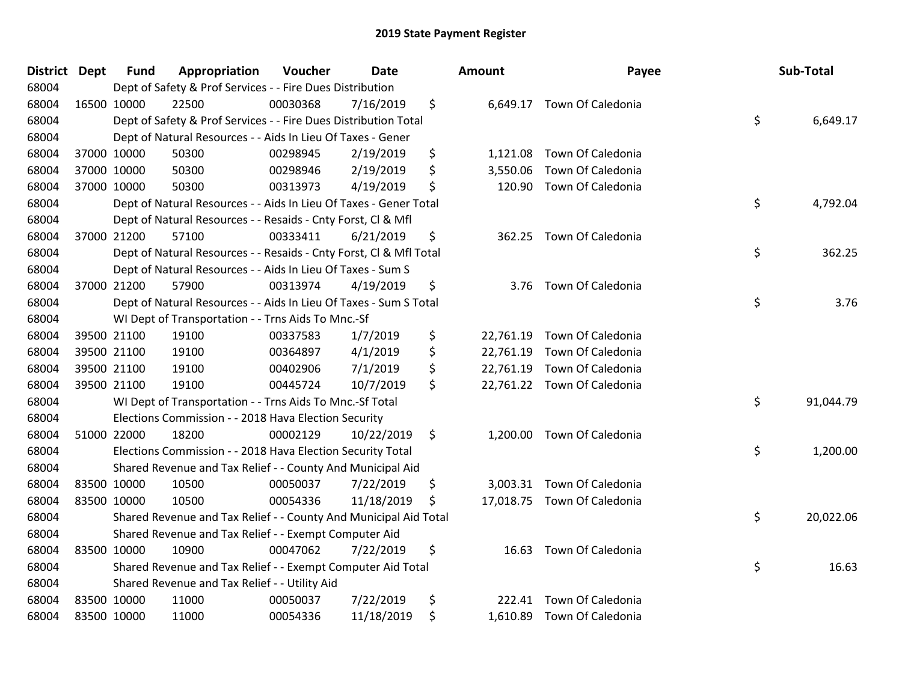| <b>District Dept</b> | <b>Fund</b> | Appropriation                                                      | Voucher  | <b>Date</b> | <b>Amount</b>   | Payee                       | Sub-Total       |
|----------------------|-------------|--------------------------------------------------------------------|----------|-------------|-----------------|-----------------------------|-----------------|
| 68004                |             | Dept of Safety & Prof Services - - Fire Dues Distribution          |          |             |                 |                             |                 |
| 68004                | 16500 10000 | 22500                                                              | 00030368 | 7/16/2019   | \$              | 6,649.17 Town Of Caledonia  |                 |
| 68004                |             | Dept of Safety & Prof Services - - Fire Dues Distribution Total    |          |             |                 |                             | \$<br>6,649.17  |
| 68004                |             | Dept of Natural Resources - - Aids In Lieu Of Taxes - Gener        |          |             |                 |                             |                 |
| 68004                | 37000 10000 | 50300                                                              | 00298945 | 2/19/2019   | \$<br>1,121.08  | Town Of Caledonia           |                 |
| 68004                | 37000 10000 | 50300                                                              | 00298946 | 2/19/2019   | \$<br>3,550.06  | Town Of Caledonia           |                 |
| 68004                | 37000 10000 | 50300                                                              | 00313973 | 4/19/2019   | \$<br>120.90    | <b>Town Of Caledonia</b>    |                 |
| 68004                |             | Dept of Natural Resources - - Aids In Lieu Of Taxes - Gener Total  |          |             |                 |                             | \$<br>4,792.04  |
| 68004                |             | Dept of Natural Resources - - Resaids - Cnty Forst, CI & MfI       |          |             |                 |                             |                 |
| 68004                | 37000 21200 | 57100                                                              | 00333411 | 6/21/2019   | \$              | 362.25 Town Of Caledonia    |                 |
| 68004                |             | Dept of Natural Resources - - Resaids - Cnty Forst, Cl & Mfl Total |          |             |                 |                             | \$<br>362.25    |
| 68004                |             | Dept of Natural Resources - - Aids In Lieu Of Taxes - Sum S        |          |             |                 |                             |                 |
| 68004                | 37000 21200 | 57900                                                              | 00313974 | 4/19/2019   | \$<br>3.76      | Town Of Caledonia           |                 |
| 68004                |             | Dept of Natural Resources - - Aids In Lieu Of Taxes - Sum S Total  |          |             |                 |                             | \$<br>3.76      |
| 68004                |             | WI Dept of Transportation - - Trns Aids To Mnc.-Sf                 |          |             |                 |                             |                 |
| 68004                | 39500 21100 | 19100                                                              | 00337583 | 1/7/2019    | \$<br>22,761.19 | Town Of Caledonia           |                 |
| 68004                | 39500 21100 | 19100                                                              | 00364897 | 4/1/2019    | \$<br>22,761.19 | Town Of Caledonia           |                 |
| 68004                | 39500 21100 | 19100                                                              | 00402906 | 7/1/2019    | \$<br>22,761.19 | Town Of Caledonia           |                 |
| 68004                | 39500 21100 | 19100                                                              | 00445724 | 10/7/2019   | \$              | 22,761.22 Town Of Caledonia |                 |
| 68004                |             | WI Dept of Transportation - - Trns Aids To Mnc.-Sf Total           |          |             |                 |                             | \$<br>91,044.79 |
| 68004                |             | Elections Commission - - 2018 Hava Election Security               |          |             |                 |                             |                 |
| 68004                | 51000 22000 | 18200                                                              | 00002129 | 10/22/2019  | \$<br>1,200.00  | Town Of Caledonia           |                 |
| 68004                |             | Elections Commission - - 2018 Hava Election Security Total         |          |             |                 |                             | \$<br>1,200.00  |
| 68004                |             | Shared Revenue and Tax Relief - - County And Municipal Aid         |          |             |                 |                             |                 |
| 68004                | 83500 10000 | 10500                                                              | 00050037 | 7/22/2019   | \$              | 3,003.31 Town Of Caledonia  |                 |
| 68004                | 83500 10000 | 10500                                                              | 00054336 | 11/18/2019  | \$              | 17,018.75 Town Of Caledonia |                 |
| 68004                |             | Shared Revenue and Tax Relief - - County And Municipal Aid Total   |          |             |                 |                             | \$<br>20,022.06 |
| 68004                |             | Shared Revenue and Tax Relief - - Exempt Computer Aid              |          |             |                 |                             |                 |
| 68004                | 83500 10000 | 10900                                                              | 00047062 | 7/22/2019   | \$<br>16.63     | Town Of Caledonia           |                 |
| 68004                |             | Shared Revenue and Tax Relief - - Exempt Computer Aid Total        |          |             |                 |                             | \$<br>16.63     |
| 68004                |             | Shared Revenue and Tax Relief - - Utility Aid                      |          |             |                 |                             |                 |
| 68004                | 83500 10000 | 11000                                                              | 00050037 | 7/22/2019   | \$<br>222.41    | Town Of Caledonia           |                 |
| 68004                | 83500 10000 | 11000                                                              | 00054336 | 11/18/2019  | \$              | 1,610.89 Town Of Caledonia  |                 |
|                      |             |                                                                    |          |             |                 |                             |                 |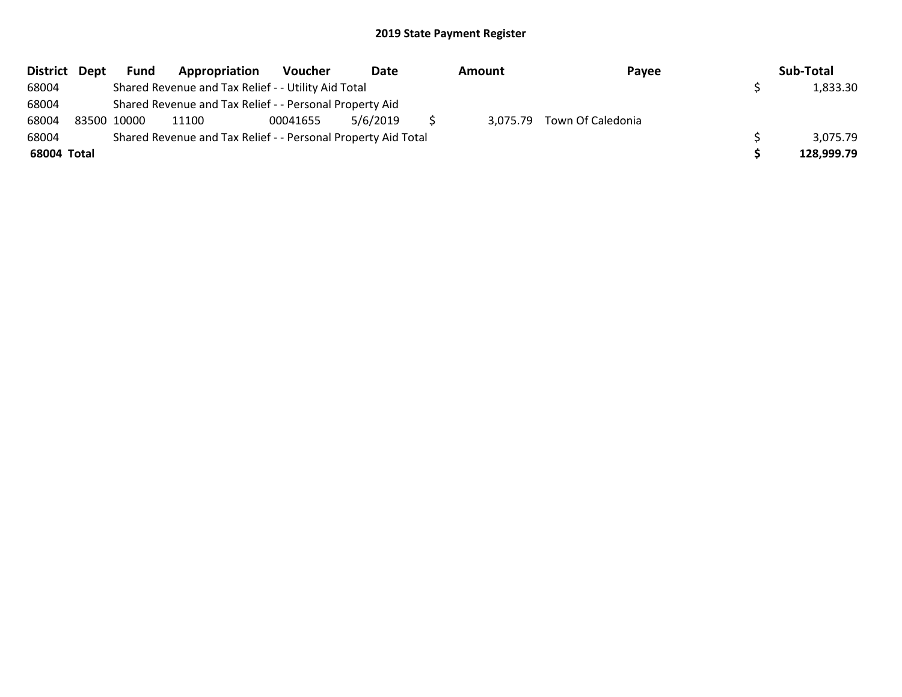|             | District Dept | <b>Fund</b> | Appropriation                                                 | <b>Voucher</b> | Date     | Amount | Payee                      | Sub-Total  |
|-------------|---------------|-------------|---------------------------------------------------------------|----------------|----------|--------|----------------------------|------------|
| 68004       |               |             | Shared Revenue and Tax Relief - - Utility Aid Total           |                |          |        |                            | 1,833.30   |
| 68004       |               |             | Shared Revenue and Tax Relief - - Personal Property Aid       |                |          |        |                            |            |
| 68004       | 83500 10000   |             | 11100                                                         | 00041655       | 5/6/2019 |        | 3,075.79 Town Of Caledonia |            |
| 68004       |               |             | Shared Revenue and Tax Relief - - Personal Property Aid Total |                |          |        |                            | 3,075.79   |
| 68004 Total |               |             |                                                               |                |          |        |                            | 128,999.79 |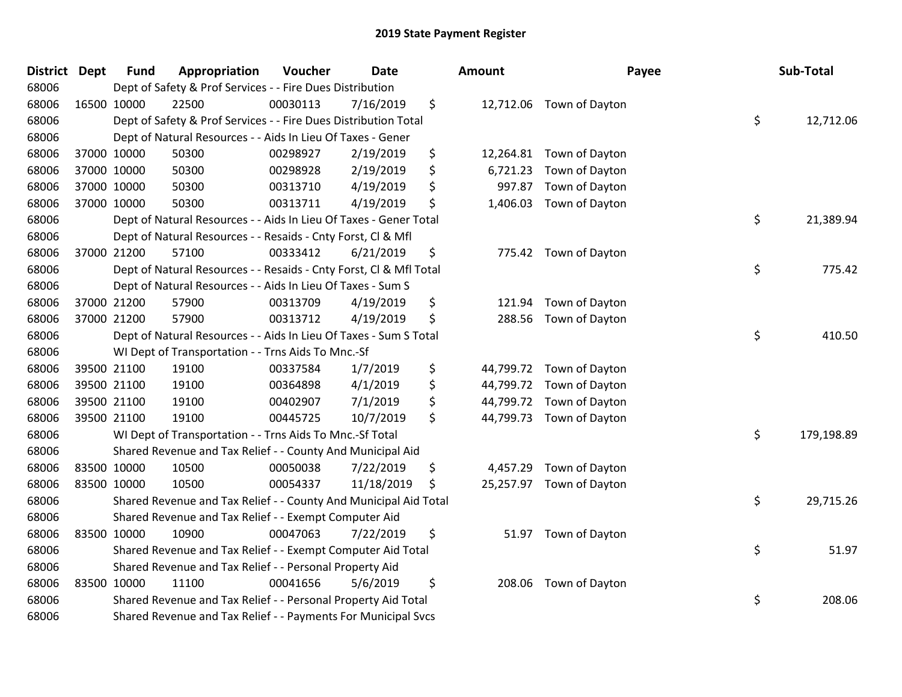| District Dept | <b>Fund</b> | Appropriation                                                      | Voucher  | <b>Date</b> |    | Amount    | Payee                    | Sub-Total        |
|---------------|-------------|--------------------------------------------------------------------|----------|-------------|----|-----------|--------------------------|------------------|
| 68006         |             | Dept of Safety & Prof Services - - Fire Dues Distribution          |          |             |    |           |                          |                  |
| 68006         | 16500 10000 | 22500                                                              | 00030113 | 7/16/2019   | \$ |           | 12,712.06 Town of Dayton |                  |
| 68006         |             | Dept of Safety & Prof Services - - Fire Dues Distribution Total    |          |             |    |           |                          | \$<br>12,712.06  |
| 68006         |             | Dept of Natural Resources - - Aids In Lieu Of Taxes - Gener        |          |             |    |           |                          |                  |
| 68006         | 37000 10000 | 50300                                                              | 00298927 | 2/19/2019   | \$ | 12,264.81 | Town of Dayton           |                  |
| 68006         | 37000 10000 | 50300                                                              | 00298928 | 2/19/2019   | \$ | 6,721.23  | Town of Dayton           |                  |
| 68006         | 37000 10000 | 50300                                                              | 00313710 | 4/19/2019   | \$ | 997.87    | Town of Dayton           |                  |
| 68006         | 37000 10000 | 50300                                                              | 00313711 | 4/19/2019   | \$ | 1,406.03  | Town of Dayton           |                  |
| 68006         |             | Dept of Natural Resources - - Aids In Lieu Of Taxes - Gener Total  |          |             |    |           |                          | \$<br>21,389.94  |
| 68006         |             | Dept of Natural Resources - - Resaids - Cnty Forst, Cl & Mfl       |          |             |    |           |                          |                  |
| 68006         | 37000 21200 | 57100                                                              | 00333412 | 6/21/2019   | \$ |           | 775.42 Town of Dayton    |                  |
| 68006         |             | Dept of Natural Resources - - Resaids - Cnty Forst, Cl & Mfl Total |          |             |    |           |                          | \$<br>775.42     |
| 68006         |             | Dept of Natural Resources - - Aids In Lieu Of Taxes - Sum S        |          |             |    |           |                          |                  |
| 68006         | 37000 21200 | 57900                                                              | 00313709 | 4/19/2019   | \$ | 121.94    | Town of Dayton           |                  |
| 68006         | 37000 21200 | 57900                                                              | 00313712 | 4/19/2019   | \$ | 288.56    | Town of Dayton           |                  |
| 68006         |             | Dept of Natural Resources - - Aids In Lieu Of Taxes - Sum S Total  |          |             |    |           |                          | \$<br>410.50     |
| 68006         |             | WI Dept of Transportation - - Trns Aids To Mnc.-Sf                 |          |             |    |           |                          |                  |
| 68006         | 39500 21100 | 19100                                                              | 00337584 | 1/7/2019    | \$ | 44,799.72 | Town of Dayton           |                  |
| 68006         | 39500 21100 | 19100                                                              | 00364898 | 4/1/2019    | \$ | 44,799.72 | Town of Dayton           |                  |
| 68006         | 39500 21100 | 19100                                                              | 00402907 | 7/1/2019    | \$ | 44,799.72 | Town of Dayton           |                  |
| 68006         | 39500 21100 | 19100                                                              | 00445725 | 10/7/2019   | \$ |           | 44,799.73 Town of Dayton |                  |
| 68006         |             | WI Dept of Transportation - - Trns Aids To Mnc.-Sf Total           |          |             |    |           |                          | \$<br>179,198.89 |
| 68006         |             | Shared Revenue and Tax Relief - - County And Municipal Aid         |          |             |    |           |                          |                  |
| 68006         | 83500 10000 | 10500                                                              | 00050038 | 7/22/2019   | \$ | 4,457.29  | Town of Dayton           |                  |
| 68006         | 83500 10000 | 10500                                                              | 00054337 | 11/18/2019  | \$ | 25,257.97 | Town of Dayton           |                  |
| 68006         |             | Shared Revenue and Tax Relief - - County And Municipal Aid Total   |          |             |    |           |                          | \$<br>29,715.26  |
| 68006         |             | Shared Revenue and Tax Relief - - Exempt Computer Aid              |          |             |    |           |                          |                  |
| 68006         | 83500 10000 | 10900                                                              | 00047063 | 7/22/2019   | \$ |           | 51.97 Town of Dayton     |                  |
| 68006         |             | Shared Revenue and Tax Relief - - Exempt Computer Aid Total        |          |             |    |           |                          | \$<br>51.97      |
| 68006         |             | Shared Revenue and Tax Relief - - Personal Property Aid            |          |             |    |           |                          |                  |
| 68006         | 83500 10000 | 11100                                                              | 00041656 | 5/6/2019    | \$ | 208.06    | Town of Dayton           |                  |
| 68006         |             | Shared Revenue and Tax Relief - - Personal Property Aid Total      |          |             |    |           |                          | \$<br>208.06     |
| 68006         |             | Shared Revenue and Tax Relief - - Payments For Municipal Svcs      |          |             |    |           |                          |                  |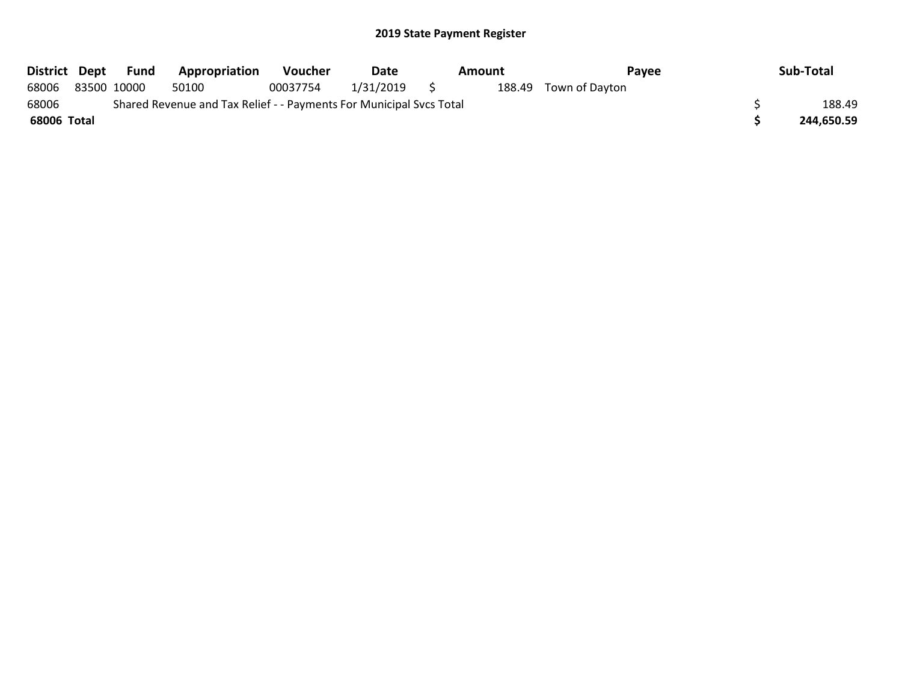| District Dept | Fund        | Appropriation                                                       | <b>Voucher</b> | Date      | Amount | Payee                 | Sub-Total  |
|---------------|-------------|---------------------------------------------------------------------|----------------|-----------|--------|-----------------------|------------|
| 68006         | 83500 10000 | 50100                                                               | 00037754       | 1/31/2019 |        | 188.49 Town of Dayton |            |
| 68006         |             | Shared Revenue and Tax Relief - - Payments For Municipal Svcs Total |                |           |        |                       | 188.49     |
| 68006 Total   |             |                                                                     |                |           |        |                       | 244,650.59 |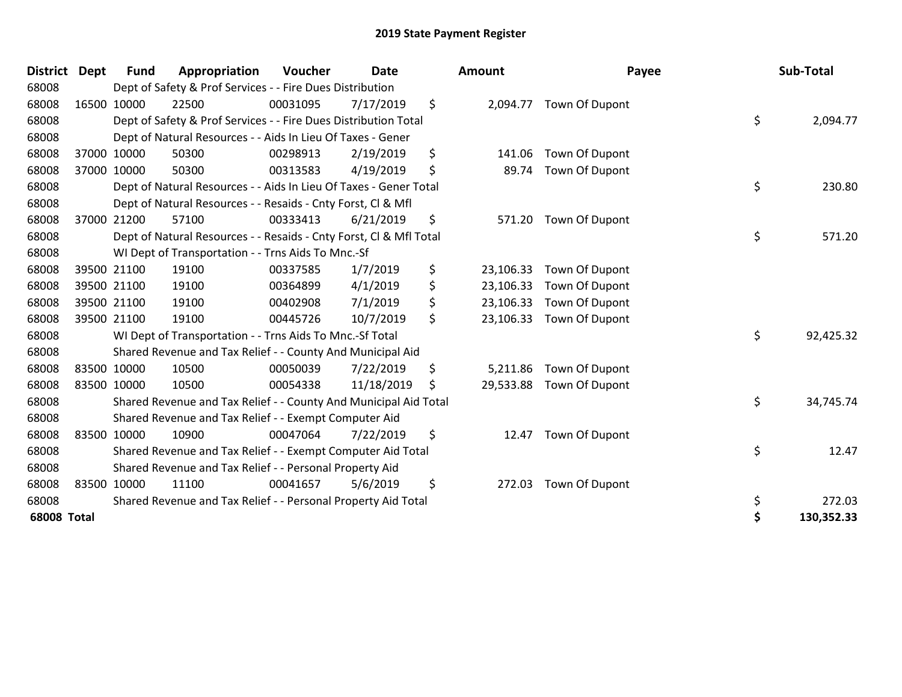| <b>District</b>    | <b>Dept</b> | <b>Fund</b> | Appropriation                                                      | Voucher  | Date       |    | <b>Amount</b> | Payee                   |    | Sub-Total  |
|--------------------|-------------|-------------|--------------------------------------------------------------------|----------|------------|----|---------------|-------------------------|----|------------|
| 68008              |             |             | Dept of Safety & Prof Services - - Fire Dues Distribution          |          |            |    |               |                         |    |            |
| 68008              |             | 16500 10000 | 22500                                                              | 00031095 | 7/17/2019  | \$ |               | 2,094.77 Town Of Dupont |    |            |
| 68008              |             |             | Dept of Safety & Prof Services - - Fire Dues Distribution Total    |          |            |    |               |                         | \$ | 2,094.77   |
| 68008              |             |             | Dept of Natural Resources - - Aids In Lieu Of Taxes - Gener        |          |            |    |               |                         |    |            |
| 68008              |             | 37000 10000 | 50300                                                              | 00298913 | 2/19/2019  | \$ | 141.06        | Town Of Dupont          |    |            |
| 68008              |             | 37000 10000 | 50300                                                              | 00313583 | 4/19/2019  | \$ | 89.74         | Town Of Dupont          |    |            |
| 68008              |             |             | Dept of Natural Resources - - Aids In Lieu Of Taxes - Gener Total  |          |            |    |               |                         | \$ | 230.80     |
| 68008              |             |             | Dept of Natural Resources - - Resaids - Cnty Forst, CI & Mfl       |          |            |    |               |                         |    |            |
| 68008              |             | 37000 21200 | 57100                                                              | 00333413 | 6/21/2019  | \$ | 571.20        | Town Of Dupont          |    |            |
| 68008              |             |             | Dept of Natural Resources - - Resaids - Cnty Forst, CI & Mfl Total |          |            |    |               |                         | \$ | 571.20     |
| 68008              |             |             | WI Dept of Transportation - - Trns Aids To Mnc.-Sf                 |          |            |    |               |                         |    |            |
| 68008              |             | 39500 21100 | 19100                                                              | 00337585 | 1/7/2019   | \$ | 23,106.33     | Town Of Dupont          |    |            |
| 68008              |             | 39500 21100 | 19100                                                              | 00364899 | 4/1/2019   | \$ | 23,106.33     | Town Of Dupont          |    |            |
| 68008              |             | 39500 21100 | 19100                                                              | 00402908 | 7/1/2019   | \$ | 23,106.33     | Town Of Dupont          |    |            |
| 68008              |             | 39500 21100 | 19100                                                              | 00445726 | 10/7/2019  | \$ | 23,106.33     | Town Of Dupont          |    |            |
| 68008              |             |             | WI Dept of Transportation - - Trns Aids To Mnc.-Sf Total           |          |            |    |               |                         | \$ | 92,425.32  |
| 68008              |             |             | Shared Revenue and Tax Relief - - County And Municipal Aid         |          |            |    |               |                         |    |            |
| 68008              |             | 83500 10000 | 10500                                                              | 00050039 | 7/22/2019  | \$ | 5,211.86      | Town Of Dupont          |    |            |
| 68008              | 83500 10000 |             | 10500                                                              | 00054338 | 11/18/2019 | \$ | 29,533.88     | Town Of Dupont          |    |            |
| 68008              |             |             | Shared Revenue and Tax Relief - - County And Municipal Aid Total   |          |            |    |               |                         | \$ | 34,745.74  |
| 68008              |             |             | Shared Revenue and Tax Relief - - Exempt Computer Aid              |          |            |    |               |                         |    |            |
| 68008              |             | 83500 10000 | 10900                                                              | 00047064 | 7/22/2019  | \$ | 12.47         | Town Of Dupont          |    |            |
| 68008              |             |             | Shared Revenue and Tax Relief - - Exempt Computer Aid Total        |          |            |    |               |                         | \$ | 12.47      |
| 68008              |             |             | Shared Revenue and Tax Relief - - Personal Property Aid            |          |            |    |               |                         |    |            |
| 68008              |             | 83500 10000 | 11100                                                              | 00041657 | 5/6/2019   | \$ | 272.03        | Town Of Dupont          |    |            |
| 68008              |             |             | Shared Revenue and Tax Relief - - Personal Property Aid Total      |          |            |    |               |                         | \$ | 272.03     |
| <b>68008 Total</b> |             |             |                                                                    |          |            |    |               |                         | \$ | 130,352.33 |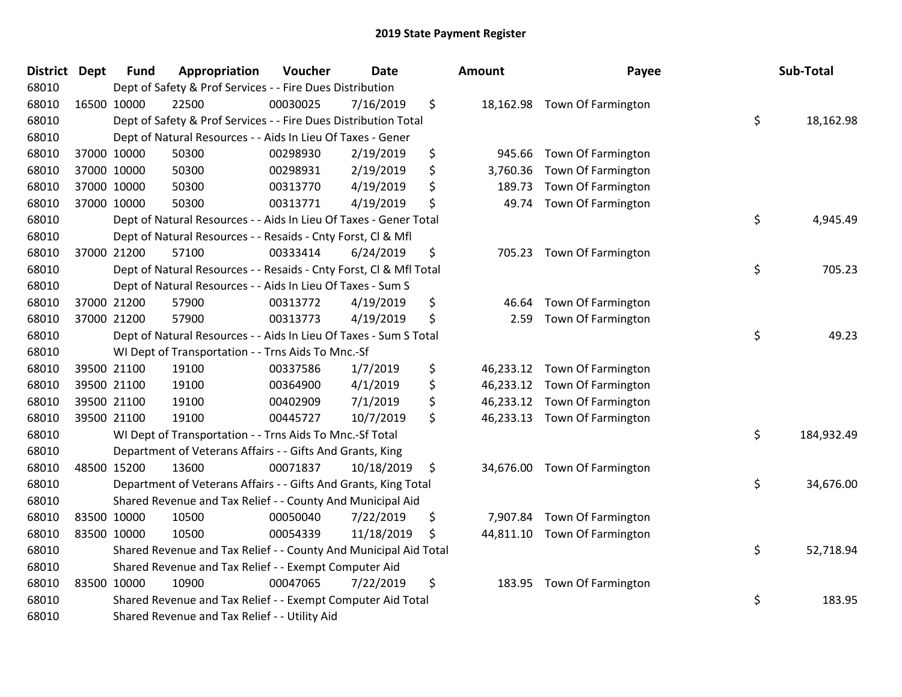| District Dept | <b>Fund</b> | Appropriation                                                      | Voucher  | Date       | <b>Amount</b>   | Payee                        | Sub-Total        |
|---------------|-------------|--------------------------------------------------------------------|----------|------------|-----------------|------------------------------|------------------|
| 68010         |             | Dept of Safety & Prof Services - - Fire Dues Distribution          |          |            |                 |                              |                  |
| 68010         | 16500 10000 | 22500                                                              | 00030025 | 7/16/2019  | \$              | 18,162.98 Town Of Farmington |                  |
| 68010         |             | Dept of Safety & Prof Services - - Fire Dues Distribution Total    |          |            |                 |                              | \$<br>18,162.98  |
| 68010         |             | Dept of Natural Resources - - Aids In Lieu Of Taxes - Gener        |          |            |                 |                              |                  |
| 68010         | 37000 10000 | 50300                                                              | 00298930 | 2/19/2019  | \$<br>945.66    | Town Of Farmington           |                  |
| 68010         | 37000 10000 | 50300                                                              | 00298931 | 2/19/2019  | \$<br>3,760.36  | Town Of Farmington           |                  |
| 68010         | 37000 10000 | 50300                                                              | 00313770 | 4/19/2019  | \$<br>189.73    | Town Of Farmington           |                  |
| 68010         | 37000 10000 | 50300                                                              | 00313771 | 4/19/2019  | \$<br>49.74     | Town Of Farmington           |                  |
| 68010         |             | Dept of Natural Resources - - Aids In Lieu Of Taxes - Gener Total  |          |            |                 |                              | \$<br>4,945.49   |
| 68010         |             | Dept of Natural Resources - - Resaids - Cnty Forst, Cl & Mfl       |          |            |                 |                              |                  |
| 68010         | 37000 21200 | 57100                                                              | 00333414 | 6/24/2019  | \$              | 705.23 Town Of Farmington    |                  |
| 68010         |             | Dept of Natural Resources - - Resaids - Cnty Forst, Cl & Mfl Total |          |            |                 |                              | \$<br>705.23     |
| 68010         |             | Dept of Natural Resources - - Aids In Lieu Of Taxes - Sum S        |          |            |                 |                              |                  |
| 68010         | 37000 21200 | 57900                                                              | 00313772 | 4/19/2019  | \$<br>46.64     | Town Of Farmington           |                  |
| 68010         | 37000 21200 | 57900                                                              | 00313773 | 4/19/2019  | \$<br>2.59      | Town Of Farmington           |                  |
| 68010         |             | Dept of Natural Resources - - Aids In Lieu Of Taxes - Sum S Total  |          |            |                 |                              | \$<br>49.23      |
| 68010         |             | WI Dept of Transportation - - Trns Aids To Mnc.-Sf                 |          |            |                 |                              |                  |
| 68010         | 39500 21100 | 19100                                                              | 00337586 | 1/7/2019   | \$<br>46,233.12 | Town Of Farmington           |                  |
| 68010         | 39500 21100 | 19100                                                              | 00364900 | 4/1/2019   | \$<br>46,233.12 | Town Of Farmington           |                  |
| 68010         | 39500 21100 | 19100                                                              | 00402909 | 7/1/2019   | \$<br>46,233.12 | Town Of Farmington           |                  |
| 68010         | 39500 21100 | 19100                                                              | 00445727 | 10/7/2019  | \$<br>46,233.13 | Town Of Farmington           |                  |
| 68010         |             | WI Dept of Transportation - - Trns Aids To Mnc.-Sf Total           |          |            |                 |                              | \$<br>184,932.49 |
| 68010         |             | Department of Veterans Affairs - - Gifts And Grants, King          |          |            |                 |                              |                  |
| 68010         | 48500 15200 | 13600                                                              | 00071837 | 10/18/2019 | \$<br>34,676.00 | Town Of Farmington           |                  |
| 68010         |             | Department of Veterans Affairs - - Gifts And Grants, King Total    |          |            |                 |                              | \$<br>34,676.00  |
| 68010         |             | Shared Revenue and Tax Relief - - County And Municipal Aid         |          |            |                 |                              |                  |
| 68010         | 83500 10000 | 10500                                                              | 00050040 | 7/22/2019  | \$<br>7,907.84  | Town Of Farmington           |                  |
| 68010         | 83500 10000 | 10500                                                              | 00054339 | 11/18/2019 | \$<br>44,811.10 | Town Of Farmington           |                  |
| 68010         |             | Shared Revenue and Tax Relief - - County And Municipal Aid Total   |          |            |                 |                              | \$<br>52,718.94  |
| 68010         |             | Shared Revenue and Tax Relief - - Exempt Computer Aid              |          |            |                 |                              |                  |
| 68010         | 83500 10000 | 10900                                                              | 00047065 | 7/22/2019  | \$<br>183.95    | <b>Town Of Farmington</b>    |                  |
| 68010         |             | Shared Revenue and Tax Relief - - Exempt Computer Aid Total        |          |            |                 |                              | \$<br>183.95     |
| 68010         |             | Shared Revenue and Tax Relief - - Utility Aid                      |          |            |                 |                              |                  |

| Sup-Total  | rayee                                                                                | ounτ                                             |
|------------|--------------------------------------------------------------------------------------|--------------------------------------------------|
| 18,162.98  | \$<br>Town Of Farmington                                                             | 18,162.98                                        |
|            | Town Of Farmington<br>Town Of Farmington<br>Town Of Farmington<br>Town Of Farmington | 945.66<br>3,760.36<br>189.73<br>49.74            |
| 4,945.49   | \$                                                                                   |                                                  |
| 705.23     | \$<br>Town Of Farmington                                                             | 705.23                                           |
| 49.23      | \$<br>Town Of Farmington<br>Town Of Farmington                                       | 46.64<br>2.59                                    |
|            | Town Of Farmington<br>Town Of Farmington<br>Town Of Farmington<br>Town Of Farmington | 46,233.12<br>46,233.12<br>46,233.12<br>46,233.13 |
| 184,932.49 | \$                                                                                   |                                                  |
| 34,676.00  | \$<br>Town Of Farmington                                                             | 34,676.00                                        |
|            | Town Of Farmington                                                                   | 7,907.84                                         |
| 52,718.94  | \$<br>Town Of Farmington                                                             | 44,811.10                                        |
| 183.95     | \$<br>Town Of Farmington                                                             | 183.95                                           |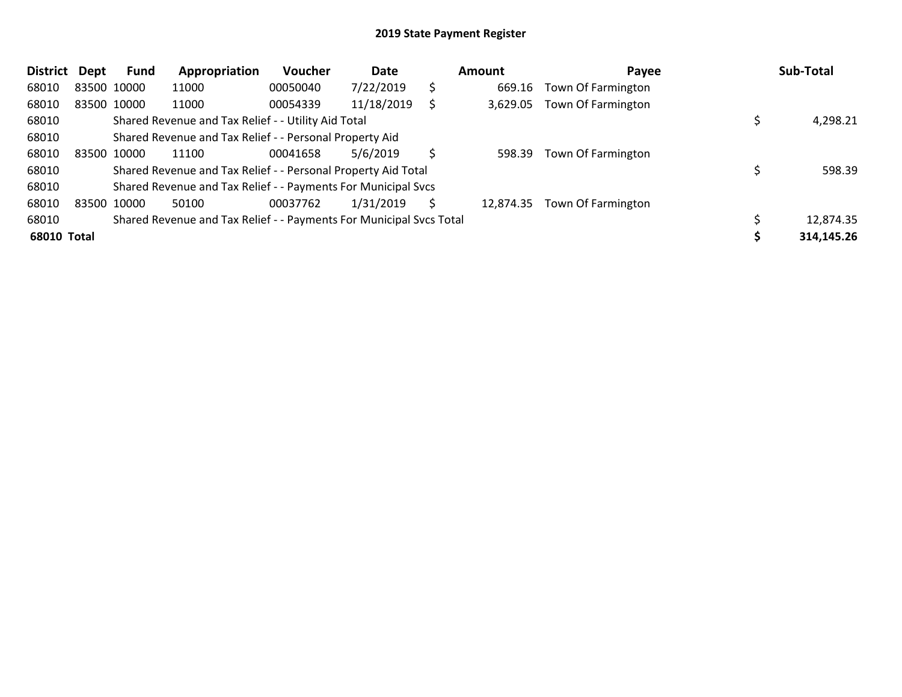| <b>District</b> | <b>Dept</b> | <b>Fund</b> | Appropriation                                                       | <b>Voucher</b> | Date       |    | Amount    | Payee              | Sub-Total  |
|-----------------|-------------|-------------|---------------------------------------------------------------------|----------------|------------|----|-----------|--------------------|------------|
| 68010           |             | 83500 10000 | 11000                                                               | 00050040       | 7/22/2019  | \$ | 669.16    | Town Of Farmington |            |
| 68010           |             | 83500 10000 | 11000                                                               | 00054339       | 11/18/2019 |    | 3,629.05  | Town Of Farmington |            |
| 68010           |             |             | Shared Revenue and Tax Relief - - Utility Aid Total                 |                |            |    |           |                    | 4,298.21   |
| 68010           |             |             | Shared Revenue and Tax Relief - - Personal Property Aid             |                |            |    |           |                    |            |
| 68010           |             | 83500 10000 | 11100                                                               | 00041658       | 5/6/2019   | Ŝ  | 598.39    | Town Of Farmington |            |
| 68010           |             |             | Shared Revenue and Tax Relief - - Personal Property Aid Total       |                |            |    |           |                    | 598.39     |
| 68010           |             |             | Shared Revenue and Tax Relief - - Payments For Municipal Svcs       |                |            |    |           |                    |            |
| 68010           |             | 83500 10000 | 50100                                                               | 00037762       | 1/31/2019  | Ś  | 12.874.35 | Town Of Farmington |            |
| 68010           |             |             | Shared Revenue and Tax Relief - - Payments For Municipal Svcs Total |                |            |    |           |                    | 12,874.35  |
| 68010 Total     |             |             |                                                                     |                |            |    |           |                    | 314,145.26 |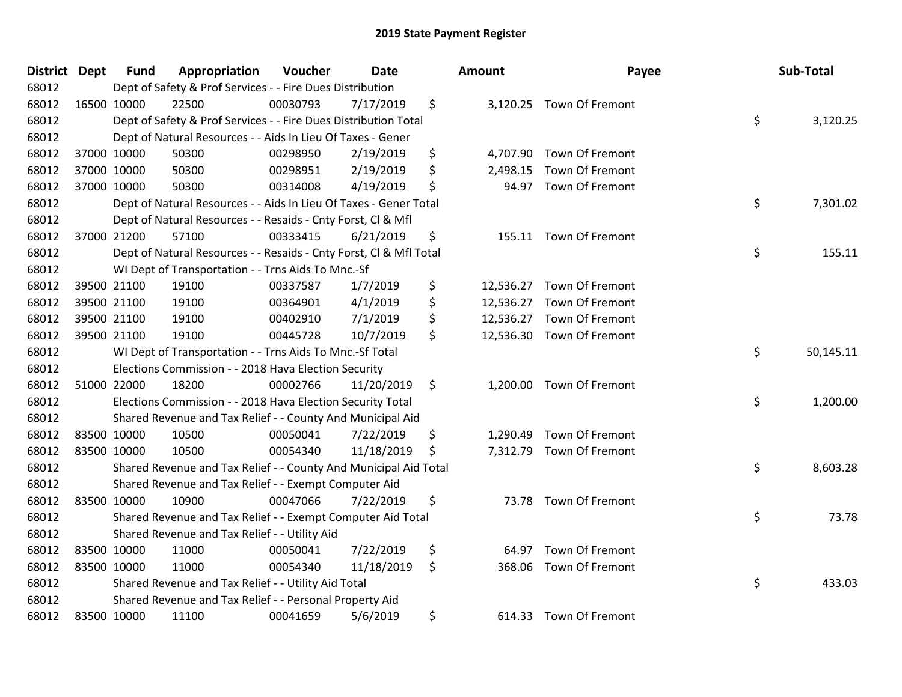| District Dept | <b>Fund</b> | Appropriation                                                      | Voucher  | Date       | <b>Amount</b>  | Payee                     | Sub-Total       |
|---------------|-------------|--------------------------------------------------------------------|----------|------------|----------------|---------------------------|-----------------|
| 68012         |             | Dept of Safety & Prof Services - - Fire Dues Distribution          |          |            |                |                           |                 |
| 68012         | 16500 10000 | 22500                                                              | 00030793 | 7/17/2019  | \$             | 3,120.25 Town Of Fremont  |                 |
| 68012         |             | Dept of Safety & Prof Services - - Fire Dues Distribution Total    |          |            |                |                           | \$<br>3,120.25  |
| 68012         |             | Dept of Natural Resources - - Aids In Lieu Of Taxes - Gener        |          |            |                |                           |                 |
| 68012         | 37000 10000 | 50300                                                              | 00298950 | 2/19/2019  | \$<br>4,707.90 | Town Of Fremont           |                 |
| 68012         | 37000 10000 | 50300                                                              | 00298951 | 2/19/2019  | \$<br>2,498.15 | Town Of Fremont           |                 |
| 68012         | 37000 10000 | 50300                                                              | 00314008 | 4/19/2019  | \$<br>94.97    | Town Of Fremont           |                 |
| 68012         |             | Dept of Natural Resources - - Aids In Lieu Of Taxes - Gener Total  |          |            |                |                           | \$<br>7,301.02  |
| 68012         |             | Dept of Natural Resources - - Resaids - Cnty Forst, Cl & Mfl       |          |            |                |                           |                 |
| 68012         | 37000 21200 | 57100                                                              | 00333415 | 6/21/2019  | \$<br>155.11   | Town Of Fremont           |                 |
| 68012         |             | Dept of Natural Resources - - Resaids - Cnty Forst, Cl & Mfl Total |          |            |                |                           | \$<br>155.11    |
| 68012         |             | WI Dept of Transportation - - Trns Aids To Mnc.-Sf                 |          |            |                |                           |                 |
| 68012         | 39500 21100 | 19100                                                              | 00337587 | 1/7/2019   | \$             | 12,536.27 Town Of Fremont |                 |
| 68012         | 39500 21100 | 19100                                                              | 00364901 | 4/1/2019   | \$             | 12,536.27 Town Of Fremont |                 |
| 68012         | 39500 21100 | 19100                                                              | 00402910 | 7/1/2019   | \$             | 12,536.27 Town Of Fremont |                 |
| 68012         | 39500 21100 | 19100                                                              | 00445728 | 10/7/2019  | \$             | 12,536.30 Town Of Fremont |                 |
| 68012         |             | WI Dept of Transportation - - Trns Aids To Mnc.-Sf Total           |          |            |                |                           | \$<br>50,145.11 |
| 68012         |             | Elections Commission - - 2018 Hava Election Security               |          |            |                |                           |                 |
| 68012         | 51000 22000 | 18200                                                              | 00002766 | 11/20/2019 | \$             | 1,200.00 Town Of Fremont  |                 |
| 68012         |             | Elections Commission - - 2018 Hava Election Security Total         |          |            |                |                           | \$<br>1,200.00  |
| 68012         |             | Shared Revenue and Tax Relief - - County And Municipal Aid         |          |            |                |                           |                 |
| 68012         | 83500 10000 | 10500                                                              | 00050041 | 7/22/2019  | \$<br>1,290.49 | Town Of Fremont           |                 |
| 68012         | 83500 10000 | 10500                                                              | 00054340 | 11/18/2019 | \$             | 7,312.79 Town Of Fremont  |                 |
| 68012         |             | Shared Revenue and Tax Relief - - County And Municipal Aid Total   |          |            |                |                           | \$<br>8,603.28  |
| 68012         |             | Shared Revenue and Tax Relief - - Exempt Computer Aid              |          |            |                |                           |                 |
| 68012         | 83500 10000 | 10900                                                              | 00047066 | 7/22/2019  | \$<br>73.78    | Town Of Fremont           |                 |
| 68012         |             | Shared Revenue and Tax Relief - - Exempt Computer Aid Total        |          |            |                |                           | \$<br>73.78     |
| 68012         |             | Shared Revenue and Tax Relief - - Utility Aid                      |          |            |                |                           |                 |
| 68012         | 83500 10000 | 11000                                                              | 00050041 | 7/22/2019  | \$<br>64.97    | Town Of Fremont           |                 |
| 68012         | 83500 10000 | 11000                                                              | 00054340 | 11/18/2019 | \$<br>368.06   | Town Of Fremont           |                 |
| 68012         |             | Shared Revenue and Tax Relief - - Utility Aid Total                |          |            |                |                           | \$<br>433.03    |
| 68012         |             | Shared Revenue and Tax Relief - - Personal Property Aid            |          |            |                |                           |                 |
| 68012         | 83500 10000 | 11100                                                              | 00041659 | 5/6/2019   | \$             | 614.33 Town Of Fremont    |                 |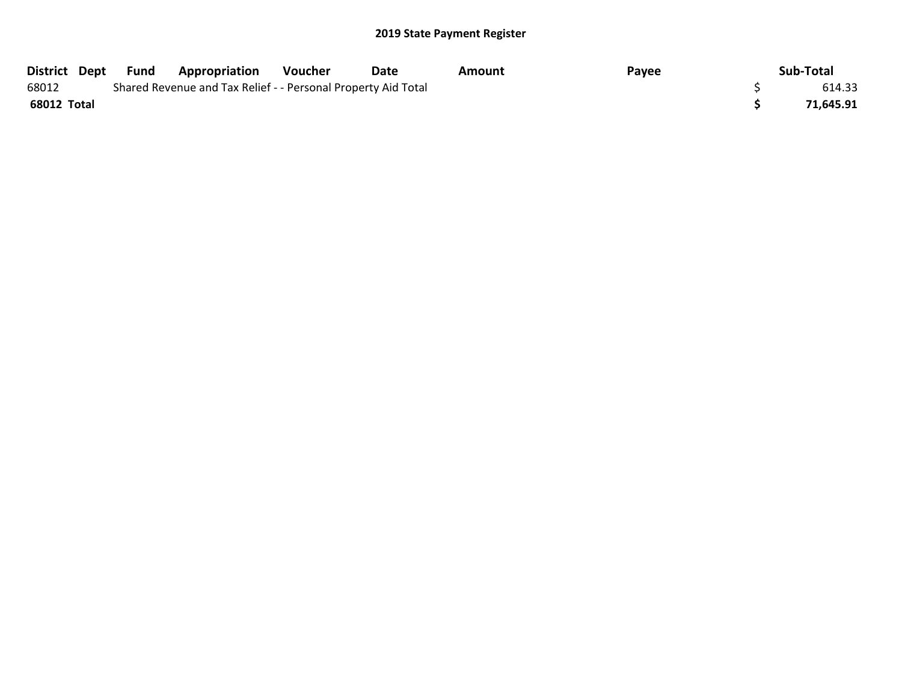| District Dept | Fund | <b>Appropriation</b>                                          | Voucher | Date | Amount | Payee | Sub-Total |
|---------------|------|---------------------------------------------------------------|---------|------|--------|-------|-----------|
| 68012         |      | Shared Revenue and Tax Relief - - Personal Property Aid Total |         |      |        |       | 614.33    |
| 68012 Total   |      |                                                               |         |      |        |       | 71,645.91 |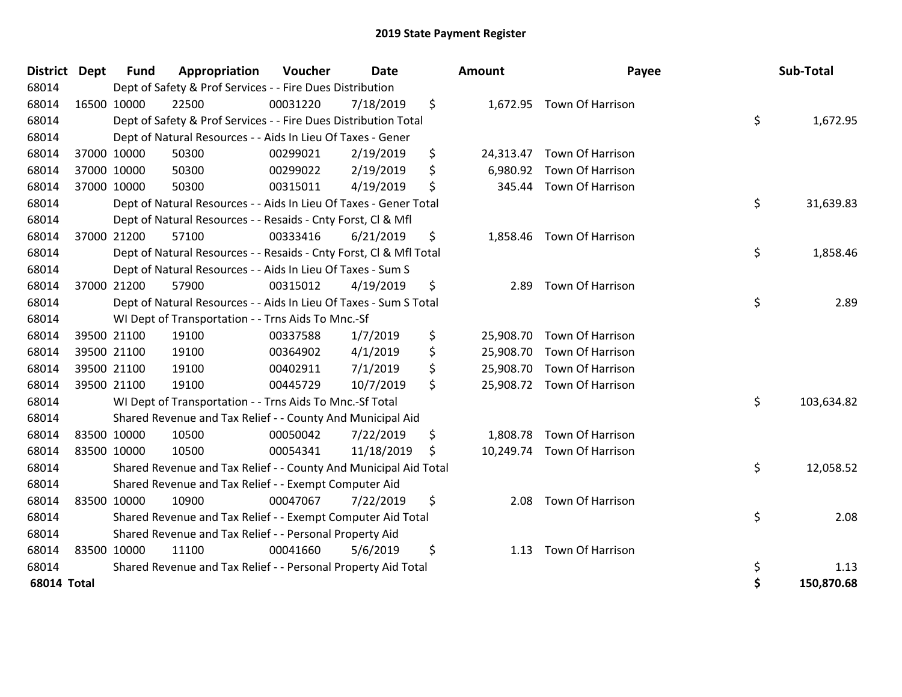| <b>District Dept</b> |             | <b>Fund</b> | Appropriation                                                      | Voucher  | <b>Date</b> | Amount          | Payee                      | Sub-Total        |
|----------------------|-------------|-------------|--------------------------------------------------------------------|----------|-------------|-----------------|----------------------------|------------------|
| 68014                |             |             | Dept of Safety & Prof Services - - Fire Dues Distribution          |          |             |                 |                            |                  |
| 68014                |             | 16500 10000 | 22500                                                              | 00031220 | 7/18/2019   | \$              | 1,672.95 Town Of Harrison  |                  |
| 68014                |             |             | Dept of Safety & Prof Services - - Fire Dues Distribution Total    |          |             |                 |                            | \$<br>1,672.95   |
| 68014                |             |             | Dept of Natural Resources - - Aids In Lieu Of Taxes - Gener        |          |             |                 |                            |                  |
| 68014                |             | 37000 10000 | 50300                                                              | 00299021 | 2/19/2019   | \$<br>24,313.47 | Town Of Harrison           |                  |
| 68014                |             | 37000 10000 | 50300                                                              | 00299022 | 2/19/2019   | \$<br>6,980.92  | Town Of Harrison           |                  |
| 68014                |             | 37000 10000 | 50300                                                              | 00315011 | 4/19/2019   | \$<br>345.44    | <b>Town Of Harrison</b>    |                  |
| 68014                |             |             | Dept of Natural Resources - - Aids In Lieu Of Taxes - Gener Total  |          |             |                 |                            | \$<br>31,639.83  |
| 68014                |             |             | Dept of Natural Resources - - Resaids - Cnty Forst, Cl & Mfl       |          |             |                 |                            |                  |
| 68014                |             | 37000 21200 | 57100                                                              | 00333416 | 6/21/2019   | \$<br>1,858.46  | Town Of Harrison           |                  |
| 68014                |             |             | Dept of Natural Resources - - Resaids - Cnty Forst, Cl & Mfl Total |          |             |                 |                            | \$<br>1,858.46   |
| 68014                |             |             | Dept of Natural Resources - - Aids In Lieu Of Taxes - Sum S        |          |             |                 |                            |                  |
| 68014                |             | 37000 21200 | 57900                                                              | 00315012 | 4/19/2019   | \$<br>2.89      | Town Of Harrison           |                  |
| 68014                |             |             | Dept of Natural Resources - - Aids In Lieu Of Taxes - Sum S Total  |          |             |                 |                            | \$<br>2.89       |
| 68014                |             |             | WI Dept of Transportation - - Trns Aids To Mnc.-Sf                 |          |             |                 |                            |                  |
| 68014                |             | 39500 21100 | 19100                                                              | 00337588 | 1/7/2019    | \$              | 25,908.70 Town Of Harrison |                  |
| 68014                |             | 39500 21100 | 19100                                                              | 00364902 | 4/1/2019    | \$<br>25,908.70 | Town Of Harrison           |                  |
| 68014                |             | 39500 21100 | 19100                                                              | 00402911 | 7/1/2019    | \$              | 25,908.70 Town Of Harrison |                  |
| 68014                |             | 39500 21100 | 19100                                                              | 00445729 | 10/7/2019   | \$              | 25,908.72 Town Of Harrison |                  |
| 68014                |             |             | WI Dept of Transportation - - Trns Aids To Mnc.-Sf Total           |          |             |                 |                            | \$<br>103,634.82 |
| 68014                |             |             | Shared Revenue and Tax Relief - - County And Municipal Aid         |          |             |                 |                            |                  |
| 68014                | 83500 10000 |             | 10500                                                              | 00050042 | 7/22/2019   | \$<br>1,808.78  | Town Of Harrison           |                  |
| 68014                |             | 83500 10000 | 10500                                                              | 00054341 | 11/18/2019  | \$<br>10,249.74 | Town Of Harrison           |                  |
| 68014                |             |             | Shared Revenue and Tax Relief - - County And Municipal Aid Total   |          |             |                 |                            | \$<br>12,058.52  |
| 68014                |             |             | Shared Revenue and Tax Relief - - Exempt Computer Aid              |          |             |                 |                            |                  |
| 68014                |             | 83500 10000 | 10900                                                              | 00047067 | 7/22/2019   | \$<br>2.08      | Town Of Harrison           |                  |
| 68014                |             |             | Shared Revenue and Tax Relief - - Exempt Computer Aid Total        |          |             |                 |                            | \$<br>2.08       |
| 68014                |             |             | Shared Revenue and Tax Relief - - Personal Property Aid            |          |             |                 |                            |                  |
| 68014                |             | 83500 10000 | 11100                                                              | 00041660 | 5/6/2019    | \$<br>1.13      | Town Of Harrison           |                  |
| 68014                |             |             | Shared Revenue and Tax Relief - - Personal Property Aid Total      |          |             |                 |                            | \$<br>1.13       |
| 68014 Total          |             |             |                                                                    |          |             |                 |                            | \$<br>150,870.68 |

| ount      | Payee                      |          | Sub-Total          |
|-----------|----------------------------|----------|--------------------|
| 1,672.95  | Town Of Harrison           | \$       | 1,672.95           |
| 24,313.47 | <b>Town Of Harrison</b>    |          |                    |
|           | 6,980.92 Town Of Harrison  |          |                    |
|           | 345.44 Town Of Harrison    |          |                    |
|           |                            | \$       | 31,639.83          |
| 1,858.46  | Town Of Harrison           |          |                    |
|           |                            | \$       | 1,858.46           |
| 2.89      | Town Of Harrison           |          |                    |
|           |                            | \$       | 2.89               |
|           | 25,908.70 Town Of Harrison |          |                    |
| 25,908.70 | Town Of Harrison           |          |                    |
|           | 25,908.70 Town Of Harrison |          |                    |
| 25,908.72 | Town Of Harrison           |          |                    |
|           |                            | \$       | 103,634.82         |
|           | 1,808.78 Town Of Harrison  |          |                    |
| 10,249.74 | Town Of Harrison           |          |                    |
|           |                            | \$       | 12,058.52          |
| 2.08      | Town Of Harrison           |          |                    |
|           |                            | \$       | 2.08               |
| 1.13      | Town Of Harrison           |          |                    |
|           |                            | \$<br>\$ | 1.13<br>150,870.68 |
|           |                            |          |                    |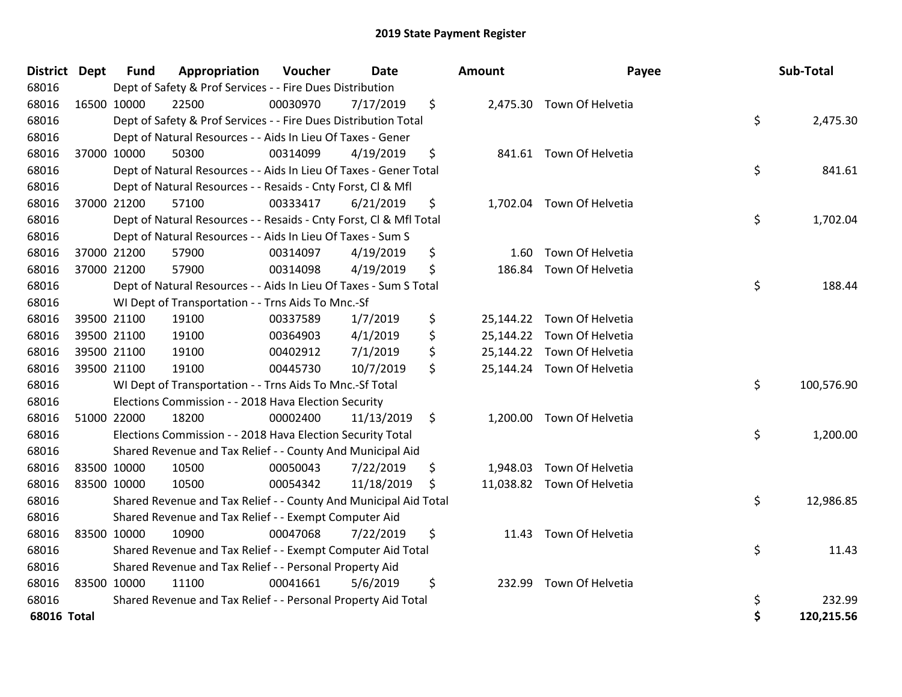| <b>District</b> | <b>Dept</b> | <b>Fund</b>                                                           | Appropriation                                                      | Voucher  | <b>Date</b> |    | <b>Amount</b> | Payee                      |          | Sub-Total  |
|-----------------|-------------|-----------------------------------------------------------------------|--------------------------------------------------------------------|----------|-------------|----|---------------|----------------------------|----------|------------|
| 68016           |             | Dept of Safety & Prof Services - - Fire Dues Distribution             |                                                                    |          |             |    |               |                            |          |            |
| 68016           |             | 16500 10000                                                           | 22500                                                              | 00030970 | 7/17/2019   | \$ |               | 2,475.30 Town Of Helvetia  |          |            |
| 68016           |             | \$<br>Dept of Safety & Prof Services - - Fire Dues Distribution Total |                                                                    |          |             |    |               |                            | 2,475.30 |            |
| 68016           |             | Dept of Natural Resources - - Aids In Lieu Of Taxes - Gener           |                                                                    |          |             |    |               |                            |          |            |
| 68016           |             | 37000 10000                                                           | 50300                                                              | 00314099 | 4/19/2019   | \$ |               | 841.61 Town Of Helvetia    |          |            |
| 68016           |             |                                                                       | Dept of Natural Resources - - Aids In Lieu Of Taxes - Gener Total  |          |             |    |               |                            | \$       | 841.61     |
| 68016           |             |                                                                       | Dept of Natural Resources - - Resaids - Cnty Forst, Cl & Mfl       |          |             |    |               |                            |          |            |
| 68016           |             | 37000 21200                                                           | 57100                                                              | 00333417 | 6/21/2019   | \$ |               | 1,702.04 Town Of Helvetia  |          |            |
| 68016           |             |                                                                       | Dept of Natural Resources - - Resaids - Cnty Forst, Cl & Mfl Total |          |             |    |               |                            | \$       | 1,702.04   |
| 68016           |             |                                                                       | Dept of Natural Resources - - Aids In Lieu Of Taxes - Sum S        |          |             |    |               |                            |          |            |
| 68016           |             | 37000 21200                                                           | 57900                                                              | 00314097 | 4/19/2019   | \$ | 1.60          | Town Of Helvetia           |          |            |
| 68016           |             | 37000 21200                                                           | 57900                                                              | 00314098 | 4/19/2019   | \$ | 186.84        | Town Of Helvetia           |          |            |
| 68016           |             |                                                                       | Dept of Natural Resources - - Aids In Lieu Of Taxes - Sum S Total  |          |             |    |               |                            | \$       | 188.44     |
| 68016           |             |                                                                       | WI Dept of Transportation - - Trns Aids To Mnc.-Sf                 |          |             |    |               |                            |          |            |
| 68016           |             | 39500 21100                                                           | 19100                                                              | 00337589 | 1/7/2019    | \$ |               | 25,144.22 Town Of Helvetia |          |            |
| 68016           |             | 39500 21100                                                           | 19100                                                              | 00364903 | 4/1/2019    | \$ |               | 25,144.22 Town Of Helvetia |          |            |
| 68016           |             | 39500 21100                                                           | 19100                                                              | 00402912 | 7/1/2019    | \$ |               | 25,144.22 Town Of Helvetia |          |            |
| 68016           |             | 39500 21100                                                           | 19100                                                              | 00445730 | 10/7/2019   | \$ |               | 25,144.24 Town Of Helvetia |          |            |
| 68016           |             |                                                                       | WI Dept of Transportation - - Trns Aids To Mnc.-Sf Total           |          |             |    |               |                            | \$       | 100,576.90 |
| 68016           |             |                                                                       | Elections Commission - - 2018 Hava Election Security               |          |             |    |               |                            |          |            |
| 68016           | 51000 22000 |                                                                       | 18200                                                              | 00002400 | 11/13/2019  | \$ |               | 1,200.00 Town Of Helvetia  |          |            |
| 68016           |             | \$<br>Elections Commission - - 2018 Hava Election Security Total      |                                                                    |          |             |    |               |                            | 1,200.00 |            |
| 68016           |             | Shared Revenue and Tax Relief - - County And Municipal Aid            |                                                                    |          |             |    |               |                            |          |            |
| 68016           |             | 83500 10000                                                           | 10500                                                              | 00050043 | 7/22/2019   | \$ | 1,948.03      | Town Of Helvetia           |          |            |
| 68016           | 83500 10000 |                                                                       | 10500                                                              | 00054342 | 11/18/2019  | \$ |               | 11,038.82 Town Of Helvetia |          |            |
| 68016           |             | Shared Revenue and Tax Relief - - County And Municipal Aid Total      |                                                                    |          |             |    |               |                            |          | 12,986.85  |
| 68016           |             | Shared Revenue and Tax Relief - - Exempt Computer Aid                 |                                                                    |          |             |    |               |                            |          |            |
| 68016           | 83500 10000 |                                                                       | 10900                                                              | 00047068 | 7/22/2019   | \$ |               | 11.43 Town Of Helvetia     |          |            |
| 68016           |             | \$<br>Shared Revenue and Tax Relief - - Exempt Computer Aid Total     |                                                                    |          |             |    |               |                            |          | 11.43      |
| 68016           |             | Shared Revenue and Tax Relief - - Personal Property Aid               |                                                                    |          |             |    |               |                            |          |            |
| 68016           | 83500 10000 |                                                                       | 11100                                                              | 00041661 | 5/6/2019    | \$ | 232.99        | Town Of Helvetia           |          |            |
| 68016           |             |                                                                       | Shared Revenue and Tax Relief - - Personal Property Aid Total      |          |             |    |               |                            | \$       | 232.99     |
| 68016 Total     |             |                                                                       |                                                                    |          |             |    |               |                            | Ś        | 120,215.56 |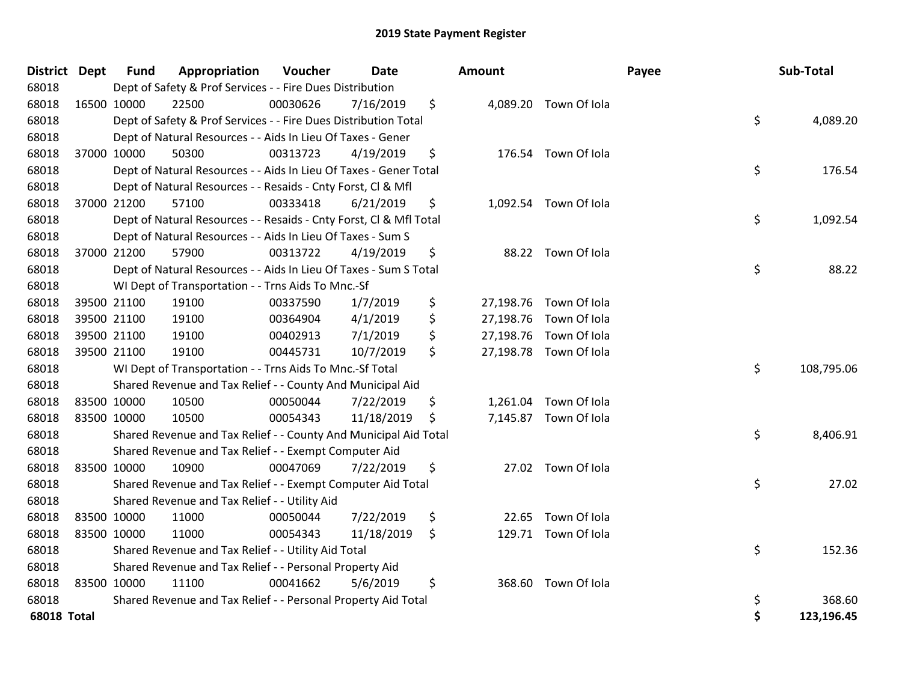| District Dept      |             | <b>Fund</b>                                                            | Appropriation                                                      | Voucher  | Date       |    | Amount |                        | Payee | Sub-Total  |
|--------------------|-------------|------------------------------------------------------------------------|--------------------------------------------------------------------|----------|------------|----|--------|------------------------|-------|------------|
| 68018              |             | Dept of Safety & Prof Services - - Fire Dues Distribution              |                                                                    |          |            |    |        |                        |       |            |
| 68018              | 16500 10000 |                                                                        | 22500                                                              | 00030626 | 7/16/2019  | \$ |        | 4,089.20 Town Of Iola  |       |            |
| 68018              |             | \$<br>Dept of Safety & Prof Services - - Fire Dues Distribution Total  |                                                                    |          |            |    |        |                        |       | 4,089.20   |
| 68018              |             | Dept of Natural Resources - - Aids In Lieu Of Taxes - Gener            |                                                                    |          |            |    |        |                        |       |            |
| 68018              |             | 37000 10000                                                            | 50300                                                              | 00313723 | 4/19/2019  | \$ |        | 176.54 Town Of Iola    |       |            |
| 68018              |             |                                                                        | Dept of Natural Resources - - Aids In Lieu Of Taxes - Gener Total  |          |            |    |        |                        | \$    | 176.54     |
| 68018              |             |                                                                        | Dept of Natural Resources - - Resaids - Cnty Forst, Cl & Mfl       |          |            |    |        |                        |       |            |
| 68018              |             | 37000 21200                                                            | 57100                                                              | 00333418 | 6/21/2019  | \$ |        | 1,092.54 Town Of Iola  |       |            |
| 68018              |             |                                                                        | Dept of Natural Resources - - Resaids - Cnty Forst, Cl & Mfl Total |          |            |    |        |                        | \$    | 1,092.54   |
| 68018              |             |                                                                        | Dept of Natural Resources - - Aids In Lieu Of Taxes - Sum S        |          |            |    |        |                        |       |            |
| 68018              |             | 37000 21200                                                            | 57900                                                              | 00313722 | 4/19/2019  | \$ |        | 88.22 Town Of Iola     |       |            |
| 68018              |             |                                                                        | Dept of Natural Resources - - Aids In Lieu Of Taxes - Sum S Total  |          |            |    |        |                        | \$    | 88.22      |
| 68018              |             |                                                                        | WI Dept of Transportation - - Trns Aids To Mnc.-Sf                 |          |            |    |        |                        |       |            |
| 68018              |             | 39500 21100                                                            | 19100                                                              | 00337590 | 1/7/2019   | \$ |        | 27,198.76 Town Of Iola |       |            |
| 68018              |             | 39500 21100                                                            | 19100                                                              | 00364904 | 4/1/2019   | \$ |        | 27,198.76 Town Of Iola |       |            |
| 68018              |             | 39500 21100                                                            | 19100                                                              | 00402913 | 7/1/2019   | \$ |        | 27,198.76 Town Of Iola |       |            |
| 68018              |             | 39500 21100                                                            | 19100                                                              | 00445731 | 10/7/2019  | \$ |        | 27,198.78 Town Of Iola |       |            |
| 68018              |             |                                                                        | WI Dept of Transportation - - Trns Aids To Mnc.-Sf Total           |          |            |    |        |                        | \$    | 108,795.06 |
| 68018              |             |                                                                        | Shared Revenue and Tax Relief - - County And Municipal Aid         |          |            |    |        |                        |       |            |
| 68018              |             | 83500 10000                                                            | 10500                                                              | 00050044 | 7/22/2019  | \$ |        | 1,261.04 Town Of Iola  |       |            |
| 68018              |             | 83500 10000                                                            | 10500                                                              | 00054343 | 11/18/2019 | .S |        | 7,145.87 Town Of Iola  |       |            |
| 68018              |             | \$<br>Shared Revenue and Tax Relief - - County And Municipal Aid Total |                                                                    |          |            |    |        |                        |       | 8,406.91   |
| 68018              |             | Shared Revenue and Tax Relief - - Exempt Computer Aid                  |                                                                    |          |            |    |        |                        |       |            |
| 68018              |             | 83500 10000                                                            | 10900                                                              | 00047069 | 7/22/2019  | \$ |        | 27.02 Town Of Iola     |       |            |
| 68018              |             | \$<br>Shared Revenue and Tax Relief - - Exempt Computer Aid Total      |                                                                    |          |            |    |        |                        |       | 27.02      |
| 68018              |             | Shared Revenue and Tax Relief - - Utility Aid                          |                                                                    |          |            |    |        |                        |       |            |
| 68018              |             | 83500 10000                                                            | 11000                                                              | 00050044 | 7/22/2019  | \$ | 22.65  | Town Of Iola           |       |            |
| 68018              | 83500 10000 |                                                                        | 11000                                                              | 00054343 | 11/18/2019 | \$ |        | 129.71 Town Of Iola    |       |            |
| 68018              |             | \$<br>Shared Revenue and Tax Relief - - Utility Aid Total              |                                                                    |          |            |    |        |                        |       | 152.36     |
| 68018              |             | Shared Revenue and Tax Relief - - Personal Property Aid                |                                                                    |          |            |    |        |                        |       |            |
| 68018              | 83500 10000 |                                                                        | 11100                                                              | 00041662 | 5/6/2019   | \$ |        | 368.60 Town Of Iola    |       |            |
| 68018              |             |                                                                        | Shared Revenue and Tax Relief - - Personal Property Aid Total      |          |            |    |        |                        | \$    | 368.60     |
| <b>68018 Total</b> |             |                                                                        |                                                                    |          |            |    |        |                        | \$    | 123,196.45 |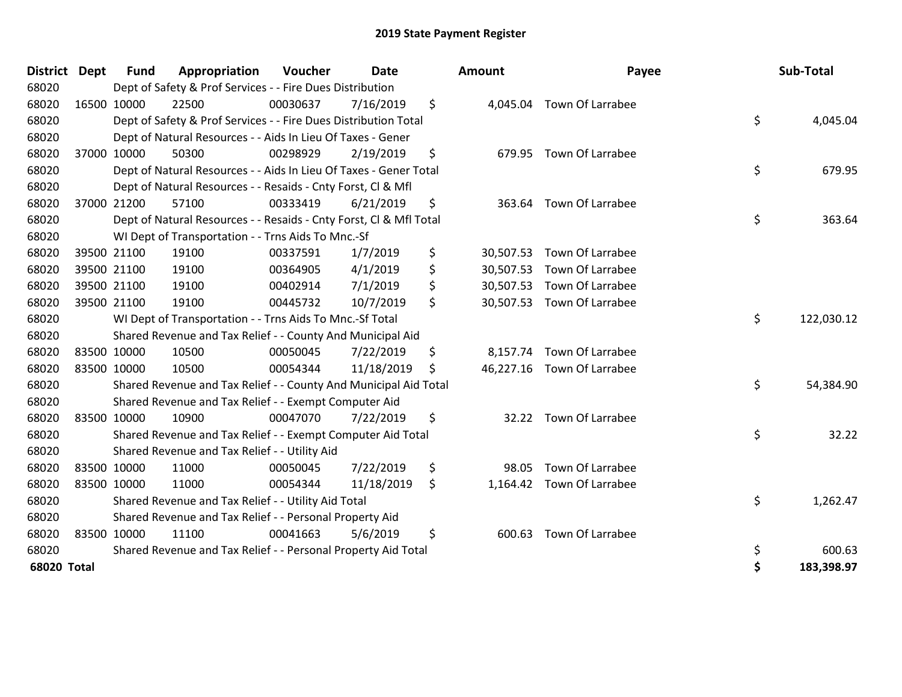| <b>District</b>    | <b>Dept</b> | <b>Fund</b>                                                      | Appropriation                                                      | Voucher  | <b>Date</b> |    | Amount    | Payee                      |            | Sub-Total  |
|--------------------|-------------|------------------------------------------------------------------|--------------------------------------------------------------------|----------|-------------|----|-----------|----------------------------|------------|------------|
| 68020              |             | Dept of Safety & Prof Services - - Fire Dues Distribution        |                                                                    |          |             |    |           |                            |            |            |
| 68020              |             | 16500 10000                                                      | 22500                                                              | 00030637 | 7/16/2019   | \$ |           | 4,045.04 Town Of Larrabee  |            |            |
| 68020              |             | Dept of Safety & Prof Services - - Fire Dues Distribution Total  |                                                                    |          |             |    |           |                            | \$         | 4,045.04   |
| 68020              |             | Dept of Natural Resources - - Aids In Lieu Of Taxes - Gener      |                                                                    |          |             |    |           |                            |            |            |
| 68020              |             | 37000 10000                                                      | 50300                                                              | 00298929 | 2/19/2019   | \$ |           | 679.95 Town Of Larrabee    |            |            |
| 68020              |             |                                                                  | Dept of Natural Resources - - Aids In Lieu Of Taxes - Gener Total  |          |             |    |           |                            | \$         | 679.95     |
| 68020              |             |                                                                  | Dept of Natural Resources - - Resaids - Cnty Forst, CI & Mfl       |          |             |    |           |                            |            |            |
| 68020              |             | 37000 21200                                                      | 57100                                                              | 00333419 | 6/21/2019   | \$ | 363.64    | Town Of Larrabee           |            |            |
| 68020              |             |                                                                  | Dept of Natural Resources - - Resaids - Cnty Forst, Cl & Mfl Total |          |             |    |           |                            | \$         | 363.64     |
| 68020              |             |                                                                  | WI Dept of Transportation - - Trns Aids To Mnc.-Sf                 |          |             |    |           |                            |            |            |
| 68020              |             | 39500 21100                                                      | 19100                                                              | 00337591 | 1/7/2019    | \$ |           | 30,507.53 Town Of Larrabee |            |            |
| 68020              |             | 39500 21100                                                      | 19100                                                              | 00364905 | 4/1/2019    | \$ | 30,507.53 | <b>Town Of Larrabee</b>    |            |            |
| 68020              |             | 39500 21100                                                      | 19100                                                              | 00402914 | 7/1/2019    | \$ |           | 30,507.53 Town Of Larrabee |            |            |
| 68020              |             | 39500 21100                                                      | 19100                                                              | 00445732 | 10/7/2019   | \$ |           | 30,507.53 Town Of Larrabee |            |            |
| 68020              |             |                                                                  | WI Dept of Transportation - - Trns Aids To Mnc.-Sf Total           |          |             |    |           |                            | \$         | 122,030.12 |
| 68020              |             |                                                                  | Shared Revenue and Tax Relief - - County And Municipal Aid         |          |             |    |           |                            |            |            |
| 68020              |             | 83500 10000                                                      | 10500                                                              | 00050045 | 7/22/2019   | \$ | 8,157.74  | <b>Town Of Larrabee</b>    |            |            |
| 68020              |             | 83500 10000                                                      | 10500                                                              | 00054344 | 11/18/2019  | \$ |           | 46,227.16 Town Of Larrabee |            |            |
| 68020              |             | Shared Revenue and Tax Relief - - County And Municipal Aid Total |                                                                    |          |             |    |           |                            | \$         | 54,384.90  |
| 68020              |             | Shared Revenue and Tax Relief - - Exempt Computer Aid            |                                                                    |          |             |    |           |                            |            |            |
| 68020              |             | 83500 10000                                                      | 10900                                                              | 00047070 | 7/22/2019   | \$ |           | 32.22 Town Of Larrabee     |            |            |
| 68020              |             | Shared Revenue and Tax Relief - - Exempt Computer Aid Total      |                                                                    |          |             |    |           |                            | \$         | 32.22      |
| 68020              |             | Shared Revenue and Tax Relief - - Utility Aid                    |                                                                    |          |             |    |           |                            |            |            |
| 68020              |             | 83500 10000                                                      | 11000                                                              | 00050045 | 7/22/2019   | \$ | 98.05     | <b>Town Of Larrabee</b>    |            |            |
| 68020              |             | 83500 10000                                                      | 11000                                                              | 00054344 | 11/18/2019  | \$ |           | 1,164.42 Town Of Larrabee  |            |            |
| 68020              |             | Shared Revenue and Tax Relief - - Utility Aid Total              |                                                                    |          |             |    |           |                            |            | 1,262.47   |
| 68020              |             | Shared Revenue and Tax Relief - - Personal Property Aid          |                                                                    |          |             |    |           |                            |            |            |
| 68020              |             | 83500 10000                                                      | 11100                                                              | 00041663 | 5/6/2019    | \$ | 600.63    | Town Of Larrabee           |            |            |
| 68020              |             | Shared Revenue and Tax Relief - - Personal Property Aid Total    |                                                                    |          |             |    |           |                            | \$         | 600.63     |
| <b>68020 Total</b> |             |                                                                  |                                                                    |          |             |    |           | \$                         | 183,398.97 |            |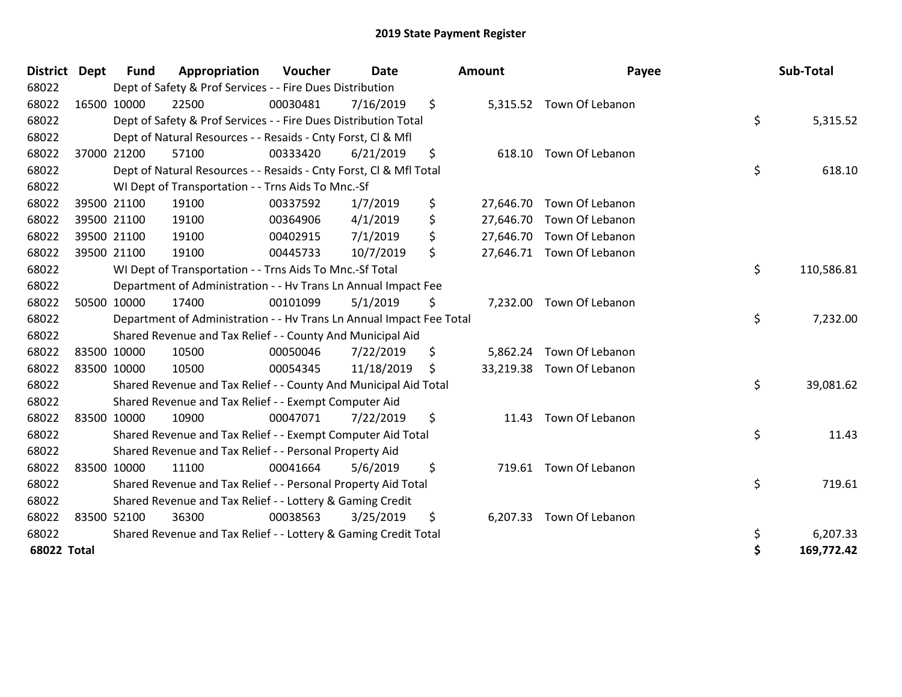| <b>District</b>    | <b>Dept</b> | <b>Fund</b>                                                     | Appropriation                                                        | Voucher  | <b>Date</b> |     | <b>Amount</b> | Payee                     | Sub-Total        |
|--------------------|-------------|-----------------------------------------------------------------|----------------------------------------------------------------------|----------|-------------|-----|---------------|---------------------------|------------------|
| 68022              |             |                                                                 | Dept of Safety & Prof Services - - Fire Dues Distribution            |          |             |     |               |                           |                  |
| 68022              |             | 16500 10000                                                     | 22500                                                                | 00030481 | 7/16/2019   | \$  | 5,315.52      | Town Of Lebanon           |                  |
| 68022              |             |                                                                 | Dept of Safety & Prof Services - - Fire Dues Distribution Total      |          |             |     |               |                           | \$<br>5,315.52   |
| 68022              |             |                                                                 | Dept of Natural Resources - - Resaids - Cnty Forst, CI & Mfl         |          |             |     |               |                           |                  |
| 68022              |             | 37000 21200                                                     | 57100                                                                | 00333420 | 6/21/2019   | \$  | 618.10        | Town Of Lebanon           |                  |
| 68022              |             |                                                                 | Dept of Natural Resources - - Resaids - Cnty Forst, Cl & Mfl Total   |          |             |     |               |                           | \$<br>618.10     |
| 68022              |             |                                                                 | WI Dept of Transportation - - Trns Aids To Mnc.-Sf                   |          |             |     |               |                           |                  |
| 68022              |             | 39500 21100                                                     | 19100                                                                | 00337592 | 1/7/2019    | \$  | 27,646.70     | Town Of Lebanon           |                  |
| 68022              |             | 39500 21100                                                     | 19100                                                                | 00364906 | 4/1/2019    | \$  | 27,646.70     | Town Of Lebanon           |                  |
| 68022              |             | 39500 21100                                                     | 19100                                                                | 00402915 | 7/1/2019    | \$  | 27,646.70     | Town Of Lebanon           |                  |
| 68022              |             | 39500 21100                                                     | 19100                                                                | 00445733 | 10/7/2019   | \$  |               | 27,646.71 Town Of Lebanon |                  |
| 68022              |             |                                                                 | WI Dept of Transportation - - Trns Aids To Mnc.-Sf Total             |          |             |     |               |                           | \$<br>110,586.81 |
| 68022              |             |                                                                 | Department of Administration - - Hv Trans Ln Annual Impact Fee       |          |             |     |               |                           |                  |
| 68022              |             | 50500 10000                                                     | 17400                                                                | 00101099 | 5/1/2019    | \$  | 7,232.00      | Town Of Lebanon           |                  |
| 68022              |             |                                                                 | Department of Administration - - Hv Trans Ln Annual Impact Fee Total |          |             |     |               |                           | \$<br>7,232.00   |
| 68022              |             |                                                                 | Shared Revenue and Tax Relief - - County And Municipal Aid           |          |             |     |               |                           |                  |
| 68022              | 83500 10000 |                                                                 | 10500                                                                | 00050046 | 7/22/2019   | \$  | 5,862.24      | Town Of Lebanon           |                  |
| 68022              | 83500 10000 |                                                                 | 10500                                                                | 00054345 | 11/18/2019  | \$. | 33,219.38     | Town Of Lebanon           |                  |
| 68022              |             |                                                                 | Shared Revenue and Tax Relief - - County And Municipal Aid Total     |          |             |     |               |                           | \$<br>39,081.62  |
| 68022              |             |                                                                 | Shared Revenue and Tax Relief - - Exempt Computer Aid                |          |             |     |               |                           |                  |
| 68022              |             | 83500 10000                                                     | 10900                                                                | 00047071 | 7/22/2019   | \$  | 11.43         | Town Of Lebanon           |                  |
| 68022              |             |                                                                 | Shared Revenue and Tax Relief - - Exempt Computer Aid Total          |          |             |     |               |                           | \$<br>11.43      |
| 68022              |             |                                                                 | Shared Revenue and Tax Relief - - Personal Property Aid              |          |             |     |               |                           |                  |
| 68022              | 83500 10000 |                                                                 | 11100                                                                | 00041664 | 5/6/2019    | \$  | 719.61        | Town Of Lebanon           |                  |
| 68022              |             |                                                                 | Shared Revenue and Tax Relief - - Personal Property Aid Total        |          |             |     |               |                           | \$<br>719.61     |
| 68022              |             |                                                                 | Shared Revenue and Tax Relief - - Lottery & Gaming Credit            |          |             |     |               |                           |                  |
| 68022              |             | 83500 52100                                                     | 36300                                                                | 00038563 | 3/25/2019   | \$  | 6,207.33      | Town Of Lebanon           |                  |
| 68022              |             | Shared Revenue and Tax Relief - - Lottery & Gaming Credit Total |                                                                      |          |             |     |               |                           | \$<br>6,207.33   |
| <b>68022 Total</b> |             |                                                                 |                                                                      |          |             |     |               |                           | \$<br>169,772.42 |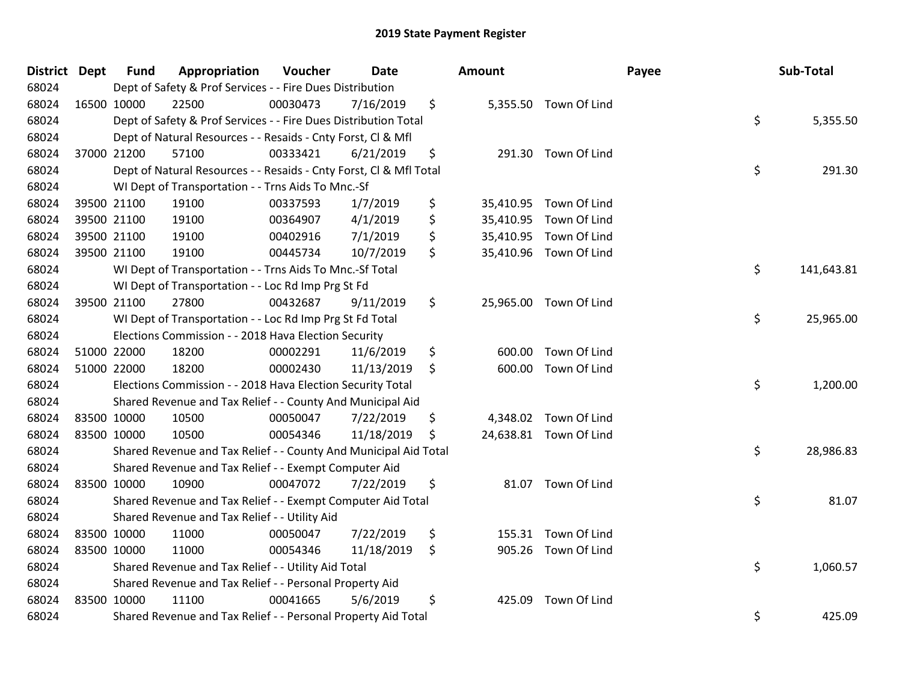| District Dept |             | <b>Fund</b> | Appropriation                                                      | Voucher  | <b>Date</b> | <b>Amount</b> |                        | Payee | Sub-Total  |
|---------------|-------------|-------------|--------------------------------------------------------------------|----------|-------------|---------------|------------------------|-------|------------|
| 68024         |             |             | Dept of Safety & Prof Services - - Fire Dues Distribution          |          |             |               |                        |       |            |
| 68024         | 16500 10000 |             | 22500                                                              | 00030473 | 7/16/2019   | \$            | 5,355.50 Town Of Lind  |       |            |
| 68024         |             |             | Dept of Safety & Prof Services - - Fire Dues Distribution Total    |          |             |               |                        | \$    | 5,355.50   |
| 68024         |             |             | Dept of Natural Resources - - Resaids - Cnty Forst, CI & Mfl       |          |             |               |                        |       |            |
| 68024         | 37000 21200 |             | 57100                                                              | 00333421 | 6/21/2019   | \$            | 291.30 Town Of Lind    |       |            |
| 68024         |             |             | Dept of Natural Resources - - Resaids - Cnty Forst, Cl & Mfl Total |          |             |               |                        | \$    | 291.30     |
| 68024         |             |             | WI Dept of Transportation - - Trns Aids To Mnc.-Sf                 |          |             |               |                        |       |            |
| 68024         |             | 39500 21100 | 19100                                                              | 00337593 | 1/7/2019    | \$            | 35,410.95 Town Of Lind |       |            |
| 68024         |             | 39500 21100 | 19100                                                              | 00364907 | 4/1/2019    | \$            | 35,410.95 Town Of Lind |       |            |
| 68024         |             | 39500 21100 | 19100                                                              | 00402916 | 7/1/2019    | \$            | 35,410.95 Town Of Lind |       |            |
| 68024         | 39500 21100 |             | 19100                                                              | 00445734 | 10/7/2019   | \$            | 35,410.96 Town Of Lind |       |            |
| 68024         |             |             | WI Dept of Transportation - - Trns Aids To Mnc.-Sf Total           |          |             |               |                        | \$    | 141,643.81 |
| 68024         |             |             | WI Dept of Transportation - - Loc Rd Imp Prg St Fd                 |          |             |               |                        |       |            |
| 68024         |             | 39500 21100 | 27800                                                              | 00432687 | 9/11/2019   | \$            | 25,965.00 Town Of Lind |       |            |
| 68024         |             |             | WI Dept of Transportation - - Loc Rd Imp Prg St Fd Total           |          |             |               |                        | \$    | 25,965.00  |
| 68024         |             |             | Elections Commission - - 2018 Hava Election Security               |          |             |               |                        |       |            |
| 68024         |             | 51000 22000 | 18200                                                              | 00002291 | 11/6/2019   | \$<br>600.00  | Town Of Lind           |       |            |
| 68024         |             | 51000 22000 | 18200                                                              | 00002430 | 11/13/2019  | \$            | 600.00 Town Of Lind    |       |            |
| 68024         |             |             | Elections Commission - - 2018 Hava Election Security Total         |          |             |               |                        | \$    | 1,200.00   |
| 68024         |             |             | Shared Revenue and Tax Relief - - County And Municipal Aid         |          |             |               |                        |       |            |
| 68024         |             | 83500 10000 | 10500                                                              | 00050047 | 7/22/2019   | \$            | 4,348.02 Town Of Lind  |       |            |
| 68024         |             | 83500 10000 | 10500                                                              | 00054346 | 11/18/2019  | \$            | 24,638.81 Town Of Lind |       |            |
| 68024         |             |             | Shared Revenue and Tax Relief - - County And Municipal Aid Total   |          |             |               |                        | \$    | 28,986.83  |
| 68024         |             |             | Shared Revenue and Tax Relief - - Exempt Computer Aid              |          |             |               |                        |       |            |
| 68024         |             | 83500 10000 | 10900                                                              | 00047072 | 7/22/2019   | \$            | 81.07 Town Of Lind     |       |            |
| 68024         |             |             | Shared Revenue and Tax Relief - - Exempt Computer Aid Total        |          |             |               |                        | \$    | 81.07      |
| 68024         |             |             | Shared Revenue and Tax Relief - - Utility Aid                      |          |             |               |                        |       |            |
| 68024         |             | 83500 10000 | 11000                                                              | 00050047 | 7/22/2019   | \$<br>155.31  | Town Of Lind           |       |            |
| 68024         | 83500 10000 |             | 11000                                                              | 00054346 | 11/18/2019  | \$            | 905.26 Town Of Lind    |       |            |
| 68024         |             |             | Shared Revenue and Tax Relief - - Utility Aid Total                |          |             |               |                        | \$    | 1,060.57   |
| 68024         |             |             | Shared Revenue and Tax Relief - - Personal Property Aid            |          |             |               |                        |       |            |
| 68024         | 83500 10000 |             | 11100                                                              | 00041665 | 5/6/2019    | \$<br>425.09  | Town Of Lind           |       |            |
| 68024         |             |             | Shared Revenue and Tax Relief - - Personal Property Aid Total      |          |             |               |                        | \$    | 425.09     |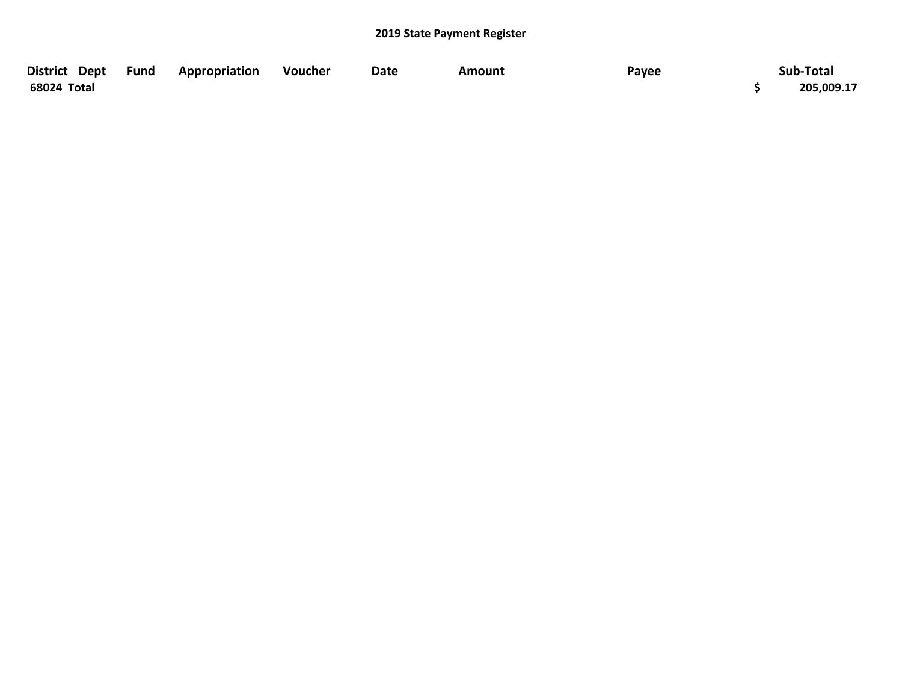| District Dept | Fund | Appropriation | Voucher | Date | Amount | Payee | Sub-Total  |
|---------------|------|---------------|---------|------|--------|-------|------------|
| 68024 Total   |      |               |         |      |        |       | 205,009.17 |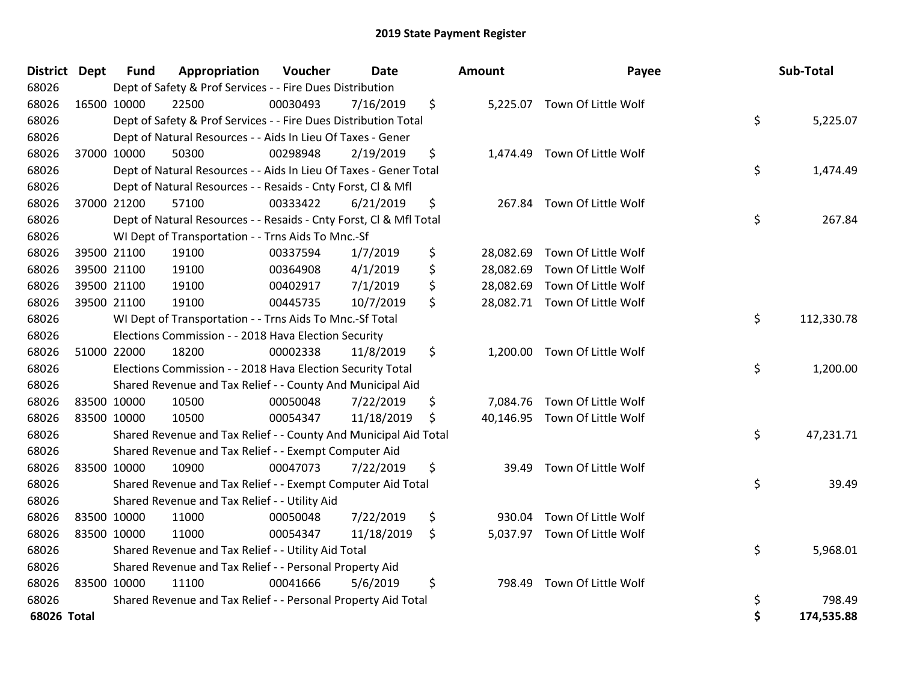| District Dept |             | <b>Fund</b> | Appropriation                                                      | Voucher  | Date       | <b>Amount</b> | Payee                         | Sub-Total        |
|---------------|-------------|-------------|--------------------------------------------------------------------|----------|------------|---------------|-------------------------------|------------------|
| 68026         |             |             | Dept of Safety & Prof Services - - Fire Dues Distribution          |          |            |               |                               |                  |
| 68026         |             | 16500 10000 | 22500                                                              | 00030493 | 7/16/2019  | \$            | 5,225.07 Town Of Little Wolf  |                  |
| 68026         |             |             | Dept of Safety & Prof Services - - Fire Dues Distribution Total    |          |            |               |                               | \$<br>5,225.07   |
| 68026         |             |             | Dept of Natural Resources - - Aids In Lieu Of Taxes - Gener        |          |            |               |                               |                  |
| 68026         |             | 37000 10000 | 50300                                                              | 00298948 | 2/19/2019  | \$            | 1,474.49 Town Of Little Wolf  |                  |
| 68026         |             |             | Dept of Natural Resources - - Aids In Lieu Of Taxes - Gener Total  |          |            |               |                               | \$<br>1,474.49   |
| 68026         |             |             | Dept of Natural Resources - - Resaids - Cnty Forst, Cl & Mfl       |          |            |               |                               |                  |
| 68026         |             | 37000 21200 | 57100                                                              | 00333422 | 6/21/2019  | \$            | 267.84 Town Of Little Wolf    |                  |
| 68026         |             |             | Dept of Natural Resources - - Resaids - Cnty Forst, Cl & Mfl Total |          |            |               |                               | \$<br>267.84     |
| 68026         |             |             | WI Dept of Transportation - - Trns Aids To Mnc.-Sf                 |          |            |               |                               |                  |
| 68026         |             | 39500 21100 | 19100                                                              | 00337594 | 1/7/2019   | \$            | 28,082.69 Town Of Little Wolf |                  |
| 68026         |             | 39500 21100 | 19100                                                              | 00364908 | 4/1/2019   | \$            | 28,082.69 Town Of Little Wolf |                  |
| 68026         |             | 39500 21100 | 19100                                                              | 00402917 | 7/1/2019   | \$            | 28,082.69 Town Of Little Wolf |                  |
| 68026         |             | 39500 21100 | 19100                                                              | 00445735 | 10/7/2019  | \$            | 28,082.71 Town Of Little Wolf |                  |
| 68026         |             |             | WI Dept of Transportation - - Trns Aids To Mnc.-Sf Total           |          |            |               |                               | \$<br>112,330.78 |
| 68026         |             |             | Elections Commission - - 2018 Hava Election Security               |          |            |               |                               |                  |
| 68026         |             | 51000 22000 | 18200                                                              | 00002338 | 11/8/2019  | \$            | 1,200.00 Town Of Little Wolf  |                  |
| 68026         |             |             | Elections Commission - - 2018 Hava Election Security Total         |          |            |               |                               | \$<br>1,200.00   |
| 68026         |             |             | Shared Revenue and Tax Relief - - County And Municipal Aid         |          |            |               |                               |                  |
| 68026         | 83500 10000 |             | 10500                                                              | 00050048 | 7/22/2019  | \$            | 7,084.76 Town Of Little Wolf  |                  |
| 68026         |             | 83500 10000 | 10500                                                              | 00054347 | 11/18/2019 | \$            | 40,146.95 Town Of Little Wolf |                  |
| 68026         |             |             | Shared Revenue and Tax Relief - - County And Municipal Aid Total   |          |            |               |                               | \$<br>47,231.71  |
| 68026         |             |             | Shared Revenue and Tax Relief - - Exempt Computer Aid              |          |            |               |                               |                  |
| 68026         |             | 83500 10000 | 10900                                                              | 00047073 | 7/22/2019  | \$<br>39.49   | Town Of Little Wolf           |                  |
| 68026         |             |             | Shared Revenue and Tax Relief - - Exempt Computer Aid Total        |          |            |               |                               | \$<br>39.49      |
| 68026         |             |             | Shared Revenue and Tax Relief - - Utility Aid                      |          |            |               |                               |                  |
| 68026         | 83500 10000 |             | 11000                                                              | 00050048 | 7/22/2019  | \$<br>930.04  | Town Of Little Wolf           |                  |
| 68026         | 83500 10000 |             | 11000                                                              | 00054347 | 11/18/2019 | \$            | 5,037.97 Town Of Little Wolf  |                  |
| 68026         |             |             | Shared Revenue and Tax Relief - - Utility Aid Total                |          |            |               |                               | \$<br>5,968.01   |
| 68026         |             |             | Shared Revenue and Tax Relief - - Personal Property Aid            |          |            |               |                               |                  |
| 68026         |             | 83500 10000 | 11100                                                              | 00041666 | 5/6/2019   | \$<br>798.49  | Town Of Little Wolf           |                  |
| 68026         |             |             | Shared Revenue and Tax Relief - - Personal Property Aid Total      |          |            |               |                               | \$<br>798.49     |
| 68026 Total   |             |             |                                                                    |          |            |               |                               | \$<br>174,535.88 |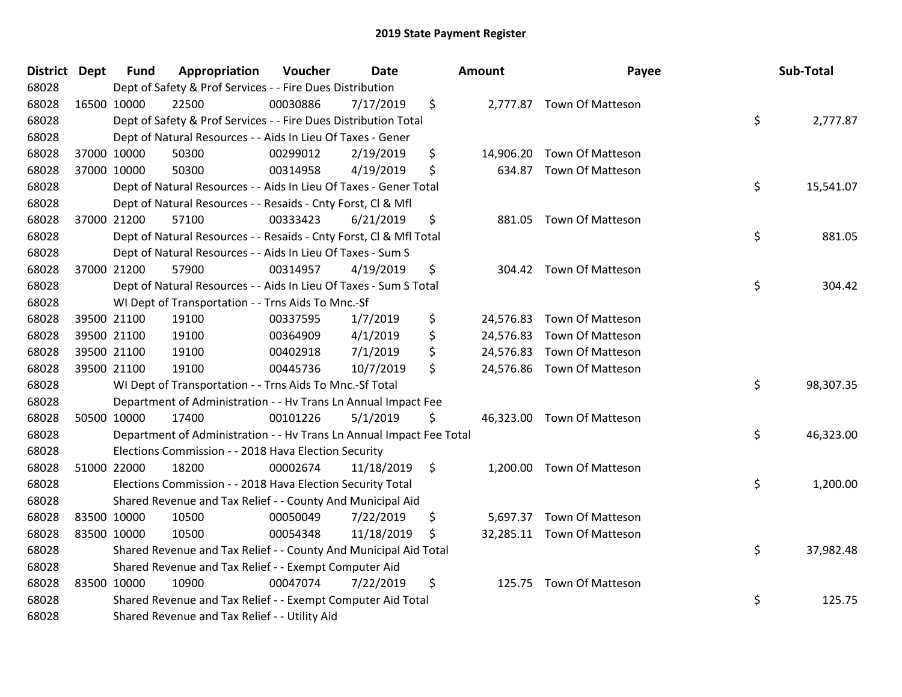| District Dept |             | <b>Fund</b> | Appropriation                                                        | Voucher  | <b>Date</b> |               | <b>Amount</b> | Payee                      | Sub-Total       |
|---------------|-------------|-------------|----------------------------------------------------------------------|----------|-------------|---------------|---------------|----------------------------|-----------------|
| 68028         |             |             | Dept of Safety & Prof Services - - Fire Dues Distribution            |          |             |               |               |                            |                 |
| 68028         | 16500 10000 |             | 22500                                                                | 00030886 | 7/17/2019   | \$            |               | 2,777.87 Town Of Matteson  |                 |
| 68028         |             |             | Dept of Safety & Prof Services - - Fire Dues Distribution Total      |          |             |               |               |                            | \$<br>2,777.87  |
| 68028         |             |             | Dept of Natural Resources - - Aids In Lieu Of Taxes - Gener          |          |             |               |               |                            |                 |
| 68028         | 37000 10000 |             | 50300                                                                | 00299012 | 2/19/2019   | \$            |               | 14,906.20 Town Of Matteson |                 |
| 68028         | 37000 10000 |             | 50300                                                                | 00314958 | 4/19/2019   | \$            |               | 634.87 Town Of Matteson    |                 |
| 68028         |             |             | Dept of Natural Resources - - Aids In Lieu Of Taxes - Gener Total    |          |             |               |               |                            | \$<br>15,541.07 |
| 68028         |             |             | Dept of Natural Resources - - Resaids - Cnty Forst, Cl & Mfl         |          |             |               |               |                            |                 |
| 68028         | 37000 21200 |             | 57100                                                                | 00333423 | 6/21/2019   | \$            |               | 881.05 Town Of Matteson    |                 |
| 68028         |             |             | Dept of Natural Resources - - Resaids - Cnty Forst, CI & Mfl Total   |          |             |               |               |                            | \$<br>881.05    |
| 68028         |             |             | Dept of Natural Resources - - Aids In Lieu Of Taxes - Sum S          |          |             |               |               |                            |                 |
| 68028         | 37000 21200 |             | 57900                                                                | 00314957 | 4/19/2019   | \$            |               | 304.42 Town Of Matteson    |                 |
| 68028         |             |             | Dept of Natural Resources - - Aids In Lieu Of Taxes - Sum S Total    |          |             |               |               |                            | \$<br>304.42    |
| 68028         |             |             | WI Dept of Transportation - - Trns Aids To Mnc.-Sf                   |          |             |               |               |                            |                 |
| 68028         | 39500 21100 |             | 19100                                                                | 00337595 | 1/7/2019    | \$            |               | 24,576.83 Town Of Matteson |                 |
| 68028         | 39500 21100 |             | 19100                                                                | 00364909 | 4/1/2019    | \$            |               | 24,576.83 Town Of Matteson |                 |
| 68028         | 39500 21100 |             | 19100                                                                | 00402918 | 7/1/2019    | \$            |               | 24,576.83 Town Of Matteson |                 |
| 68028         | 39500 21100 |             | 19100                                                                | 00445736 | 10/7/2019   | \$            |               | 24,576.86 Town Of Matteson |                 |
| 68028         |             |             | WI Dept of Transportation - - Trns Aids To Mnc.-Sf Total             |          |             |               |               |                            | \$<br>98,307.35 |
| 68028         |             |             | Department of Administration - - Hv Trans Ln Annual Impact Fee       |          |             |               |               |                            |                 |
| 68028         | 50500 10000 |             | 17400                                                                | 00101226 | 5/1/2019    | \$            |               | 46,323.00 Town Of Matteson |                 |
| 68028         |             |             | Department of Administration - - Hv Trans Ln Annual Impact Fee Total |          |             |               |               |                            | \$<br>46,323.00 |
| 68028         |             |             | Elections Commission - - 2018 Hava Election Security                 |          |             |               |               |                            |                 |
| 68028         | 51000 22000 |             | 18200                                                                | 00002674 | 11/18/2019  | $\ddot{\phi}$ |               | 1,200.00 Town Of Matteson  |                 |
| 68028         |             |             | Elections Commission - - 2018 Hava Election Security Total           |          |             |               |               |                            | \$<br>1,200.00  |
| 68028         |             |             | Shared Revenue and Tax Relief - - County And Municipal Aid           |          |             |               |               |                            |                 |
| 68028         | 83500 10000 |             | 10500                                                                | 00050049 | 7/22/2019   | \$            |               | 5,697.37 Town Of Matteson  |                 |
| 68028         | 83500 10000 |             | 10500                                                                | 00054348 | 11/18/2019  | \$.           |               | 32,285.11 Town Of Matteson |                 |
| 68028         |             |             | Shared Revenue and Tax Relief - - County And Municipal Aid Total     |          |             |               |               |                            | \$<br>37,982.48 |
| 68028         |             |             | Shared Revenue and Tax Relief - - Exempt Computer Aid                |          |             |               |               |                            |                 |
| 68028         | 83500 10000 |             | 10900                                                                | 00047074 | 7/22/2019   | \$            |               | 125.75 Town Of Matteson    |                 |
| 68028         |             |             | Shared Revenue and Tax Relief - - Exempt Computer Aid Total          |          |             |               |               |                            | \$<br>125.75    |
| 68028         |             |             | Shared Revenue and Tax Relief - - Utility Aid                        |          |             |               |               |                            |                 |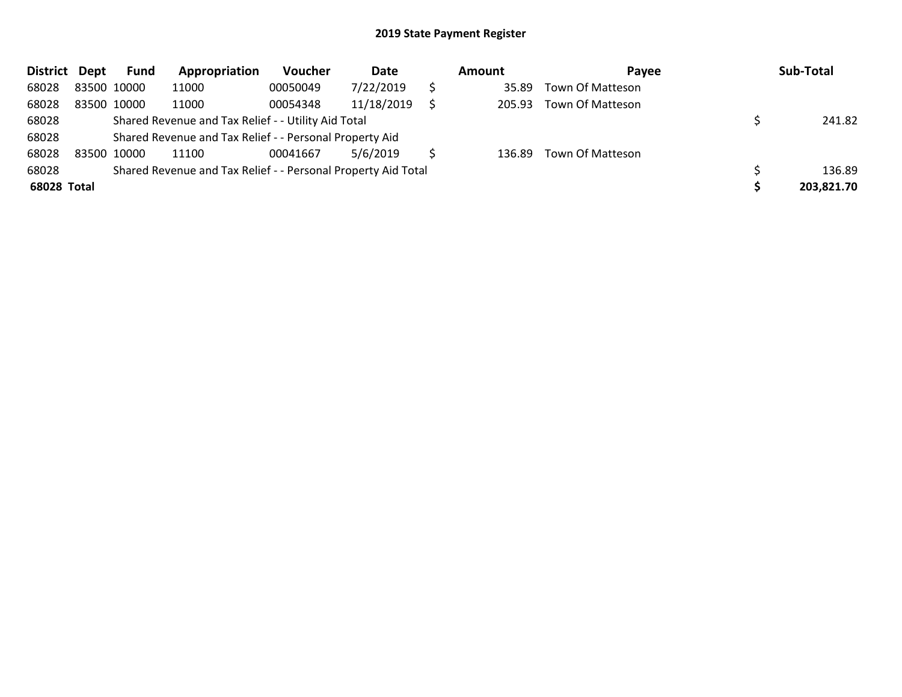| District Dept |             | <b>Fund</b> | Appropriation                                                 | Voucher  | Date       | <b>Amount</b> | Payee            | Sub-Total  |
|---------------|-------------|-------------|---------------------------------------------------------------|----------|------------|---------------|------------------|------------|
| 68028         | 83500 10000 |             | 11000                                                         | 00050049 | 7/22/2019  | 35.89         | Town Of Matteson |            |
| 68028         | 83500 10000 |             | 11000                                                         | 00054348 | 11/18/2019 | 205.93        | Town Of Matteson |            |
| 68028         |             |             | Shared Revenue and Tax Relief - - Utility Aid Total           |          |            |               |                  | 241.82     |
| 68028         |             |             | Shared Revenue and Tax Relief - - Personal Property Aid       |          |            |               |                  |            |
| 68028         | 83500 10000 |             | 11100                                                         | 00041667 | 5/6/2019   | 136.89        | Town Of Matteson |            |
| 68028         |             |             | Shared Revenue and Tax Relief - - Personal Property Aid Total |          |            |               |                  | 136.89     |
| 68028 Total   |             |             |                                                               |          |            |               |                  | 203,821.70 |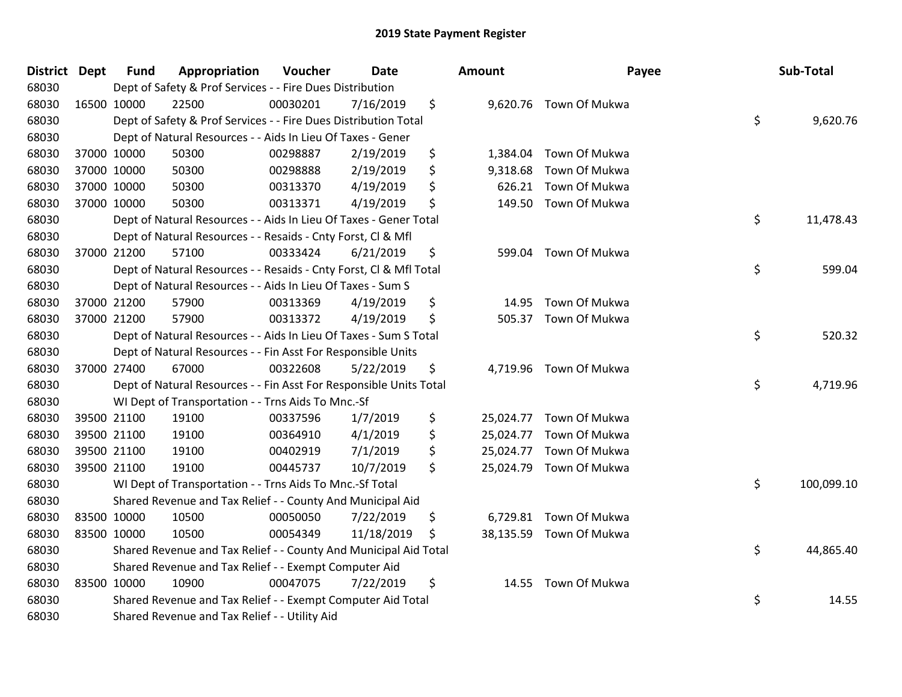| District Dept | <b>Fund</b> | Appropriation                                                      | Voucher  | <b>Date</b> | <b>Amount</b>   | Payee                  | Sub-Total        |
|---------------|-------------|--------------------------------------------------------------------|----------|-------------|-----------------|------------------------|------------------|
| 68030         |             | Dept of Safety & Prof Services - - Fire Dues Distribution          |          |             |                 |                        |                  |
| 68030         | 16500 10000 | 22500                                                              | 00030201 | 7/16/2019   | \$              | 9,620.76 Town Of Mukwa |                  |
| 68030         |             | Dept of Safety & Prof Services - - Fire Dues Distribution Total    |          |             |                 |                        | \$<br>9,620.76   |
| 68030         |             | Dept of Natural Resources - - Aids In Lieu Of Taxes - Gener        |          |             |                 |                        |                  |
| 68030         | 37000 10000 | 50300                                                              | 00298887 | 2/19/2019   | \$<br>1,384.04  | Town Of Mukwa          |                  |
| 68030         | 37000 10000 | 50300                                                              | 00298888 | 2/19/2019   | \$<br>9,318.68  | Town Of Mukwa          |                  |
| 68030         | 37000 10000 | 50300                                                              | 00313370 | 4/19/2019   | \$<br>626.21    | Town Of Mukwa          |                  |
| 68030         | 37000 10000 | 50300                                                              | 00313371 | 4/19/2019   | \$<br>149.50    | Town Of Mukwa          |                  |
| 68030         |             | Dept of Natural Resources - - Aids In Lieu Of Taxes - Gener Total  |          |             |                 |                        | \$<br>11,478.43  |
| 68030         |             | Dept of Natural Resources - - Resaids - Cnty Forst, Cl & Mfl       |          |             |                 |                        |                  |
| 68030         | 37000 21200 | 57100                                                              | 00333424 | 6/21/2019   | \$<br>599.04    | Town Of Mukwa          |                  |
| 68030         |             | Dept of Natural Resources - - Resaids - Cnty Forst, CI & Mfl Total |          |             |                 |                        | \$<br>599.04     |
| 68030         |             | Dept of Natural Resources - - Aids In Lieu Of Taxes - Sum S        |          |             |                 |                        |                  |
| 68030         | 37000 21200 | 57900                                                              | 00313369 | 4/19/2019   | \$<br>14.95     | Town Of Mukwa          |                  |
| 68030         | 37000 21200 | 57900                                                              | 00313372 | 4/19/2019   | \$<br>505.37    | Town Of Mukwa          |                  |
| 68030         |             | Dept of Natural Resources - - Aids In Lieu Of Taxes - Sum S Total  |          |             |                 |                        | \$<br>520.32     |
| 68030         |             | Dept of Natural Resources - - Fin Asst For Responsible Units       |          |             |                 |                        |                  |
| 68030         | 37000 27400 | 67000                                                              | 00322608 | 5/22/2019   | \$<br>4,719.96  | Town Of Mukwa          |                  |
| 68030         |             | Dept of Natural Resources - - Fin Asst For Responsible Units Total |          |             |                 |                        | \$<br>4,719.96   |
| 68030         |             | WI Dept of Transportation - - Trns Aids To Mnc.-Sf                 |          |             |                 |                        |                  |
| 68030         | 39500 21100 | 19100                                                              | 00337596 | 1/7/2019    | \$<br>25,024.77 | Town Of Mukwa          |                  |
| 68030         | 39500 21100 | 19100                                                              | 00364910 | 4/1/2019    | \$<br>25,024.77 | Town Of Mukwa          |                  |
| 68030         | 39500 21100 | 19100                                                              | 00402919 | 7/1/2019    | \$<br>25,024.77 | Town Of Mukwa          |                  |
| 68030         | 39500 21100 | 19100                                                              | 00445737 | 10/7/2019   | \$<br>25,024.79 | Town Of Mukwa          |                  |
| 68030         |             | WI Dept of Transportation - - Trns Aids To Mnc.-Sf Total           |          |             |                 |                        | \$<br>100,099.10 |
| 68030         |             | Shared Revenue and Tax Relief - - County And Municipal Aid         |          |             |                 |                        |                  |
| 68030         | 83500 10000 | 10500                                                              | 00050050 | 7/22/2019   | \$<br>6,729.81  | Town Of Mukwa          |                  |
| 68030         | 83500 10000 | 10500                                                              | 00054349 | 11/18/2019  | \$<br>38,135.59 | Town Of Mukwa          |                  |
| 68030         |             | Shared Revenue and Tax Relief - - County And Municipal Aid Total   |          |             |                 |                        | \$<br>44,865.40  |
| 68030         |             | Shared Revenue and Tax Relief - - Exempt Computer Aid              |          |             |                 |                        |                  |
| 68030         | 83500 10000 | 10900                                                              | 00047075 | 7/22/2019   | \$<br>14.55     | Town Of Mukwa          |                  |
| 68030         |             | Shared Revenue and Tax Relief - - Exempt Computer Aid Total        |          |             |                 |                        | \$<br>14.55      |
| 68030         |             | Shared Revenue and Tax Relief - - Utility Aid                      |          |             |                 |                        |                  |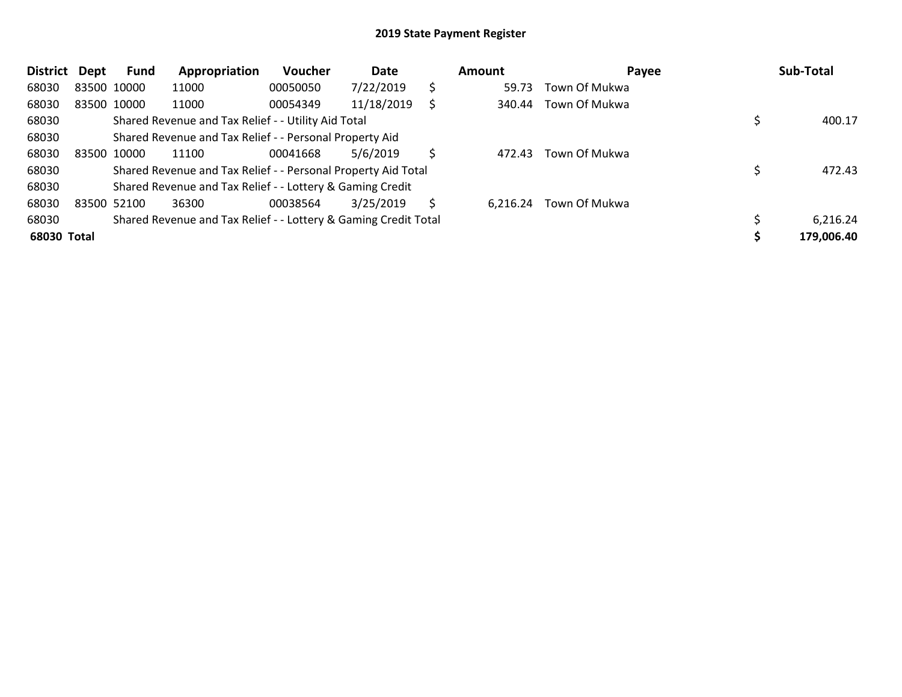| <b>District</b> | Dept        | <b>Fund</b> | Appropriation                                                   | <b>Voucher</b> | Date       |     | Amount   | Payee         | Sub-Total  |
|-----------------|-------------|-------------|-----------------------------------------------------------------|----------------|------------|-----|----------|---------------|------------|
| 68030           | 83500 10000 |             | 11000                                                           | 00050050       | 7/22/2019  | \$. | 59.73    | Town Of Mukwa |            |
| 68030           |             | 83500 10000 | 11000                                                           | 00054349       | 11/18/2019 |     | 340.44   | Town Of Mukwa |            |
| 68030           |             |             | Shared Revenue and Tax Relief - - Utility Aid Total             |                |            |     |          |               | 400.17     |
| 68030           |             |             | Shared Revenue and Tax Relief - - Personal Property Aid         |                |            |     |          |               |            |
| 68030           | 83500 10000 |             | 11100                                                           | 00041668       | 5/6/2019   | S   | 472.43   | Town Of Mukwa |            |
| 68030           |             |             | Shared Revenue and Tax Relief - - Personal Property Aid Total   |                |            |     |          |               | 472.43     |
| 68030           |             |             | Shared Revenue and Tax Relief - - Lottery & Gaming Credit       |                |            |     |          |               |            |
| 68030           | 83500 52100 |             | 36300                                                           | 00038564       | 3/25/2019  | S   | 6,216.24 | Town Of Mukwa |            |
| 68030           |             |             | Shared Revenue and Tax Relief - - Lottery & Gaming Credit Total |                |            |     |          |               | 6,216.24   |
| 68030 Total     |             |             |                                                                 |                |            |     |          |               | 179,006.40 |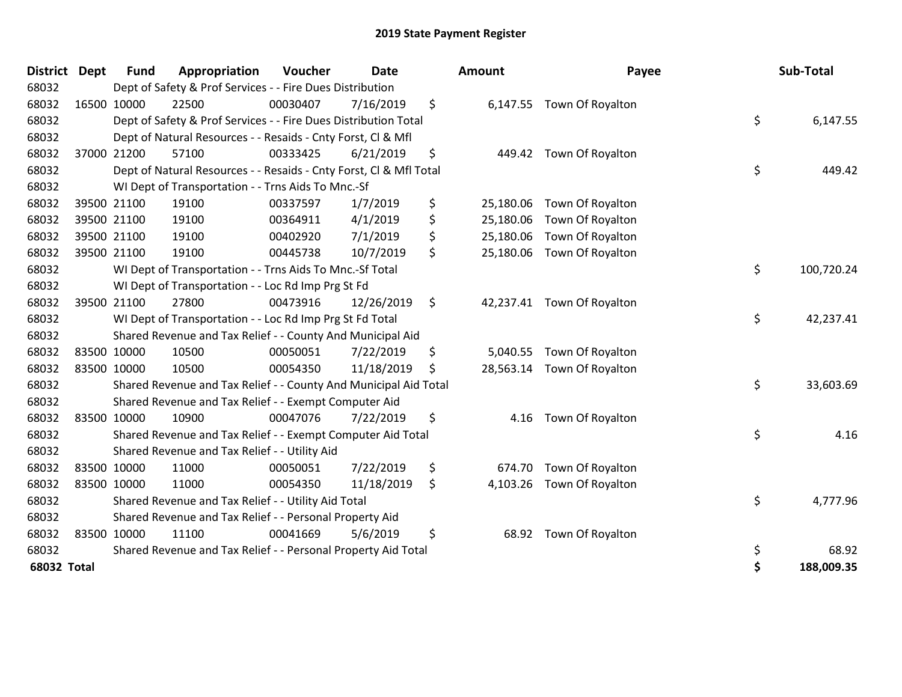| <b>District</b> | <b>Dept</b> | <b>Fund</b> | Appropriation                                                      | Voucher  | Date       | <b>Amount</b>   | Payee                      | Sub-Total        |
|-----------------|-------------|-------------|--------------------------------------------------------------------|----------|------------|-----------------|----------------------------|------------------|
| 68032           |             |             | Dept of Safety & Prof Services - - Fire Dues Distribution          |          |            |                 |                            |                  |
| 68032           | 16500 10000 |             | 22500                                                              | 00030407 | 7/16/2019  | \$              | 6,147.55 Town Of Royalton  |                  |
| 68032           |             |             | Dept of Safety & Prof Services - - Fire Dues Distribution Total    |          |            |                 |                            | \$<br>6,147.55   |
| 68032           |             |             | Dept of Natural Resources - - Resaids - Cnty Forst, Cl & Mfl       |          |            |                 |                            |                  |
| 68032           |             | 37000 21200 | 57100                                                              | 00333425 | 6/21/2019  | \$<br>449.42    | Town Of Royalton           |                  |
| 68032           |             |             | Dept of Natural Resources - - Resaids - Cnty Forst, CI & Mfl Total |          |            |                 |                            | \$<br>449.42     |
| 68032           |             |             | WI Dept of Transportation - - Trns Aids To Mnc.-Sf                 |          |            |                 |                            |                  |
| 68032           |             | 39500 21100 | 19100                                                              | 00337597 | 1/7/2019   | \$<br>25,180.06 | Town Of Royalton           |                  |
| 68032           |             | 39500 21100 | 19100                                                              | 00364911 | 4/1/2019   | \$<br>25,180.06 | Town Of Royalton           |                  |
| 68032           |             | 39500 21100 | 19100                                                              | 00402920 | 7/1/2019   | \$<br>25,180.06 | Town Of Royalton           |                  |
| 68032           | 39500 21100 |             | 19100                                                              | 00445738 | 10/7/2019  | \$              | 25,180.06 Town Of Royalton |                  |
| 68032           |             |             | WI Dept of Transportation - - Trns Aids To Mnc.-Sf Total           |          |            |                 |                            | \$<br>100,720.24 |
| 68032           |             |             | WI Dept of Transportation - - Loc Rd Imp Prg St Fd                 |          |            |                 |                            |                  |
| 68032           |             | 39500 21100 | 27800                                                              | 00473916 | 12/26/2019 | \$              | 42,237.41 Town Of Royalton |                  |
| 68032           |             |             | WI Dept of Transportation - - Loc Rd Imp Prg St Fd Total           |          |            |                 |                            | \$<br>42,237.41  |
| 68032           |             |             | Shared Revenue and Tax Relief - - County And Municipal Aid         |          |            |                 |                            |                  |
| 68032           | 83500 10000 |             | 10500                                                              | 00050051 | 7/22/2019  | \$<br>5,040.55  | Town Of Royalton           |                  |
| 68032           | 83500 10000 |             | 10500                                                              | 00054350 | 11/18/2019 | \$<br>28,563.14 | Town Of Royalton           |                  |
| 68032           |             |             | Shared Revenue and Tax Relief - - County And Municipal Aid Total   |          |            |                 |                            | \$<br>33,603.69  |
| 68032           |             |             | Shared Revenue and Tax Relief - - Exempt Computer Aid              |          |            |                 |                            |                  |
| 68032           | 83500 10000 |             | 10900                                                              | 00047076 | 7/22/2019  | \$<br>4.16      | Town Of Royalton           |                  |
| 68032           |             |             | Shared Revenue and Tax Relief - - Exempt Computer Aid Total        |          |            |                 |                            | \$<br>4.16       |
| 68032           |             |             | Shared Revenue and Tax Relief - - Utility Aid                      |          |            |                 |                            |                  |
| 68032           | 83500 10000 |             | 11000                                                              | 00050051 | 7/22/2019  | \$<br>674.70    | Town Of Royalton           |                  |
| 68032           | 83500 10000 |             | 11000                                                              | 00054350 | 11/18/2019 | \$<br>4,103.26  | Town Of Royalton           |                  |
| 68032           |             |             | Shared Revenue and Tax Relief - - Utility Aid Total                |          |            |                 |                            | \$<br>4,777.96   |
| 68032           |             |             | Shared Revenue and Tax Relief - - Personal Property Aid            |          |            |                 |                            |                  |
| 68032           | 83500 10000 |             | 11100                                                              | 00041669 | 5/6/2019   | \$<br>68.92     | Town Of Royalton           |                  |
| 68032           |             |             | Shared Revenue and Tax Relief - - Personal Property Aid Total      |          |            |                 |                            | \$<br>68.92      |
| 68032 Total     |             |             |                                                                    |          |            |                 |                            | \$<br>188,009.35 |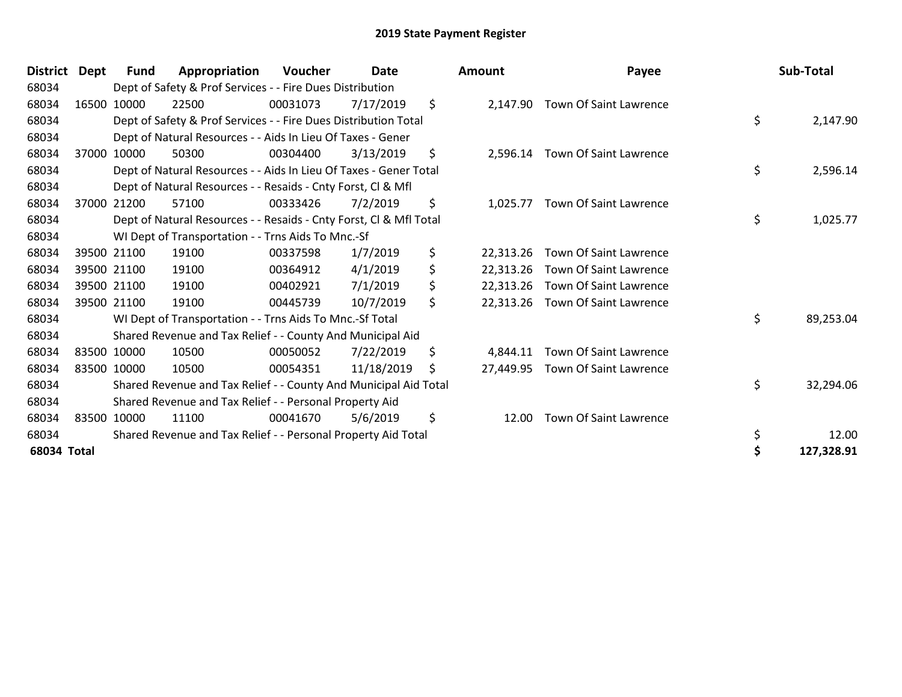| <b>District</b> | <b>Dept</b> | Fund        | Appropriation                                                      | Voucher  | <b>Date</b> | <b>Amount</b>   | Payee                         | Sub-Total        |
|-----------------|-------------|-------------|--------------------------------------------------------------------|----------|-------------|-----------------|-------------------------------|------------------|
| 68034           |             |             | Dept of Safety & Prof Services - - Fire Dues Distribution          |          |             |                 |                               |                  |
| 68034           |             | 16500 10000 | 22500                                                              | 00031073 | 7/17/2019   | \$<br>2,147.90  | Town Of Saint Lawrence        |                  |
| 68034           |             |             | Dept of Safety & Prof Services - - Fire Dues Distribution Total    |          |             |                 |                               | \$<br>2,147.90   |
| 68034           |             |             | Dept of Natural Resources - - Aids In Lieu Of Taxes - Gener        |          |             |                 |                               |                  |
| 68034           |             | 37000 10000 | 50300                                                              | 00304400 | 3/13/2019   | \$<br>2,596.14  | Town Of Saint Lawrence        |                  |
| 68034           |             |             | Dept of Natural Resources - - Aids In Lieu Of Taxes - Gener Total  |          |             |                 |                               | \$<br>2,596.14   |
| 68034           |             |             | Dept of Natural Resources - - Resaids - Cnty Forst, CI & Mfl       |          |             |                 |                               |                  |
| 68034           | 37000       | 21200       | 57100                                                              | 00333426 | 7/2/2019    | \$<br>1,025.77  | Town Of Saint Lawrence        |                  |
| 68034           |             |             | Dept of Natural Resources - - Resaids - Cnty Forst, Cl & Mfl Total |          |             |                 |                               | \$<br>1,025.77   |
| 68034           |             |             | WI Dept of Transportation - - Trns Aids To Mnc.-Sf                 |          |             |                 |                               |                  |
| 68034           |             | 39500 21100 | 19100                                                              | 00337598 | 1/7/2019    | \$<br>22,313.26 | <b>Town Of Saint Lawrence</b> |                  |
| 68034           |             | 39500 21100 | 19100                                                              | 00364912 | 4/1/2019    | \$<br>22,313.26 | Town Of Saint Lawrence        |                  |
| 68034           |             | 39500 21100 | 19100                                                              | 00402921 | 7/1/2019    | \$<br>22,313.26 | Town Of Saint Lawrence        |                  |
| 68034           |             | 39500 21100 | 19100                                                              | 00445739 | 10/7/2019   | \$<br>22,313.26 | Town Of Saint Lawrence        |                  |
| 68034           |             |             | WI Dept of Transportation - - Trns Aids To Mnc.-Sf Total           |          |             |                 |                               | \$<br>89,253.04  |
| 68034           |             |             | Shared Revenue and Tax Relief - - County And Municipal Aid         |          |             |                 |                               |                  |
| 68034           |             | 83500 10000 | 10500                                                              | 00050052 | 7/22/2019   | \$<br>4.844.11  | Town Of Saint Lawrence        |                  |
| 68034           |             | 83500 10000 | 10500                                                              | 00054351 | 11/18/2019  | \$<br>27,449.95 | Town Of Saint Lawrence        |                  |
| 68034           |             |             | Shared Revenue and Tax Relief - - County And Municipal Aid Total   |          |             |                 |                               | \$<br>32,294.06  |
| 68034           |             |             | Shared Revenue and Tax Relief - - Personal Property Aid            |          |             |                 |                               |                  |
| 68034           |             | 83500 10000 | 11100                                                              | 00041670 | 5/6/2019    | \$<br>12.00     | Town Of Saint Lawrence        |                  |
| 68034           |             |             | Shared Revenue and Tax Relief - - Personal Property Aid Total      |          |             |                 |                               | \$<br>12.00      |
| 68034 Total     |             |             |                                                                    |          |             |                 |                               | \$<br>127,328.91 |

| ount                  | Payee                                                                                                                                        |          | Sub-Total           |
|-----------------------|----------------------------------------------------------------------------------------------------------------------------------------------|----------|---------------------|
| 2,147.90              | Town Of Saint Lawrence                                                                                                                       | \$       | 2,147.90            |
|                       | 2,596.14 Town Of Saint Lawrence                                                                                                              | \$       | 2,596.14            |
| 1,025.77              | Town Of Saint Lawrence                                                                                                                       | \$       | 1,025.77            |
|                       | 22,313.26 Town Of Saint Lawrence<br>22,313.26 Town Of Saint Lawrence<br>22,313.26 Town Of Saint Lawrence<br>22,313.26 Town Of Saint Lawrence | \$       | 89,253.04           |
| 4,844.11<br>27,449.95 | Town Of Saint Lawrence<br>Town Of Saint Lawrence                                                                                             | \$       | 32,294.06           |
| 12.00                 | Town Of Saint Lawrence                                                                                                                       | \$<br>\$ | 12.00<br>127,328.91 |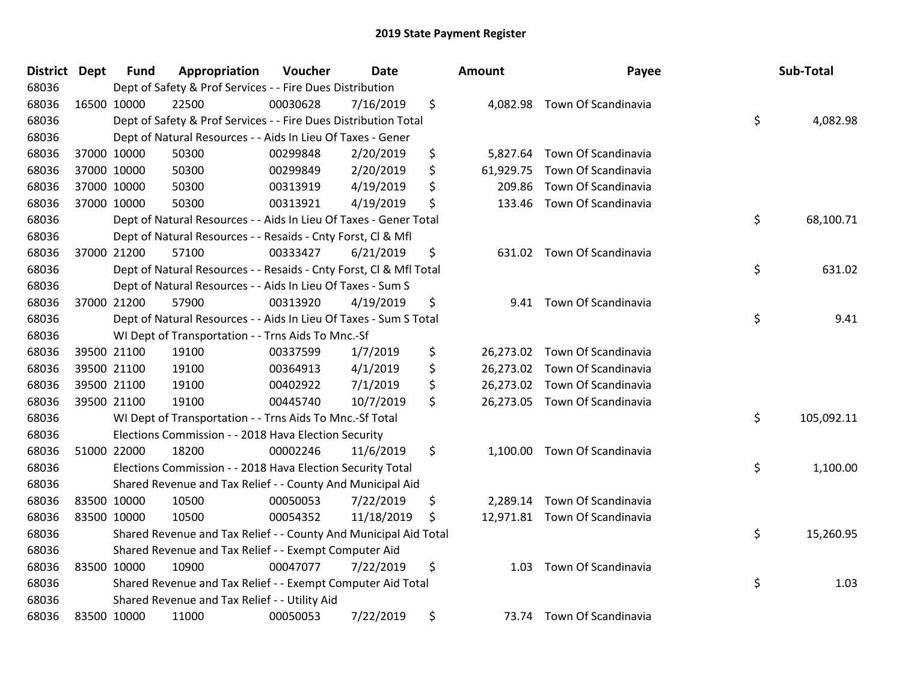| <b>District Dept</b> | <b>Fund</b> | Appropriation                                                      | Voucher  | Date       | <b>Amount</b>   | Payee                         | Sub-Total        |
|----------------------|-------------|--------------------------------------------------------------------|----------|------------|-----------------|-------------------------------|------------------|
| 68036                |             | Dept of Safety & Prof Services - - Fire Dues Distribution          |          |            |                 |                               |                  |
| 68036                | 16500 10000 | 22500                                                              | 00030628 | 7/16/2019  | \$<br>4,082.98  | Town Of Scandinavia           |                  |
| 68036                |             | Dept of Safety & Prof Services - - Fire Dues Distribution Total    |          |            |                 |                               | \$<br>4,082.98   |
| 68036                |             | Dept of Natural Resources - - Aids In Lieu Of Taxes - Gener        |          |            |                 |                               |                  |
| 68036                | 37000 10000 | 50300                                                              | 00299848 | 2/20/2019  | \$<br>5,827.64  | Town Of Scandinavia           |                  |
| 68036                | 37000 10000 | 50300                                                              | 00299849 | 2/20/2019  | \$<br>61,929.75 | Town Of Scandinavia           |                  |
| 68036                | 37000 10000 | 50300                                                              | 00313919 | 4/19/2019  | \$<br>209.86    | Town Of Scandinavia           |                  |
| 68036                | 37000 10000 | 50300                                                              | 00313921 | 4/19/2019  | \$<br>133.46    | Town Of Scandinavia           |                  |
| 68036                |             | Dept of Natural Resources - - Aids In Lieu Of Taxes - Gener Total  |          |            |                 |                               | \$<br>68,100.71  |
| 68036                |             | Dept of Natural Resources - - Resaids - Cnty Forst, CI & Mfl       |          |            |                 |                               |                  |
| 68036                | 37000 21200 | 57100                                                              | 00333427 | 6/21/2019  | \$              | 631.02 Town Of Scandinavia    |                  |
| 68036                |             | Dept of Natural Resources - - Resaids - Cnty Forst, CI & Mfl Total |          |            |                 |                               | \$<br>631.02     |
| 68036                |             | Dept of Natural Resources - - Aids In Lieu Of Taxes - Sum S        |          |            |                 |                               |                  |
| 68036                | 37000 21200 | 57900                                                              | 00313920 | 4/19/2019  | \$<br>9.41      | Town Of Scandinavia           |                  |
| 68036                |             | Dept of Natural Resources - - Aids In Lieu Of Taxes - Sum S Total  |          |            |                 |                               | \$<br>9.41       |
| 68036                |             | WI Dept of Transportation - - Trns Aids To Mnc.-Sf                 |          |            |                 |                               |                  |
| 68036                | 39500 21100 | 19100                                                              | 00337599 | 1/7/2019   | \$<br>26,273.02 | Town Of Scandinavia           |                  |
| 68036                | 39500 21100 | 19100                                                              | 00364913 | 4/1/2019   | \$              | 26,273.02 Town Of Scandinavia |                  |
| 68036                | 39500 21100 | 19100                                                              | 00402922 | 7/1/2019   | \$              | 26,273.02 Town Of Scandinavia |                  |
| 68036                | 39500 21100 | 19100                                                              | 00445740 | 10/7/2019  | \$              | 26,273.05 Town Of Scandinavia |                  |
| 68036                |             | WI Dept of Transportation - - Trns Aids To Mnc.-Sf Total           |          |            |                 |                               | \$<br>105,092.11 |
| 68036                |             | Elections Commission - - 2018 Hava Election Security               |          |            |                 |                               |                  |
| 68036                | 51000 22000 | 18200                                                              | 00002246 | 11/6/2019  | \$<br>1,100.00  | Town Of Scandinavia           |                  |
| 68036                |             | Elections Commission - - 2018 Hava Election Security Total         |          |            |                 |                               | \$<br>1,100.00   |
| 68036                |             | Shared Revenue and Tax Relief - - County And Municipal Aid         |          |            |                 |                               |                  |
| 68036                | 83500 10000 | 10500                                                              | 00050053 | 7/22/2019  | \$<br>2,289.14  | Town Of Scandinavia           |                  |
| 68036                | 83500 10000 | 10500                                                              | 00054352 | 11/18/2019 | \$              | 12,971.81 Town Of Scandinavia |                  |
| 68036                |             | Shared Revenue and Tax Relief - - County And Municipal Aid Total   |          |            |                 |                               | \$<br>15,260.95  |
| 68036                |             | Shared Revenue and Tax Relief - - Exempt Computer Aid              |          |            |                 |                               |                  |
| 68036                | 83500 10000 | 10900                                                              | 00047077 | 7/22/2019  | \$<br>1.03      | Town Of Scandinavia           |                  |
| 68036                |             | Shared Revenue and Tax Relief - - Exempt Computer Aid Total        |          |            |                 |                               | \$<br>1.03       |
| 68036                |             | Shared Revenue and Tax Relief - - Utility Aid                      |          |            |                 |                               |                  |
| 68036                | 83500 10000 | 11000                                                              | 00050053 | 7/22/2019  | \$<br>73.74     | Town Of Scandinavia           |                  |

| Sub-Total  | Payee                     | าount     |
|------------|---------------------------|-----------|
| 4,082.98   | \$<br>Town Of Scandinavia | 4,082.98  |
|            | Town Of Scandinavia       | 5,827.64  |
|            | Town Of Scandinavia       | 61,929.75 |
|            | Town Of Scandinavia       | 209.86    |
|            | Town Of Scandinavia       | 133.46    |
| 68,100.71  | \$                        |           |
|            | Town Of Scandinavia       | 631.02    |
| 631.02     | \$                        |           |
|            | Town Of Scandinavia       | 9.41      |
| 9.41       | \$                        |           |
|            | Town Of Scandinavia       | 26,273.02 |
|            | Town Of Scandinavia       | 26,273.02 |
|            | Town Of Scandinavia       | 26,273.02 |
|            | Town Of Scandinavia       | 26,273.05 |
| 105,092.11 | \$                        |           |
|            | Town Of Scandinavia       | 1,100.00  |
| 1,100.00   | \$                        |           |
|            | Town Of Scandinavia       | 2,289.14  |
|            | Town Of Scandinavia       | 12,971.81 |
| 15,260.95  | \$                        |           |
|            | Town Of Scandinavia       | 1.03      |
| 1.03       | \$                        |           |
|            | Town Of Scandinavia       | 73.74     |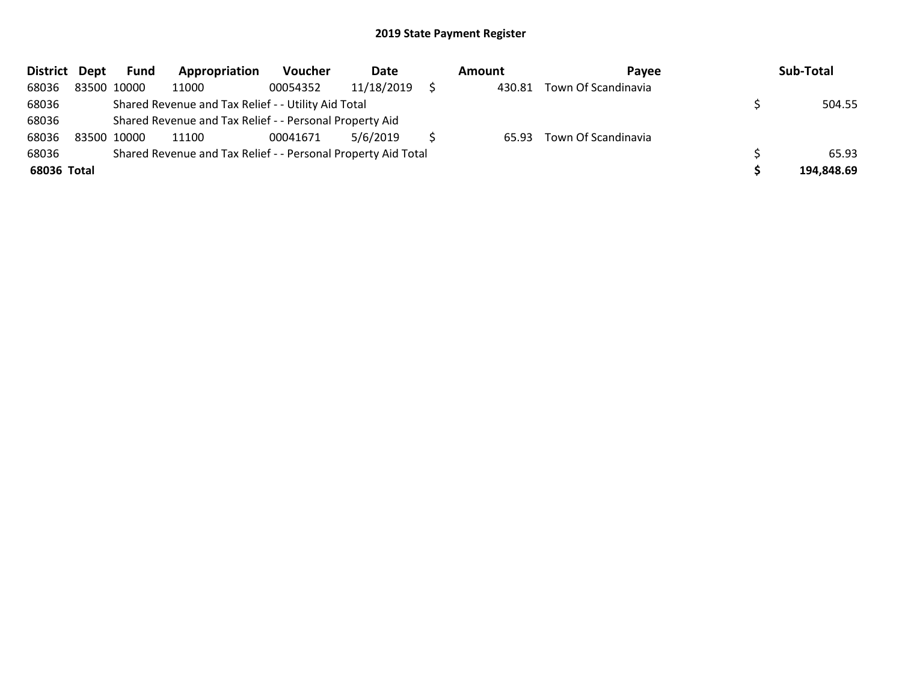| District Dept |             | Fund        | Appropriation                                                 | Voucher  | Date       | Amount | <b>Pavee</b>              | Sub-Total  |
|---------------|-------------|-------------|---------------------------------------------------------------|----------|------------|--------|---------------------------|------------|
| 68036         |             | 83500 10000 | 11000                                                         | 00054352 | 11/18/2019 | 430.81 | Town Of Scandinavia       |            |
| 68036         |             |             | Shared Revenue and Tax Relief - - Utility Aid Total           |          | 504.55     |        |                           |            |
| 68036         |             |             | Shared Revenue and Tax Relief - - Personal Property Aid       |          |            |        |                           |            |
| 68036         | 83500 10000 |             | 11100                                                         | 00041671 | 5/6/2019   |        | 65.93 Town Of Scandinavia |            |
| 68036         |             |             | Shared Revenue and Tax Relief - - Personal Property Aid Total |          |            |        |                           | 65.93      |
| 68036 Total   |             |             |                                                               |          |            |        |                           | 194,848.69 |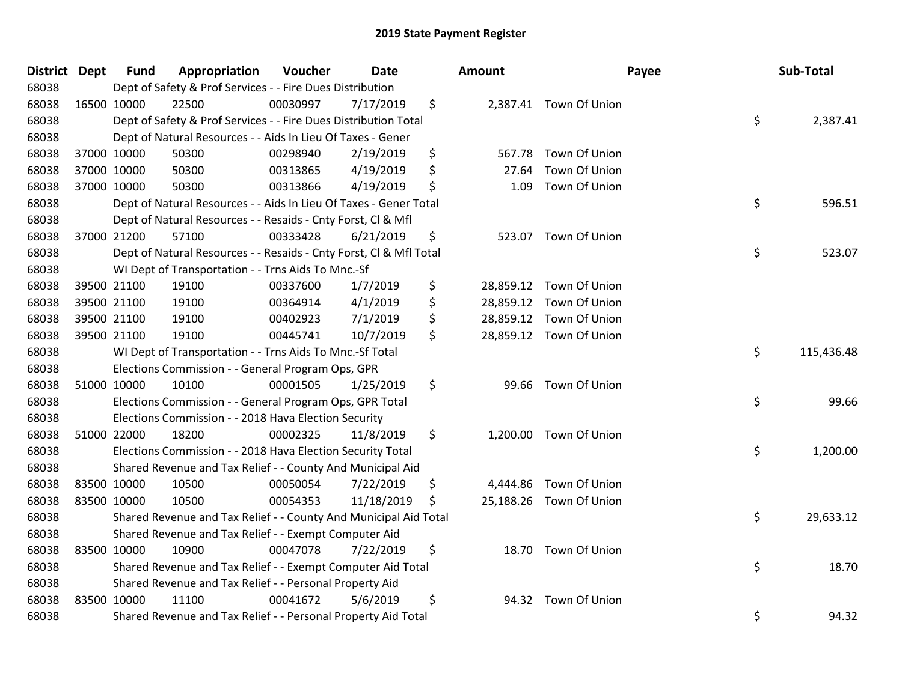| District Dept | <b>Fund</b>                                             | Appropriation                                                      | Voucher  | <b>Date</b> |    | Amount   |                         | Payee | Sub-Total  |  |
|---------------|---------------------------------------------------------|--------------------------------------------------------------------|----------|-------------|----|----------|-------------------------|-------|------------|--|
| 68038         |                                                         | Dept of Safety & Prof Services - - Fire Dues Distribution          |          |             |    |          |                         |       |            |  |
| 68038         | 16500 10000                                             | 22500                                                              | 00030997 | 7/17/2019   | \$ |          | 2,387.41 Town Of Union  |       |            |  |
| 68038         |                                                         | Dept of Safety & Prof Services - - Fire Dues Distribution Total    |          |             |    |          |                         | \$    | 2,387.41   |  |
| 68038         |                                                         | Dept of Natural Resources - - Aids In Lieu Of Taxes - Gener        |          |             |    |          |                         |       |            |  |
| 68038         | 37000 10000                                             | 50300                                                              | 00298940 | 2/19/2019   | \$ | 567.78   | Town Of Union           |       |            |  |
| 68038         | 37000 10000                                             | 50300                                                              | 00313865 | 4/19/2019   | \$ | 27.64    | Town Of Union           |       |            |  |
| 68038         | 37000 10000                                             | 50300                                                              | 00313866 | 4/19/2019   | \$ | 1.09     | Town Of Union           |       |            |  |
| 68038         |                                                         | Dept of Natural Resources - - Aids In Lieu Of Taxes - Gener Total  |          |             |    |          |                         | \$    | 596.51     |  |
| 68038         |                                                         | Dept of Natural Resources - - Resaids - Cnty Forst, Cl & Mfl       |          |             |    |          |                         |       |            |  |
| 68038         | 37000 21200                                             | 57100                                                              | 00333428 | 6/21/2019   | \$ | 523.07   | Town Of Union           |       |            |  |
| 68038         |                                                         | Dept of Natural Resources - - Resaids - Cnty Forst, Cl & Mfl Total |          |             |    |          |                         | \$    | 523.07     |  |
| 68038         |                                                         | WI Dept of Transportation - - Trns Aids To Mnc.-Sf                 |          |             |    |          |                         |       |            |  |
| 68038         | 39500 21100                                             | 19100                                                              | 00337600 | 1/7/2019    | \$ |          | 28,859.12 Town Of Union |       |            |  |
| 68038         | 39500 21100                                             | 19100                                                              | 00364914 | 4/1/2019    | \$ |          | 28,859.12 Town Of Union |       |            |  |
| 68038         | 39500 21100                                             | 19100                                                              | 00402923 | 7/1/2019    | \$ |          | 28,859.12 Town Of Union |       |            |  |
| 68038         | 39500 21100                                             | 19100                                                              | 00445741 | 10/7/2019   | \$ |          | 28,859.12 Town Of Union |       |            |  |
| 68038         |                                                         | WI Dept of Transportation - - Trns Aids To Mnc.-Sf Total           |          |             |    |          |                         | \$    | 115,436.48 |  |
| 68038         |                                                         | Elections Commission - - General Program Ops, GPR                  |          |             |    |          |                         |       |            |  |
| 68038         | 51000 10000                                             | 10100                                                              | 00001505 | 1/25/2019   | \$ | 99.66    | Town Of Union           |       |            |  |
| 68038         |                                                         | Elections Commission - - General Program Ops, GPR Total            |          |             |    |          |                         | \$    | 99.66      |  |
| 68038         |                                                         | Elections Commission - - 2018 Hava Election Security               |          |             |    |          |                         |       |            |  |
| 68038         | 51000 22000                                             | 18200                                                              | 00002325 | 11/8/2019   | \$ |          | 1,200.00 Town Of Union  |       |            |  |
| 68038         |                                                         | Elections Commission - - 2018 Hava Election Security Total         |          |             |    |          |                         | \$    | 1,200.00   |  |
| 68038         |                                                         | Shared Revenue and Tax Relief - - County And Municipal Aid         |          |             |    |          |                         |       |            |  |
| 68038         | 83500 10000                                             | 10500                                                              | 00050054 | 7/22/2019   | \$ | 4,444.86 | Town Of Union           |       |            |  |
| 68038         | 83500 10000                                             | 10500                                                              | 00054353 | 11/18/2019  | \$ |          | 25,188.26 Town Of Union |       |            |  |
| 68038         |                                                         | Shared Revenue and Tax Relief - - County And Municipal Aid Total   |          |             |    |          |                         | \$    | 29,633.12  |  |
| 68038         |                                                         | Shared Revenue and Tax Relief - - Exempt Computer Aid              |          |             |    |          |                         |       |            |  |
| 68038         | 83500 10000                                             | 10900                                                              | 00047078 | 7/22/2019   | \$ |          | 18.70 Town Of Union     |       |            |  |
| 68038         |                                                         | Shared Revenue and Tax Relief - - Exempt Computer Aid Total        |          |             |    |          |                         | \$    | 18.70      |  |
| 68038         | Shared Revenue and Tax Relief - - Personal Property Aid |                                                                    |          |             |    |          |                         |       |            |  |
| 68038         | 83500 10000                                             | 11100                                                              | 00041672 | 5/6/2019    | \$ | 94.32    | Town Of Union           |       |            |  |
| 68038         |                                                         | Shared Revenue and Tax Relief - - Personal Property Aid Total      |          |             |    |          |                         | \$    | 94.32      |  |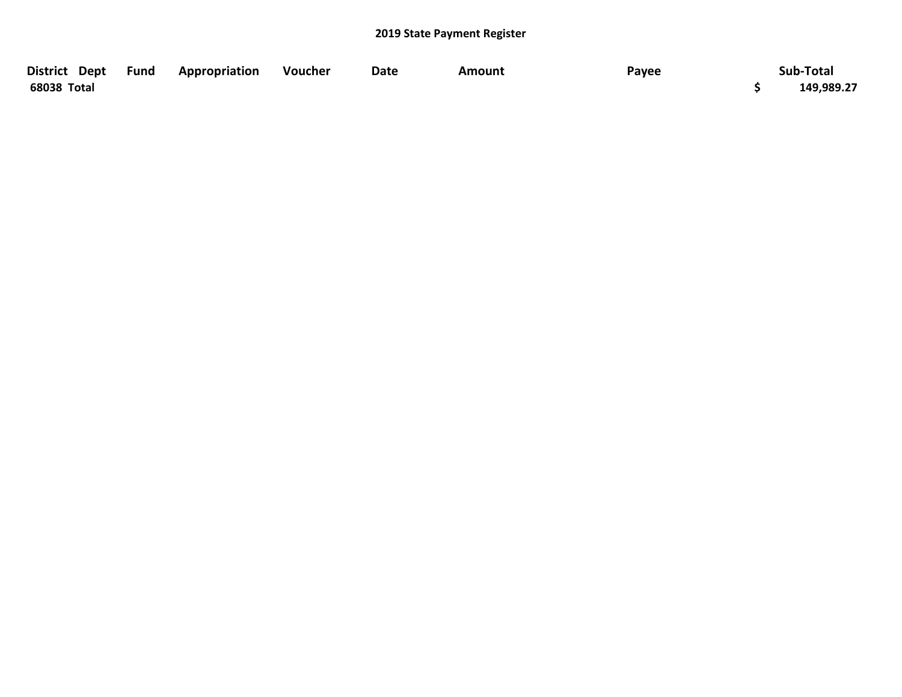| District Dept Fund | Appropriation | Voucher | <b>Date</b> | Amount | Payee | Sub-Total  |
|--------------------|---------------|---------|-------------|--------|-------|------------|
| 68038 Total        |               |         |             |        |       | 149,989.27 |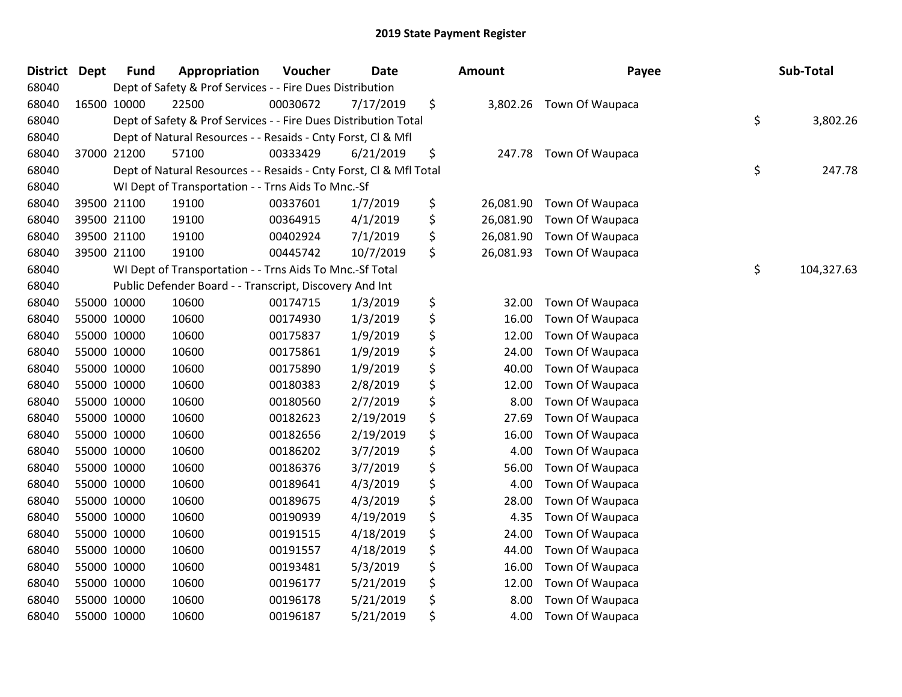| <b>District</b> | <b>Dept</b> | <b>Fund</b> | Appropriation                                                      | Voucher  | <b>Date</b> | <b>Amount</b>   | Payee           | Sub-Total        |
|-----------------|-------------|-------------|--------------------------------------------------------------------|----------|-------------|-----------------|-----------------|------------------|
| 68040           |             |             | Dept of Safety & Prof Services - - Fire Dues Distribution          |          |             |                 |                 |                  |
| 68040           |             | 16500 10000 | 22500                                                              | 00030672 | 7/17/2019   | \$<br>3,802.26  | Town Of Waupaca |                  |
| 68040           |             |             | Dept of Safety & Prof Services - - Fire Dues Distribution Total    |          |             |                 |                 | \$<br>3,802.26   |
| 68040           |             |             | Dept of Natural Resources - - Resaids - Cnty Forst, Cl & Mfl       |          |             |                 |                 |                  |
| 68040           |             | 37000 21200 | 57100                                                              | 00333429 | 6/21/2019   | \$<br>247.78    | Town Of Waupaca |                  |
| 68040           |             |             | Dept of Natural Resources - - Resaids - Cnty Forst, CI & Mfl Total |          |             |                 |                 | \$<br>247.78     |
| 68040           |             |             | WI Dept of Transportation - - Trns Aids To Mnc.-Sf                 |          |             |                 |                 |                  |
| 68040           |             | 39500 21100 | 19100                                                              | 00337601 | 1/7/2019    | \$<br>26,081.90 | Town Of Waupaca |                  |
| 68040           |             | 39500 21100 | 19100                                                              | 00364915 | 4/1/2019    | \$<br>26,081.90 | Town Of Waupaca |                  |
| 68040           | 39500 21100 |             | 19100                                                              | 00402924 | 7/1/2019    | \$<br>26,081.90 | Town Of Waupaca |                  |
| 68040           |             | 39500 21100 | 19100                                                              | 00445742 | 10/7/2019   | \$<br>26,081.93 | Town Of Waupaca |                  |
| 68040           |             |             | WI Dept of Transportation - - Trns Aids To Mnc.-Sf Total           |          |             |                 |                 | \$<br>104,327.63 |
| 68040           |             |             | Public Defender Board - - Transcript, Discovery And Int            |          |             |                 |                 |                  |
| 68040           |             | 55000 10000 | 10600                                                              | 00174715 | 1/3/2019    | \$<br>32.00     | Town Of Waupaca |                  |
| 68040           |             | 55000 10000 | 10600                                                              | 00174930 | 1/3/2019    | \$<br>16.00     | Town Of Waupaca |                  |
| 68040           |             | 55000 10000 | 10600                                                              | 00175837 | 1/9/2019    | \$<br>12.00     | Town Of Waupaca |                  |
| 68040           |             | 55000 10000 | 10600                                                              | 00175861 | 1/9/2019    | \$<br>24.00     | Town Of Waupaca |                  |
| 68040           |             | 55000 10000 | 10600                                                              | 00175890 | 1/9/2019    | \$<br>40.00     | Town Of Waupaca |                  |
| 68040           | 55000 10000 |             | 10600                                                              | 00180383 | 2/8/2019    | \$<br>12.00     | Town Of Waupaca |                  |
| 68040           | 55000 10000 |             | 10600                                                              | 00180560 | 2/7/2019    | \$<br>8.00      | Town Of Waupaca |                  |
| 68040           |             | 55000 10000 | 10600                                                              | 00182623 | 2/19/2019   | \$<br>27.69     | Town Of Waupaca |                  |
| 68040           |             | 55000 10000 | 10600                                                              | 00182656 | 2/19/2019   | \$<br>16.00     | Town Of Waupaca |                  |
| 68040           |             | 55000 10000 | 10600                                                              | 00186202 | 3/7/2019    | \$<br>4.00      | Town Of Waupaca |                  |
| 68040           | 55000 10000 |             | 10600                                                              | 00186376 | 3/7/2019    | \$<br>56.00     | Town Of Waupaca |                  |
| 68040           | 55000 10000 |             | 10600                                                              | 00189641 | 4/3/2019    | \$<br>4.00      | Town Of Waupaca |                  |
| 68040           |             | 55000 10000 | 10600                                                              | 00189675 | 4/3/2019    | \$<br>28.00     | Town Of Waupaca |                  |
| 68040           | 55000 10000 |             | 10600                                                              | 00190939 | 4/19/2019   | \$<br>4.35      | Town Of Waupaca |                  |
| 68040           |             | 55000 10000 | 10600                                                              | 00191515 | 4/18/2019   | \$<br>24.00     | Town Of Waupaca |                  |
| 68040           | 55000 10000 |             | 10600                                                              | 00191557 | 4/18/2019   | \$<br>44.00     | Town Of Waupaca |                  |
| 68040           | 55000 10000 |             | 10600                                                              | 00193481 | 5/3/2019    | \$<br>16.00     | Town Of Waupaca |                  |
| 68040           |             | 55000 10000 | 10600                                                              | 00196177 | 5/21/2019   | \$<br>12.00     | Town Of Waupaca |                  |
| 68040           |             | 55000 10000 | 10600                                                              | 00196178 | 5/21/2019   | \$<br>8.00      | Town Of Waupaca |                  |
| 68040           | 55000 10000 |             | 10600                                                              | 00196187 | 5/21/2019   | \$<br>4.00      | Town Of Waupaca |                  |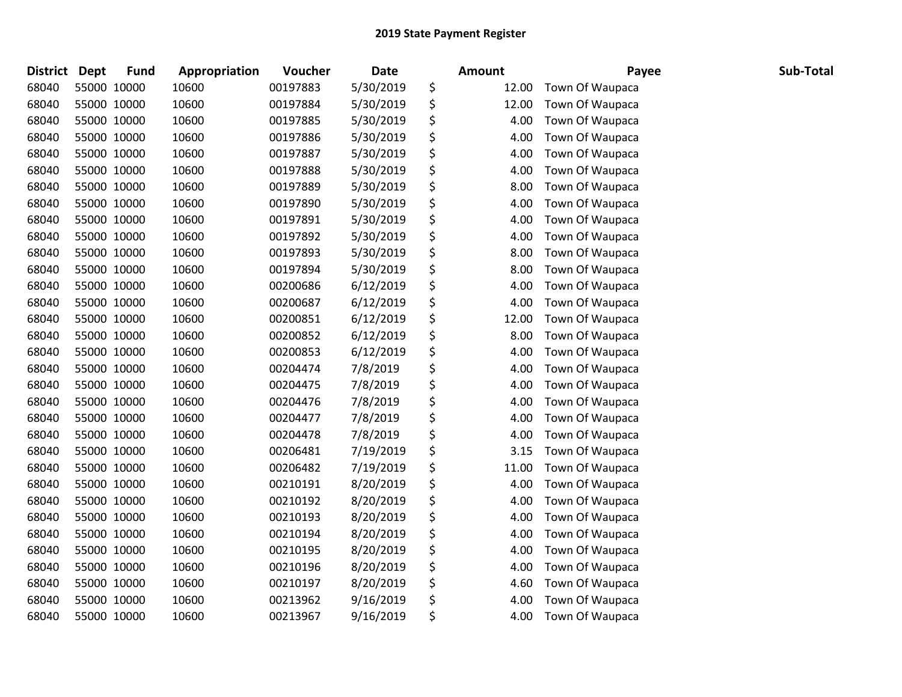| <b>District</b> | <b>Dept</b> | <b>Fund</b> | Appropriation | Voucher  | <b>Date</b> | <b>Amount</b> | Payee           | Sub-Total |
|-----------------|-------------|-------------|---------------|----------|-------------|---------------|-----------------|-----------|
| 68040           | 55000 10000 |             | 10600         | 00197883 | 5/30/2019   | \$<br>12.00   | Town Of Waupaca |           |
| 68040           | 55000 10000 |             | 10600         | 00197884 | 5/30/2019   | \$<br>12.00   | Town Of Waupaca |           |
| 68040           | 55000 10000 |             | 10600         | 00197885 | 5/30/2019   | \$<br>4.00    | Town Of Waupaca |           |
| 68040           | 55000 10000 |             | 10600         | 00197886 | 5/30/2019   | \$<br>4.00    | Town Of Waupaca |           |
| 68040           | 55000 10000 |             | 10600         | 00197887 | 5/30/2019   | \$<br>4.00    | Town Of Waupaca |           |
| 68040           | 55000 10000 |             | 10600         | 00197888 | 5/30/2019   | \$<br>4.00    | Town Of Waupaca |           |
| 68040           | 55000 10000 |             | 10600         | 00197889 | 5/30/2019   | \$<br>8.00    | Town Of Waupaca |           |
| 68040           | 55000 10000 |             | 10600         | 00197890 | 5/30/2019   | \$<br>4.00    | Town Of Waupaca |           |
| 68040           | 55000 10000 |             | 10600         | 00197891 | 5/30/2019   | \$<br>4.00    | Town Of Waupaca |           |
| 68040           | 55000 10000 |             | 10600         | 00197892 | 5/30/2019   | \$<br>4.00    | Town Of Waupaca |           |
| 68040           | 55000 10000 |             | 10600         | 00197893 | 5/30/2019   | \$<br>8.00    | Town Of Waupaca |           |
| 68040           | 55000 10000 |             | 10600         | 00197894 | 5/30/2019   | \$<br>8.00    | Town Of Waupaca |           |
| 68040           | 55000 10000 |             | 10600         | 00200686 | 6/12/2019   | \$<br>4.00    | Town Of Waupaca |           |
| 68040           | 55000 10000 |             | 10600         | 00200687 | 6/12/2019   | \$<br>4.00    | Town Of Waupaca |           |
| 68040           | 55000 10000 |             | 10600         | 00200851 | 6/12/2019   | \$<br>12.00   | Town Of Waupaca |           |
| 68040           | 55000 10000 |             | 10600         | 00200852 | 6/12/2019   | \$<br>8.00    | Town Of Waupaca |           |
| 68040           | 55000 10000 |             | 10600         | 00200853 | 6/12/2019   | \$<br>4.00    | Town Of Waupaca |           |
| 68040           | 55000 10000 |             | 10600         | 00204474 | 7/8/2019    | \$<br>4.00    | Town Of Waupaca |           |
| 68040           | 55000 10000 |             | 10600         | 00204475 | 7/8/2019    | \$<br>4.00    | Town Of Waupaca |           |
| 68040           | 55000 10000 |             | 10600         | 00204476 | 7/8/2019    | \$<br>4.00    | Town Of Waupaca |           |
| 68040           | 55000 10000 |             | 10600         | 00204477 | 7/8/2019    | \$<br>4.00    | Town Of Waupaca |           |
| 68040           | 55000 10000 |             | 10600         | 00204478 | 7/8/2019    | \$<br>4.00    | Town Of Waupaca |           |
| 68040           | 55000 10000 |             | 10600         | 00206481 | 7/19/2019   | \$<br>3.15    | Town Of Waupaca |           |
| 68040           | 55000 10000 |             | 10600         | 00206482 | 7/19/2019   | \$<br>11.00   | Town Of Waupaca |           |
| 68040           | 55000 10000 |             | 10600         | 00210191 | 8/20/2019   | \$<br>4.00    | Town Of Waupaca |           |
| 68040           | 55000 10000 |             | 10600         | 00210192 | 8/20/2019   | \$<br>4.00    | Town Of Waupaca |           |
| 68040           | 55000 10000 |             | 10600         | 00210193 | 8/20/2019   | \$<br>4.00    | Town Of Waupaca |           |
| 68040           | 55000 10000 |             | 10600         | 00210194 | 8/20/2019   | \$<br>4.00    | Town Of Waupaca |           |
| 68040           | 55000 10000 |             | 10600         | 00210195 | 8/20/2019   | \$<br>4.00    | Town Of Waupaca |           |
| 68040           | 55000 10000 |             | 10600         | 00210196 | 8/20/2019   | \$<br>4.00    | Town Of Waupaca |           |
| 68040           | 55000 10000 |             | 10600         | 00210197 | 8/20/2019   | \$<br>4.60    | Town Of Waupaca |           |
| 68040           | 55000 10000 |             | 10600         | 00213962 | 9/16/2019   | \$<br>4.00    | Town Of Waupaca |           |
| 68040           | 55000 10000 |             | 10600         | 00213967 | 9/16/2019   | \$<br>4.00    | Town Of Waupaca |           |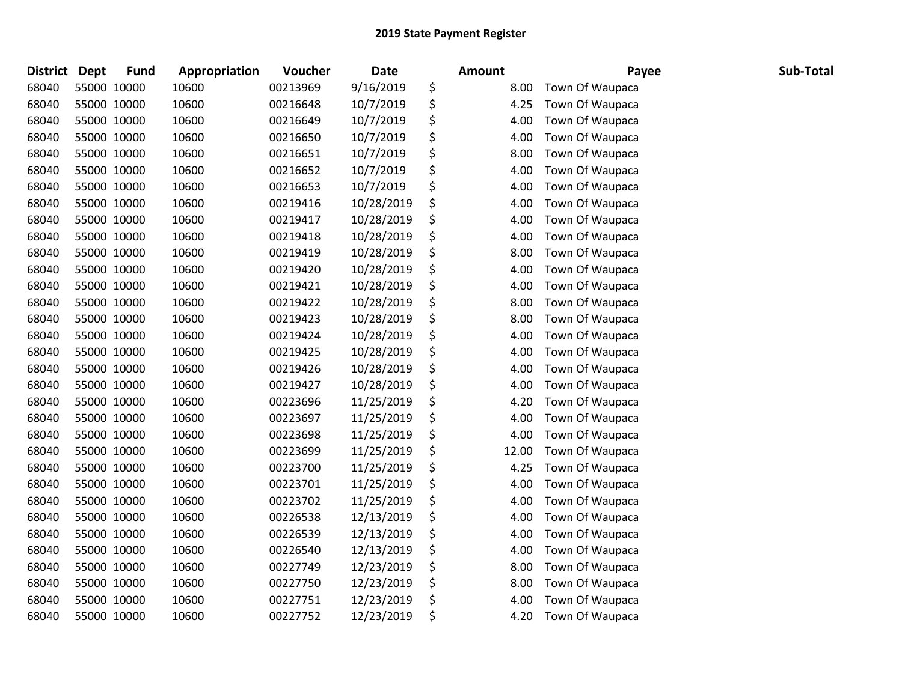| <b>District</b> | <b>Dept</b> | <b>Fund</b> | Appropriation | Voucher  | <b>Date</b> | <b>Amount</b> | Payee           | Sub-Total |
|-----------------|-------------|-------------|---------------|----------|-------------|---------------|-----------------|-----------|
| 68040           | 55000 10000 |             | 10600         | 00213969 | 9/16/2019   | \$<br>8.00    | Town Of Waupaca |           |
| 68040           | 55000 10000 |             | 10600         | 00216648 | 10/7/2019   | \$<br>4.25    | Town Of Waupaca |           |
| 68040           | 55000 10000 |             | 10600         | 00216649 | 10/7/2019   | \$<br>4.00    | Town Of Waupaca |           |
| 68040           | 55000 10000 |             | 10600         | 00216650 | 10/7/2019   | \$<br>4.00    | Town Of Waupaca |           |
| 68040           | 55000 10000 |             | 10600         | 00216651 | 10/7/2019   | \$<br>8.00    | Town Of Waupaca |           |
| 68040           | 55000 10000 |             | 10600         | 00216652 | 10/7/2019   | \$<br>4.00    | Town Of Waupaca |           |
| 68040           | 55000 10000 |             | 10600         | 00216653 | 10/7/2019   | \$<br>4.00    | Town Of Waupaca |           |
| 68040           | 55000 10000 |             | 10600         | 00219416 | 10/28/2019  | \$<br>4.00    | Town Of Waupaca |           |
| 68040           | 55000 10000 |             | 10600         | 00219417 | 10/28/2019  | \$<br>4.00    | Town Of Waupaca |           |
| 68040           | 55000 10000 |             | 10600         | 00219418 | 10/28/2019  | \$<br>4.00    | Town Of Waupaca |           |
| 68040           | 55000 10000 |             | 10600         | 00219419 | 10/28/2019  | \$<br>8.00    | Town Of Waupaca |           |
| 68040           | 55000 10000 |             | 10600         | 00219420 | 10/28/2019  | \$<br>4.00    | Town Of Waupaca |           |
| 68040           | 55000 10000 |             | 10600         | 00219421 | 10/28/2019  | \$<br>4.00    | Town Of Waupaca |           |
| 68040           | 55000 10000 |             | 10600         | 00219422 | 10/28/2019  | \$<br>8.00    | Town Of Waupaca |           |
| 68040           | 55000 10000 |             | 10600         | 00219423 | 10/28/2019  | \$<br>8.00    | Town Of Waupaca |           |
| 68040           | 55000 10000 |             | 10600         | 00219424 | 10/28/2019  | \$<br>4.00    | Town Of Waupaca |           |
| 68040           | 55000 10000 |             | 10600         | 00219425 | 10/28/2019  | \$<br>4.00    | Town Of Waupaca |           |
| 68040           | 55000 10000 |             | 10600         | 00219426 | 10/28/2019  | \$<br>4.00    | Town Of Waupaca |           |
| 68040           | 55000 10000 |             | 10600         | 00219427 | 10/28/2019  | \$<br>4.00    | Town Of Waupaca |           |
| 68040           | 55000 10000 |             | 10600         | 00223696 | 11/25/2019  | \$<br>4.20    | Town Of Waupaca |           |
| 68040           | 55000 10000 |             | 10600         | 00223697 | 11/25/2019  | \$<br>4.00    | Town Of Waupaca |           |
| 68040           | 55000 10000 |             | 10600         | 00223698 | 11/25/2019  | \$<br>4.00    | Town Of Waupaca |           |
| 68040           | 55000 10000 |             | 10600         | 00223699 | 11/25/2019  | \$<br>12.00   | Town Of Waupaca |           |
| 68040           | 55000 10000 |             | 10600         | 00223700 | 11/25/2019  | \$<br>4.25    | Town Of Waupaca |           |
| 68040           | 55000 10000 |             | 10600         | 00223701 | 11/25/2019  | \$<br>4.00    | Town Of Waupaca |           |
| 68040           | 55000 10000 |             | 10600         | 00223702 | 11/25/2019  | \$<br>4.00    | Town Of Waupaca |           |
| 68040           | 55000 10000 |             | 10600         | 00226538 | 12/13/2019  | \$<br>4.00    | Town Of Waupaca |           |
| 68040           | 55000 10000 |             | 10600         | 00226539 | 12/13/2019  | \$<br>4.00    | Town Of Waupaca |           |
| 68040           | 55000 10000 |             | 10600         | 00226540 | 12/13/2019  | \$<br>4.00    | Town Of Waupaca |           |
| 68040           | 55000 10000 |             | 10600         | 00227749 | 12/23/2019  | \$<br>8.00    | Town Of Waupaca |           |
| 68040           | 55000 10000 |             | 10600         | 00227750 | 12/23/2019  | \$<br>8.00    | Town Of Waupaca |           |
| 68040           | 55000 10000 |             | 10600         | 00227751 | 12/23/2019  | \$<br>4.00    | Town Of Waupaca |           |
| 68040           | 55000 10000 |             | 10600         | 00227752 | 12/23/2019  | \$<br>4.20    | Town Of Waupaca |           |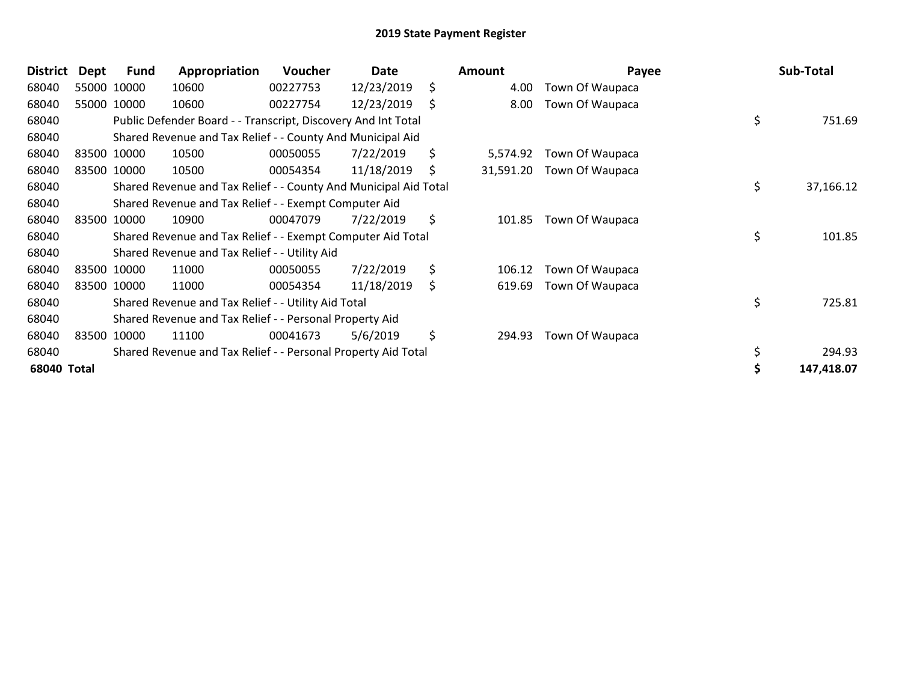| <b>District</b> | <b>Dept</b> | Fund        | Appropriation                                                    | <b>Voucher</b> | Date       |     | Amount    | Payee           | Sub-Total       |
|-----------------|-------------|-------------|------------------------------------------------------------------|----------------|------------|-----|-----------|-----------------|-----------------|
| 68040           |             | 55000 10000 | 10600                                                            | 00227753       | 12/23/2019 | \$  | 4.00      | Town Of Waupaca |                 |
| 68040           |             | 55000 10000 | 10600                                                            | 00227754       | 12/23/2019 | \$  | 8.00      | Town Of Waupaca |                 |
| 68040           |             |             | Public Defender Board - - Transcript, Discovery And Int Total    |                |            |     |           |                 | \$<br>751.69    |
| 68040           |             |             | Shared Revenue and Tax Relief - - County And Municipal Aid       |                |            |     |           |                 |                 |
| 68040           |             | 83500 10000 | 10500                                                            | 00050055       | 7/22/2019  | \$. | 5,574.92  | Town Of Waupaca |                 |
| 68040           |             | 83500 10000 | 10500                                                            | 00054354       | 11/18/2019 | \$  | 31,591.20 | Town Of Waupaca |                 |
| 68040           |             |             | Shared Revenue and Tax Relief - - County And Municipal Aid Total |                |            |     |           |                 | \$<br>37,166.12 |
| 68040           |             |             | Shared Revenue and Tax Relief - - Exempt Computer Aid            |                |            |     |           |                 |                 |
| 68040           |             | 83500 10000 | 10900                                                            | 00047079       | 7/22/2019  | \$  | 101.85    | Town Of Waupaca |                 |
| 68040           |             |             | Shared Revenue and Tax Relief - - Exempt Computer Aid Total      |                |            |     |           |                 | \$<br>101.85    |
| 68040           |             |             | Shared Revenue and Tax Relief - - Utility Aid                    |                |            |     |           |                 |                 |
| 68040           |             | 83500 10000 | 11000                                                            | 00050055       | 7/22/2019  | \$  | 106.12    | Town Of Waupaca |                 |
| 68040           |             | 83500 10000 | 11000                                                            | 00054354       | 11/18/2019 | \$  | 619.69    | Town Of Waupaca |                 |
| 68040           |             |             | Shared Revenue and Tax Relief - - Utility Aid Total              |                |            |     |           |                 | \$<br>725.81    |
| 68040           |             |             | Shared Revenue and Tax Relief - - Personal Property Aid          |                |            |     |           |                 |                 |
| 68040           |             | 83500 10000 | 11100                                                            | 00041673       | 5/6/2019   | \$  | 294.93    | Town Of Waupaca |                 |
| 68040           |             |             | Shared Revenue and Tax Relief - - Personal Property Aid Total    |                |            |     |           |                 | \$<br>294.93    |
| 68040 Total     |             |             |                                                                  |                |            |     |           |                 | 147,418.07      |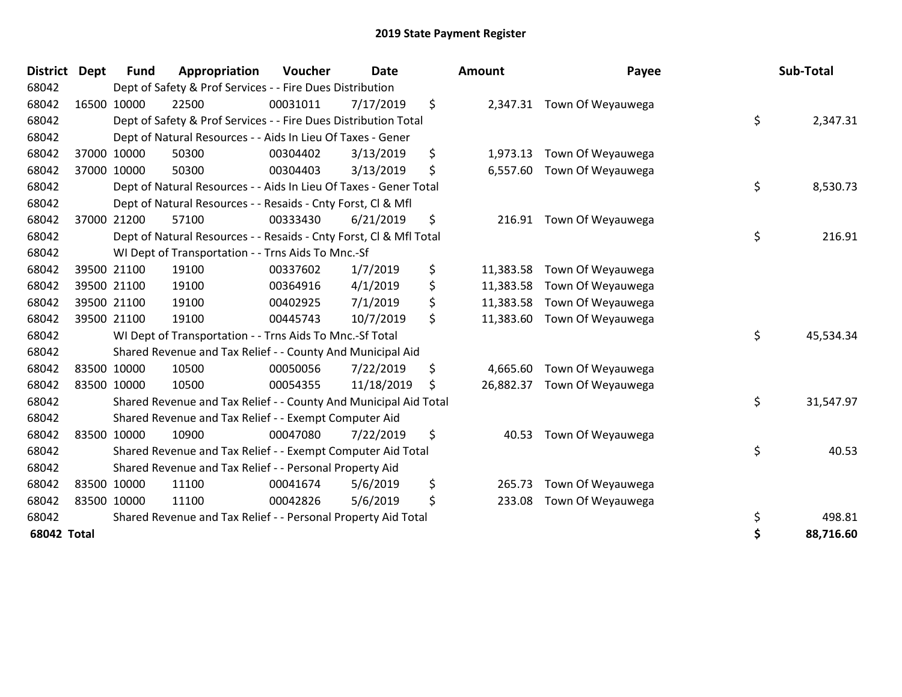| District Dept      |             | <b>Fund</b> | Appropriation                                                      | Voucher  | <b>Date</b> | <b>Amount</b>   | Payee             | Sub-Total       |
|--------------------|-------------|-------------|--------------------------------------------------------------------|----------|-------------|-----------------|-------------------|-----------------|
| 68042              |             |             | Dept of Safety & Prof Services - - Fire Dues Distribution          |          |             |                 |                   |                 |
| 68042              |             | 16500 10000 | 22500                                                              | 00031011 | 7/17/2019   | \$<br>2,347.31  | Town Of Weyauwega |                 |
| 68042              |             |             | Dept of Safety & Prof Services - - Fire Dues Distribution Total    |          |             |                 |                   | \$<br>2,347.31  |
| 68042              |             |             | Dept of Natural Resources - - Aids In Lieu Of Taxes - Gener        |          |             |                 |                   |                 |
| 68042              |             | 37000 10000 | 50300                                                              | 00304402 | 3/13/2019   | \$<br>1,973.13  | Town Of Weyauwega |                 |
| 68042              | 37000       | 10000       | 50300                                                              | 00304403 | 3/13/2019   | \$<br>6,557.60  | Town Of Weyauwega |                 |
| 68042              |             |             | Dept of Natural Resources - - Aids In Lieu Of Taxes - Gener Total  |          |             |                 |                   | \$<br>8,530.73  |
| 68042              |             |             | Dept of Natural Resources - - Resaids - Cnty Forst, Cl & Mfl       |          |             |                 |                   |                 |
| 68042              | 37000       | 21200       | 57100                                                              | 00333430 | 6/21/2019   | \$<br>216.91    | Town Of Weyauwega |                 |
| 68042              |             |             | Dept of Natural Resources - - Resaids - Cnty Forst, CI & Mfl Total |          |             |                 |                   | \$<br>216.91    |
| 68042              |             |             | WI Dept of Transportation - - Trns Aids To Mnc.-Sf                 |          |             |                 |                   |                 |
| 68042              | 39500 21100 |             | 19100                                                              | 00337602 | 1/7/2019    | \$<br>11,383.58 | Town Of Weyauwega |                 |
| 68042              | 39500 21100 |             | 19100                                                              | 00364916 | 4/1/2019    | \$<br>11,383.58 | Town Of Weyauwega |                 |
| 68042              |             | 39500 21100 | 19100                                                              | 00402925 | 7/1/2019    | \$<br>11,383.58 | Town Of Weyauwega |                 |
| 68042              | 39500 21100 |             | 19100                                                              | 00445743 | 10/7/2019   | \$<br>11,383.60 | Town Of Weyauwega |                 |
| 68042              |             |             | WI Dept of Transportation - - Trns Aids To Mnc.-Sf Total           |          |             |                 |                   | \$<br>45,534.34 |
| 68042              |             |             | Shared Revenue and Tax Relief - - County And Municipal Aid         |          |             |                 |                   |                 |
| 68042              | 83500 10000 |             | 10500                                                              | 00050056 | 7/22/2019   | \$<br>4,665.60  | Town Of Weyauwega |                 |
| 68042              | 83500 10000 |             | 10500                                                              | 00054355 | 11/18/2019  | \$<br>26,882.37 | Town Of Weyauwega |                 |
| 68042              |             |             | Shared Revenue and Tax Relief - - County And Municipal Aid Total   |          |             |                 |                   | \$<br>31,547.97 |
| 68042              |             |             | Shared Revenue and Tax Relief - - Exempt Computer Aid              |          |             |                 |                   |                 |
| 68042              |             | 83500 10000 | 10900                                                              | 00047080 | 7/22/2019   | \$<br>40.53     | Town Of Weyauwega |                 |
| 68042              |             |             | Shared Revenue and Tax Relief - - Exempt Computer Aid Total        |          |             |                 |                   | \$<br>40.53     |
| 68042              |             |             | Shared Revenue and Tax Relief - - Personal Property Aid            |          |             |                 |                   |                 |
| 68042              | 83500 10000 |             | 11100                                                              | 00041674 | 5/6/2019    | \$<br>265.73    | Town Of Weyauwega |                 |
| 68042              | 83500 10000 |             | 11100                                                              | 00042826 | 5/6/2019    | \$<br>233.08    | Town Of Weyauwega |                 |
| 68042              |             |             | Shared Revenue and Tax Relief - - Personal Property Aid Total      |          |             |                 |                   | \$<br>498.81    |
| <b>68042 Total</b> |             |             |                                                                    |          |             |                 |                   | \$<br>88,716.60 |

| ount                                | Payee                                                       |          | Sub-Total           |
|-------------------------------------|-------------------------------------------------------------|----------|---------------------|
| 2,347.31                            | Town Of Weyauwega                                           | \$       | 2,347.31            |
| 1,973.13<br>6,557.60                | Town Of Weyauwega<br>Town Of Weyauwega                      | \$       | 8,530.73            |
| 216.91                              | Town Of Weyauwega                                           | \$       | 216.91              |
| 11,383.58<br>11,383.58<br>11,383.58 | Town Of Weyauwega<br>Town Of Weyauwega<br>Town Of Weyauwega |          |                     |
| 11,383.60                           | Town Of Weyauwega                                           | \$       | 45,534.34           |
| 4,665.60<br>26,882.37               | Town Of Weyauwega<br>Town Of Weyauwega                      | \$       | 31,547.97           |
| 40.53                               | Town Of Weyauwega                                           | \$       | 40.53               |
| 265.73<br>233.08                    | Town Of Weyauwega<br>Town Of Weyauwega                      |          |                     |
|                                     |                                                             | \$<br>\$ | 498.81<br>88,716.60 |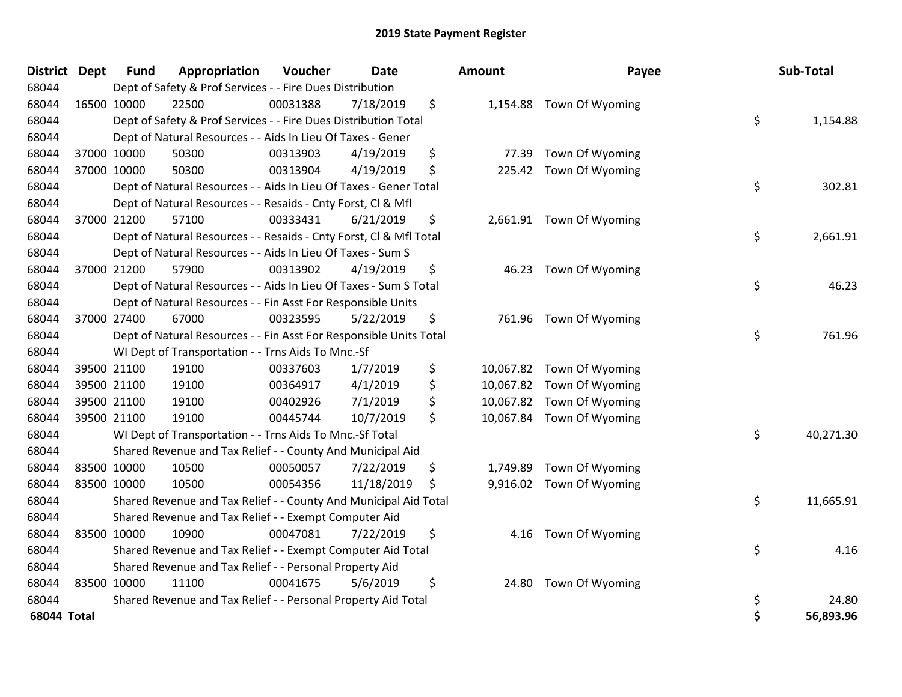| <b>District</b> | <b>Dept</b> | <b>Fund</b> | Appropriation                                                      | Voucher  | <b>Date</b> | Amount          | Payee                     | Sub-Total       |
|-----------------|-------------|-------------|--------------------------------------------------------------------|----------|-------------|-----------------|---------------------------|-----------------|
| 68044           |             |             | Dept of Safety & Prof Services - - Fire Dues Distribution          |          |             |                 |                           |                 |
| 68044           |             | 16500 10000 | 22500                                                              | 00031388 | 7/18/2019   | \$              | 1,154.88 Town Of Wyoming  |                 |
| 68044           |             |             | Dept of Safety & Prof Services - - Fire Dues Distribution Total    |          |             |                 |                           | \$<br>1,154.88  |
| 68044           |             |             | Dept of Natural Resources - - Aids In Lieu Of Taxes - Gener        |          |             |                 |                           |                 |
| 68044           |             | 37000 10000 | 50300                                                              | 00313903 | 4/19/2019   | \$<br>77.39     | Town Of Wyoming           |                 |
| 68044           |             | 37000 10000 | 50300                                                              | 00313904 | 4/19/2019   | \$<br>225.42    | Town Of Wyoming           |                 |
| 68044           |             |             | Dept of Natural Resources - - Aids In Lieu Of Taxes - Gener Total  |          |             |                 |                           | \$<br>302.81    |
| 68044           |             |             | Dept of Natural Resources - - Resaids - Cnty Forst, Cl & Mfl       |          |             |                 |                           |                 |
| 68044           |             | 37000 21200 | 57100                                                              | 00333431 | 6/21/2019   | \$              | 2,661.91 Town Of Wyoming  |                 |
| 68044           |             |             | Dept of Natural Resources - - Resaids - Cnty Forst, Cl & Mfl Total |          |             |                 |                           | \$<br>2,661.91  |
| 68044           |             |             | Dept of Natural Resources - - Aids In Lieu Of Taxes - Sum S        |          |             |                 |                           |                 |
| 68044           |             | 37000 21200 | 57900                                                              | 00313902 | 4/19/2019   | \$              | 46.23 Town Of Wyoming     |                 |
| 68044           |             |             | Dept of Natural Resources - - Aids In Lieu Of Taxes - Sum S Total  |          |             |                 |                           | \$<br>46.23     |
| 68044           |             |             | Dept of Natural Resources - - Fin Asst For Responsible Units       |          |             |                 |                           |                 |
| 68044           |             | 37000 27400 | 67000                                                              | 00323595 | 5/22/2019   | \$<br>761.96    | Town Of Wyoming           |                 |
| 68044           |             |             | Dept of Natural Resources - - Fin Asst For Responsible Units Total |          |             |                 |                           | \$<br>761.96    |
| 68044           |             |             | WI Dept of Transportation - - Trns Aids To Mnc.-Sf                 |          |             |                 |                           |                 |
| 68044           |             | 39500 21100 | 19100                                                              | 00337603 | 1/7/2019    | \$              | 10,067.82 Town Of Wyoming |                 |
| 68044           |             | 39500 21100 | 19100                                                              | 00364917 | 4/1/2019    | \$              | 10,067.82 Town Of Wyoming |                 |
| 68044           |             | 39500 21100 | 19100                                                              | 00402926 | 7/1/2019    | \$<br>10,067.82 | Town Of Wyoming           |                 |
| 68044           |             | 39500 21100 | 19100                                                              | 00445744 | 10/7/2019   | \$              | 10,067.84 Town Of Wyoming |                 |
| 68044           |             |             | WI Dept of Transportation - - Trns Aids To Mnc.-Sf Total           |          |             |                 |                           | \$<br>40,271.30 |
| 68044           |             |             | Shared Revenue and Tax Relief - - County And Municipal Aid         |          |             |                 |                           |                 |
| 68044           |             | 83500 10000 | 10500                                                              | 00050057 | 7/22/2019   | \$<br>1,749.89  | Town Of Wyoming           |                 |
| 68044           |             | 83500 10000 | 10500                                                              | 00054356 | 11/18/2019  | \$<br>9,916.02  | Town Of Wyoming           |                 |
| 68044           |             |             | Shared Revenue and Tax Relief - - County And Municipal Aid Total   |          |             |                 |                           | \$<br>11,665.91 |
| 68044           |             |             | Shared Revenue and Tax Relief - - Exempt Computer Aid              |          |             |                 |                           |                 |
| 68044           |             | 83500 10000 | 10900                                                              | 00047081 | 7/22/2019   | \$              | 4.16 Town Of Wyoming      |                 |
| 68044           |             |             | Shared Revenue and Tax Relief - - Exempt Computer Aid Total        |          |             |                 |                           | \$<br>4.16      |
| 68044           |             |             | Shared Revenue and Tax Relief - - Personal Property Aid            |          |             |                 |                           |                 |
| 68044           |             | 83500 10000 | 11100                                                              | 00041675 | 5/6/2019    | \$<br>24.80     | Town Of Wyoming           |                 |
| 68044           |             |             | Shared Revenue and Tax Relief - - Personal Property Aid Total      |          |             |                 |                           | \$<br>24.80     |
| 68044 Total     |             |             |                                                                    |          |             |                 |                           | \$<br>56,893.96 |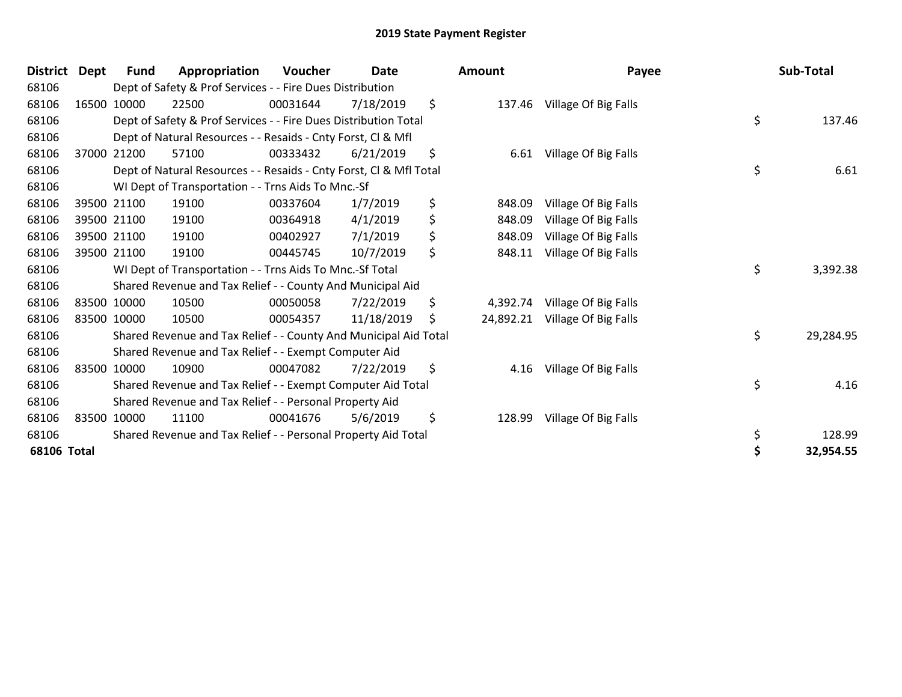| <b>District</b> | <b>Dept</b> | Fund        | Appropriation                                                      | <b>Voucher</b> | <b>Date</b> | Amount          | Payee                |    | Sub-Total |
|-----------------|-------------|-------------|--------------------------------------------------------------------|----------------|-------------|-----------------|----------------------|----|-----------|
| 68106           |             |             | Dept of Safety & Prof Services - - Fire Dues Distribution          |                |             |                 |                      |    |           |
| 68106           |             | 16500 10000 | 22500                                                              | 00031644       | 7/18/2019   | \$<br>137.46    | Village Of Big Falls |    |           |
| 68106           |             |             | Dept of Safety & Prof Services - - Fire Dues Distribution Total    |                |             |                 |                      | \$ | 137.46    |
| 68106           |             |             | Dept of Natural Resources - - Resaids - Cnty Forst, CI & Mfl       |                |             |                 |                      |    |           |
| 68106           |             | 37000 21200 | 57100                                                              | 00333432       | 6/21/2019   | \$<br>6.61      | Village Of Big Falls |    |           |
| 68106           |             |             | Dept of Natural Resources - - Resaids - Cnty Forst, Cl & Mfl Total |                |             |                 |                      | \$ | 6.61      |
| 68106           |             |             | WI Dept of Transportation - - Trns Aids To Mnc.-Sf                 |                |             |                 |                      |    |           |
| 68106           |             | 39500 21100 | 19100                                                              | 00337604       | 1/7/2019    | \$<br>848.09    | Village Of Big Falls |    |           |
| 68106           |             | 39500 21100 | 19100                                                              | 00364918       | 4/1/2019    | \$<br>848.09    | Village Of Big Falls |    |           |
| 68106           |             | 39500 21100 | 19100                                                              | 00402927       | 7/1/2019    | \$<br>848.09    | Village Of Big Falls |    |           |
| 68106           |             | 39500 21100 | 19100                                                              | 00445745       | 10/7/2019   | \$<br>848.11    | Village Of Big Falls |    |           |
| 68106           |             |             | WI Dept of Transportation - - Trns Aids To Mnc.-Sf Total           |                |             |                 |                      | \$ | 3,392.38  |
| 68106           |             |             | Shared Revenue and Tax Relief - - County And Municipal Aid         |                |             |                 |                      |    |           |
| 68106           | 83500 10000 |             | 10500                                                              | 00050058       | 7/22/2019   | \$<br>4,392.74  | Village Of Big Falls |    |           |
| 68106           |             | 83500 10000 | 10500                                                              | 00054357       | 11/18/2019  | \$<br>24,892.21 | Village Of Big Falls |    |           |
| 68106           |             |             | Shared Revenue and Tax Relief - - County And Municipal Aid Total   |                |             |                 |                      | \$ | 29,284.95 |
| 68106           |             |             | Shared Revenue and Tax Relief - - Exempt Computer Aid              |                |             |                 |                      |    |           |
| 68106           |             | 83500 10000 | 10900                                                              | 00047082       | 7/22/2019   | \$<br>4.16      | Village Of Big Falls |    |           |
| 68106           |             |             | Shared Revenue and Tax Relief - - Exempt Computer Aid Total        |                |             |                 |                      | \$ | 4.16      |
| 68106           |             |             | Shared Revenue and Tax Relief - - Personal Property Aid            |                |             |                 |                      |    |           |
| 68106           |             | 83500 10000 | 11100                                                              | 00041676       | 5/6/2019    | \$<br>128.99    | Village Of Big Falls |    |           |
| 68106           |             |             | Shared Revenue and Tax Relief - - Personal Property Aid Total      |                |             |                 |                      | \$ | 128.99    |
| 68106 Total     |             |             |                                                                    |                |             |                 |                      | Ś  | 32,954.55 |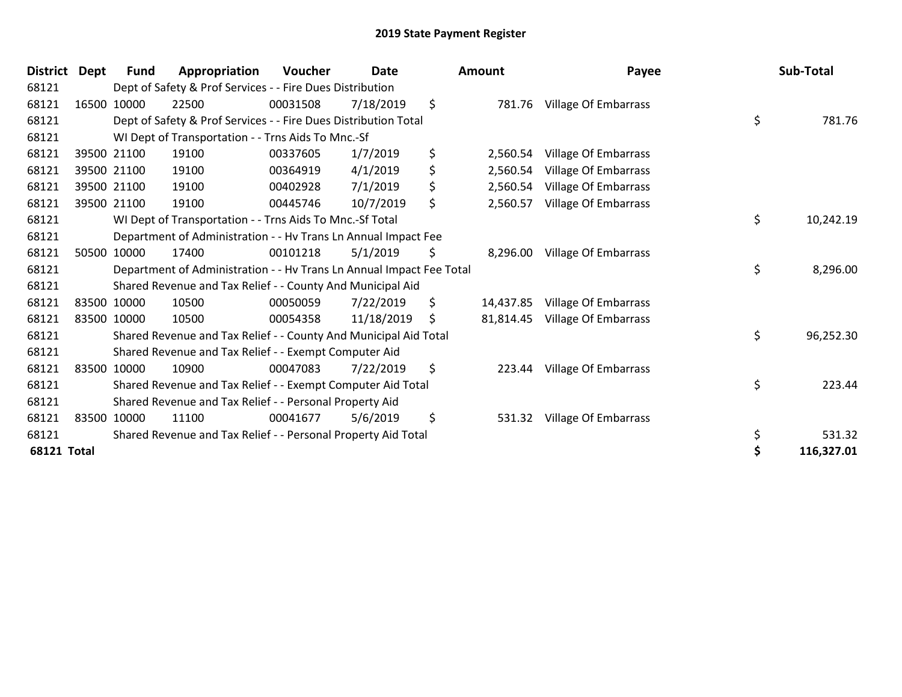| <b>District</b>    | <b>Dept</b> | Fund        | Appropriation                                                        | <b>Voucher</b> | <b>Date</b> | <b>Amount</b>   | Payee                       | Sub-Total        |
|--------------------|-------------|-------------|----------------------------------------------------------------------|----------------|-------------|-----------------|-----------------------------|------------------|
| 68121              |             |             | Dept of Safety & Prof Services - - Fire Dues Distribution            |                |             |                 |                             |                  |
| 68121              |             | 16500 10000 | 22500                                                                | 00031508       | 7/18/2019   | \$<br>781.76    | Village Of Embarrass        |                  |
| 68121              |             |             | Dept of Safety & Prof Services - - Fire Dues Distribution Total      |                |             |                 |                             | \$<br>781.76     |
| 68121              |             |             | WI Dept of Transportation - - Trns Aids To Mnc.-Sf                   |                |             |                 |                             |                  |
| 68121              |             | 39500 21100 | 19100                                                                | 00337605       | 1/7/2019    | \$<br>2,560.54  | <b>Village Of Embarrass</b> |                  |
| 68121              |             | 39500 21100 | 19100                                                                | 00364919       | 4/1/2019    | \$<br>2,560.54  | <b>Village Of Embarrass</b> |                  |
| 68121              |             | 39500 21100 | 19100                                                                | 00402928       | 7/1/2019    | \$<br>2,560.54  | <b>Village Of Embarrass</b> |                  |
| 68121              |             | 39500 21100 | 19100                                                                | 00445746       | 10/7/2019   | \$<br>2,560.57  | <b>Village Of Embarrass</b> |                  |
| 68121              |             |             | WI Dept of Transportation - - Trns Aids To Mnc.-Sf Total             |                |             |                 |                             | \$<br>10,242.19  |
| 68121              |             |             | Department of Administration - - Hv Trans Ln Annual Impact Fee       |                |             |                 |                             |                  |
| 68121              |             | 50500 10000 | 17400                                                                | 00101218       | 5/1/2019    | \$<br>8,296.00  | <b>Village Of Embarrass</b> |                  |
| 68121              |             |             | Department of Administration - - Hv Trans Ln Annual Impact Fee Total |                |             |                 |                             | \$<br>8,296.00   |
| 68121              |             |             | Shared Revenue and Tax Relief - - County And Municipal Aid           |                |             |                 |                             |                  |
| 68121              |             | 83500 10000 | 10500                                                                | 00050059       | 7/22/2019   | \$<br>14,437.85 | <b>Village Of Embarrass</b> |                  |
| 68121              |             | 83500 10000 | 10500                                                                | 00054358       | 11/18/2019  | \$<br>81,814.45 | <b>Village Of Embarrass</b> |                  |
| 68121              |             |             | Shared Revenue and Tax Relief - - County And Municipal Aid Total     |                |             |                 |                             | \$<br>96,252.30  |
| 68121              |             |             | Shared Revenue and Tax Relief - - Exempt Computer Aid                |                |             |                 |                             |                  |
| 68121              |             | 83500 10000 | 10900                                                                | 00047083       | 7/22/2019   | \$<br>223.44    | <b>Village Of Embarrass</b> |                  |
| 68121              |             |             | Shared Revenue and Tax Relief - - Exempt Computer Aid Total          |                |             |                 |                             | \$<br>223.44     |
| 68121              |             |             | Shared Revenue and Tax Relief - - Personal Property Aid              |                |             |                 |                             |                  |
| 68121              |             | 83500 10000 | 11100                                                                | 00041677       | 5/6/2019    | \$<br>531.32    | Village Of Embarrass        |                  |
| 68121              |             |             | Shared Revenue and Tax Relief - - Personal Property Aid Total        |                |             |                 |                             | \$<br>531.32     |
| <b>68121 Total</b> |             |             |                                                                      |                |             |                 |                             | \$<br>116,327.01 |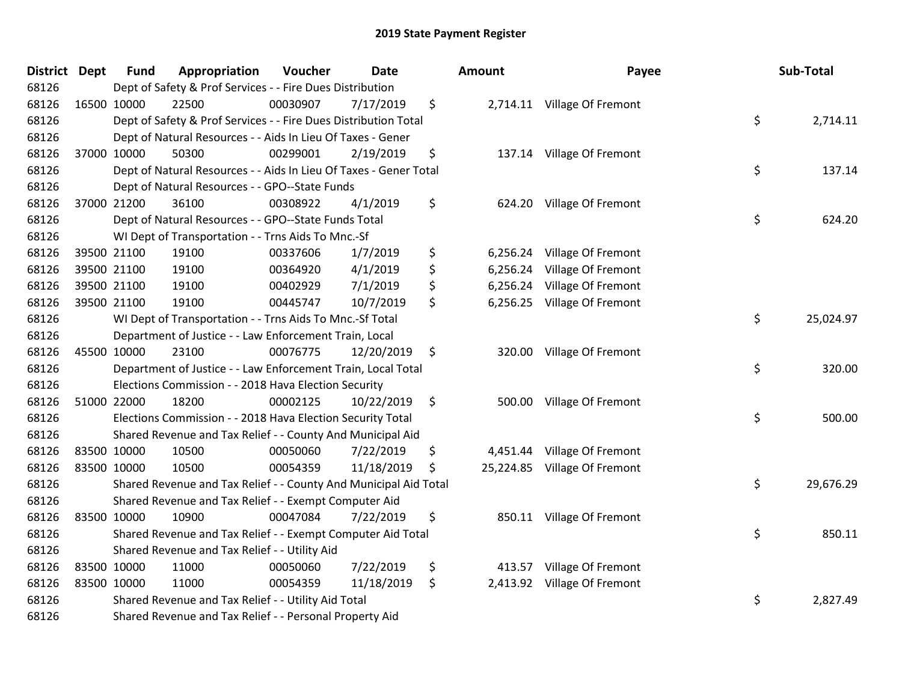| District Dept | <b>Fund</b> | Appropriation                                                     | Voucher  | <b>Date</b> | <b>Amount</b>  | Payee                        | Sub-Total       |
|---------------|-------------|-------------------------------------------------------------------|----------|-------------|----------------|------------------------------|-----------------|
| 68126         |             | Dept of Safety & Prof Services - - Fire Dues Distribution         |          |             |                |                              |                 |
| 68126         | 16500 10000 | 22500                                                             | 00030907 | 7/17/2019   | \$             | 2,714.11 Village Of Fremont  |                 |
| 68126         |             | Dept of Safety & Prof Services - - Fire Dues Distribution Total   |          |             |                |                              | \$<br>2,714.11  |
| 68126         |             | Dept of Natural Resources - - Aids In Lieu Of Taxes - Gener       |          |             |                |                              |                 |
| 68126         | 37000 10000 | 50300                                                             | 00299001 | 2/19/2019   | \$             | 137.14 Village Of Fremont    |                 |
| 68126         |             | Dept of Natural Resources - - Aids In Lieu Of Taxes - Gener Total |          |             |                |                              | \$<br>137.14    |
| 68126         |             | Dept of Natural Resources - - GPO--State Funds                    |          |             |                |                              |                 |
| 68126         | 37000 21200 | 36100                                                             | 00308922 | 4/1/2019    | \$             | 624.20 Village Of Fremont    |                 |
| 68126         |             | Dept of Natural Resources - - GPO--State Funds Total              |          |             |                |                              | \$<br>624.20    |
| 68126         |             | WI Dept of Transportation - - Trns Aids To Mnc.-Sf                |          |             |                |                              |                 |
| 68126         | 39500 21100 | 19100                                                             | 00337606 | 1/7/2019    | \$             | 6,256.24 Village Of Fremont  |                 |
| 68126         | 39500 21100 | 19100                                                             | 00364920 | 4/1/2019    | \$<br>6,256.24 | Village Of Fremont           |                 |
| 68126         | 39500 21100 | 19100                                                             | 00402929 | 7/1/2019    | \$             | 6,256.24 Village Of Fremont  |                 |
| 68126         | 39500 21100 | 19100                                                             | 00445747 | 10/7/2019   | \$             | 6,256.25 Village Of Fremont  |                 |
| 68126         |             | WI Dept of Transportation - - Trns Aids To Mnc.-Sf Total          |          |             |                |                              | \$<br>25,024.97 |
| 68126         |             | Department of Justice - - Law Enforcement Train, Local            |          |             |                |                              |                 |
| 68126         | 45500 10000 | 23100                                                             | 00076775 | 12/20/2019  | \$<br>320.00   | Village Of Fremont           |                 |
| 68126         |             | Department of Justice - - Law Enforcement Train, Local Total      |          |             |                |                              | \$<br>320.00    |
| 68126         |             | Elections Commission - - 2018 Hava Election Security              |          |             |                |                              |                 |
| 68126         | 51000 22000 | 18200                                                             | 00002125 | 10/22/2019  | \$             | 500.00 Village Of Fremont    |                 |
| 68126         |             | Elections Commission - - 2018 Hava Election Security Total        |          |             |                |                              | \$<br>500.00    |
| 68126         |             | Shared Revenue and Tax Relief - - County And Municipal Aid        |          |             |                |                              |                 |
| 68126         | 83500 10000 | 10500                                                             | 00050060 | 7/22/2019   | \$             | 4,451.44 Village Of Fremont  |                 |
| 68126         | 83500 10000 | 10500                                                             | 00054359 | 11/18/2019  | \$             | 25,224.85 Village Of Fremont |                 |
| 68126         |             | Shared Revenue and Tax Relief - - County And Municipal Aid Total  |          |             |                |                              | \$<br>29,676.29 |
| 68126         |             | Shared Revenue and Tax Relief - - Exempt Computer Aid             |          |             |                |                              |                 |
| 68126         | 83500 10000 | 10900                                                             | 00047084 | 7/22/2019   | \$             | 850.11 Village Of Fremont    |                 |
| 68126         |             | Shared Revenue and Tax Relief - - Exempt Computer Aid Total       |          |             |                |                              | \$<br>850.11    |
| 68126         |             | Shared Revenue and Tax Relief - - Utility Aid                     |          |             |                |                              |                 |
| 68126         | 83500 10000 | 11000                                                             | 00050060 | 7/22/2019   | \$             | 413.57 Village Of Fremont    |                 |
| 68126         | 83500 10000 | 11000                                                             | 00054359 | 11/18/2019  | \$             | 2,413.92 Village Of Fremont  |                 |
| 68126         |             | Shared Revenue and Tax Relief - - Utility Aid Total               |          |             |                |                              | \$<br>2,827.49  |
| 68126         |             | Shared Revenue and Tax Relief - - Personal Property Aid           |          |             |                |                              |                 |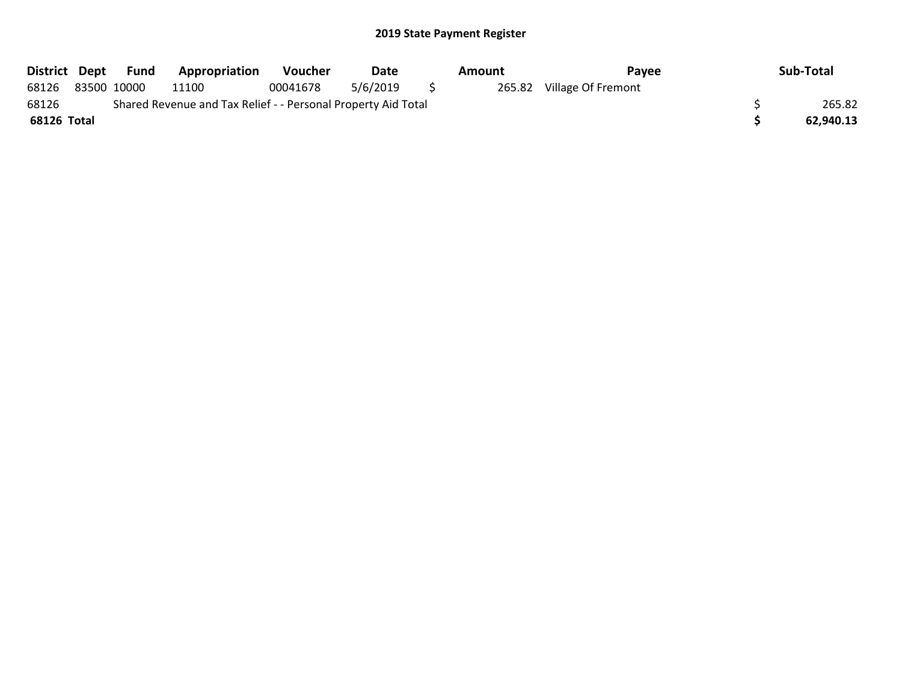|                                                                        |  | District Dept Fund | Appropriation | <b>Voucher</b> | Date     |              | Amount | Pavee                     |  | Sub-Total |
|------------------------------------------------------------------------|--|--------------------|---------------|----------------|----------|--------------|--------|---------------------------|--|-----------|
| 68126                                                                  |  | 83500 10000        | 11100         | 00041678       | 5/6/2019 | $\mathbf{S}$ |        | 265.82 Village Of Fremont |  |           |
| 68126<br>Shared Revenue and Tax Relief - - Personal Property Aid Total |  |                    |               |                |          |              |        |                           |  | 265.82    |
| 68126 Total                                                            |  |                    |               |                |          |              |        |                           |  | 62,940.13 |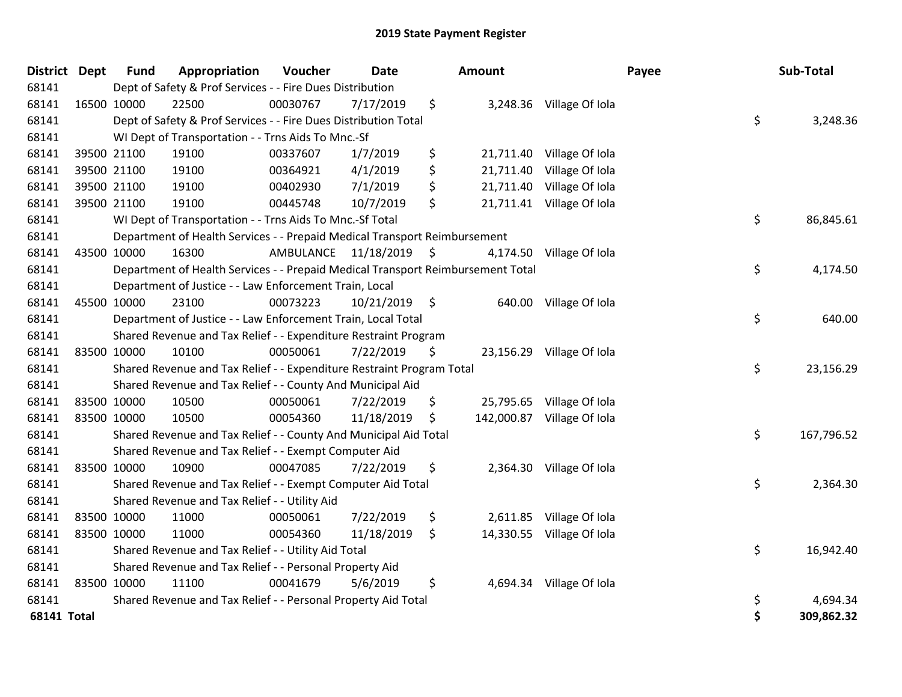| District           | <b>Dept</b> | <b>Fund</b> | Appropriation                                                                   | Voucher   | <b>Date</b>   | Amount           |                           | Payee | Sub-Total  |
|--------------------|-------------|-------------|---------------------------------------------------------------------------------|-----------|---------------|------------------|---------------------------|-------|------------|
| 68141              |             |             | Dept of Safety & Prof Services - - Fire Dues Distribution                       |           |               |                  |                           |       |            |
| 68141              |             | 16500 10000 | 22500                                                                           | 00030767  | 7/17/2019     | \$               | 3,248.36 Village Of Iola  |       |            |
| 68141              |             |             | Dept of Safety & Prof Services - - Fire Dues Distribution Total                 |           |               |                  |                           | \$    | 3,248.36   |
| 68141              |             |             | WI Dept of Transportation - - Trns Aids To Mnc.-Sf                              |           |               |                  |                           |       |            |
| 68141              |             | 39500 21100 | 19100                                                                           | 00337607  | 1/7/2019      | \$<br>21,711.40  | Village Of Iola           |       |            |
| 68141              |             | 39500 21100 | 19100                                                                           | 00364921  | 4/1/2019      | \$<br>21,711.40  | Village Of Iola           |       |            |
| 68141              |             | 39500 21100 | 19100                                                                           | 00402930  | 7/1/2019      | \$<br>21,711.40  | Village Of Iola           |       |            |
| 68141              |             | 39500 21100 | 19100                                                                           | 00445748  | 10/7/2019     | \$               | 21,711.41 Village Of Iola |       |            |
| 68141              |             |             | WI Dept of Transportation - - Trns Aids To Mnc.-Sf Total                        |           |               |                  |                           | \$    | 86,845.61  |
| 68141              |             |             | Department of Health Services - - Prepaid Medical Transport Reimbursement       |           |               |                  |                           |       |            |
| 68141              |             | 43500 10000 | 16300                                                                           | AMBULANCE | 11/18/2019    | \$<br>4,174.50   | Village Of Iola           |       |            |
| 68141              |             |             | Department of Health Services - - Prepaid Medical Transport Reimbursement Total |           |               |                  |                           | \$    | 4,174.50   |
| 68141              |             |             | Department of Justice - - Law Enforcement Train, Local                          |           |               |                  |                           |       |            |
| 68141              |             | 45500 10000 | 23100                                                                           | 00073223  | 10/21/2019 \$ |                  | 640.00 Village Of Iola    |       |            |
| 68141              |             |             | Department of Justice - - Law Enforcement Train, Local Total                    |           |               |                  |                           | \$    | 640.00     |
| 68141              |             |             | Shared Revenue and Tax Relief - - Expenditure Restraint Program                 |           |               |                  |                           |       |            |
| 68141              |             | 83500 10000 | 10100                                                                           | 00050061  | 7/22/2019     | \$<br>23,156.29  | Village Of Iola           |       |            |
| 68141              |             |             | Shared Revenue and Tax Relief - - Expenditure Restraint Program Total           |           |               |                  |                           | \$    | 23,156.29  |
| 68141              |             |             | Shared Revenue and Tax Relief - - County And Municipal Aid                      |           |               |                  |                           |       |            |
| 68141              |             | 83500 10000 | 10500                                                                           | 00050061  | 7/22/2019     | \$<br>25,795.65  | Village Of Iola           |       |            |
| 68141              | 83500 10000 |             | 10500                                                                           | 00054360  | 11/18/2019    | \$<br>142,000.87 | Village Of Iola           |       |            |
| 68141              |             |             | Shared Revenue and Tax Relief - - County And Municipal Aid Total                |           |               |                  |                           | \$    | 167,796.52 |
| 68141              |             |             | Shared Revenue and Tax Relief - - Exempt Computer Aid                           |           |               |                  |                           |       |            |
| 68141              |             | 83500 10000 | 10900                                                                           | 00047085  | 7/22/2019     | \$               | 2,364.30 Village Of Iola  |       |            |
| 68141              |             |             | Shared Revenue and Tax Relief - - Exempt Computer Aid Total                     |           |               |                  |                           | \$    | 2,364.30   |
| 68141              |             |             | Shared Revenue and Tax Relief - - Utility Aid                                   |           |               |                  |                           |       |            |
| 68141              |             | 83500 10000 | 11000                                                                           | 00050061  | 7/22/2019     | \$<br>2,611.85   | Village Of Iola           |       |            |
| 68141              | 83500 10000 |             | 11000                                                                           | 00054360  | 11/18/2019    | \$<br>14,330.55  | Village Of Iola           |       |            |
| 68141              |             |             | Shared Revenue and Tax Relief - - Utility Aid Total                             |           |               |                  |                           | \$    | 16,942.40  |
| 68141              |             |             | Shared Revenue and Tax Relief - - Personal Property Aid                         |           |               |                  |                           |       |            |
| 68141              |             | 83500 10000 | 11100                                                                           | 00041679  | 5/6/2019      | \$<br>4,694.34   | Village Of Iola           |       |            |
| 68141              |             |             | Shared Revenue and Tax Relief - - Personal Property Aid Total                   |           |               |                  |                           | \$    | 4,694.34   |
| <b>68141 Total</b> |             |             |                                                                                 |           |               |                  |                           | \$    | 309,862.32 |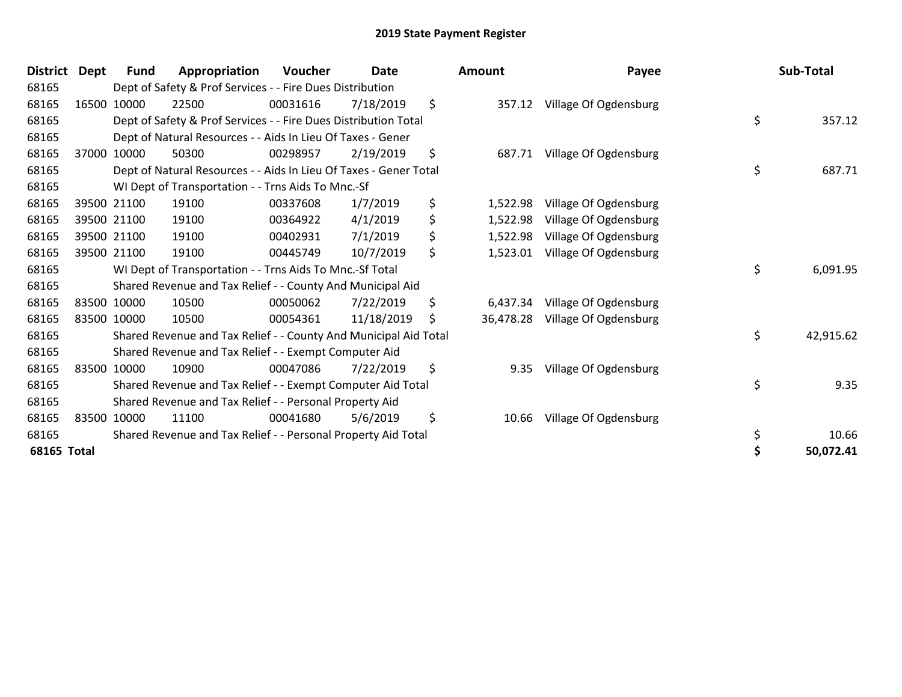| <b>District</b>    | Dept | Fund        | Appropriation                                                     | <b>Voucher</b> | <b>Date</b> | <b>Amount</b>   | Payee                 | Sub-Total       |
|--------------------|------|-------------|-------------------------------------------------------------------|----------------|-------------|-----------------|-----------------------|-----------------|
| 68165              |      |             | Dept of Safety & Prof Services - - Fire Dues Distribution         |                |             |                 |                       |                 |
| 68165              |      | 16500 10000 | 22500                                                             | 00031616       | 7/18/2019   | \$<br>357.12    | Village Of Ogdensburg |                 |
| 68165              |      |             | Dept of Safety & Prof Services - - Fire Dues Distribution Total   |                |             |                 |                       | \$<br>357.12    |
| 68165              |      |             | Dept of Natural Resources - - Aids In Lieu Of Taxes - Gener       |                |             |                 |                       |                 |
| 68165              |      | 37000 10000 | 50300                                                             | 00298957       | 2/19/2019   | \$<br>687.71    | Village Of Ogdensburg |                 |
| 68165              |      |             | Dept of Natural Resources - - Aids In Lieu Of Taxes - Gener Total |                |             |                 |                       | \$<br>687.71    |
| 68165              |      |             | WI Dept of Transportation - - Trns Aids To Mnc.-Sf                |                |             |                 |                       |                 |
| 68165              |      | 39500 21100 | 19100                                                             | 00337608       | 1/7/2019    | \$<br>1,522.98  | Village Of Ogdensburg |                 |
| 68165              |      | 39500 21100 | 19100                                                             | 00364922       | 4/1/2019    | \$<br>1,522.98  | Village Of Ogdensburg |                 |
| 68165              |      | 39500 21100 | 19100                                                             | 00402931       | 7/1/2019    | \$<br>1,522.98  | Village Of Ogdensburg |                 |
| 68165              |      | 39500 21100 | 19100                                                             | 00445749       | 10/7/2019   | \$<br>1,523.01  | Village Of Ogdensburg |                 |
| 68165              |      |             | WI Dept of Transportation - - Trns Aids To Mnc.-Sf Total          |                |             |                 |                       | \$<br>6,091.95  |
| 68165              |      |             | Shared Revenue and Tax Relief - - County And Municipal Aid        |                |             |                 |                       |                 |
| 68165              |      | 83500 10000 | 10500                                                             | 00050062       | 7/22/2019   | \$<br>6,437.34  | Village Of Ogdensburg |                 |
| 68165              |      | 83500 10000 | 10500                                                             | 00054361       | 11/18/2019  | \$<br>36,478.28 | Village Of Ogdensburg |                 |
| 68165              |      |             | Shared Revenue and Tax Relief - - County And Municipal Aid Total  |                |             |                 |                       | \$<br>42,915.62 |
| 68165              |      |             | Shared Revenue and Tax Relief - - Exempt Computer Aid             |                |             |                 |                       |                 |
| 68165              |      | 83500 10000 | 10900                                                             | 00047086       | 7/22/2019   | \$<br>9.35      | Village Of Ogdensburg |                 |
| 68165              |      |             | Shared Revenue and Tax Relief - - Exempt Computer Aid Total       |                |             |                 |                       | \$<br>9.35      |
| 68165              |      |             | Shared Revenue and Tax Relief - - Personal Property Aid           |                |             |                 |                       |                 |
| 68165              |      | 83500 10000 | 11100                                                             | 00041680       | 5/6/2019    | \$<br>10.66     | Village Of Ogdensburg |                 |
| 68165              |      |             | Shared Revenue and Tax Relief - - Personal Property Aid Total     |                |             |                 |                       | \$<br>10.66     |
| <b>68165 Total</b> |      |             |                                                                   |                |             |                 |                       | \$<br>50,072.41 |

| nount | Payee                           | Sub-Total       |
|-------|---------------------------------|-----------------|
|       | 357.12 Village Of Ogdensburg    | \$<br>357.12    |
|       | 687.71 Village Of Ogdensburg    |                 |
|       |                                 | \$<br>687.71    |
|       | 1,522.98 Village Of Ogdensburg  |                 |
|       | 1,522.98 Village Of Ogdensburg  |                 |
|       | 1,522.98 Village Of Ogdensburg  |                 |
|       | 1,523.01 Village Of Ogdensburg  |                 |
|       |                                 | \$<br>6,091.95  |
|       | 6,437.34 Village Of Ogdensburg  |                 |
|       | 36,478.28 Village Of Ogdensburg |                 |
|       |                                 | \$<br>42,915.62 |
| 9.35  | Village Of Ogdensburg           |                 |
|       |                                 | \$<br>9.35      |
| 10.66 | Village Of Ogdensburg           |                 |
|       |                                 | \$<br>10.66     |
|       |                                 | \$<br>50,072.41 |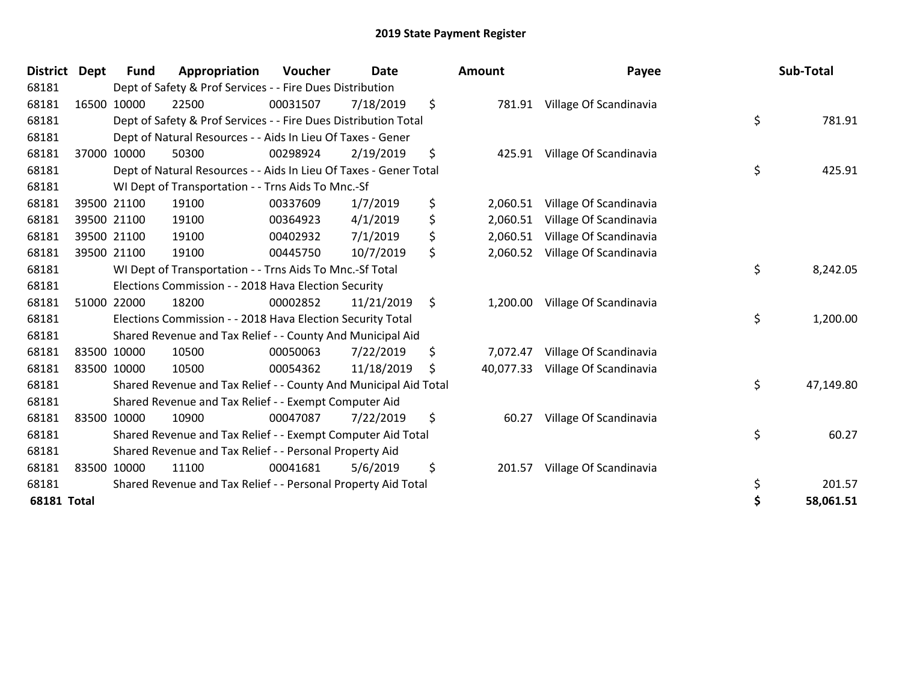| District Dept      | Fund        | Appropriation                                                     | <b>Voucher</b> | <b>Date</b> | <b>Amount</b>   | Payee                         | Sub-Total       |
|--------------------|-------------|-------------------------------------------------------------------|----------------|-------------|-----------------|-------------------------------|-----------------|
| 68181              |             | Dept of Safety & Prof Services - - Fire Dues Distribution         |                |             |                 |                               |                 |
| 68181              | 16500 10000 | 22500                                                             | 00031507       | 7/18/2019   | \$              | 781.91 Village Of Scandinavia |                 |
| 68181              |             | Dept of Safety & Prof Services - - Fire Dues Distribution Total   |                |             |                 |                               | \$<br>781.91    |
| 68181              |             | Dept of Natural Resources - - Aids In Lieu Of Taxes - Gener       |                |             |                 |                               |                 |
| 68181              | 37000 10000 | 50300                                                             | 00298924       | 2/19/2019   | \$<br>425.91    | Village Of Scandinavia        |                 |
| 68181              |             | Dept of Natural Resources - - Aids In Lieu Of Taxes - Gener Total |                |             |                 |                               | \$<br>425.91    |
| 68181              |             | WI Dept of Transportation - - Trns Aids To Mnc.-Sf                |                |             |                 |                               |                 |
| 68181              | 39500 21100 | 19100                                                             | 00337609       | 1/7/2019    | \$<br>2,060.51  | Village Of Scandinavia        |                 |
| 68181              | 39500 21100 | 19100                                                             | 00364923       | 4/1/2019    | \$<br>2,060.51  | Village Of Scandinavia        |                 |
| 68181              | 39500 21100 | 19100                                                             | 00402932       | 7/1/2019    | \$<br>2,060.51  | Village Of Scandinavia        |                 |
| 68181              | 39500 21100 | 19100                                                             | 00445750       | 10/7/2019   | \$<br>2,060.52  | Village Of Scandinavia        |                 |
| 68181              |             | WI Dept of Transportation - - Trns Aids To Mnc.-Sf Total          |                |             |                 |                               | \$<br>8,242.05  |
| 68181              |             | Elections Commission - - 2018 Hava Election Security              |                |             |                 |                               |                 |
| 68181              | 51000 22000 | 18200                                                             | 00002852       | 11/21/2019  | \$<br>1,200.00  | Village Of Scandinavia        |                 |
| 68181              |             | Elections Commission - - 2018 Hava Election Security Total        |                |             |                 |                               | \$<br>1,200.00  |
| 68181              |             | Shared Revenue and Tax Relief - - County And Municipal Aid        |                |             |                 |                               |                 |
| 68181              | 83500 10000 | 10500                                                             | 00050063       | 7/22/2019   | \$<br>7,072.47  | Village Of Scandinavia        |                 |
| 68181              | 83500 10000 | 10500                                                             | 00054362       | 11/18/2019  | \$<br>40,077.33 | Village Of Scandinavia        |                 |
| 68181              |             | Shared Revenue and Tax Relief - - County And Municipal Aid Total  |                |             |                 |                               | \$<br>47,149.80 |
| 68181              |             | Shared Revenue and Tax Relief - - Exempt Computer Aid             |                |             |                 |                               |                 |
| 68181              | 83500 10000 | 10900                                                             | 00047087       | 7/22/2019   | \$<br>60.27     | Village Of Scandinavia        |                 |
| 68181              |             | Shared Revenue and Tax Relief - - Exempt Computer Aid Total       |                |             |                 |                               | \$<br>60.27     |
| 68181              |             | Shared Revenue and Tax Relief - - Personal Property Aid           |                |             |                 |                               |                 |
| 68181              | 83500 10000 | 11100                                                             | 00041681       | 5/6/2019    | \$<br>201.57    | Village Of Scandinavia        |                 |
| 68181              |             | Shared Revenue and Tax Relief - - Personal Property Aid Total     |                |             |                 |                               | \$<br>201.57    |
| <b>68181 Total</b> |             |                                                                   |                |             |                 |                               | \$<br>58,061.51 |

| District Dept      |             | <b>Fund</b> | Appropriation                                                     | Voucher  | <b>Date</b> |     | <b>Amount</b> | Payee                           | Sub-Total       |
|--------------------|-------------|-------------|-------------------------------------------------------------------|----------|-------------|-----|---------------|---------------------------------|-----------------|
| 68181              |             |             | Dept of Safety & Prof Services - - Fire Dues Distribution         |          |             |     |               |                                 |                 |
| 68181              |             | 16500 10000 | 22500                                                             | 00031507 | 7/18/2019   | \$  | 781.91        | Village Of Scandinavia          |                 |
| 68181              |             |             | Dept of Safety & Prof Services - - Fire Dues Distribution Total   |          |             |     |               |                                 | \$<br>781.91    |
| 68181              |             |             | Dept of Natural Resources - - Aids In Lieu Of Taxes - Gener       |          |             |     |               |                                 |                 |
| 68181              |             | 37000 10000 | 50300                                                             | 00298924 | 2/19/2019   | \$  | 425.91        | Village Of Scandinavia          |                 |
| 68181              |             |             | Dept of Natural Resources - - Aids In Lieu Of Taxes - Gener Total |          |             |     |               |                                 | \$<br>425.91    |
| 68181              |             |             | WI Dept of Transportation - - Trns Aids To Mnc.-Sf                |          |             |     |               |                                 |                 |
| 68181              |             | 39500 21100 | 19100                                                             | 00337609 | 1/7/2019    | \$  | 2,060.51      | Village Of Scandinavia          |                 |
| 68181              |             | 39500 21100 | 19100                                                             | 00364923 | 4/1/2019    | \$  | 2,060.51      | Village Of Scandinavia          |                 |
| 68181              |             | 39500 21100 | 19100                                                             | 00402932 | 7/1/2019    | \$  | 2,060.51      | Village Of Scandinavia          |                 |
| 68181              |             | 39500 21100 | 19100                                                             | 00445750 | 10/7/2019   | \$  |               | 2,060.52 Village Of Scandinavia |                 |
| 68181              |             |             | WI Dept of Transportation - - Trns Aids To Mnc.-Sf Total          |          |             |     |               |                                 | \$<br>8,242.05  |
| 68181              |             |             | Elections Commission - - 2018 Hava Election Security              |          |             |     |               |                                 |                 |
| 68181              |             | 51000 22000 | 18200                                                             | 00002852 | 11/21/2019  | \$  | 1,200.00      | Village Of Scandinavia          |                 |
| 68181              |             |             | Elections Commission - - 2018 Hava Election Security Total        |          |             |     |               |                                 | \$<br>1,200.00  |
| 68181              |             |             | Shared Revenue and Tax Relief - - County And Municipal Aid        |          |             |     |               |                                 |                 |
| 68181              |             | 83500 10000 | 10500                                                             | 00050063 | 7/22/2019   | \$  | 7,072.47      | Village Of Scandinavia          |                 |
| 68181              | 83500 10000 |             | 10500                                                             | 00054362 | 11/18/2019  | \$. | 40,077.33     | Village Of Scandinavia          |                 |
| 68181              |             |             | Shared Revenue and Tax Relief - - County And Municipal Aid Total  |          |             |     |               |                                 | \$<br>47,149.80 |
| 68181              |             |             | Shared Revenue and Tax Relief - - Exempt Computer Aid             |          |             |     |               |                                 |                 |
| 68181              |             | 83500 10000 | 10900                                                             | 00047087 | 7/22/2019   | \$  | 60.27         | Village Of Scandinavia          |                 |
| 68181              |             |             | Shared Revenue and Tax Relief - - Exempt Computer Aid Total       |          |             |     |               |                                 | \$<br>60.27     |
| 68181              |             |             | Shared Revenue and Tax Relief - - Personal Property Aid           |          |             |     |               |                                 |                 |
| 68181              |             | 83500 10000 | 11100                                                             | 00041681 | 5/6/2019    | \$  |               | 201.57 Village Of Scandinavia   |                 |
| 68181              |             |             | Shared Revenue and Tax Relief - - Personal Property Aid Total     |          |             |     |               |                                 | \$<br>201.57    |
| <b>68181 Total</b> |             |             |                                                                   |          |             |     |               |                                 | \$<br>58,061.51 |
|                    |             |             |                                                                   |          |             |     |               |                                 |                 |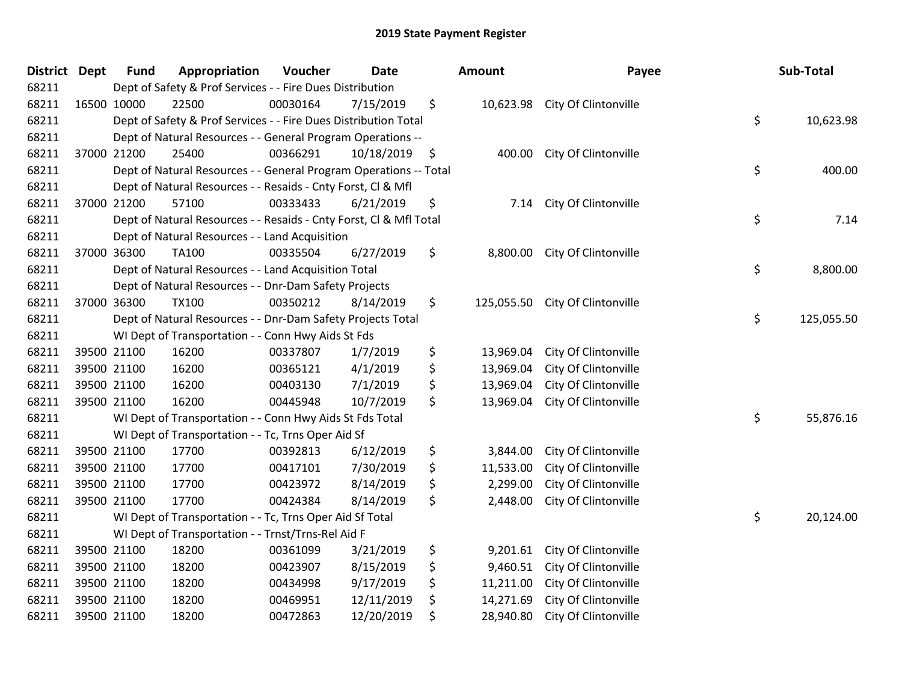| District Dept |             | <b>Fund</b> | Appropriation                                                      | Voucher  | <b>Date</b> |     | <b>Amount</b> | Payee                           | Sub-Total        |
|---------------|-------------|-------------|--------------------------------------------------------------------|----------|-------------|-----|---------------|---------------------------------|------------------|
| 68211         |             |             | Dept of Safety & Prof Services - - Fire Dues Distribution          |          |             |     |               |                                 |                  |
| 68211         | 16500 10000 |             | 22500                                                              | 00030164 | 7/15/2019   | \$  |               | 10,623.98 City Of Clintonville  |                  |
| 68211         |             |             | Dept of Safety & Prof Services - - Fire Dues Distribution Total    |          |             |     |               |                                 | \$<br>10,623.98  |
| 68211         |             |             | Dept of Natural Resources - - General Program Operations --        |          |             |     |               |                                 |                  |
| 68211         |             | 37000 21200 | 25400                                                              | 00366291 | 10/18/2019  | -\$ | 400.00        | City Of Clintonville            |                  |
| 68211         |             |             | Dept of Natural Resources - - General Program Operations -- Total  |          |             |     |               |                                 | \$<br>400.00     |
| 68211         |             |             | Dept of Natural Resources - - Resaids - Cnty Forst, Cl & Mfl       |          |             |     |               |                                 |                  |
| 68211         |             | 37000 21200 | 57100                                                              | 00333433 | 6/21/2019   | \$  | 7.14          | City Of Clintonville            |                  |
| 68211         |             |             | Dept of Natural Resources - - Resaids - Cnty Forst, CI & Mfl Total |          |             |     |               |                                 | \$<br>7.14       |
| 68211         |             |             | Dept of Natural Resources - - Land Acquisition                     |          |             |     |               |                                 |                  |
| 68211         |             | 37000 36300 | <b>TA100</b>                                                       | 00335504 | 6/27/2019   | \$  |               | 8,800.00 City Of Clintonville   |                  |
| 68211         |             |             | Dept of Natural Resources - - Land Acquisition Total               |          |             |     |               |                                 | \$<br>8,800.00   |
| 68211         |             |             | Dept of Natural Resources - - Dnr-Dam Safety Projects              |          |             |     |               |                                 |                  |
| 68211         | 37000 36300 |             | <b>TX100</b>                                                       | 00350212 | 8/14/2019   | \$  |               | 125,055.50 City Of Clintonville |                  |
| 68211         |             |             | Dept of Natural Resources - - Dnr-Dam Safety Projects Total        |          |             |     |               |                                 | \$<br>125,055.50 |
| 68211         |             |             | WI Dept of Transportation - - Conn Hwy Aids St Fds                 |          |             |     |               |                                 |                  |
| 68211         |             | 39500 21100 | 16200                                                              | 00337807 | 1/7/2019    | \$  | 13,969.04     | City Of Clintonville            |                  |
| 68211         | 39500 21100 |             | 16200                                                              | 00365121 | 4/1/2019    | \$  | 13,969.04     | City Of Clintonville            |                  |
| 68211         | 39500 21100 |             | 16200                                                              | 00403130 | 7/1/2019    | \$  | 13,969.04     | City Of Clintonville            |                  |
| 68211         |             | 39500 21100 | 16200                                                              | 00445948 | 10/7/2019   | \$  | 13,969.04     | City Of Clintonville            |                  |
| 68211         |             |             | WI Dept of Transportation - - Conn Hwy Aids St Fds Total           |          |             |     |               |                                 | \$<br>55,876.16  |
| 68211         |             |             | WI Dept of Transportation - - Tc, Trns Oper Aid Sf                 |          |             |     |               |                                 |                  |
| 68211         |             | 39500 21100 | 17700                                                              | 00392813 | 6/12/2019   | \$  | 3,844.00      | City Of Clintonville            |                  |
| 68211         | 39500 21100 |             | 17700                                                              | 00417101 | 7/30/2019   | \$  | 11,533.00     | City Of Clintonville            |                  |
| 68211         |             | 39500 21100 | 17700                                                              | 00423972 | 8/14/2019   | \$  | 2,299.00      | City Of Clintonville            |                  |
| 68211         |             | 39500 21100 | 17700                                                              | 00424384 | 8/14/2019   | \$  | 2,448.00      | City Of Clintonville            |                  |
| 68211         |             |             | WI Dept of Transportation - - Tc, Trns Oper Aid Sf Total           |          |             |     |               |                                 | \$<br>20,124.00  |
| 68211         |             |             | WI Dept of Transportation - - Trnst/Trns-Rel Aid F                 |          |             |     |               |                                 |                  |
| 68211         | 39500 21100 |             | 18200                                                              | 00361099 | 3/21/2019   | \$  | 9,201.61      | City Of Clintonville            |                  |
| 68211         | 39500 21100 |             | 18200                                                              | 00423907 | 8/15/2019   | \$  | 9,460.51      | City Of Clintonville            |                  |
| 68211         |             | 39500 21100 | 18200                                                              | 00434998 | 9/17/2019   | \$  | 11,211.00     | City Of Clintonville            |                  |
| 68211         |             | 39500 21100 | 18200                                                              | 00469951 | 12/11/2019  | \$  | 14,271.69     | City Of Clintonville            |                  |
| 68211         |             | 39500 21100 | 18200                                                              | 00472863 | 12/20/2019  | \$  | 28,940.80     | City Of Clintonville            |                  |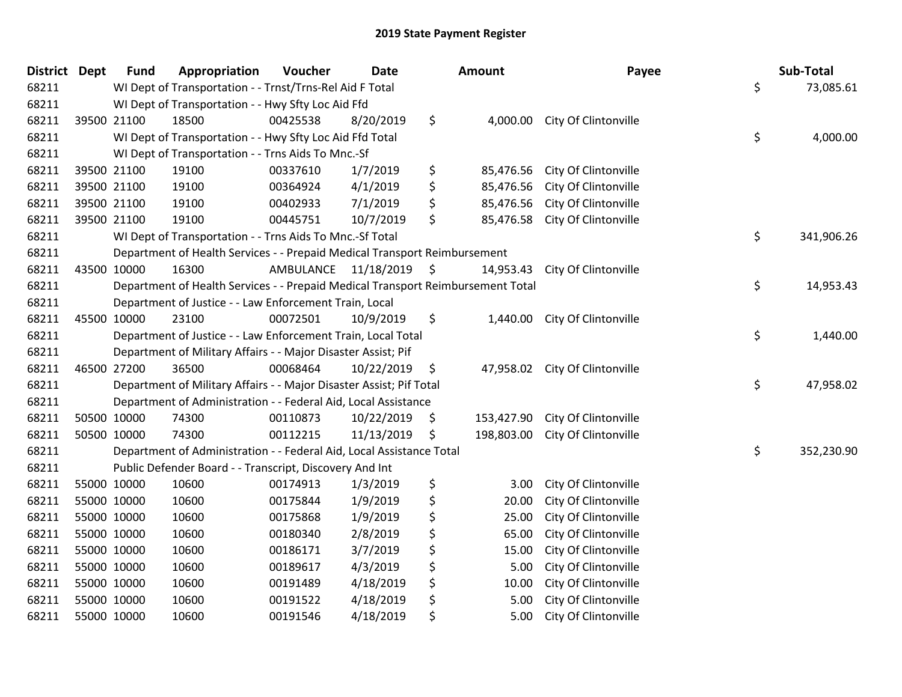| District Dept |             | <b>Fund</b> | Appropriation                                                                   | Voucher   | <b>Date</b> | <b>Amount</b>    | Payee                         | Sub-Total        |
|---------------|-------------|-------------|---------------------------------------------------------------------------------|-----------|-------------|------------------|-------------------------------|------------------|
| 68211         |             |             | WI Dept of Transportation - - Trnst/Trns-Rel Aid F Total                        |           |             |                  |                               | \$<br>73,085.61  |
| 68211         |             |             | WI Dept of Transportation - - Hwy Sfty Loc Aid Ffd                              |           |             |                  |                               |                  |
| 68211         | 39500 21100 |             | 18500                                                                           | 00425538  | 8/20/2019   | \$               | 4,000.00 City Of Clintonville |                  |
| 68211         |             |             | WI Dept of Transportation - - Hwy Sfty Loc Aid Ffd Total                        |           |             |                  |                               | \$<br>4,000.00   |
| 68211         |             |             | WI Dept of Transportation - - Trns Aids To Mnc.-Sf                              |           |             |                  |                               |                  |
| 68211         |             | 39500 21100 | 19100                                                                           | 00337610  | 1/7/2019    | \$<br>85,476.56  | City Of Clintonville          |                  |
| 68211         | 39500 21100 |             | 19100                                                                           | 00364924  | 4/1/2019    | \$<br>85,476.56  | City Of Clintonville          |                  |
| 68211         | 39500 21100 |             | 19100                                                                           | 00402933  | 7/1/2019    | \$<br>85,476.56  | City Of Clintonville          |                  |
| 68211         | 39500 21100 |             | 19100                                                                           | 00445751  | 10/7/2019   | \$<br>85,476.58  | City Of Clintonville          |                  |
| 68211         |             |             | WI Dept of Transportation - - Trns Aids To Mnc.-Sf Total                        |           |             |                  |                               | \$<br>341,906.26 |
| 68211         |             |             | Department of Health Services - - Prepaid Medical Transport Reimbursement       |           |             |                  |                               |                  |
| 68211         | 43500 10000 |             | 16300                                                                           | AMBULANCE | 11/18/2019  | \$<br>14,953.43  | City Of Clintonville          |                  |
| 68211         |             |             | Department of Health Services - - Prepaid Medical Transport Reimbursement Total |           |             |                  |                               | \$<br>14,953.43  |
| 68211         |             |             | Department of Justice - - Law Enforcement Train, Local                          |           |             |                  |                               |                  |
| 68211         | 45500 10000 |             | 23100                                                                           | 00072501  | 10/9/2019   | \$<br>1,440.00   | City Of Clintonville          |                  |
| 68211         |             |             | Department of Justice - - Law Enforcement Train, Local Total                    |           |             |                  |                               | \$<br>1,440.00   |
| 68211         |             |             | Department of Military Affairs - - Major Disaster Assist; Pif                   |           |             |                  |                               |                  |
| 68211         | 46500 27200 |             | 36500                                                                           | 00068464  | 10/22/2019  | \$<br>47,958.02  | City Of Clintonville          |                  |
| 68211         |             |             | Department of Military Affairs - - Major Disaster Assist; Pif Total             |           |             |                  |                               | \$<br>47,958.02  |
| 68211         |             |             | Department of Administration - - Federal Aid, Local Assistance                  |           |             |                  |                               |                  |
| 68211         | 50500 10000 |             | 74300                                                                           | 00110873  | 10/22/2019  | \$<br>153,427.90 | City Of Clintonville          |                  |
| 68211         | 50500 10000 |             | 74300                                                                           | 00112215  | 11/13/2019  | \$<br>198,803.00 | City Of Clintonville          |                  |
| 68211         |             |             | Department of Administration - - Federal Aid, Local Assistance Total            |           |             |                  |                               | \$<br>352,230.90 |
| 68211         |             |             | Public Defender Board - - Transcript, Discovery And Int                         |           |             |                  |                               |                  |
| 68211         | 55000 10000 |             | 10600                                                                           | 00174913  | 1/3/2019    | \$<br>3.00       | City Of Clintonville          |                  |
| 68211         | 55000 10000 |             | 10600                                                                           | 00175844  | 1/9/2019    | \$<br>20.00      | City Of Clintonville          |                  |
| 68211         | 55000 10000 |             | 10600                                                                           | 00175868  | 1/9/2019    | \$<br>25.00      | City Of Clintonville          |                  |
| 68211         | 55000 10000 |             | 10600                                                                           | 00180340  | 2/8/2019    | \$<br>65.00      | City Of Clintonville          |                  |
| 68211         | 55000 10000 |             | 10600                                                                           | 00186171  | 3/7/2019    | \$<br>15.00      | City Of Clintonville          |                  |
| 68211         | 55000 10000 |             | 10600                                                                           | 00189617  | 4/3/2019    | \$<br>5.00       | City Of Clintonville          |                  |
| 68211         | 55000 10000 |             | 10600                                                                           | 00191489  | 4/18/2019   | \$<br>10.00      | City Of Clintonville          |                  |
| 68211         | 55000 10000 |             | 10600                                                                           | 00191522  | 4/18/2019   | \$<br>5.00       | City Of Clintonville          |                  |
| 68211         | 55000 10000 |             | 10600                                                                           | 00191546  | 4/18/2019   | \$<br>5.00       | City Of Clintonville          |                  |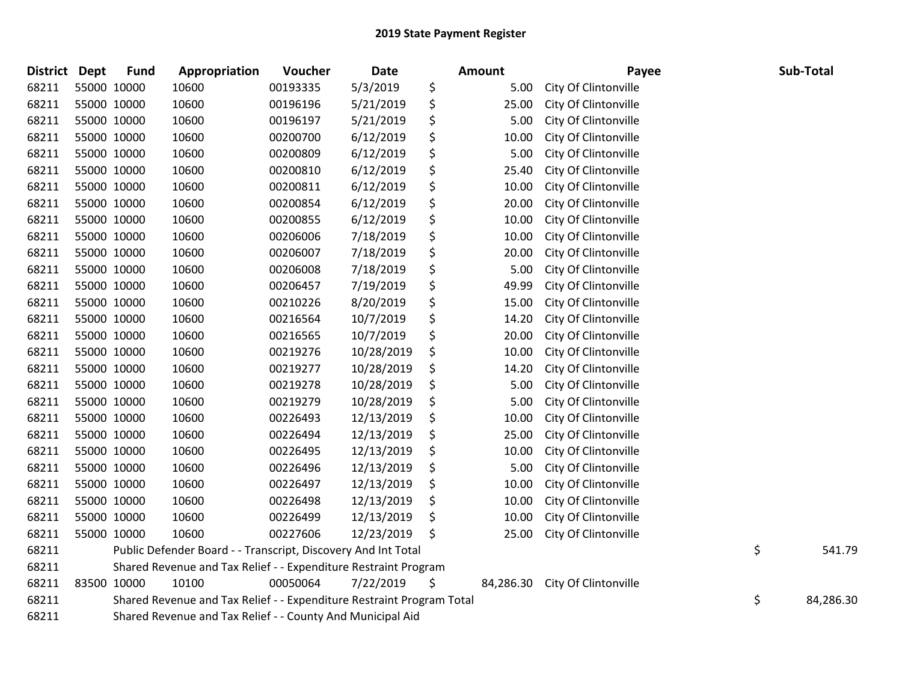| District Dept |             | <b>Fund</b> | Appropriation                                                         | Voucher  | Date       | Amount          | Payee                | Sub-Total       |
|---------------|-------------|-------------|-----------------------------------------------------------------------|----------|------------|-----------------|----------------------|-----------------|
| 68211         |             | 55000 10000 | 10600                                                                 | 00193335 | 5/3/2019   | \$<br>5.00      | City Of Clintonville |                 |
| 68211         | 55000 10000 |             | 10600                                                                 | 00196196 | 5/21/2019  | \$<br>25.00     | City Of Clintonville |                 |
| 68211         |             | 55000 10000 | 10600                                                                 | 00196197 | 5/21/2019  | \$<br>5.00      | City Of Clintonville |                 |
| 68211         |             | 55000 10000 | 10600                                                                 | 00200700 | 6/12/2019  | \$<br>10.00     | City Of Clintonville |                 |
| 68211         |             | 55000 10000 | 10600                                                                 | 00200809 | 6/12/2019  | \$<br>5.00      | City Of Clintonville |                 |
| 68211         |             | 55000 10000 | 10600                                                                 | 00200810 | 6/12/2019  | \$<br>25.40     | City Of Clintonville |                 |
| 68211         |             | 55000 10000 | 10600                                                                 | 00200811 | 6/12/2019  | \$<br>10.00     | City Of Clintonville |                 |
| 68211         |             | 55000 10000 | 10600                                                                 | 00200854 | 6/12/2019  | \$<br>20.00     | City Of Clintonville |                 |
| 68211         |             | 55000 10000 | 10600                                                                 | 00200855 | 6/12/2019  | \$<br>10.00     | City Of Clintonville |                 |
| 68211         |             | 55000 10000 | 10600                                                                 | 00206006 | 7/18/2019  | \$<br>10.00     | City Of Clintonville |                 |
| 68211         |             | 55000 10000 | 10600                                                                 | 00206007 | 7/18/2019  | \$<br>20.00     | City Of Clintonville |                 |
| 68211         |             | 55000 10000 | 10600                                                                 | 00206008 | 7/18/2019  | \$<br>5.00      | City Of Clintonville |                 |
| 68211         |             | 55000 10000 | 10600                                                                 | 00206457 | 7/19/2019  | \$<br>49.99     | City Of Clintonville |                 |
| 68211         |             | 55000 10000 | 10600                                                                 | 00210226 | 8/20/2019  | \$<br>15.00     | City Of Clintonville |                 |
| 68211         |             | 55000 10000 | 10600                                                                 | 00216564 | 10/7/2019  | \$<br>14.20     | City Of Clintonville |                 |
| 68211         |             | 55000 10000 | 10600                                                                 | 00216565 | 10/7/2019  | \$<br>20.00     | City Of Clintonville |                 |
| 68211         |             | 55000 10000 | 10600                                                                 | 00219276 | 10/28/2019 | \$<br>10.00     | City Of Clintonville |                 |
| 68211         | 55000 10000 |             | 10600                                                                 | 00219277 | 10/28/2019 | \$<br>14.20     | City Of Clintonville |                 |
| 68211         |             | 55000 10000 | 10600                                                                 | 00219278 | 10/28/2019 | \$<br>5.00      | City Of Clintonville |                 |
| 68211         |             | 55000 10000 | 10600                                                                 | 00219279 | 10/28/2019 | \$<br>5.00      | City Of Clintonville |                 |
| 68211         |             | 55000 10000 | 10600                                                                 | 00226493 | 12/13/2019 | \$<br>10.00     | City Of Clintonville |                 |
| 68211         |             | 55000 10000 | 10600                                                                 | 00226494 | 12/13/2019 | \$<br>25.00     | City Of Clintonville |                 |
| 68211         |             | 55000 10000 | 10600                                                                 | 00226495 | 12/13/2019 | \$<br>10.00     | City Of Clintonville |                 |
| 68211         |             | 55000 10000 | 10600                                                                 | 00226496 | 12/13/2019 | \$<br>5.00      | City Of Clintonville |                 |
| 68211         |             | 55000 10000 | 10600                                                                 | 00226497 | 12/13/2019 | \$<br>10.00     | City Of Clintonville |                 |
| 68211         |             | 55000 10000 | 10600                                                                 | 00226498 | 12/13/2019 | \$<br>10.00     | City Of Clintonville |                 |
| 68211         |             | 55000 10000 | 10600                                                                 | 00226499 | 12/13/2019 | \$<br>10.00     | City Of Clintonville |                 |
| 68211         |             | 55000 10000 | 10600                                                                 | 00227606 | 12/23/2019 | \$<br>25.00     | City Of Clintonville |                 |
| 68211         |             |             | Public Defender Board - - Transcript, Discovery And Int Total         |          |            |                 |                      | \$<br>541.79    |
| 68211         |             |             | Shared Revenue and Tax Relief - - Expenditure Restraint Program       |          |            |                 |                      |                 |
| 68211         | 83500 10000 |             | 10100                                                                 | 00050064 | 7/22/2019  | \$<br>84,286.30 | City Of Clintonville |                 |
| 68211         |             |             | Shared Revenue and Tax Relief - - Expenditure Restraint Program Total |          |            |                 |                      | \$<br>84,286.30 |
| 68211         |             |             | Shared Revenue and Tax Relief - - County And Municipal Aid            |          |            |                 |                      |                 |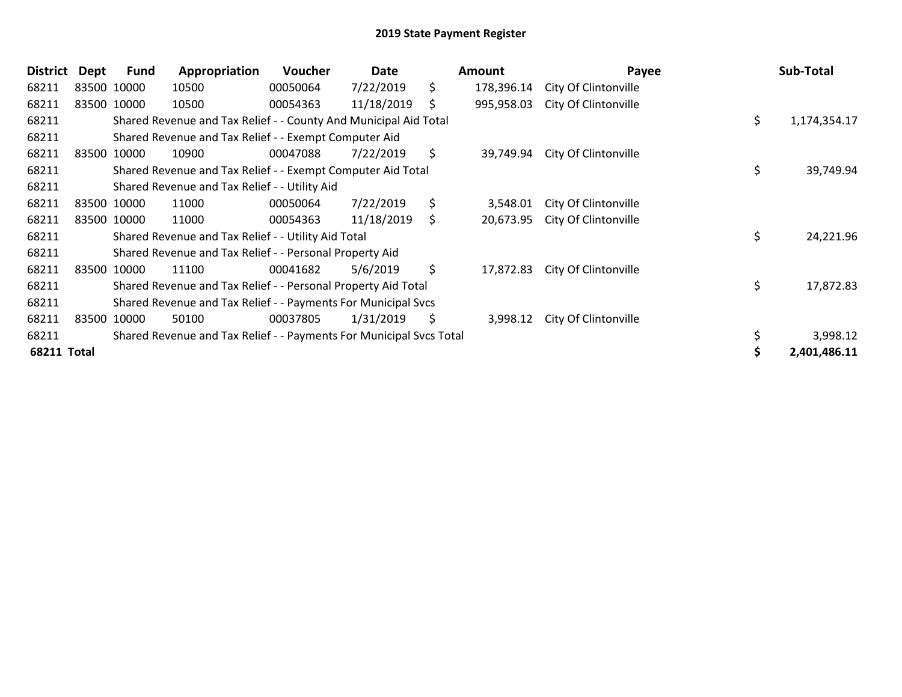| <b>District</b>    | Dept | <b>Fund</b> | Appropriation                                                       | Voucher  | Date       |     | <b>Amount</b> | Payee                | Sub-Total          |
|--------------------|------|-------------|---------------------------------------------------------------------|----------|------------|-----|---------------|----------------------|--------------------|
| 68211              |      | 83500 10000 | 10500                                                               | 00050064 | 7/22/2019  | \$  | 178,396.14    | City Of Clintonville |                    |
| 68211              |      | 83500 10000 | 10500                                                               | 00054363 | 11/18/2019 | \$  | 995,958.03    | City Of Clintonville |                    |
| 68211              |      |             | Shared Revenue and Tax Relief - - County And Municipal Aid Total    |          |            |     |               |                      | \$<br>1,174,354.17 |
| 68211              |      |             | Shared Revenue and Tax Relief - - Exempt Computer Aid               |          |            |     |               |                      |                    |
| 68211              |      | 83500 10000 | 10900                                                               | 00047088 | 7/22/2019  | \$  | 39,749.94     | City Of Clintonville |                    |
| 68211              |      |             | Shared Revenue and Tax Relief - - Exempt Computer Aid Total         |          |            |     |               |                      | \$<br>39,749.94    |
| 68211              |      |             | Shared Revenue and Tax Relief - - Utility Aid                       |          |            |     |               |                      |                    |
| 68211              |      | 83500 10000 | 11000                                                               | 00050064 | 7/22/2019  | \$  | 3,548.01      | City Of Clintonville |                    |
| 68211              |      | 83500 10000 | 11000                                                               | 00054363 | 11/18/2019 | \$. | 20,673.95     | City Of Clintonville |                    |
| 68211              |      |             | Shared Revenue and Tax Relief - - Utility Aid Total                 |          |            |     |               |                      | \$<br>24,221.96    |
| 68211              |      |             | Shared Revenue and Tax Relief - - Personal Property Aid             |          |            |     |               |                      |                    |
| 68211              |      | 83500 10000 | 11100                                                               | 00041682 | 5/6/2019   | \$  | 17,872.83     | City Of Clintonville |                    |
| 68211              |      |             | Shared Revenue and Tax Relief - - Personal Property Aid Total       |          |            |     |               |                      | \$<br>17,872.83    |
| 68211              |      |             | Shared Revenue and Tax Relief - - Payments For Municipal Svcs       |          |            |     |               |                      |                    |
| 68211              |      | 83500 10000 | 50100                                                               | 00037805 | 1/31/2019  | \$  | 3,998.12      | City Of Clintonville |                    |
| 68211              |      |             | Shared Revenue and Tax Relief - - Payments For Municipal Svcs Total |          |            |     |               |                      | 3,998.12           |
| <b>68211 Total</b> |      |             |                                                                     |          |            |     |               |                      | 2,401,486.11       |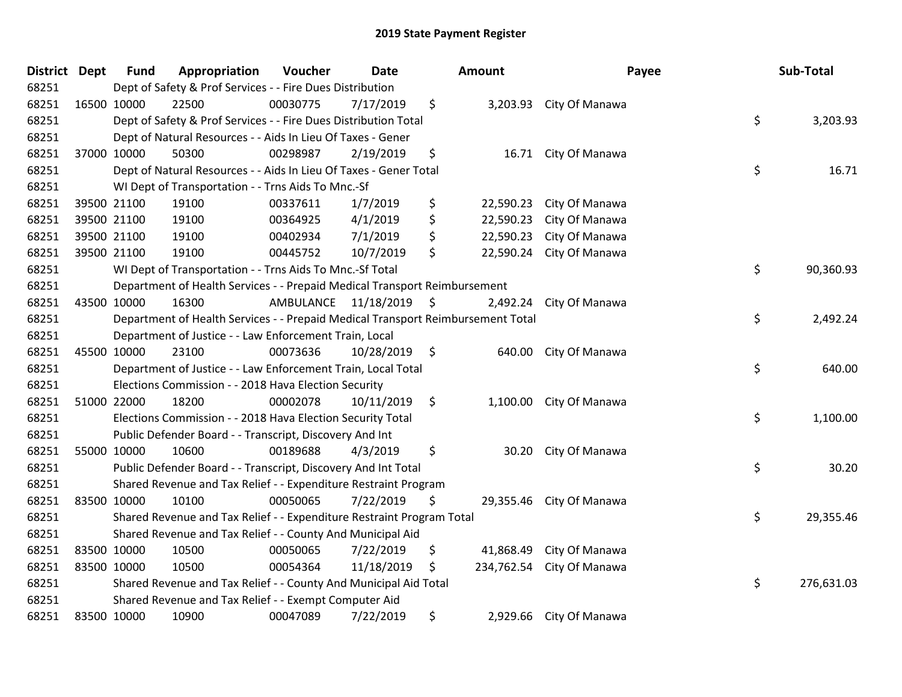| <b>District</b> | <b>Dept</b> | <b>Fund</b> | Appropriation                                                                   | Voucher   | <b>Date</b> |                     | Amount     |                         | Payee | Sub-Total  |
|-----------------|-------------|-------------|---------------------------------------------------------------------------------|-----------|-------------|---------------------|------------|-------------------------|-------|------------|
| 68251           |             |             | Dept of Safety & Prof Services - - Fire Dues Distribution                       |           |             |                     |            |                         |       |            |
| 68251           | 16500 10000 |             | 22500                                                                           | 00030775  | 7/17/2019   | \$                  |            | 3,203.93 City Of Manawa |       |            |
| 68251           |             |             | Dept of Safety & Prof Services - - Fire Dues Distribution Total                 |           |             |                     |            |                         | \$    | 3,203.93   |
| 68251           |             |             | Dept of Natural Resources - - Aids In Lieu Of Taxes - Gener                     |           |             |                     |            |                         |       |            |
| 68251           |             | 37000 10000 | 50300                                                                           | 00298987  | 2/19/2019   | \$                  | 16.71      | City Of Manawa          |       |            |
| 68251           |             |             | Dept of Natural Resources - - Aids In Lieu Of Taxes - Gener Total               |           |             |                     |            |                         | \$    | 16.71      |
| 68251           |             |             | WI Dept of Transportation - - Trns Aids To Mnc.-Sf                              |           |             |                     |            |                         |       |            |
| 68251           | 39500 21100 |             | 19100                                                                           | 00337611  | 1/7/2019    | \$                  | 22,590.23  | City Of Manawa          |       |            |
| 68251           | 39500 21100 |             | 19100                                                                           | 00364925  | 4/1/2019    | \$                  | 22,590.23  | City Of Manawa          |       |            |
| 68251           |             | 39500 21100 | 19100                                                                           | 00402934  | 7/1/2019    | \$                  | 22,590.23  | City Of Manawa          |       |            |
| 68251           | 39500 21100 |             | 19100                                                                           | 00445752  | 10/7/2019   | \$                  | 22,590.24  | City Of Manawa          |       |            |
| 68251           |             |             | WI Dept of Transportation - - Trns Aids To Mnc.-Sf Total                        |           |             |                     |            |                         | \$    | 90,360.93  |
| 68251           |             |             | Department of Health Services - - Prepaid Medical Transport Reimbursement       |           |             |                     |            |                         |       |            |
| 68251           | 43500 10000 |             | 16300                                                                           | AMBULANCE | 11/18/2019  | - \$                | 2,492.24   | City Of Manawa          |       |            |
| 68251           |             |             | Department of Health Services - - Prepaid Medical Transport Reimbursement Total |           |             |                     |            |                         | \$    | 2,492.24   |
| 68251           |             |             | Department of Justice - - Law Enforcement Train, Local                          |           |             |                     |            |                         |       |            |
| 68251           | 45500 10000 |             | 23100                                                                           | 00073636  | 10/28/2019  | $\ddot{\mathsf{s}}$ | 640.00     | City Of Manawa          |       |            |
| 68251           |             |             | Department of Justice - - Law Enforcement Train, Local Total                    |           |             |                     |            |                         | \$    | 640.00     |
| 68251           |             |             | Elections Commission - - 2018 Hava Election Security                            |           |             |                     |            |                         |       |            |
| 68251           | 51000 22000 |             | 18200                                                                           | 00002078  | 10/11/2019  | \$                  |            | 1,100.00 City Of Manawa |       |            |
| 68251           |             |             | Elections Commission - - 2018 Hava Election Security Total                      |           |             |                     |            |                         | \$    | 1,100.00   |
| 68251           |             |             | Public Defender Board - - Transcript, Discovery And Int                         |           |             |                     |            |                         |       |            |
| 68251           | 55000 10000 |             | 10600                                                                           | 00189688  | 4/3/2019    | \$                  | 30.20      | City Of Manawa          |       |            |
| 68251           |             |             | Public Defender Board - - Transcript, Discovery And Int Total                   |           |             |                     |            |                         | \$    | 30.20      |
| 68251           |             |             | Shared Revenue and Tax Relief - - Expenditure Restraint Program                 |           |             |                     |            |                         |       |            |
| 68251           | 83500 10000 |             | 10100                                                                           | 00050065  | 7/22/2019   | \$                  | 29,355.46  | City Of Manawa          |       |            |
| 68251           |             |             | Shared Revenue and Tax Relief - - Expenditure Restraint Program Total           |           |             |                     |            |                         | \$    | 29,355.46  |
| 68251           |             |             | Shared Revenue and Tax Relief - - County And Municipal Aid                      |           |             |                     |            |                         |       |            |
| 68251           | 83500 10000 |             | 10500                                                                           | 00050065  | 7/22/2019   | \$                  | 41,868.49  | City Of Manawa          |       |            |
| 68251           | 83500 10000 |             | 10500                                                                           | 00054364  | 11/18/2019  | \$                  | 234,762.54 | City Of Manawa          |       |            |
| 68251           |             |             | Shared Revenue and Tax Relief - - County And Municipal Aid Total                |           |             |                     |            |                         | \$    | 276,631.03 |
| 68251           |             |             | Shared Revenue and Tax Relief - - Exempt Computer Aid                           |           |             |                     |            |                         |       |            |
| 68251           | 83500 10000 |             | 10900                                                                           | 00047089  | 7/22/2019   | \$                  | 2,929.66   | City Of Manawa          |       |            |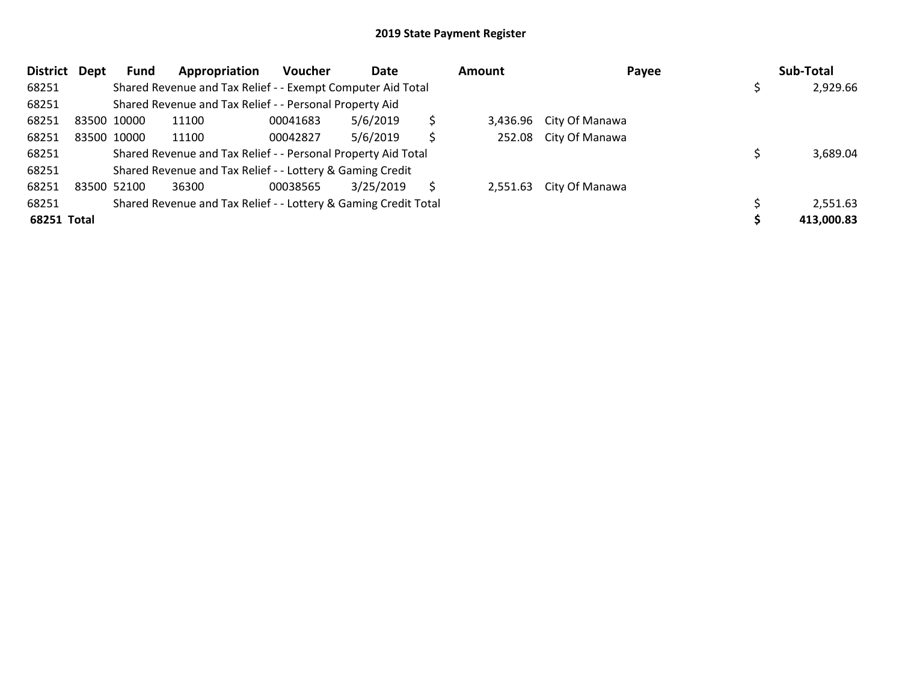| <b>District</b> | Dept | Fund                                                      | Appropriation                                                   | <b>Voucher</b> | Date      |    | Amount | Payee                   |  | Sub-Total  |
|-----------------|------|-----------------------------------------------------------|-----------------------------------------------------------------|----------------|-----------|----|--------|-------------------------|--|------------|
| 68251           |      |                                                           | Shared Revenue and Tax Relief - - Exempt Computer Aid Total     |                |           |    |        |                         |  | 2,929.66   |
| 68251           |      | Shared Revenue and Tax Relief - - Personal Property Aid   |                                                                 |                |           |    |        |                         |  |            |
| 68251           |      | 83500 10000                                               | 11100                                                           | 00041683       | 5/6/2019  | \$ |        | 3,436.96 City Of Manawa |  |            |
| 68251           |      | 83500 10000                                               | 11100                                                           | 00042827       | 5/6/2019  | \$ |        | 252.08 City Of Manawa   |  |            |
| 68251           |      |                                                           | Shared Revenue and Tax Relief - - Personal Property Aid Total   |                |           |    |        |                         |  | 3,689.04   |
| 68251           |      | Shared Revenue and Tax Relief - - Lottery & Gaming Credit |                                                                 |                |           |    |        |                         |  |            |
| 68251           |      | 83500 52100                                               | 36300                                                           | 00038565       | 3/25/2019 |    |        | 2,551.63 City Of Manawa |  |            |
| 68251           |      |                                                           | Shared Revenue and Tax Relief - - Lottery & Gaming Credit Total |                |           |    |        |                         |  | 2,551.63   |
| 68251 Total     |      |                                                           |                                                                 |                |           |    |        |                         |  | 413,000.83 |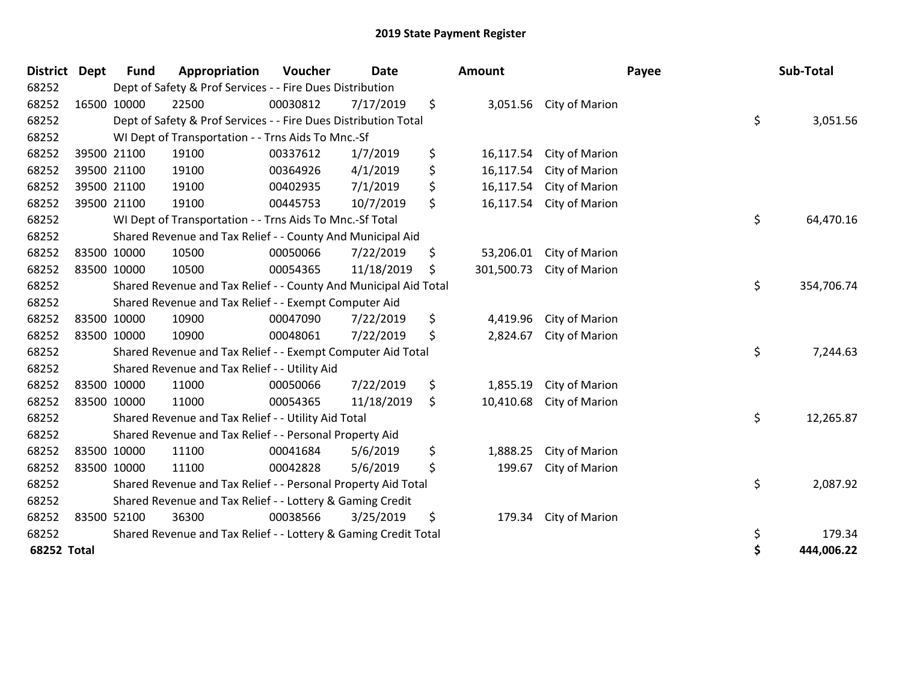| <b>District</b>    | <b>Dept</b> | <b>Fund</b> | Appropriation                                                    | Voucher  | <b>Date</b> | Amount           |                | Payee | Sub-Total  |          |
|--------------------|-------------|-------------|------------------------------------------------------------------|----------|-------------|------------------|----------------|-------|------------|----------|
| 68252              |             |             | Dept of Safety & Prof Services - - Fire Dues Distribution        |          |             |                  |                |       |            |          |
| 68252              |             | 16500 10000 | 22500                                                            | 00030812 | 7/17/2019   | \$<br>3,051.56   | City of Marion |       |            |          |
| 68252              |             |             | Dept of Safety & Prof Services - - Fire Dues Distribution Total  |          |             |                  |                | \$    |            | 3,051.56 |
| 68252              |             |             | WI Dept of Transportation - - Trns Aids To Mnc.-Sf               |          |             |                  |                |       |            |          |
| 68252              |             | 39500 21100 | 19100                                                            | 00337612 | 1/7/2019    | \$<br>16,117.54  | City of Marion |       |            |          |
| 68252              |             | 39500 21100 | 19100                                                            | 00364926 | 4/1/2019    | \$<br>16,117.54  | City of Marion |       |            |          |
| 68252              |             | 39500 21100 | 19100                                                            | 00402935 | 7/1/2019    | \$<br>16,117.54  | City of Marion |       |            |          |
| 68252              |             | 39500 21100 | 19100                                                            | 00445753 | 10/7/2019   | \$<br>16,117.54  | City of Marion |       |            |          |
| 68252              |             |             | WI Dept of Transportation - - Trns Aids To Mnc.-Sf Total         |          |             |                  |                | \$    | 64,470.16  |          |
| 68252              |             |             | Shared Revenue and Tax Relief - - County And Municipal Aid       |          |             |                  |                |       |            |          |
| 68252              |             | 83500 10000 | 10500                                                            | 00050066 | 7/22/2019   | \$<br>53,206.01  | City of Marion |       |            |          |
| 68252              | 83500 10000 |             | 10500                                                            | 00054365 | 11/18/2019  | \$<br>301,500.73 | City of Marion |       |            |          |
| 68252              |             |             | Shared Revenue and Tax Relief - - County And Municipal Aid Total |          |             |                  |                | \$    | 354,706.74 |          |
| 68252              |             |             | Shared Revenue and Tax Relief - - Exempt Computer Aid            |          |             |                  |                |       |            |          |
| 68252              |             | 83500 10000 | 10900                                                            | 00047090 | 7/22/2019   | \$<br>4,419.96   | City of Marion |       |            |          |
| 68252              | 83500 10000 |             | 10900                                                            | 00048061 | 7/22/2019   | \$<br>2,824.67   | City of Marion |       |            |          |
| 68252              |             |             | Shared Revenue and Tax Relief - - Exempt Computer Aid Total      |          |             |                  |                | \$    |            | 7,244.63 |
| 68252              |             |             | Shared Revenue and Tax Relief - - Utility Aid                    |          |             |                  |                |       |            |          |
| 68252              |             | 83500 10000 | 11000                                                            | 00050066 | 7/22/2019   | \$<br>1,855.19   | City of Marion |       |            |          |
| 68252              | 83500 10000 |             | 11000                                                            | 00054365 | 11/18/2019  | \$<br>10,410.68  | City of Marion |       |            |          |
| 68252              |             |             | Shared Revenue and Tax Relief - - Utility Aid Total              |          |             |                  |                | \$    | 12,265.87  |          |
| 68252              |             |             | Shared Revenue and Tax Relief - - Personal Property Aid          |          |             |                  |                |       |            |          |
| 68252              |             | 83500 10000 | 11100                                                            | 00041684 | 5/6/2019    | \$<br>1,888.25   | City of Marion |       |            |          |
| 68252              | 83500 10000 |             | 11100                                                            | 00042828 | 5/6/2019    | \$<br>199.67     | City of Marion |       |            |          |
| 68252              |             |             | Shared Revenue and Tax Relief - - Personal Property Aid Total    |          |             |                  |                | \$    |            | 2,087.92 |
| 68252              |             |             | Shared Revenue and Tax Relief - - Lottery & Gaming Credit        |          |             |                  |                |       |            |          |
| 68252              |             | 83500 52100 | 36300                                                            | 00038566 | 3/25/2019   | \$<br>179.34     | City of Marion |       |            |          |
| 68252              |             |             | Shared Revenue and Tax Relief - - Lottery & Gaming Credit Total  |          |             |                  |                | \$    |            | 179.34   |
| <b>68252 Total</b> |             |             |                                                                  |          |             |                  |                | \$    | 444,006.22 |          |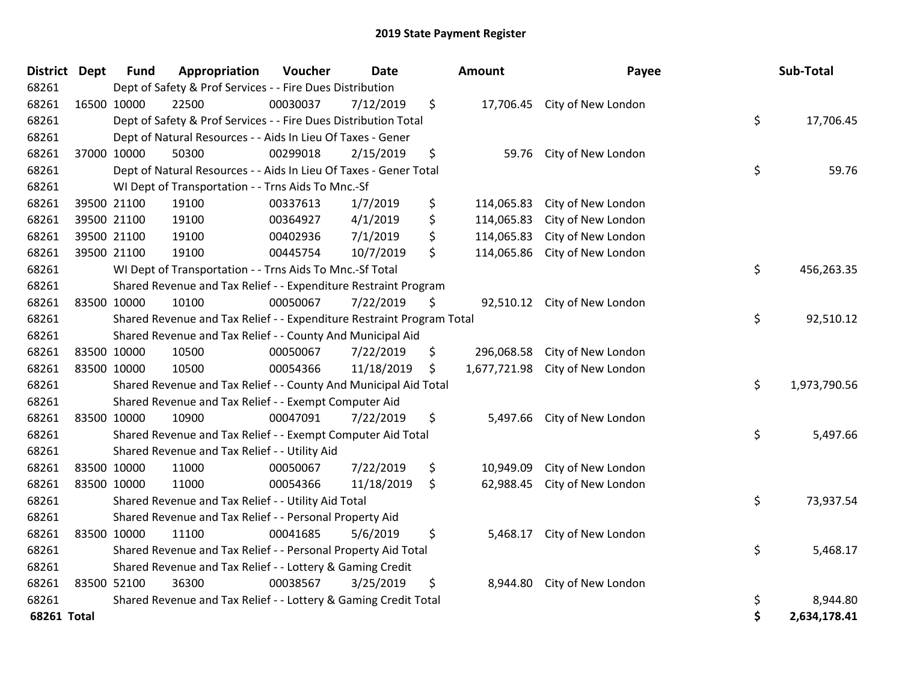| <b>District Dept</b> |             | <b>Fund</b> | Appropriation                                                         | Voucher  | <b>Date</b> |    | Amount     | Payee                           |    | Sub-Total    |
|----------------------|-------------|-------------|-----------------------------------------------------------------------|----------|-------------|----|------------|---------------------------------|----|--------------|
| 68261                |             |             | Dept of Safety & Prof Services - - Fire Dues Distribution             |          |             |    |            |                                 |    |              |
| 68261                |             | 16500 10000 | 22500                                                                 | 00030037 | 7/12/2019   | \$ |            | 17,706.45 City of New London    |    |              |
| 68261                |             |             | Dept of Safety & Prof Services - - Fire Dues Distribution Total       |          |             |    |            |                                 | \$ | 17,706.45    |
| 68261                |             |             | Dept of Natural Resources - - Aids In Lieu Of Taxes - Gener           |          |             |    |            |                                 |    |              |
| 68261                |             | 37000 10000 | 50300                                                                 | 00299018 | 2/15/2019   | \$ | 59.76      | City of New London              |    |              |
| 68261                |             |             | Dept of Natural Resources - - Aids In Lieu Of Taxes - Gener Total     |          |             |    |            |                                 | \$ | 59.76        |
| 68261                |             |             | WI Dept of Transportation - - Trns Aids To Mnc.-Sf                    |          |             |    |            |                                 |    |              |
| 68261                |             | 39500 21100 | 19100                                                                 | 00337613 | 1/7/2019    | \$ | 114,065.83 | City of New London              |    |              |
| 68261                |             | 39500 21100 | 19100                                                                 | 00364927 | 4/1/2019    | \$ | 114,065.83 | City of New London              |    |              |
| 68261                |             | 39500 21100 | 19100                                                                 | 00402936 | 7/1/2019    | \$ | 114,065.83 | City of New London              |    |              |
| 68261                |             | 39500 21100 | 19100                                                                 | 00445754 | 10/7/2019   | \$ | 114,065.86 | City of New London              |    |              |
| 68261                |             |             | WI Dept of Transportation - - Trns Aids To Mnc.-Sf Total              |          |             |    |            |                                 | \$ | 456,263.35   |
| 68261                |             |             | Shared Revenue and Tax Relief - - Expenditure Restraint Program       |          |             |    |            |                                 |    |              |
| 68261                |             | 83500 10000 | 10100                                                                 | 00050067 | 7/22/2019   | \$ | 92,510.12  | City of New London              |    |              |
| 68261                |             |             | Shared Revenue and Tax Relief - - Expenditure Restraint Program Total |          |             |    |            |                                 | \$ | 92,510.12    |
| 68261                |             |             | Shared Revenue and Tax Relief - - County And Municipal Aid            |          |             |    |            |                                 |    |              |
| 68261                | 83500 10000 |             | 10500                                                                 | 00050067 | 7/22/2019   | \$ |            | 296,068.58 City of New London   |    |              |
| 68261                | 83500 10000 |             | 10500                                                                 | 00054366 | 11/18/2019  | \$ |            | 1,677,721.98 City of New London |    |              |
| 68261                |             |             | Shared Revenue and Tax Relief - - County And Municipal Aid Total      |          |             |    |            |                                 | \$ | 1,973,790.56 |
| 68261                |             |             | Shared Revenue and Tax Relief - - Exempt Computer Aid                 |          |             |    |            |                                 |    |              |
| 68261                |             | 83500 10000 | 10900                                                                 | 00047091 | 7/22/2019   | \$ |            | 5,497.66 City of New London     |    |              |
| 68261                |             |             | Shared Revenue and Tax Relief - - Exempt Computer Aid Total           |          |             |    |            |                                 | \$ | 5,497.66     |
| 68261                |             |             | Shared Revenue and Tax Relief - - Utility Aid                         |          |             |    |            |                                 |    |              |
| 68261                |             | 83500 10000 | 11000                                                                 | 00050067 | 7/22/2019   | \$ | 10,949.09  | City of New London              |    |              |
| 68261                |             | 83500 10000 | 11000                                                                 | 00054366 | 11/18/2019  | \$ | 62,988.45  | City of New London              |    |              |
| 68261                |             |             | Shared Revenue and Tax Relief - - Utility Aid Total                   |          |             |    |            |                                 | \$ | 73,937.54    |
| 68261                |             |             | Shared Revenue and Tax Relief - - Personal Property Aid               |          |             |    |            |                                 |    |              |
| 68261                | 83500 10000 |             | 11100                                                                 | 00041685 | 5/6/2019    | \$ |            | 5,468.17 City of New London     |    |              |
| 68261                |             |             | Shared Revenue and Tax Relief - - Personal Property Aid Total         |          |             |    |            |                                 | \$ | 5,468.17     |
| 68261                |             |             | Shared Revenue and Tax Relief - - Lottery & Gaming Credit             |          |             |    |            |                                 |    |              |
| 68261                |             | 83500 52100 | 36300                                                                 | 00038567 | 3/25/2019   | \$ | 8,944.80   | City of New London              |    |              |
| 68261                |             |             | Shared Revenue and Tax Relief - - Lottery & Gaming Credit Total       |          |             |    |            |                                 | \$ | 8,944.80     |
| <b>68261 Total</b>   |             |             |                                                                       |          |             |    |            |                                 | \$ | 2,634,178.41 |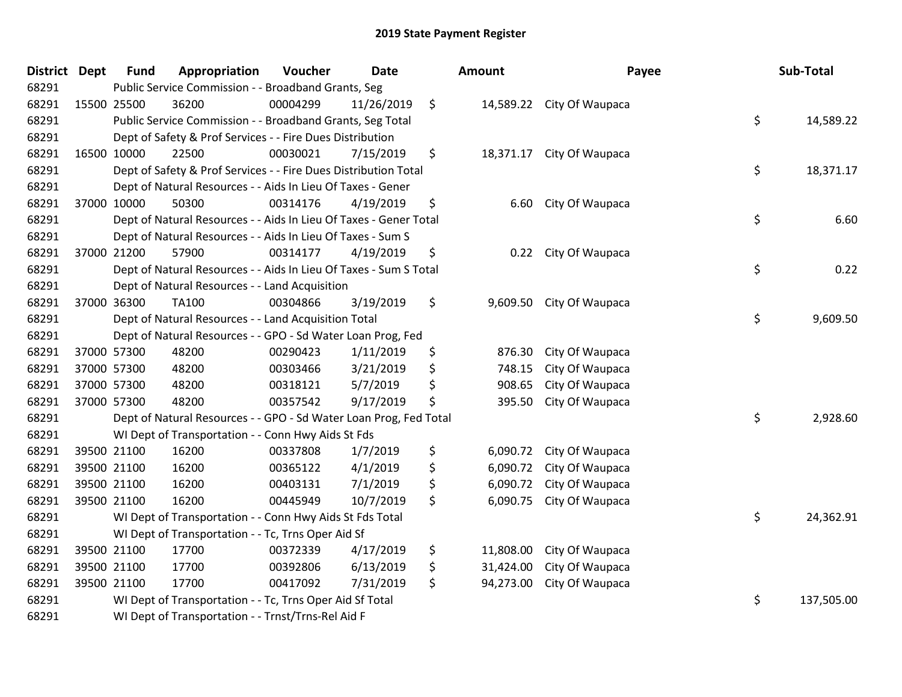| <b>District</b> | <b>Dept</b> | <b>Fund</b> | Appropriation                                                     | Voucher  | <b>Date</b> | <b>Amount</b>   | Payee                     | Sub-Total        |
|-----------------|-------------|-------------|-------------------------------------------------------------------|----------|-------------|-----------------|---------------------------|------------------|
| 68291           |             |             | Public Service Commission - - Broadband Grants, Seg               |          |             |                 |                           |                  |
| 68291           | 15500 25500 |             | 36200                                                             | 00004299 | 11/26/2019  | \$              | 14,589.22 City Of Waupaca |                  |
| 68291           |             |             | Public Service Commission - - Broadband Grants, Seg Total         |          |             |                 |                           | \$<br>14,589.22  |
| 68291           |             |             | Dept of Safety & Prof Services - - Fire Dues Distribution         |          |             |                 |                           |                  |
| 68291           | 16500 10000 |             | 22500                                                             | 00030021 | 7/15/2019   | \$              | 18,371.17 City Of Waupaca |                  |
| 68291           |             |             | Dept of Safety & Prof Services - - Fire Dues Distribution Total   |          |             |                 |                           | \$<br>18,371.17  |
| 68291           |             |             | Dept of Natural Resources - - Aids In Lieu Of Taxes - Gener       |          |             |                 |                           |                  |
| 68291           |             | 37000 10000 | 50300                                                             | 00314176 | 4/19/2019   | \$<br>6.60      | City Of Waupaca           |                  |
| 68291           |             |             | Dept of Natural Resources - - Aids In Lieu Of Taxes - Gener Total |          |             |                 |                           | \$<br>6.60       |
| 68291           |             |             | Dept of Natural Resources - - Aids In Lieu Of Taxes - Sum S       |          |             |                 |                           |                  |
| 68291           |             | 37000 21200 | 57900                                                             | 00314177 | 4/19/2019   | \$<br>0.22      | City Of Waupaca           |                  |
| 68291           |             |             | Dept of Natural Resources - - Aids In Lieu Of Taxes - Sum S Total |          |             |                 |                           | \$<br>0.22       |
| 68291           |             |             | Dept of Natural Resources - - Land Acquisition                    |          |             |                 |                           |                  |
| 68291           |             | 37000 36300 | TA100                                                             | 00304866 | 3/19/2019   | \$<br>9,609.50  | City Of Waupaca           |                  |
| 68291           |             |             | Dept of Natural Resources - - Land Acquisition Total              |          |             |                 |                           | \$<br>9,609.50   |
| 68291           |             |             | Dept of Natural Resources - - GPO - Sd Water Loan Prog, Fed       |          |             |                 |                           |                  |
| 68291           |             | 37000 57300 | 48200                                                             | 00290423 | 1/11/2019   | \$<br>876.30    | City Of Waupaca           |                  |
| 68291           |             | 37000 57300 | 48200                                                             | 00303466 | 3/21/2019   | \$<br>748.15    | City Of Waupaca           |                  |
| 68291           |             | 37000 57300 | 48200                                                             | 00318121 | 5/7/2019    | \$<br>908.65    | City Of Waupaca           |                  |
| 68291           |             | 37000 57300 | 48200                                                             | 00357542 | 9/17/2019   | \$<br>395.50    | City Of Waupaca           |                  |
| 68291           |             |             | Dept of Natural Resources - - GPO - Sd Water Loan Prog, Fed Total |          |             |                 |                           | \$<br>2,928.60   |
| 68291           |             |             | WI Dept of Transportation - - Conn Hwy Aids St Fds                |          |             |                 |                           |                  |
| 68291           |             | 39500 21100 | 16200                                                             | 00337808 | 1/7/2019    | \$<br>6,090.72  | City Of Waupaca           |                  |
| 68291           |             | 39500 21100 | 16200                                                             | 00365122 | 4/1/2019    | \$<br>6,090.72  | City Of Waupaca           |                  |
| 68291           |             | 39500 21100 | 16200                                                             | 00403131 | 7/1/2019    | \$<br>6,090.72  | City Of Waupaca           |                  |
| 68291           |             | 39500 21100 | 16200                                                             | 00445949 | 10/7/2019   | \$<br>6,090.75  | City Of Waupaca           |                  |
| 68291           |             |             | WI Dept of Transportation - - Conn Hwy Aids St Fds Total          |          |             |                 |                           | \$<br>24,362.91  |
| 68291           |             |             | WI Dept of Transportation - - Tc, Trns Oper Aid Sf                |          |             |                 |                           |                  |
| 68291           |             | 39500 21100 | 17700                                                             | 00372339 | 4/17/2019   | \$<br>11,808.00 | City Of Waupaca           |                  |
| 68291           |             | 39500 21100 | 17700                                                             | 00392806 | 6/13/2019   | \$<br>31,424.00 | City Of Waupaca           |                  |
| 68291           |             | 39500 21100 | 17700                                                             | 00417092 | 7/31/2019   | \$<br>94,273.00 | City Of Waupaca           |                  |
| 68291           |             |             | WI Dept of Transportation - - Tc, Trns Oper Aid Sf Total          |          |             |                 |                           | \$<br>137,505.00 |
| 68291           |             |             | WI Dept of Transportation - - Trnst/Trns-Rel Aid F                |          |             |                 |                           |                  |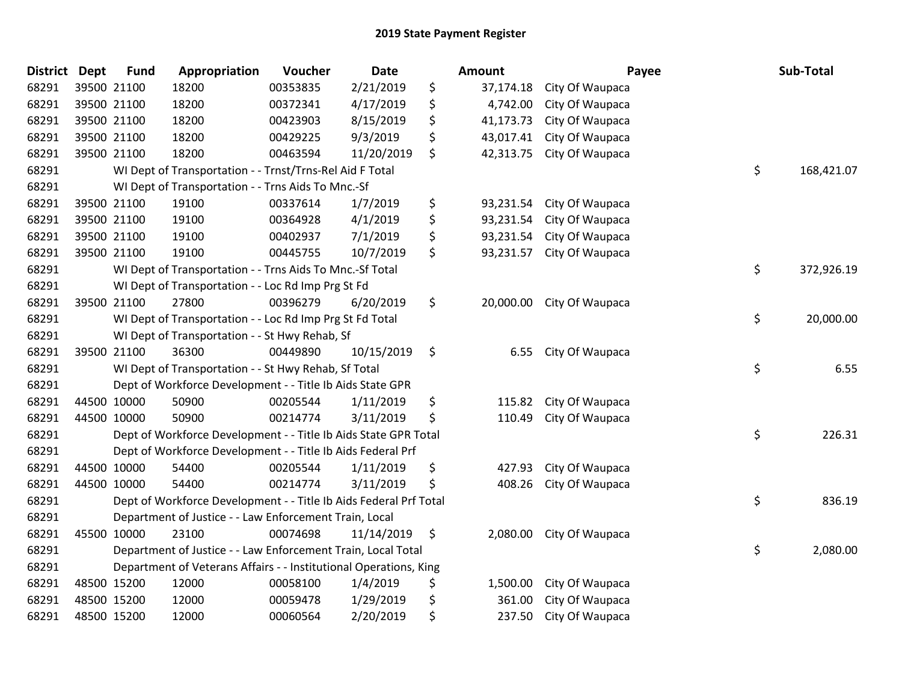| <b>District</b> | <b>Dept</b> | <b>Fund</b> | Appropriation                                                     | Voucher  | <b>Date</b> | Amount          | Payee           | Sub-Total        |
|-----------------|-------------|-------------|-------------------------------------------------------------------|----------|-------------|-----------------|-----------------|------------------|
| 68291           | 39500 21100 |             | 18200                                                             | 00353835 | 2/21/2019   | \$<br>37,174.18 | City Of Waupaca |                  |
| 68291           | 39500 21100 |             | 18200                                                             | 00372341 | 4/17/2019   | \$<br>4,742.00  | City Of Waupaca |                  |
| 68291           | 39500 21100 |             | 18200                                                             | 00423903 | 8/15/2019   | \$<br>41,173.73 | City Of Waupaca |                  |
| 68291           | 39500 21100 |             | 18200                                                             | 00429225 | 9/3/2019    | \$<br>43,017.41 | City Of Waupaca |                  |
| 68291           | 39500 21100 |             | 18200                                                             | 00463594 | 11/20/2019  | \$<br>42,313.75 | City Of Waupaca |                  |
| 68291           |             |             | WI Dept of Transportation - - Trnst/Trns-Rel Aid F Total          |          |             |                 |                 | \$<br>168,421.07 |
| 68291           |             |             | WI Dept of Transportation - - Trns Aids To Mnc.-Sf                |          |             |                 |                 |                  |
| 68291           | 39500 21100 |             | 19100                                                             | 00337614 | 1/7/2019    | \$<br>93,231.54 | City Of Waupaca |                  |
| 68291           | 39500 21100 |             | 19100                                                             | 00364928 | 4/1/2019    | \$<br>93,231.54 | City Of Waupaca |                  |
| 68291           | 39500 21100 |             | 19100                                                             | 00402937 | 7/1/2019    | \$<br>93,231.54 | City Of Waupaca |                  |
| 68291           | 39500 21100 |             | 19100                                                             | 00445755 | 10/7/2019   | \$<br>93,231.57 | City Of Waupaca |                  |
| 68291           |             |             | WI Dept of Transportation - - Trns Aids To Mnc.-Sf Total          |          |             |                 |                 | \$<br>372,926.19 |
| 68291           |             |             | WI Dept of Transportation - - Loc Rd Imp Prg St Fd                |          |             |                 |                 |                  |
| 68291           | 39500 21100 |             | 27800                                                             | 00396279 | 6/20/2019   | \$<br>20,000.00 | City Of Waupaca |                  |
| 68291           |             |             | WI Dept of Transportation - - Loc Rd Imp Prg St Fd Total          |          |             |                 |                 | \$<br>20,000.00  |
| 68291           |             |             | WI Dept of Transportation - - St Hwy Rehab, Sf                    |          |             |                 |                 |                  |
| 68291           | 39500 21100 |             | 36300                                                             | 00449890 | 10/15/2019  | \$<br>6.55      | City Of Waupaca |                  |
| 68291           |             |             | WI Dept of Transportation - - St Hwy Rehab, Sf Total              |          |             |                 |                 | \$<br>6.55       |
| 68291           |             |             | Dept of Workforce Development - - Title Ib Aids State GPR         |          |             |                 |                 |                  |
| 68291           | 44500 10000 |             | 50900                                                             | 00205544 | 1/11/2019   | \$<br>115.82    | City Of Waupaca |                  |
| 68291           | 44500 10000 |             | 50900                                                             | 00214774 | 3/11/2019   | \$<br>110.49    | City Of Waupaca |                  |
| 68291           |             |             | Dept of Workforce Development - - Title Ib Aids State GPR Total   |          |             |                 |                 | \$<br>226.31     |
| 68291           |             |             | Dept of Workforce Development - - Title Ib Aids Federal Prf       |          |             |                 |                 |                  |
| 68291           | 44500 10000 |             | 54400                                                             | 00205544 | 1/11/2019   | \$<br>427.93    | City Of Waupaca |                  |
| 68291           | 44500 10000 |             | 54400                                                             | 00214774 | 3/11/2019   | \$<br>408.26    | City Of Waupaca |                  |
| 68291           |             |             | Dept of Workforce Development - - Title Ib Aids Federal Prf Total |          |             |                 |                 | \$<br>836.19     |
| 68291           |             |             | Department of Justice - - Law Enforcement Train, Local            |          |             |                 |                 |                  |
| 68291           | 45500 10000 |             | 23100                                                             | 00074698 | 11/14/2019  | \$<br>2,080.00  | City Of Waupaca |                  |
| 68291           |             |             | Department of Justice - - Law Enforcement Train, Local Total      |          |             |                 |                 | \$<br>2,080.00   |
| 68291           |             |             | Department of Veterans Affairs - - Institutional Operations, King |          |             |                 |                 |                  |
| 68291           | 48500 15200 |             | 12000                                                             | 00058100 | 1/4/2019    | \$<br>1,500.00  | City Of Waupaca |                  |
| 68291           | 48500 15200 |             | 12000                                                             | 00059478 | 1/29/2019   | \$<br>361.00    | City Of Waupaca |                  |
| 68291           | 48500 15200 |             | 12000                                                             | 00060564 | 2/20/2019   | \$<br>237.50    | City Of Waupaca |                  |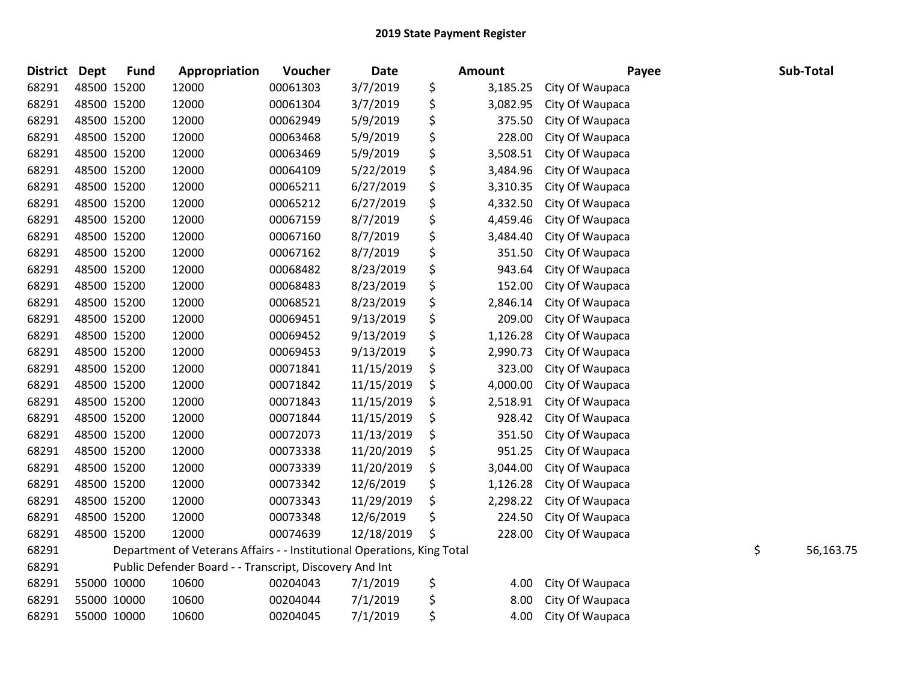| <b>District</b> | <b>Dept</b> | <b>Fund</b> | Appropriation                                                           | Voucher  | Date       | <b>Amount</b>  | Payee           | Sub-Total       |
|-----------------|-------------|-------------|-------------------------------------------------------------------------|----------|------------|----------------|-----------------|-----------------|
| 68291           |             | 48500 15200 | 12000                                                                   | 00061303 | 3/7/2019   | \$<br>3,185.25 | City Of Waupaca |                 |
| 68291           |             | 48500 15200 | 12000                                                                   | 00061304 | 3/7/2019   | \$<br>3,082.95 | City Of Waupaca |                 |
| 68291           | 48500 15200 |             | 12000                                                                   | 00062949 | 5/9/2019   | \$<br>375.50   | City Of Waupaca |                 |
| 68291           |             | 48500 15200 | 12000                                                                   | 00063468 | 5/9/2019   | \$<br>228.00   | City Of Waupaca |                 |
| 68291           |             | 48500 15200 | 12000                                                                   | 00063469 | 5/9/2019   | \$<br>3,508.51 | City Of Waupaca |                 |
| 68291           |             | 48500 15200 | 12000                                                                   | 00064109 | 5/22/2019  | \$<br>3,484.96 | City Of Waupaca |                 |
| 68291           |             | 48500 15200 | 12000                                                                   | 00065211 | 6/27/2019  | \$<br>3,310.35 | City Of Waupaca |                 |
| 68291           |             | 48500 15200 | 12000                                                                   | 00065212 | 6/27/2019  | \$<br>4,332.50 | City Of Waupaca |                 |
| 68291           |             | 48500 15200 | 12000                                                                   | 00067159 | 8/7/2019   | \$<br>4,459.46 | City Of Waupaca |                 |
| 68291           |             | 48500 15200 | 12000                                                                   | 00067160 | 8/7/2019   | \$<br>3,484.40 | City Of Waupaca |                 |
| 68291           |             | 48500 15200 | 12000                                                                   | 00067162 | 8/7/2019   | \$<br>351.50   | City Of Waupaca |                 |
| 68291           |             | 48500 15200 | 12000                                                                   | 00068482 | 8/23/2019  | \$<br>943.64   | City Of Waupaca |                 |
| 68291           | 48500 15200 |             | 12000                                                                   | 00068483 | 8/23/2019  | \$<br>152.00   | City Of Waupaca |                 |
| 68291           |             | 48500 15200 | 12000                                                                   | 00068521 | 8/23/2019  | \$<br>2,846.14 | City Of Waupaca |                 |
| 68291           |             | 48500 15200 | 12000                                                                   | 00069451 | 9/13/2019  | \$<br>209.00   | City Of Waupaca |                 |
| 68291           |             | 48500 15200 | 12000                                                                   | 00069452 | 9/13/2019  | \$<br>1,126.28 | City Of Waupaca |                 |
| 68291           |             | 48500 15200 | 12000                                                                   | 00069453 | 9/13/2019  | \$<br>2,990.73 | City Of Waupaca |                 |
| 68291           |             | 48500 15200 | 12000                                                                   | 00071841 | 11/15/2019 | \$<br>323.00   | City Of Waupaca |                 |
| 68291           |             | 48500 15200 | 12000                                                                   | 00071842 | 11/15/2019 | \$<br>4,000.00 | City Of Waupaca |                 |
| 68291           |             | 48500 15200 | 12000                                                                   | 00071843 | 11/15/2019 | \$<br>2,518.91 | City Of Waupaca |                 |
| 68291           |             | 48500 15200 | 12000                                                                   | 00071844 | 11/15/2019 | \$<br>928.42   | City Of Waupaca |                 |
| 68291           |             | 48500 15200 | 12000                                                                   | 00072073 | 11/13/2019 | \$<br>351.50   | City Of Waupaca |                 |
| 68291           |             | 48500 15200 | 12000                                                                   | 00073338 | 11/20/2019 | \$<br>951.25   | City Of Waupaca |                 |
| 68291           |             | 48500 15200 | 12000                                                                   | 00073339 | 11/20/2019 | \$<br>3,044.00 | City Of Waupaca |                 |
| 68291           |             | 48500 15200 | 12000                                                                   | 00073342 | 12/6/2019  | \$<br>1,126.28 | City Of Waupaca |                 |
| 68291           |             | 48500 15200 | 12000                                                                   | 00073343 | 11/29/2019 | \$<br>2,298.22 | City Of Waupaca |                 |
| 68291           |             | 48500 15200 | 12000                                                                   | 00073348 | 12/6/2019  | \$<br>224.50   | City Of Waupaca |                 |
| 68291           |             | 48500 15200 | 12000                                                                   | 00074639 | 12/18/2019 | \$<br>228.00   | City Of Waupaca |                 |
| 68291           |             |             | Department of Veterans Affairs - - Institutional Operations, King Total |          |            |                |                 | \$<br>56,163.75 |
| 68291           |             |             | Public Defender Board - - Transcript, Discovery And Int                 |          |            |                |                 |                 |
| 68291           |             | 55000 10000 | 10600                                                                   | 00204043 | 7/1/2019   | \$<br>4.00     | City Of Waupaca |                 |
| 68291           |             | 55000 10000 | 10600                                                                   | 00204044 | 7/1/2019   | \$<br>8.00     | City Of Waupaca |                 |
| 68291           |             | 55000 10000 | 10600                                                                   | 00204045 | 7/1/2019   | \$<br>4.00     | City Of Waupaca |                 |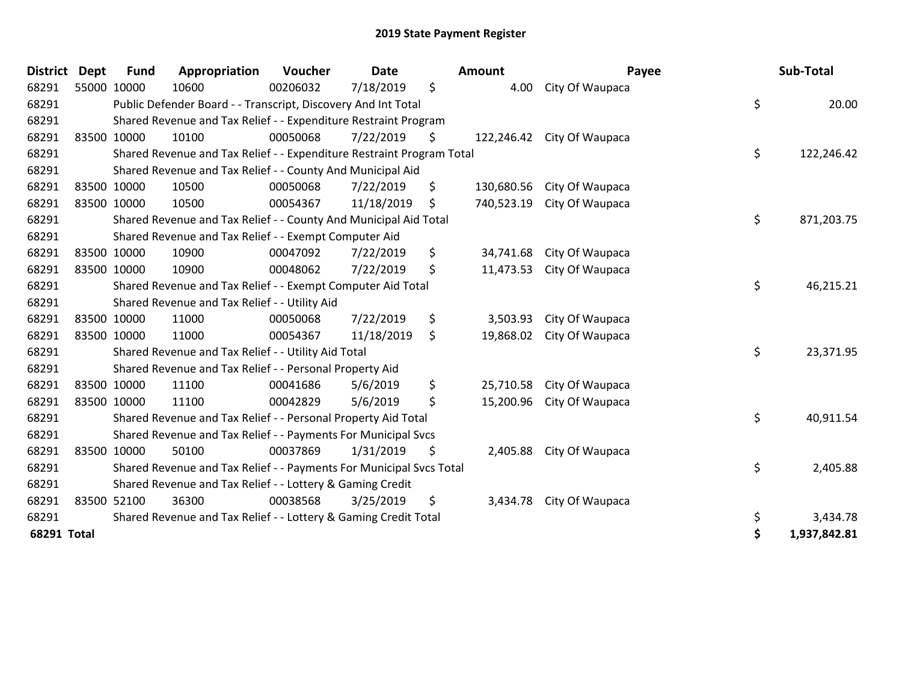| <b>District</b> | <b>Dept</b> | <b>Fund</b>                                                     | Appropriation                                                         | Voucher  | <b>Date</b> |    | <b>Amount</b> | Payee                      |    | Sub-Total    |
|-----------------|-------------|-----------------------------------------------------------------|-----------------------------------------------------------------------|----------|-------------|----|---------------|----------------------------|----|--------------|
| 68291           | 55000 10000 |                                                                 | 10600                                                                 | 00206032 | 7/18/2019   | \$ | 4.00          | City Of Waupaca            |    |              |
| 68291           |             |                                                                 | Public Defender Board - - Transcript, Discovery And Int Total         |          |             |    |               |                            | \$ | 20.00        |
| 68291           |             | Shared Revenue and Tax Relief - - Expenditure Restraint Program |                                                                       |          |             |    |               |                            |    |              |
| 68291           | 83500 10000 |                                                                 | 10100                                                                 | 00050068 | 7/22/2019   | \$ |               | 122,246.42 City Of Waupaca |    |              |
| 68291           |             |                                                                 | Shared Revenue and Tax Relief - - Expenditure Restraint Program Total |          |             |    |               |                            | \$ | 122,246.42   |
| 68291           |             |                                                                 | Shared Revenue and Tax Relief - - County And Municipal Aid            |          |             |    |               |                            |    |              |
| 68291           |             | 83500 10000                                                     | 10500                                                                 | 00050068 | 7/22/2019   | \$ | 130,680.56    | City Of Waupaca            |    |              |
| 68291           | 83500 10000 |                                                                 | 10500                                                                 | 00054367 | 11/18/2019  | \$ | 740,523.19    | City Of Waupaca            |    |              |
| 68291           |             |                                                                 | Shared Revenue and Tax Relief - - County And Municipal Aid Total      |          |             |    |               |                            | \$ | 871,203.75   |
| 68291           |             |                                                                 | Shared Revenue and Tax Relief - - Exempt Computer Aid                 |          |             |    |               |                            |    |              |
| 68291           |             | 83500 10000                                                     | 10900                                                                 | 00047092 | 7/22/2019   | \$ | 34,741.68     | City Of Waupaca            |    |              |
| 68291           | 83500 10000 |                                                                 | 10900                                                                 | 00048062 | 7/22/2019   | \$ | 11,473.53     | City Of Waupaca            |    |              |
| 68291           |             |                                                                 | Shared Revenue and Tax Relief - - Exempt Computer Aid Total           |          |             |    |               |                            | \$ | 46,215.21    |
| 68291           |             |                                                                 | Shared Revenue and Tax Relief - - Utility Aid                         |          |             |    |               |                            |    |              |
| 68291           | 83500 10000 |                                                                 | 11000                                                                 | 00050068 | 7/22/2019   | \$ | 3,503.93      | City Of Waupaca            |    |              |
| 68291           | 83500 10000 |                                                                 | 11000                                                                 | 00054367 | 11/18/2019  | \$ | 19,868.02     | City Of Waupaca            |    |              |
| 68291           |             |                                                                 | Shared Revenue and Tax Relief - - Utility Aid Total                   |          |             |    |               |                            | \$ | 23,371.95    |
| 68291           |             |                                                                 | Shared Revenue and Tax Relief - - Personal Property Aid               |          |             |    |               |                            |    |              |
| 68291           |             | 83500 10000                                                     | 11100                                                                 | 00041686 | 5/6/2019    | \$ | 25,710.58     | City Of Waupaca            |    |              |
| 68291           | 83500 10000 |                                                                 | 11100                                                                 | 00042829 | 5/6/2019    | \$ | 15,200.96     | City Of Waupaca            |    |              |
| 68291           |             |                                                                 | Shared Revenue and Tax Relief - - Personal Property Aid Total         |          |             |    |               |                            | \$ | 40,911.54    |
| 68291           |             |                                                                 | Shared Revenue and Tax Relief - - Payments For Municipal Svcs         |          |             |    |               |                            |    |              |
| 68291           |             | 83500 10000                                                     | 50100                                                                 | 00037869 | 1/31/2019   | \$ | 2,405.88      | City Of Waupaca            |    |              |
| 68291           |             |                                                                 | Shared Revenue and Tax Relief - - Payments For Municipal Svcs Total   |          |             |    |               |                            | \$ | 2,405.88     |
| 68291           |             |                                                                 | Shared Revenue and Tax Relief - - Lottery & Gaming Credit             |          |             |    |               |                            |    |              |
| 68291           |             | 83500 52100                                                     | 36300                                                                 | 00038568 | 3/25/2019   | \$ | 3,434.78      | City Of Waupaca            |    |              |
| 68291           |             |                                                                 | Shared Revenue and Tax Relief - - Lottery & Gaming Credit Total       |          |             |    |               |                            | \$ | 3,434.78     |
| 68291 Total     |             |                                                                 |                                                                       |          |             |    |               |                            | \$ | 1,937,842.81 |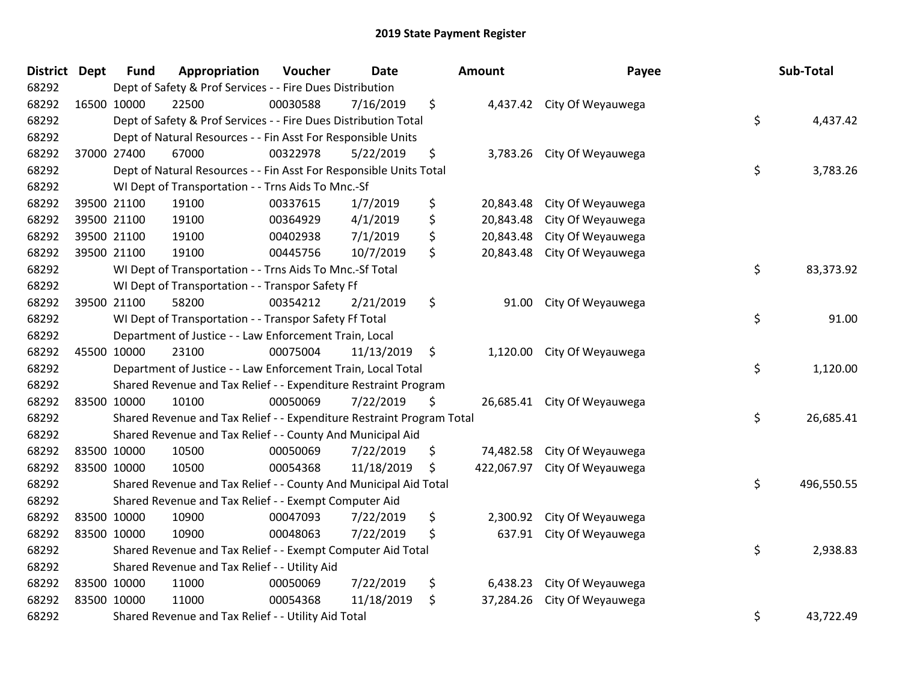## 2019 State Payment Register

| <b>District</b> | <b>Dept</b> | <b>Fund</b>                                         | Appropriation                                                         | Voucher  | <b>Date</b> |                    | <b>Amount</b> | Payee                        | Sub-Total        |
|-----------------|-------------|-----------------------------------------------------|-----------------------------------------------------------------------|----------|-------------|--------------------|---------------|------------------------------|------------------|
| 68292           |             |                                                     | Dept of Safety & Prof Services - - Fire Dues Distribution             |          |             |                    |               |                              |                  |
| 68292           | 16500 10000 |                                                     | 22500                                                                 | 00030588 | 7/16/2019   | \$                 |               | 4,437.42 City Of Weyauwega   |                  |
| 68292           |             |                                                     | Dept of Safety & Prof Services - - Fire Dues Distribution Total       |          |             |                    |               |                              | \$<br>4,437.42   |
| 68292           |             |                                                     | Dept of Natural Resources - - Fin Asst For Responsible Units          |          |             |                    |               |                              |                  |
| 68292           |             | 37000 27400                                         | 67000                                                                 | 00322978 | 5/22/2019   | \$                 | 3,783.26      | City Of Weyauwega            |                  |
| 68292           |             |                                                     | Dept of Natural Resources - - Fin Asst For Responsible Units Total    |          |             |                    |               |                              | \$<br>3,783.26   |
| 68292           |             | WI Dept of Transportation - - Trns Aids To Mnc.-Sf  |                                                                       |          |             |                    |               |                              |                  |
| 68292           |             | 39500 21100                                         | 19100                                                                 | 00337615 | 1/7/2019    | \$                 | 20,843.48     | City Of Weyauwega            |                  |
| 68292           |             | 39500 21100                                         | 19100                                                                 | 00364929 | 4/1/2019    | \$                 | 20,843.48     | City Of Weyauwega            |                  |
| 68292           |             | 39500 21100                                         | 19100                                                                 | 00402938 | 7/1/2019    | \$                 | 20,843.48     | City Of Weyauwega            |                  |
| 68292           |             | 39500 21100                                         | 19100                                                                 | 00445756 | 10/7/2019   | \$                 | 20,843.48     | City Of Weyauwega            |                  |
| 68292           |             |                                                     | WI Dept of Transportation - - Trns Aids To Mnc.-Sf Total              |          |             |                    |               |                              | \$<br>83,373.92  |
| 68292           |             |                                                     | WI Dept of Transportation - - Transpor Safety Ff                      |          |             |                    |               |                              |                  |
| 68292           |             | 39500 21100                                         | 58200                                                                 | 00354212 | 2/21/2019   | \$                 | 91.00         | City Of Weyauwega            |                  |
| 68292           |             |                                                     | WI Dept of Transportation - - Transpor Safety Ff Total                |          |             |                    |               |                              | \$<br>91.00      |
| 68292           |             |                                                     | Department of Justice - - Law Enforcement Train, Local                |          |             |                    |               |                              |                  |
| 68292           | 45500 10000 |                                                     | 23100                                                                 | 00075004 | 11/13/2019  | $\ddot{\varsigma}$ |               | 1,120.00 City Of Weyauwega   |                  |
| 68292           |             |                                                     | Department of Justice - - Law Enforcement Train, Local Total          |          |             |                    |               |                              | \$<br>1,120.00   |
| 68292           |             |                                                     | Shared Revenue and Tax Relief - - Expenditure Restraint Program       |          |             |                    |               |                              |                  |
| 68292           | 83500 10000 |                                                     | 10100                                                                 | 00050069 | 7/22/2019   | -Ş                 |               | 26,685.41 City Of Weyauwega  |                  |
| 68292           |             |                                                     | Shared Revenue and Tax Relief - - Expenditure Restraint Program Total |          |             |                    |               |                              | \$<br>26,685.41  |
| 68292           |             |                                                     | Shared Revenue and Tax Relief - - County And Municipal Aid            |          |             |                    |               |                              |                  |
| 68292           | 83500 10000 |                                                     | 10500                                                                 | 00050069 | 7/22/2019   | \$                 |               | 74,482.58 City Of Weyauwega  |                  |
| 68292           | 83500 10000 |                                                     | 10500                                                                 | 00054368 | 11/18/2019  | \$                 |               | 422,067.97 City Of Weyauwega |                  |
| 68292           |             |                                                     | Shared Revenue and Tax Relief - - County And Municipal Aid Total      |          |             |                    |               |                              | \$<br>496,550.55 |
| 68292           |             |                                                     | Shared Revenue and Tax Relief - - Exempt Computer Aid                 |          |             |                    |               |                              |                  |
| 68292           | 83500 10000 |                                                     | 10900                                                                 | 00047093 | 7/22/2019   | \$                 | 2,300.92      | City Of Weyauwega            |                  |
| 68292           | 83500 10000 |                                                     | 10900                                                                 | 00048063 | 7/22/2019   | \$                 |               | 637.91 City Of Weyauwega     |                  |
| 68292           |             |                                                     | Shared Revenue and Tax Relief - - Exempt Computer Aid Total           |          |             |                    |               |                              | \$<br>2,938.83   |
| 68292           |             |                                                     | Shared Revenue and Tax Relief - - Utility Aid                         |          |             |                    |               |                              |                  |
| 68292           |             | 83500 10000                                         | 11000                                                                 | 00050069 | 7/22/2019   | \$                 | 6,438.23      | City Of Weyauwega            |                  |
| 68292           | 83500 10000 |                                                     | 11000                                                                 | 00054368 | 11/18/2019  | \$                 | 37,284.26     | City Of Weyauwega            |                  |
| 68292           |             | Shared Revenue and Tax Relief - - Utility Aid Total |                                                                       |          |             |                    |               |                              | \$<br>43,722.49  |